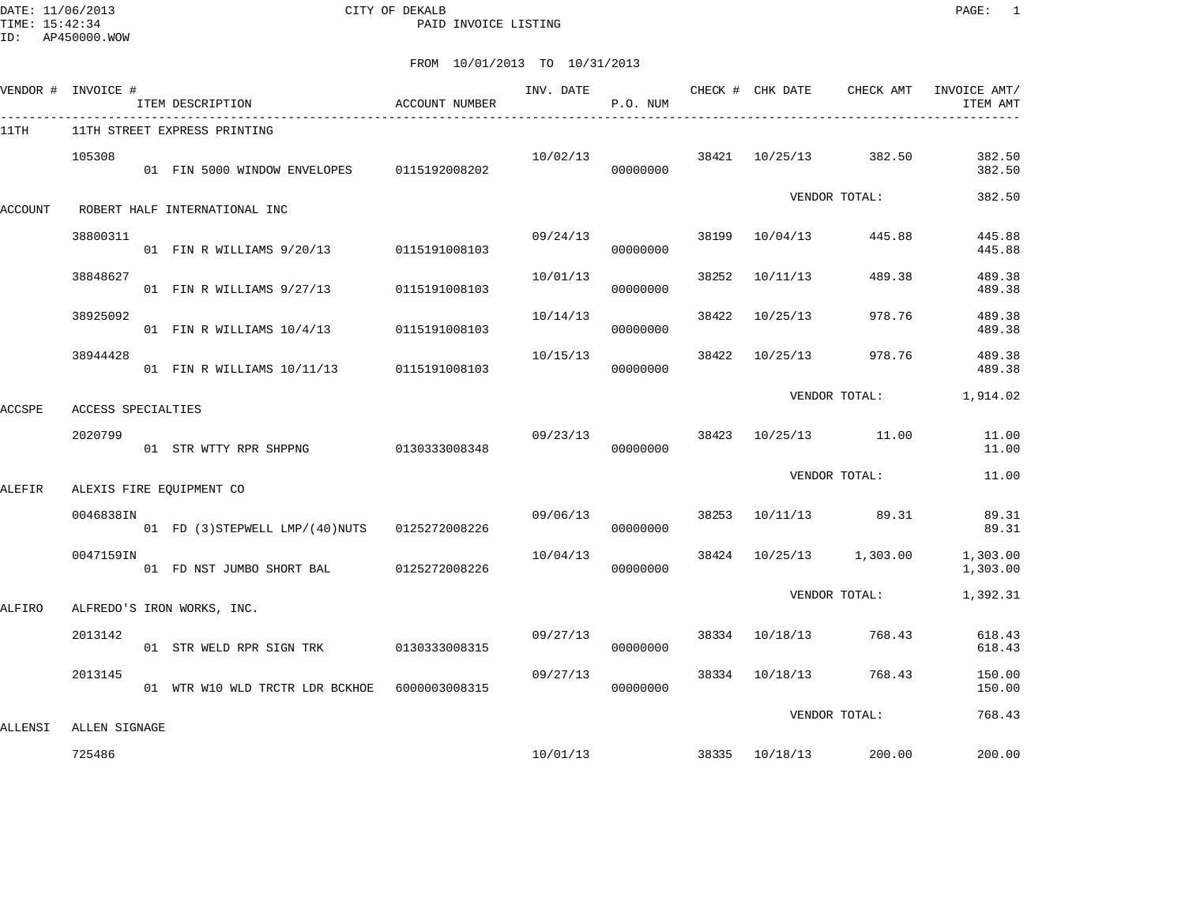DATE: 11/06/2013 CITY OF DEKALB PAGE: 1 PAID INVOICE LISTING

|         | VENDOR # INVOICE # | ITEM DESCRIPTION                               | ACCOUNT NUMBER |          | P.O. NUM             |       |                |                         | ITEM AMT             |
|---------|--------------------|------------------------------------------------|----------------|----------|----------------------|-------|----------------|-------------------------|----------------------|
| 11TH    |                    | 11TH STREET EXPRESS PRINTING                   |                |          |                      |       |                |                         |                      |
|         | 105308             | 01 FIN 5000 WINDOW ENVELOPES 0115192008202     |                |          | 10/02/13<br>00000000 |       |                | 38421 10/25/13 382.50   | 382.50<br>382.50     |
| ACCOUNT |                    | ROBERT HALF INTERNATIONAL INC                  |                |          |                      |       |                | VENDOR TOTAL:           | 382.50               |
|         | 38800311           | 01 FIN R WILLIAMS 9/20/13 0115191008103        |                | 09/24/13 | 00000000             | 38199 | 10/04/13       | 445.88                  | 445.88<br>445.88     |
|         | 38848627           | 01 FIN R WILLIAMS 9/27/13 0115191008103        |                | 10/01/13 | 00000000             | 38252 | 10/11/13       | 489.38                  | 489.38<br>489.38     |
|         | 38925092           | 01 FIN R WILLIAMS 10/4/13 0115191008103        |                | 10/14/13 | 00000000             | 38422 | 10/25/13       | 978.76                  | 489.38<br>489.38     |
|         | 38944428           | 01 FIN R WILLIAMS 10/11/13 0115191008103       |                | 10/15/13 | 00000000             | 38422 | 10/25/13       | 978.76                  | 489.38<br>489.38     |
| ACCSPE  | ACCESS SPECIALTIES |                                                |                |          |                      |       |                | VENDOR TOTAL:           | 1,914.02             |
|         | 2020799            | 01 STR WTTY RPR SHPPNG                         | 0130333008348  | 09/23/13 | 00000000             |       |                | 38423 10/25/13 11.00    | 11.00<br>11.00       |
| ALEFIR  |                    | ALEXIS FIRE EQUIPMENT CO                       |                |          |                      |       |                | VENDOR TOTAL:           | 11.00                |
|         | 0046838IN          | 01 FD (3) STEPWELL LMP/(40) NUTS 0125272008226 |                | 09/06/13 | 00000000             |       |                | 38253 10/11/13 89.31    | 89.31<br>89.31       |
|         | 0047159IN          | 01 FD NST JUMBO SHORT BAL 0125272008226        |                | 10/04/13 | 00000000             |       |                | 38424 10/25/13 1,303.00 | 1,303.00<br>1,303.00 |
| ALFIRO  |                    | ALFREDO'S IRON WORKS, INC.                     |                |          |                      |       |                | VENDOR TOTAL:           | 1,392.31             |
|         | 2013142            | 01 STR WELD RPR SIGN TRK 0130333008315         |                | 09/27/13 | 00000000             |       | 38334 10/18/13 | 768.43                  | 618.43<br>618.43     |
|         | 2013145            | 01 WTR W10 WLD TRCTR LDR BCKHOE 6000003008315  |                | 09/27/13 | 00000000             |       | 38334 10/18/13 | 768.43                  | 150.00<br>150.00     |
| ALLENSI | ALLEN SIGNAGE      |                                                |                |          |                      |       |                | VENDOR TOTAL:           | 768.43               |
|         | 725486             |                                                |                |          | 10/01/13             |       | 38335 10/18/13 | 200.00                  | 200.00               |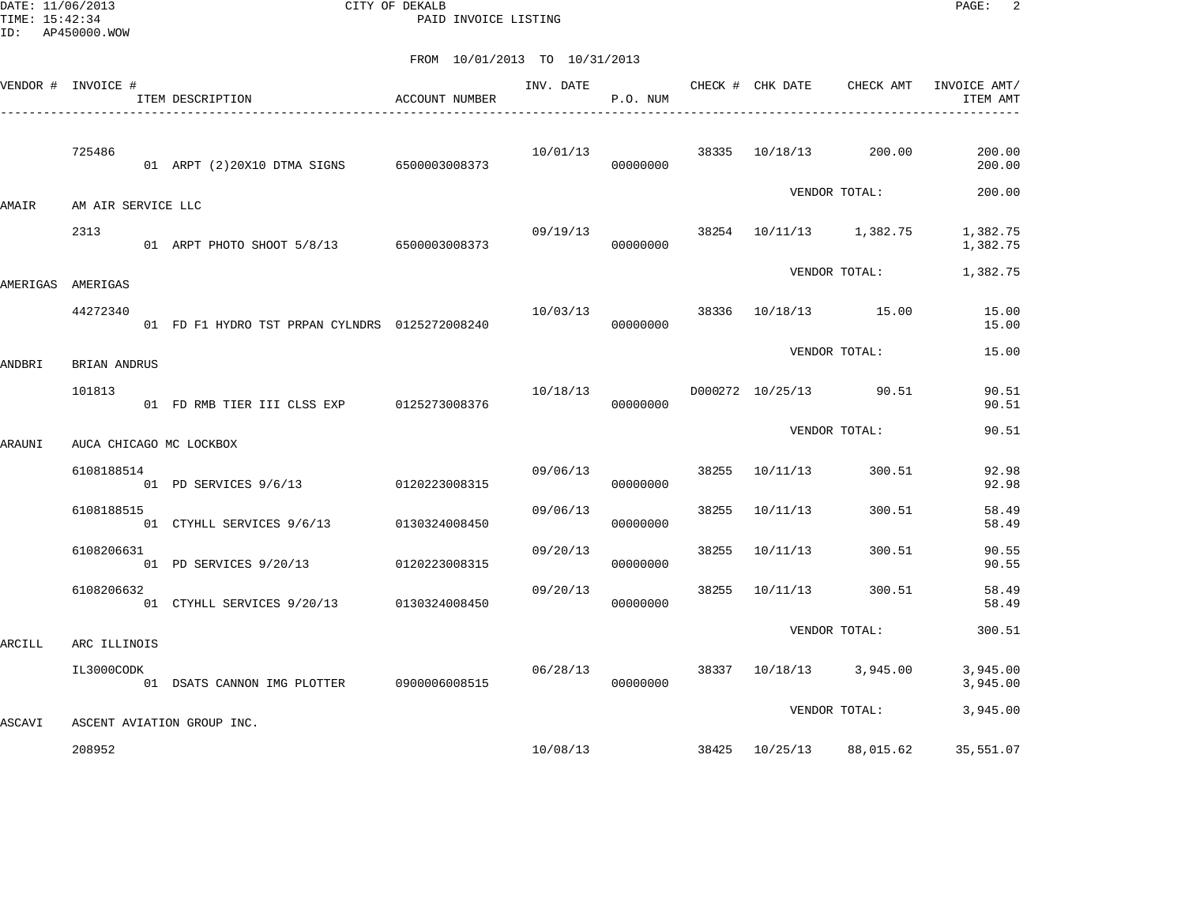DATE: 11/06/2013 CITY OF DEKALB PAGE: 2 PAID INVOICE LISTING

|          | VENDOR # INVOICE # | ITEM DESCRIPTION                               | ACCOUNT NUMBER | INV. DATE | P.O. NUM |       | CHECK # CHK DATE | CHECK AMT               | INVOICE AMT/<br>ITEM AMT |
|----------|--------------------|------------------------------------------------|----------------|-----------|----------|-------|------------------|-------------------------|--------------------------|
|          | 725486             | 01 ARPT (2)20X10 DTMA SIGNS 6500003008373      |                | 10/01/13  | 00000000 | 38335 | 10/18/13         | 200.00                  | 200.00<br>200.00         |
| AMAIR    | AM AIR SERVICE LLC |                                                |                |           |          |       |                  | VENDOR TOTAL:           | 200.00                   |
|          | 2313               | 01 ARPT PHOTO SHOOT 5/8/13 6500003008373       |                | 09/19/13  | 00000000 |       |                  | 38254 10/11/13 1,382.75 | 1,382.75<br>1,382.75     |
| AMERIGAS | AMERIGAS           |                                                |                |           |          |       |                  | VENDOR TOTAL:           | 1,382.75                 |
|          | 44272340           | 01 FD F1 HYDRO TST PRPAN CYLNDRS 0125272008240 |                | 10/03/13  | 00000000 | 38336 |                  | 10/18/13   15.00        | 15.00<br>15.00           |
| ANDBRI   | BRIAN ANDRUS       |                                                |                |           |          |       |                  | VENDOR TOTAL:           | 15.00                    |
|          | 101813             | 01 FD RMB TIER III CLSS EXP                    | 0125273008376  | 10/18/13  | 00000000 |       |                  | D000272 10/25/13 90.51  | 90.51<br>90.51           |
| ARAUNI   |                    | AUCA CHICAGO MC LOCKBOX                        |                |           |          |       |                  | VENDOR TOTAL:           | 90.51                    |
|          | 6108188514         | 01 PD SERVICES 9/6/13 0120223008315            |                | 09/06/13  | 00000000 | 38255 | 10/11/13         | 300.51                  | 92.98<br>92.98           |
|          | 6108188515         | 01 CTYHLL SERVICES 9/6/13                      | 0130324008450  | 09/06/13  | 00000000 | 38255 | 10/11/13         | 300.51                  | 58.49<br>58.49           |
|          | 6108206631         | 01 PD SERVICES 9/20/13                         | 0120223008315  | 09/20/13  | 00000000 | 38255 | 10/11/13         | 300.51                  | 90.55<br>90.55           |
|          | 6108206632         | 01 CTYHLL SERVICES 9/20/13 0130324008450       |                | 09/20/13  | 00000000 | 38255 | 10/11/13         | 300.51                  | 58.49<br>58.49           |
| ARCILL   | ARC ILLINOIS       |                                                |                |           |          |       |                  | VENDOR TOTAL:           | 300.51                   |
|          | IL3000CODK         | 01 DSATS CANNON IMG PLOTTER 0900006008515      |                | 06/28/13  | 00000000 |       |                  | 38337 10/18/13 3,945.00 | 3,945.00<br>3,945.00     |
| ASCAVI   |                    | ASCENT AVIATION GROUP INC.                     |                |           |          |       |                  | VENDOR TOTAL:           | 3,945.00                 |
|          | 208952             |                                                |                | 10/08/13  |          | 38425 |                  | 10/25/13 88,015.62      | 35,551.07                |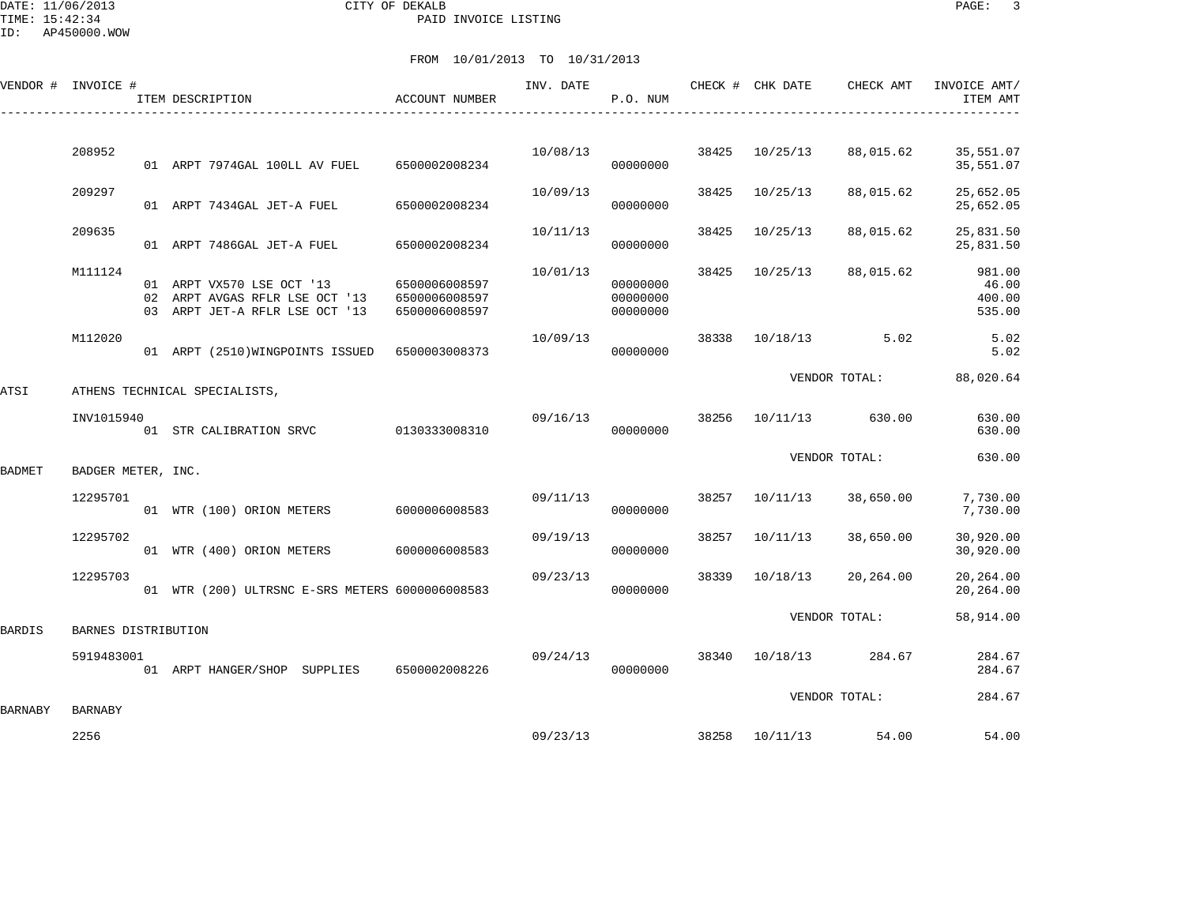DATE: 11/06/2013 CITY OF DEKALB PAGE: 3 PAID INVOICE LISTING

ID: AP450000.WOW

| VENDOR # INVOICE # |                     | ITEM DESCRIPTION                                                                              | <b>ACCOUNT NUMBER</b>                           | INV. DATE | P.O. NUM                         |       | CHECK # CHK DATE | CHECK AMT             | INVOICE AMT/<br>ITEM AMT            |
|--------------------|---------------------|-----------------------------------------------------------------------------------------------|-------------------------------------------------|-----------|----------------------------------|-------|------------------|-----------------------|-------------------------------------|
|                    |                     |                                                                                               |                                                 |           |                                  |       |                  |                       |                                     |
|                    | 208952              | 01 ARPT 7974GAL 100LL AV FUEL 6500002008234                                                   |                                                 | 10/08/13  | 00000000                         | 38425 | 10/25/13         | 88,015.62             | 35,551.07<br>35,551.07              |
|                    | 209297              | 01 ARPT 7434GAL JET-A FUEL                                                                    | 6500002008234                                   | 10/09/13  | 00000000                         | 38425 | 10/25/13         | 88,015.62             | 25,652.05<br>25,652.05              |
|                    | 209635              | 01 ARPT 7486GAL JET-A FUEL                                                                    | 6500002008234                                   | 10/11/13  | 00000000                         | 38425 | 10/25/13         | 88,015.62             | 25,831.50<br>25,831.50              |
|                    | M111124             | 01 ARPT VX570 LSE OCT '13<br>02 ARPT AVGAS RFLR LSE OCT '13<br>03 ARPT JET-A RFLR LSE OCT '13 | 6500006008597<br>6500006008597<br>6500006008597 | 10/01/13  | 00000000<br>00000000<br>00000000 | 38425 | 10/25/13         | 88,015.62             | 981.00<br>46.00<br>400.00<br>535.00 |
|                    | M112020             | 01 ARPT (2510) WINGPOINTS ISSUED 6500003008373                                                |                                                 | 10/09/13  | 00000000                         |       |                  | 38338 10/18/13 5.02   | 5.02<br>5.02                        |
| ATSI               |                     | ATHENS TECHNICAL SPECIALISTS,                                                                 |                                                 |           |                                  |       |                  | VENDOR TOTAL:         | 88,020.64                           |
|                    | INV1015940          |                                                                                               |                                                 | 09/16/13  |                                  | 38256 |                  | 10/11/13 630.00       | 630.00                              |
|                    |                     | 01 STR CALIBRATION SRVC 0130333008310                                                         |                                                 |           | 00000000                         |       |                  |                       | 630.00                              |
| BADMET             | BADGER METER, INC.  |                                                                                               |                                                 |           |                                  |       |                  | VENDOR TOTAL:         | 630.00                              |
|                    | 12295701            | 01 WTR (100) ORION METERS 6000006008583                                                       |                                                 | 09/11/13  | 00000000                         |       | 38257 10/11/13   | 38,650.00             | 7,730.00<br>7,730.00                |
|                    | 12295702            | 01 WTR (400) ORION METERS                                                                     | 6000006008583                                   | 09/19/13  | 00000000                         | 38257 | 10/11/13         | 38,650.00             | 30,920.00<br>30,920.00              |
|                    | 12295703            | 01 WTR (200) ULTRSNC E-SRS METERS 6000006008583                                               |                                                 | 09/23/13  | 00000000                         | 38339 | 10/18/13         | 20,264.00             | 20,264.00<br>20,264.00              |
| BARDIS             | BARNES DISTRIBUTION |                                                                                               |                                                 |           |                                  |       |                  | VENDOR TOTAL:         | 58,914.00                           |
|                    | 5919483001          | 01 ARPT HANGER/SHOP SUPPLIES 6500002008226                                                    |                                                 |           | 09/24/13<br>00000000             |       |                  | 38340 10/18/13 284.67 | 284.67<br>284.67                    |
| BARNABY            | <b>BARNABY</b>      |                                                                                               |                                                 |           |                                  |       |                  | VENDOR TOTAL:         | 284.67                              |
|                    | 2256                |                                                                                               |                                                 | 09/23/13  |                                  |       |                  | 38258 10/11/13 54.00  | 54.00                               |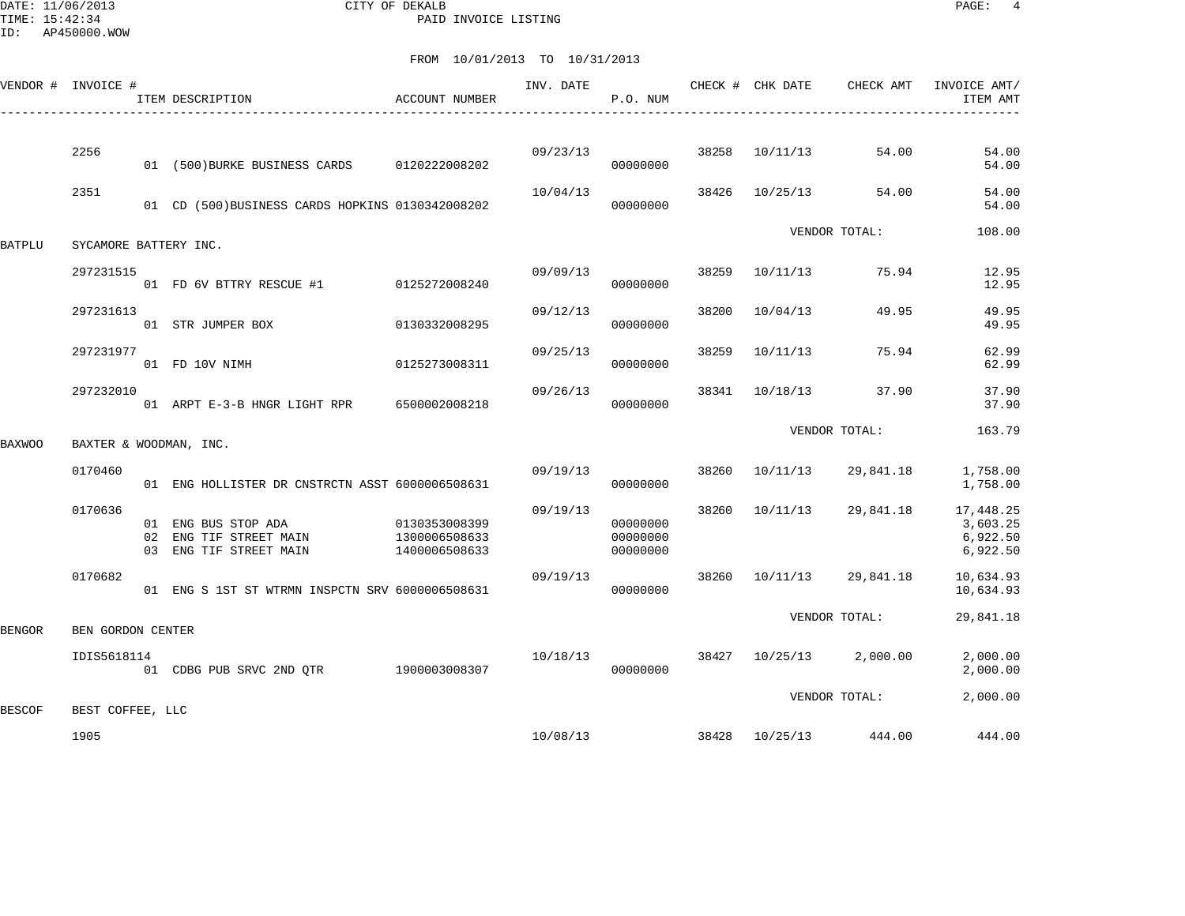DATE: 11/06/2013 CITY OF DEKALB PAGE: 4 PAID INVOICE LISTING

|        | VENDOR # INVOICE #    | ITEM DESCRIPTION                                                        | ACCOUNT NUMBER                                  | INV. DATE | P.O. NUM                         |       | CHECK # CHK DATE | CHECK AMT               | INVOICE AMT/<br>ITEM AMT                      |
|--------|-----------------------|-------------------------------------------------------------------------|-------------------------------------------------|-----------|----------------------------------|-------|------------------|-------------------------|-----------------------------------------------|
|        | 2256                  | 01 (500) BURKE BUSINESS CARDS 0120222008202                             |                                                 | 09/23/13  | 00000000                         | 38258 | 10/11/13         | 54.00                   | 54.00<br>54.00                                |
|        | 2351                  | 01 CD (500) BUSINESS CARDS HOPKINS 0130342008202                        |                                                 | 10/04/13  | 00000000                         | 38426 | 10/25/13         | 54.00                   | 54.00<br>54.00                                |
| BATPLU | SYCAMORE BATTERY INC. |                                                                         |                                                 |           |                                  |       |                  | VENDOR TOTAL:           | 108.00                                        |
|        | 297231515             | 01 FD 6V BTTRY RESCUE #1 0125272008240                                  |                                                 | 09/09/13  | 00000000                         | 38259 | 10/11/13         | 75.94                   | 12.95<br>12.95                                |
|        | 297231613             | 01 STR JUMPER BOX                                                       | 0130332008295                                   | 09/12/13  | 00000000                         | 38200 | 10/04/13         | 49.95                   | 49.95<br>49.95                                |
|        | 297231977             | 01 FD 10V NIMH                                                          | 0125273008311                                   | 09/25/13  | 00000000                         | 38259 | 10/11/13         | 75.94                   | 62.99<br>62.99                                |
|        | 297232010             | 01 ARPT E-3-B HNGR LIGHT RPR 6500002008218                              |                                                 | 09/26/13  | 00000000                         | 38341 | 10/18/13         | 37.90                   | 37.90<br>37.90                                |
| BAXWOO |                       | BAXTER & WOODMAN, INC.                                                  |                                                 |           |                                  |       |                  | VENDOR TOTAL:           | 163.79                                        |
|        | 0170460               | 01 ENG HOLLISTER DR CNSTRCTN ASST 6000006508631                         |                                                 | 09/19/13  | 00000000                         | 38260 | 10/11/13         | 29,841.18               | 1,758.00<br>1,758.00                          |
|        | 0170636               | 01 ENG BUS STOP ADA<br>02 ENG TIF STREET MAIN<br>03 ENG TIF STREET MAIN | 0130353008399<br>1300006508633<br>1400006508633 | 09/19/13  | 00000000<br>00000000<br>00000000 | 38260 | 10/11/13         | 29,841.18               | 17,448.25<br>3,603.25<br>6,922.50<br>6,922.50 |
|        | 0170682               | 01 ENG S 1ST ST WTRMN INSPCTN SRV 6000006508631                         |                                                 | 09/19/13  | 00000000                         | 38260 | 10/11/13         | 29,841.18               | 10,634.93<br>10,634.93                        |
| BENGOR | BEN GORDON CENTER     |                                                                         |                                                 |           |                                  |       |                  | VENDOR TOTAL:           | 29,841.18                                     |
|        | IDIS5618114           | 01 CDBG PUB SRVC 2ND QTR 1900003008307                                  |                                                 | 10/18/13  | 00000000                         |       |                  | 38427 10/25/13 2,000.00 | 2,000.00<br>2,000.00                          |
| BESCOF | BEST COFFEE, LLC      |                                                                         |                                                 |           |                                  |       |                  | VENDOR TOTAL:           | 2,000.00                                      |
|        | 1905                  |                                                                         |                                                 | 10/08/13  |                                  |       |                  | 38428 10/25/13 444.00   | 444.00                                        |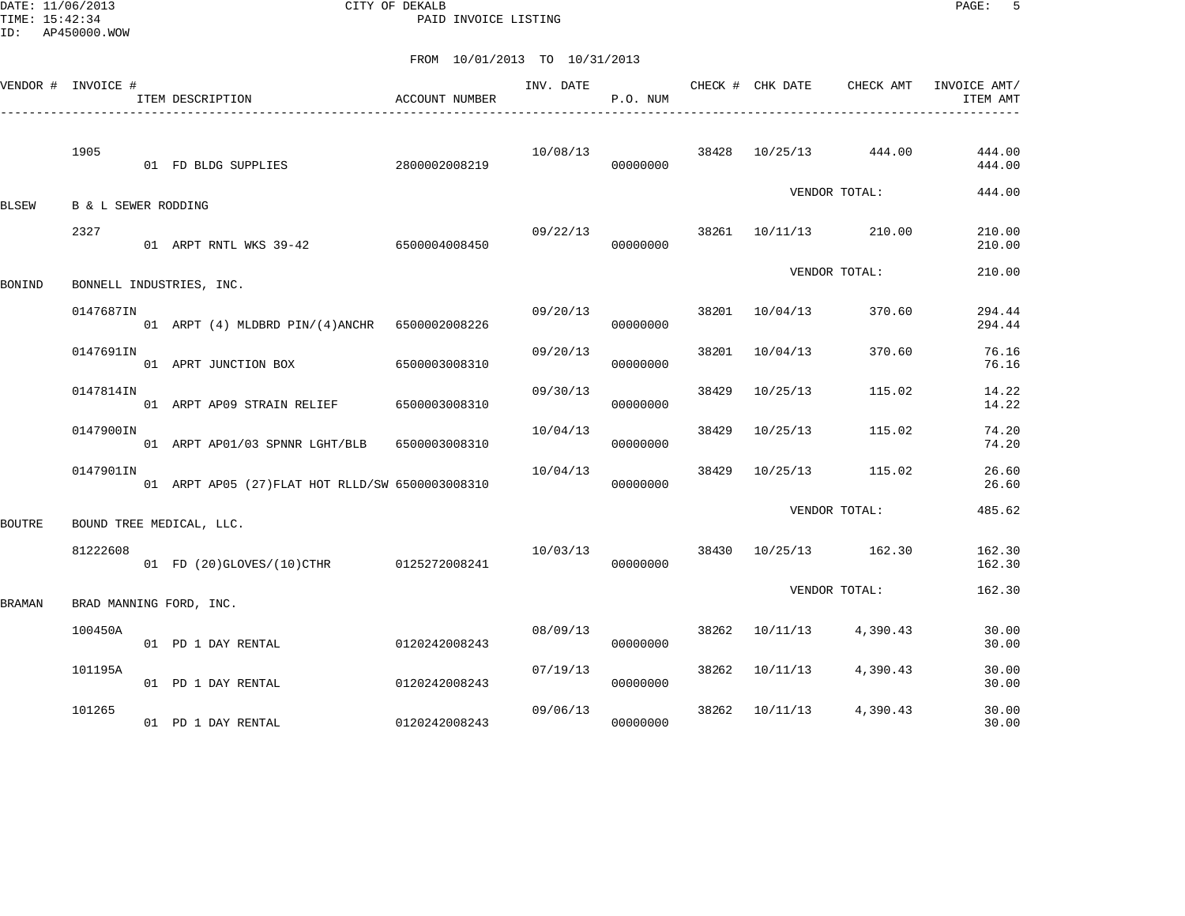DATE: 11/06/2013 CITY OF DEKALB PAGE: 5 PAID INVOICE LISTING

| VENDOR # INVOICE # |                     | ITEM DESCRIPTION                                 | ACCOUNT NUMBER | INV. DATE | P.O. NUM |       | CHECK # CHK DATE | CHECK AMT             | INVOICE AMT/<br>ITEM AMT |
|--------------------|---------------------|--------------------------------------------------|----------------|-----------|----------|-------|------------------|-----------------------|--------------------------|
|                    | 1905                | 01 FD BLDG SUPPLIES                              | 2800002008219  | 10/08/13  | 00000000 |       |                  | 38428 10/25/13 444.00 | 444.00<br>444.00         |
| BLSEW              | B & L SEWER RODDING |                                                  |                |           |          |       |                  | VENDOR TOTAL:         | 444.00                   |
|                    | 2327                | 01 ARPT RNTL WKS 39-42 6500004008450             |                | 09/22/13  | 00000000 |       |                  | 38261 10/11/13 210.00 | 210.00<br>210.00         |
| <b>BONIND</b>      |                     | BONNELL INDUSTRIES, INC.                         |                |           |          |       |                  | VENDOR TOTAL:         | 210.00                   |
|                    | 0147687IN           | 01 ARPT (4) MLDBRD PIN/(4)ANCHR 6500002008226    |                | 09/20/13  | 00000000 |       | 38201 10/04/13   | 370.60                | 294.44<br>294.44         |
|                    | 0147691IN           | 01 APRT JUNCTION BOX                             | 6500003008310  | 09/20/13  | 00000000 | 38201 | 10/04/13         | 370.60                | 76.16<br>76.16           |
|                    | 0147814IN           | 01 ARPT AP09 STRAIN RELIEF                       | 6500003008310  | 09/30/13  | 00000000 | 38429 | 10/25/13         | 115.02                | 14.22<br>14.22           |
|                    | 0147900IN           | 01 ARPT AP01/03 SPNNR LGHT/BLB                   | 6500003008310  | 10/04/13  | 00000000 | 38429 | 10/25/13         | 115.02                | 74.20<br>74.20           |
|                    | 0147901IN           | 01 ARPT AP05 (27) FLAT HOT RLLD/SW 6500003008310 |                | 10/04/13  | 00000000 | 38429 | 10/25/13         | 115.02                | 26.60<br>26.60           |
| <b>BOUTRE</b>      |                     | BOUND TREE MEDICAL, LLC.                         |                |           |          |       |                  | VENDOR TOTAL:         | 485.62                   |
|                    | 81222608            | 01 FD (20)GLOVES/(10)CTHR 0125272008241          |                | 10/03/13  | 00000000 | 38430 |                  | 10/25/13 162.30       | 162.30<br>162.30         |
| <b>BRAMAN</b>      |                     | BRAD MANNING FORD, INC.                          |                |           |          |       |                  | VENDOR TOTAL:         | 162.30                   |
|                    | 100450A             | 01 PD 1 DAY RENTAL                               | 0120242008243  | 08/09/13  | 00000000 | 38262 | 10/11/13         | 4,390.43              | 30.00<br>30.00           |
|                    | 101195A             | 01 PD 1 DAY RENTAL                               | 0120242008243  | 07/19/13  | 00000000 | 38262 | 10/11/13         | 4,390.43              | 30.00<br>30.00           |
|                    | 101265              | 01 PD 1 DAY RENTAL                               | 0120242008243  | 09/06/13  | 00000000 | 38262 | 10/11/13         | 4,390.43              | 30.00<br>30.00           |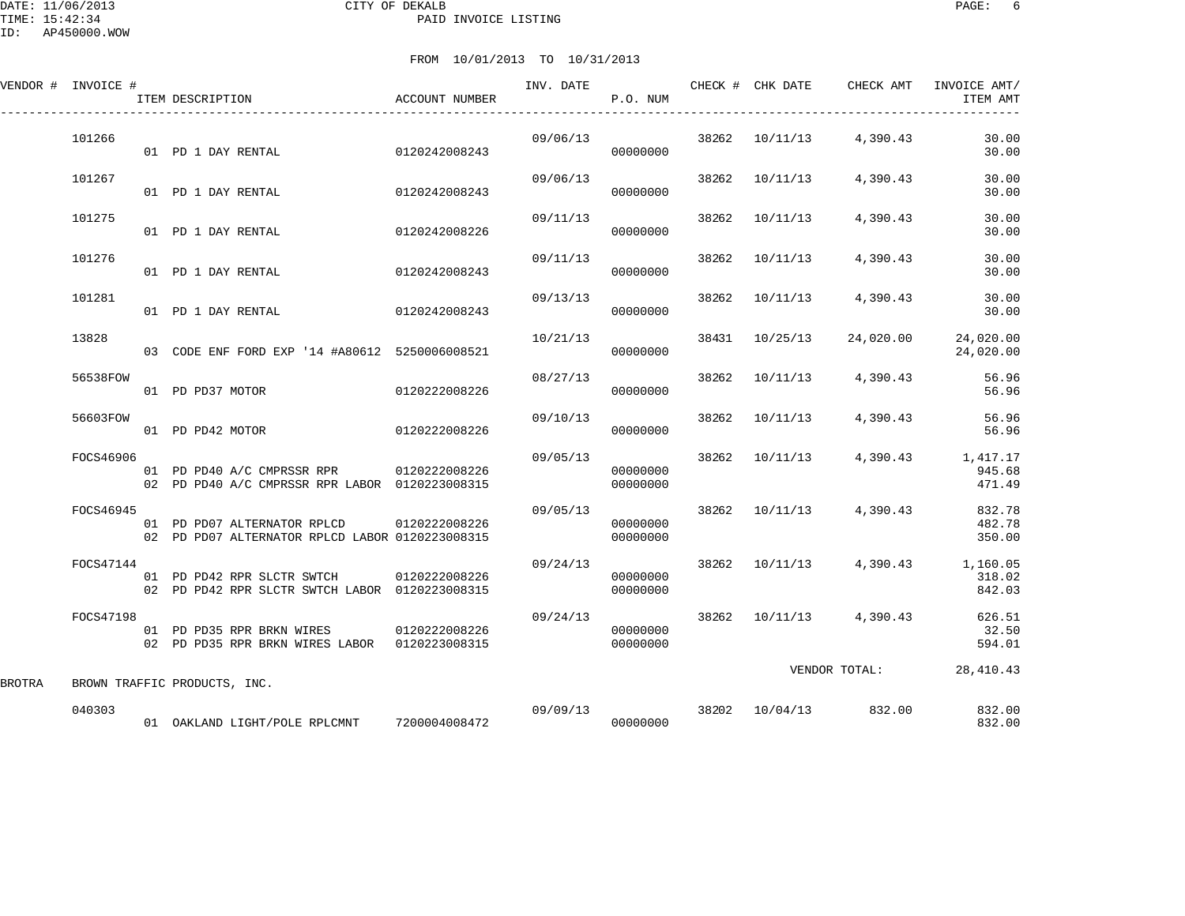DATE: 11/06/2013 CITY OF DEKALB PAGE: 6 PAID INVOICE LISTING

|        | VENDOR # INVOICE # | ITEM DESCRIPTION                                                                           | ACCOUNT NUMBER | INV. DATE | P.O. NUM             |       | CHECK # CHK DATE | CHECK AMT               | INVOICE AMT/<br>ITEM AMT                             |
|--------|--------------------|--------------------------------------------------------------------------------------------|----------------|-----------|----------------------|-------|------------------|-------------------------|------------------------------------------------------|
|        | 101266             | 01 PD 1 DAY RENTAL                                                                         | 0120242008243  | 09/06/13  | 00000000             |       | 38262 10/11/13   | 4,390.43                | 30.00<br>30.00                                       |
|        | 101267             | 01 PD 1 DAY RENTAL                                                                         | 0120242008243  | 09/06/13  | 00000000             | 38262 | 10/11/13         | 4,390.43                | 30.00<br>30.00                                       |
|        | 101275             | 01 PD 1 DAY RENTAL                                                                         | 0120242008226  | 09/11/13  | 00000000             | 38262 | 10/11/13         | 4,390.43                | 30.00<br>30.00                                       |
|        | 101276             | 01 PD 1 DAY RENTAL                                                                         | 0120242008243  | 09/11/13  | 00000000             | 38262 | 10/11/13         | 4,390.43                | 30.00<br>30.00                                       |
|        | 101281             | 01 PD 1 DAY RENTAL                                                                         | 0120242008243  | 09/13/13  | 00000000             | 38262 | 10/11/13         | 4,390.43                | 30.00<br>30.00                                       |
|        | 13828              | 03 CODE ENF FORD EXP '14 #A80612 5250006008521                                             |                | 10/21/13  | 00000000             | 38431 | 10/25/13         | 24,020.00               | 24,020.00<br>24,020.00                               |
|        | 56538FOW           | 01 PD PD37 MOTOR                                                                           | 0120222008226  | 08/27/13  | 00000000             | 38262 | 10/11/13         | 4,390.43                | 56.96<br>56.96                                       |
|        | 56603FOW           | 01 PD PD42 MOTOR                                                                           | 0120222008226  | 09/10/13  | 00000000             | 38262 | 10/11/13         | 4,390.43                | 56.96<br>56.96                                       |
|        | FOCS46906          | 01 PD PD40 A/C CMPRSSR RPR 0120222008226<br>02 PD PD40 A/C CMPRSSR RPR LABOR 0120223008315 |                | 09/05/13  | 00000000<br>00000000 |       | 38262 10/11/13   |                         | 4,390.43 1,417.17<br>945.68<br>471.49                |
|        | FOCS46945          | 01 PD PD07 ALTERNATOR RPLCD<br>02 PD PD07 ALTERNATOR RPLCD LABOR 0120223008315             | 0120222008226  | 09/05/13  | 00000000<br>00000000 |       |                  | 38262 10/11/13 4,390.43 | 832.78<br>482.78<br>350.00                           |
|        | FOCS47144          | 01 PD PD42 RPR SLCTR SWTCH<br>02 PD PD42 RPR SLCTR SWTCH LABOR 0120223008315               | 0120222008226  | 09/24/13  | 00000000<br>00000000 |       |                  |                         | 38262 10/11/13 4,390.43 1,160.05<br>318.02<br>842.03 |
|        | FOCS47198          | 01 PD PD35 RPR BRKN WIRES 0120222008226<br>02 PD PD35 RPR BRKN WIRES LABOR 0120223008315   |                | 09/24/13  | 00000000<br>00000000 |       |                  | 38262 10/11/13 4,390.43 | 626.51<br>32.50<br>594.01                            |
| BROTRA |                    | BROWN TRAFFIC PRODUCTS, INC.                                                               |                |           |                      |       |                  | VENDOR TOTAL:           | 28, 410.43                                           |
|        | 040303             | 01 OAKLAND LIGHT/POLE RPLCMNT 7200004008472                                                |                | 09/09/13  | 00000000             |       | 38202 10/04/13   | 832.00                  | 832.00<br>832.00                                     |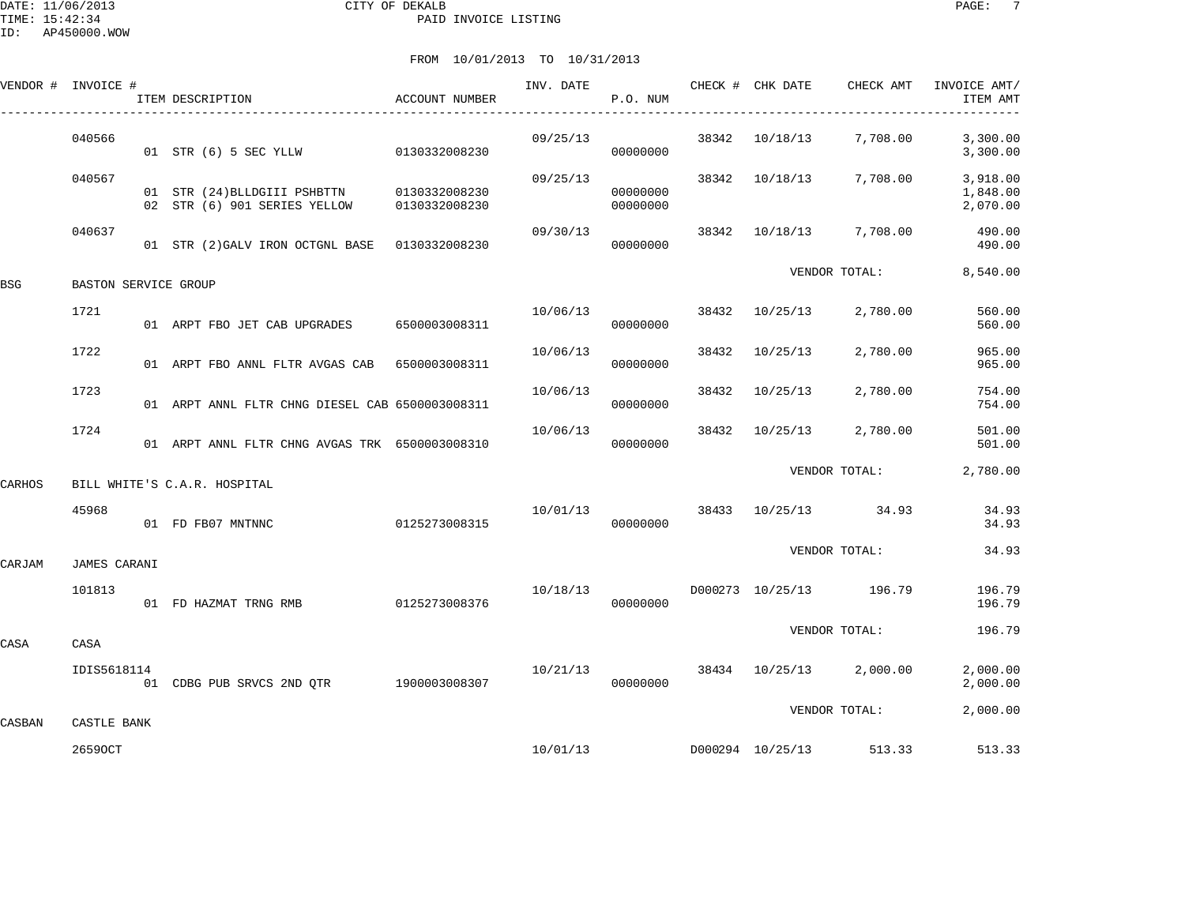DATE: 11/06/2013 CITY OF DEKALB PAGE: 7 PAID INVOICE LISTING

|        | VENDOR # INVOICE #   | ITEM DESCRIPTION                                                           | ACCOUNT NUMBER |          | INV. DATE<br>P.O. NUM |       | CHECK # CHK DATE | CHECK AMT                        | INVOICE AMT/<br>ITEM AMT         |
|--------|----------------------|----------------------------------------------------------------------------|----------------|----------|-----------------------|-------|------------------|----------------------------------|----------------------------------|
|        | 040566               | 01 STR (6) 5 SEC YLLW 0130332008230                                        |                | 09/25/13 | 00000000              |       | 38342 10/18/13   | 7,708.00                         | 3,300.00<br>3,300.00             |
|        | 040567               | 01 STR (24) BLLDGIII PSHBTTN 0130332008230<br>02 STR (6) 901 SERIES YELLOW | 0130332008230  | 09/25/13 | 00000000<br>00000000  |       |                  | 38342 10/18/13 7,708.00          | 3,918.00<br>1,848.00<br>2,070.00 |
|        | 040637               | 01 STR (2) GALV IRON OCTGNL BASE 0130332008230                             |                | 09/30/13 | 00000000              |       |                  | 38342 10/18/13 7,708.00          | 490.00<br>490.00                 |
| BSG    | BASTON SERVICE GROUP |                                                                            |                |          |                       |       |                  | VENDOR TOTAL:                    | 8,540.00                         |
|        | 1721                 | 01 ARPT FBO JET CAB UPGRADES 6500003008311                                 |                | 10/06/13 | 00000000              |       | 38432 10/25/13   | 2,780.00                         | 560.00<br>560.00                 |
|        | 1722                 | 01 ARPT FBO ANNL FLTR AVGAS CAB 6500003008311                              |                | 10/06/13 | 00000000              | 38432 | 10/25/13         | 2,780.00                         | 965.00<br>965.00                 |
|        | 1723                 | 01 ARPT ANNL FLTR CHNG DIESEL CAB 6500003008311                            |                | 10/06/13 | 00000000              | 38432 | 10/25/13         | 2,780.00                         | 754.00<br>754.00                 |
|        | 1724                 | 01 ARPT ANNL FLTR CHNG AVGAS TRK 6500003008310                             |                | 10/06/13 | 00000000              |       | 38432 10/25/13   | 2,780.00                         | 501.00<br>501.00                 |
| CARHOS |                      | BILL WHITE'S C.A.R. HOSPITAL                                               |                |          |                       |       |                  | VENDOR TOTAL:                    | 2,780.00                         |
|        | 45968                | 01 FD FB07 MNTNNC                                                          | 0125273008315  | 10/01/13 | 00000000              |       |                  | 38433 10/25/13 34.93             | 34.93<br>34.93                   |
| CARJAM | JAMES CARANI         |                                                                            |                |          |                       |       |                  | VENDOR TOTAL:                    | 34.93                            |
|        | 101813               | 01 FD HAZMAT TRNG RMB 0125273008376                                        |                | 10/18/13 | 00000000              |       |                  | D000273 10/25/13 196.79          | 196.79<br>196.79                 |
| CASA   | CASA                 |                                                                            |                |          |                       |       |                  | VENDOR TOTAL:                    | 196.79                           |
|        | IDIS5618114          | 01 CDBG PUB SRVCS 2ND QTR 1900003008307                                    |                | 10/21/13 | 00000000              |       |                  | 38434 10/25/13 2,000.00          | 2,000.00<br>2,000.00             |
| CASBAN | CASTLE BANK          |                                                                            |                |          |                       |       |                  | VENDOR TOTAL:                    | 2,000.00                         |
|        | 26590CT              |                                                                            |                |          |                       |       |                  | 10/01/13 D000294 10/25/13 513.33 | 513.33                           |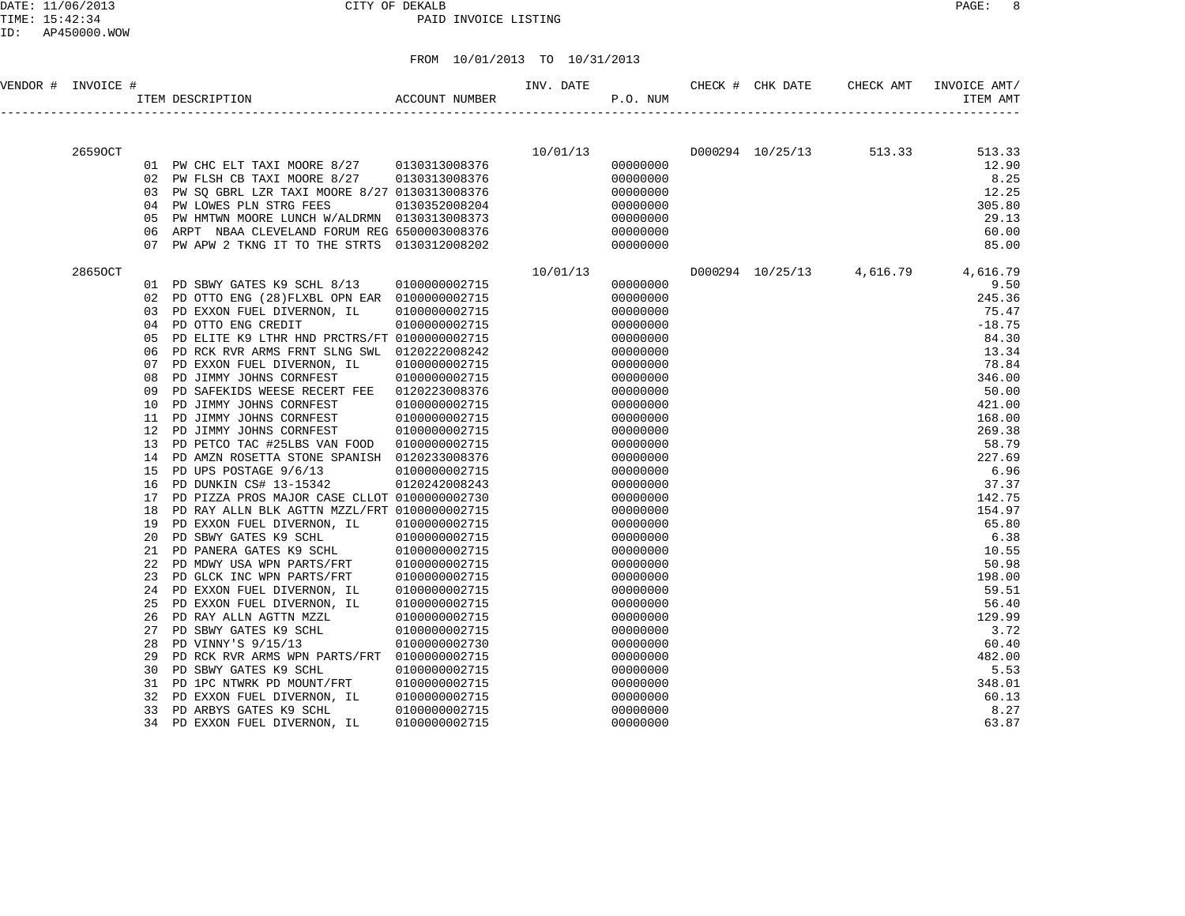DATE: 11/06/2013 CITY OF DEKALB PAGE: 8 PAID INVOICE LISTING

| VENDOR # INVOICE # |         |          | $$\uparrow$$ TTEM DESCRIPTION $$\sf ACCOUNT$$ NUMBER                      |                                | INV. DATE<br>P.O. NUM |                      | CHECK # CHK DATE | CHECK AMT               | INVOICE AMT/<br>ITEM AMT           |
|--------------------|---------|----------|---------------------------------------------------------------------------|--------------------------------|-----------------------|----------------------|------------------|-------------------------|------------------------------------|
|                    |         |          |                                                                           |                                |                       |                      |                  | D000294 10/25/13 513.33 |                                    |
|                    | 26590CT |          | 01 PW CHC ELT TAXI MOORE 8/27 0130313008376                               | 10/01/13                       |                       | 00000000             |                  |                         | 513.33<br>12.90                    |
|                    |         |          | 02 PW FLSH CB TAXI MOORE 8/27                                             | 0130313008376                  |                       | 00000000             |                  |                         | 8.25                               |
|                    |         | 03       | PW SQ GBRL LZR TAXI MOORE 8/27 0130313008376                              |                                |                       | 00000000             |                  |                         | 12.25                              |
|                    |         | 04       | PW LOWES PLN STRG FEES                                                    | 0130352008204                  |                       | 00000000             |                  |                         | 305.80                             |
|                    |         | 05       | PW HMTWN MOORE LUNCH W/ALDRMN 0130313008373                               |                                |                       | 00000000             |                  |                         | 29.13                              |
|                    |         | 06       | ARPT NBAA CLEVELAND FORUM REG 6500003008376                               |                                |                       | 00000000             |                  |                         | 60.00                              |
|                    |         | 07       | PW APW 2 TKNG IT TO THE STRTS 0130312008202                               |                                |                       | 00000000             |                  |                         | 85.00                              |
|                    | 28650CT |          |                                                                           |                                | 10/01/13              |                      |                  |                         | D000294 10/25/13 4,616.79 4,616.79 |
|                    |         | 01       | PD SBWY GATES K9 SCHL 8/13                                                | 0100000002715                  |                       | 00000000             |                  |                         | 9.50                               |
|                    |         | 02       | PD OTTO ENG (28) FLXBL OPN EAR 0100000002715                              |                                |                       | 00000000             |                  |                         | 245.36                             |
|                    |         | 03       | PD EXXON FUEL DIVERNON, IL                                                | 0100000002715                  |                       | 00000000             |                  |                         | 75.47                              |
|                    |         | 04       | PD OTTO ENG CREDIT                                                        | 0100000002715                  |                       | 00000000             |                  |                         | $-18.75$                           |
|                    |         | 05       | PD ELITE K9 LTHR HND PRCTRS/FT 0100000002715                              |                                |                       | 00000000             |                  |                         | 84.30                              |
|                    |         | 06<br>07 | PD RCK RVR ARMS FRNT SLNG SWL 0120222008242<br>PD EXXON FUEL DIVERNON, IL | 0100000002715                  |                       | 00000000<br>00000000 |                  |                         | 13.34<br>78.84                     |
|                    |         | 08       | PD JIMMY JOHNS CORNFEST                                                   | 0100000002715                  |                       | 00000000             |                  |                         | 346.00                             |
|                    |         | 09       | PD SAFEKIDS WEESE RECERT FEE                                              | 0120223008376                  |                       | 00000000             |                  |                         | 50.00                              |
|                    |         | 10       | PD JIMMY JOHNS CORNFEST                                                   | 0100000002715                  |                       | 00000000             |                  |                         | 421.00                             |
|                    |         | 11       | PD JIMMY JOHNS CORNFEST                                                   | 0100000002715                  |                       | 00000000             |                  |                         | 168.00                             |
|                    |         | 12       | PD JIMMY JOHNS CORNFEST                                                   | 0100000002715                  |                       | 00000000             |                  |                         | 269.38                             |
|                    |         | 13       | PD PETCO TAC #25LBS VAN FOOD                                              | 0100000002715                  |                       | 00000000             |                  |                         | 58.79                              |
|                    |         | 14       | PD AMZN ROSETTA STONE SPANISH 0120233008376                               |                                |                       | 00000000             |                  |                         | 227.69                             |
|                    |         | 15       | PD UPS POSTAGE 9/6/13                                                     | 0100000002715                  |                       | 00000000             |                  |                         | 6.96                               |
|                    |         | 16       | PD DUNKIN CS# 13-15342                                                    | 0120242008243                  |                       | 00000000             |                  |                         | 37.37                              |
|                    |         | 17       | PD PIZZA PROS MAJOR CASE CLLOT 0100000002730                              |                                |                       | 00000000             |                  |                         | 142.75                             |
|                    |         | 18       | PD RAY ALLN BLK AGTTN MZZL/FRT 0100000002715                              |                                |                       | 00000000             |                  |                         | 154.97                             |
|                    |         | 19       | PD EXXON FUEL DIVERNON, IL                                                | 0100000002715                  |                       | 00000000             |                  |                         | 65.80                              |
|                    |         | 20       | PD SBWY GATES K9 SCHL<br>PD PANERA GATES K9 SCHL                          | 0100000002715                  |                       | 00000000             |                  |                         | 6.38                               |
|                    |         | 21<br>22 | PD MDWY USA WPN PARTS/FRT                                                 | 0100000002715<br>0100000002715 |                       | 00000000<br>00000000 |                  |                         | 10.55<br>50.98                     |
|                    |         | 23       | PD GLCK INC WPN PARTS/FRT                                                 | 0100000002715                  |                       | 00000000             |                  |                         | 198.00                             |
|                    |         | 24       | PD EXXON FUEL DIVERNON, IL                                                | 0100000002715                  |                       | 00000000             |                  |                         | 59.51                              |
|                    |         | 25       | PD EXXON FUEL DIVERNON, IL                                                | 0100000002715                  |                       | 00000000             |                  |                         | 56.40                              |
|                    |         | 26       | PD RAY ALLN AGTTN MZZL                                                    | 0100000002715                  |                       | 00000000             |                  |                         | 129.99                             |
|                    |         | 27       | PD SBWY GATES K9 SCHL                                                     | 0100000002715                  |                       | 00000000             |                  |                         | 3.72                               |
|                    |         | 28       | PD VINNY'S 9/15/13                                                        | 0100000002730                  |                       | 00000000             |                  |                         | 60.40                              |
|                    |         | 29       | PD RCK RVR ARMS WPN PARTS/FRT                                             | 0100000002715                  |                       | 00000000             |                  |                         | 482.00                             |
|                    |         | 30       | PD SBWY GATES K9 SCHL                                                     | 0100000002715                  |                       | 00000000             |                  |                         | 5.53                               |
|                    |         | 31       | PD 1PC NTWRK PD MOUNT/FRT                                                 | 0100000002715                  |                       | 00000000             |                  |                         | 348.01                             |
|                    |         | 32       | PD EXXON FUEL DIVERNON, IL                                                | 0100000002715                  |                       | 00000000             |                  |                         | 60.13                              |
|                    |         | 33       | PD ARBYS GATES K9 SCHL                                                    | 0100000002715                  |                       | 00000000             |                  |                         | 8.27                               |
|                    |         | 34       | PD EXXON FUEL DIVERNON, IL                                                | 0100000002715                  |                       | 00000000             |                  |                         | 63.87                              |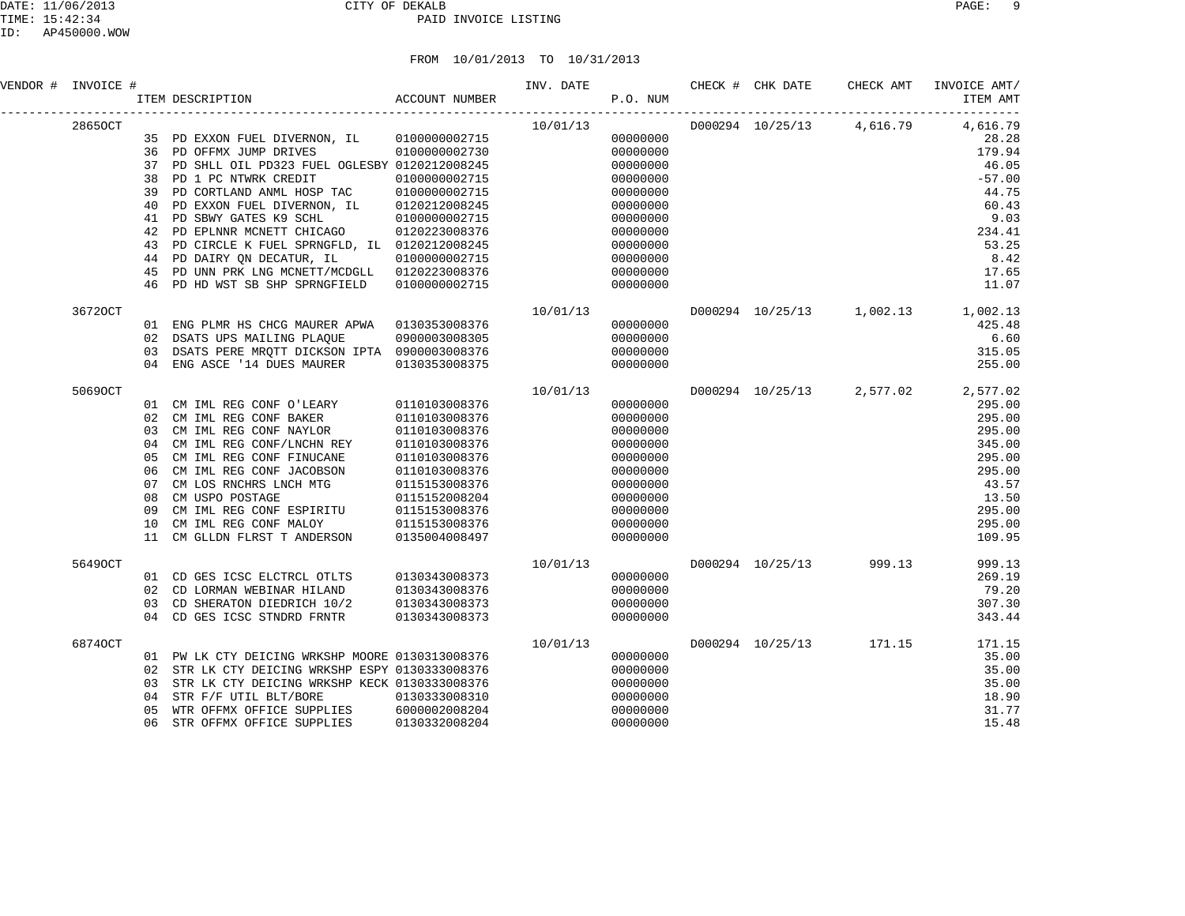| VENDOR # INVOICE # |                 | #<br>ITEM DESCRIPTION<br>${\bf ACCOUNT\quad NUMBER}$                                                                                                                                                                                    |               | INV. DATE<br>P.O. NUM              |          | CHECK # CHK DATE | CHECK AMT               | INVOICE AMT/<br>ITEM AMT           |
|--------------------|-----------------|-----------------------------------------------------------------------------------------------------------------------------------------------------------------------------------------------------------------------------------------|---------------|------------------------------------|----------|------------------|-------------------------|------------------------------------|
| 28650CT            |                 |                                                                                                                                                                                                                                         |               | $10/01/13$<br>00000000<br>00000000 |          |                  |                         | D000294 10/25/13 4,616.79 4,616.79 |
|                    |                 | 35 PD EXXON FUEL DIVERNON, IL 0100000002715                                                                                                                                                                                             |               |                                    |          |                  |                         | 28.28                              |
|                    |                 | 36 PD OFFMX JUMP DRIVES 0100000002730                                                                                                                                                                                                   |               |                                    |          |                  |                         | 179.94                             |
|                    |                 | 37 PD SHLL OIL PD323 FUEL OGLESBY 0120212008245                                                                                                                                                                                         |               |                                    | 00000000 |                  |                         | 46.05                              |
|                    | 38              | PD 1 PC NTWRK CREDIT                                                                                                                                                                                                                    | 0100000002715 |                                    | 00000000 |                  |                         | $-57.00$                           |
|                    | 39              | PD CORTLAND ANML HOSP TAC 0100000002715                                                                                                                                                                                                 |               |                                    | 00000000 |                  |                         | 44.75                              |
|                    | 40              | PD EXXON FUEL DIVERNON, IL                                                                                                                                                                                                              | 0120212008245 |                                    | 00000000 |                  |                         | 60.43                              |
|                    | 41              |                                                                                                                                                                                                                                         | 0100000002715 |                                    | 00000000 |                  |                         | 9.03                               |
|                    | 42              | PD SBWY GATES K9 SCHL<br>PD EPLNNR MCNETT CHICAGO<br>PD 377 30                                                                                                                                                                          | 0120223008376 |                                    | 00000000 |                  |                         | 234.41                             |
|                    | 43              | PD CIRCLE K FUEL SPRNGFLD, IL 0120212008245                                                                                                                                                                                             |               |                                    | 00000000 |                  |                         | 53.25                              |
|                    | 44              | PD DAIRY QN DECATUR, IL                                                                                                                                                                                                                 | 0100000002715 |                                    | 00000000 |                  |                         | 8.42                               |
|                    | 45              | PD UNN PRK LNG MCNETT/MCDGLL 0120223008376                                                                                                                                                                                              |               |                                    | 00000000 |                  |                         | 17.65                              |
|                    | 46              | PD HD WST SB SHP SPRNGFIELD                                                                                                                                                                                                             | 0100000002715 |                                    | 00000000 |                  |                         | 11.07                              |
| 36720CT            |                 |                                                                                                                                                                                                                                         |               | 10/01/13                           |          |                  |                         | D000294 10/25/13 1,002.13 1,002.13 |
|                    |                 | 01 ENG PLMR HS CHCG MAURER APWA 0130353008376                                                                                                                                                                                           |               |                                    | 00000000 |                  |                         | 425.48                             |
|                    |                 | 02 DSATS UPS MAILING PLAOUE                                                                                                                                                                                                             | 0900003008305 |                                    | 00000000 |                  |                         | 6.60                               |
|                    |                 | 03 DSATS PERE MRQTT DICKSON IPTA 0900003008376                                                                                                                                                                                          |               |                                    | 00000000 |                  |                         | 315.05                             |
|                    |                 | 04 ENG ASCE '14 DUES MAURER                                                                                                                                                                                                             | 0130353008375 |                                    | 00000000 |                  |                         | 255.00                             |
| 50690CT            |                 |                                                                                                                                                                                                                                         |               | 10/01/13                           |          |                  |                         | D000294 10/25/13 2,577.02 2,577.02 |
|                    |                 | 01 CM IML REG CONF O'LEARY 0110103008376                                                                                                                                                                                                |               |                                    | 00000000 |                  |                         | 295.00                             |
|                    | 02              | CM IML REG CONF BAKER<br>CM IML REG CONF NAYLOR                                                                                                                                                                                         | 0110103008376 |                                    | 00000000 |                  |                         | 295.00                             |
|                    | 03              | CM IML REG CONF NAYLOR                                                                                                                                                                                                                  | 0110103008376 |                                    | 00000000 |                  |                         | 295.00                             |
|                    | 04              | CM IML REG CONF/LNCHN REY<br>CM IML REG CONF FINUCANE                                                                                                                                                                                   | 0110103008376 |                                    | 00000000 |                  |                         | 345.00                             |
|                    | 05              | CM IML REG CONF FINUCANE                                                                                                                                                                                                                | 0110103008376 |                                    | 00000000 |                  |                         | 295.00                             |
|                    | 06              | CM IML REG CONF JACOBSON 0110103008376<br>CM LOS RNCHRS LNCH MTG 0115153008376<br>CM USPO POSTAGE 0115153008376<br>CM IML REG CONF ESPIRITU 0115153008376<br>CM IML REG CONF MALOY 0115153008376<br>CM IML REG CONF MALOY 0115153008376 |               |                                    | 00000000 |                  |                         | 295.00                             |
|                    | 07              |                                                                                                                                                                                                                                         |               |                                    | 00000000 |                  |                         | 43.57                              |
|                    | 08              |                                                                                                                                                                                                                                         |               |                                    | 00000000 |                  |                         | 13.50                              |
|                    | 09              |                                                                                                                                                                                                                                         |               |                                    | 00000000 |                  |                         | 295.00                             |
|                    | 10 <sup>°</sup> |                                                                                                                                                                                                                                         |               |                                    | 00000000 |                  |                         | 295.00                             |
|                    |                 | 11 CM GLLDN FLRST T ANDERSON 0135004008497                                                                                                                                                                                              |               |                                    | 00000000 |                  |                         | 109.95                             |
| 56490CT            |                 |                                                                                                                                                                                                                                         |               | 10/01/13                           |          |                  | D000294 10/25/13 999.13 | 999.13                             |
|                    |                 | 01 CD GES ICSC ELCTRCL OTLTS                                                                                                                                                                                                            | 0130343008373 |                                    | 00000000 |                  |                         | 269.19                             |
|                    | 02              | CD LORMAN WEBINAR HILAND                                                                                                                                                                                                                | 0130343008376 |                                    | 00000000 |                  |                         | 79.20                              |
|                    | 0.3             | CD SHERATON DIEDRICH 10/2                                                                                                                                                                                                               | 0130343008373 |                                    | 00000000 |                  |                         | 307.30                             |
|                    |                 | 04 CD GES ICSC STNDRD FRNTR                                                                                                                                                                                                             | 0130343008373 |                                    | 00000000 |                  |                         | 343.44                             |
| 68740CT            |                 |                                                                                                                                                                                                                                         |               | 10/01/13                           |          |                  | D000294 10/25/13 171.15 | 171.15                             |
|                    |                 | 01 PW LK CTY DEICING WRKSHP MOORE 0130313008376                                                                                                                                                                                         |               |                                    | 00000000 |                  |                         | 35.00                              |
|                    |                 | 02 STR LK CTY DEICING WRKSHP ESPY 0130333008376                                                                                                                                                                                         |               |                                    | 00000000 |                  |                         | 35.00                              |
|                    |                 | 03 STR LK CTY DEICING WRKSHP KECK 0130333008376                                                                                                                                                                                         |               |                                    | 00000000 |                  |                         | 35.00                              |
|                    | 04              | STR F/F UTIL BLT/BORE                                                                                                                                                                                                                   | 0130333008310 |                                    | 00000000 |                  |                         | 18.90                              |
|                    | 0.5             | WTR OFFMX OFFICE SUPPLIES 6000002008204                                                                                                                                                                                                 |               |                                    | 00000000 |                  |                         | 31.77                              |
|                    | 06              | STR OFFMX OFFICE SUPPLIES                                                                                                                                                                                                               | 0130332008204 |                                    | 00000000 |                  |                         | 15.48                              |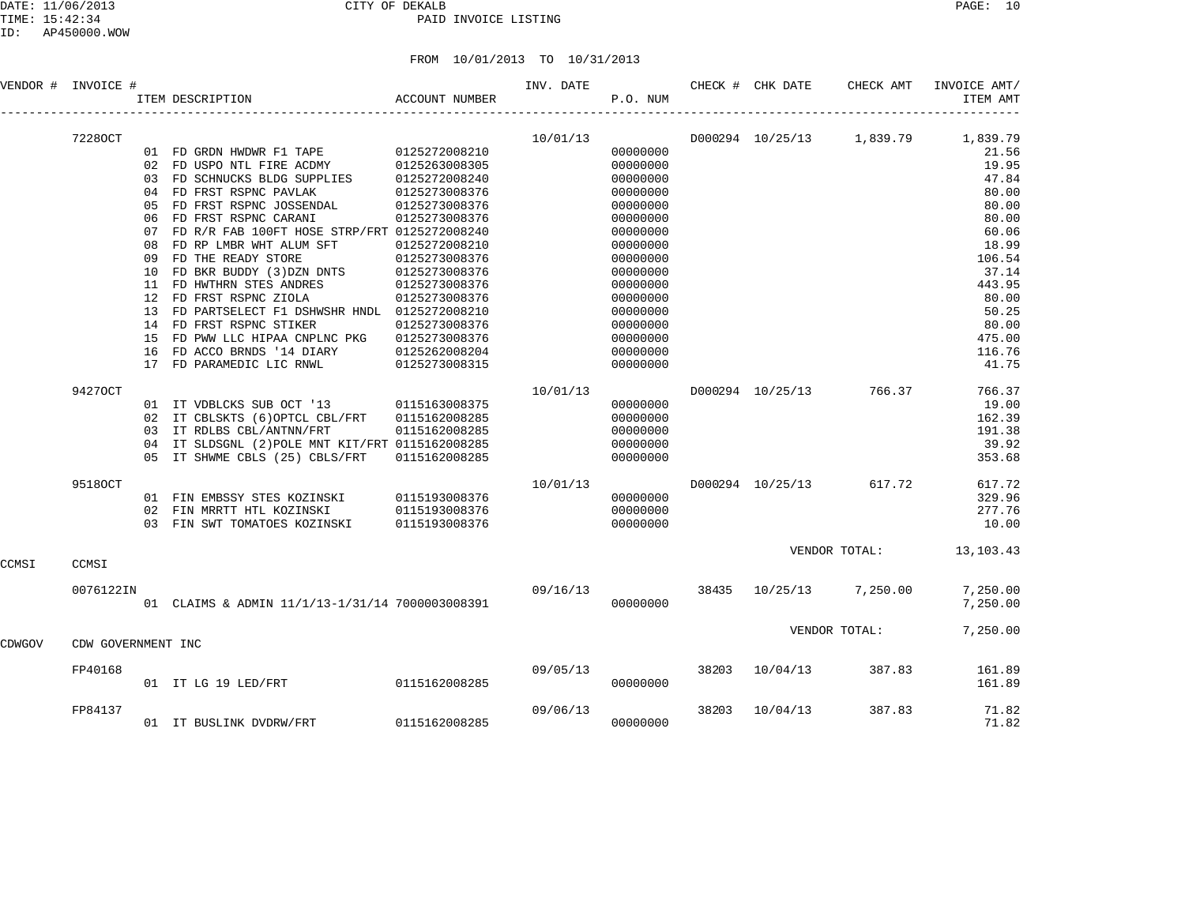|        | VENDOR # INVOICE # |    | ITEM DESCRIPTION                                                                     | ACCOUNT NUMBER                 | INV. DATE | P.O. NUM |       | CHECK # CHK DATE | CHECK AMT               | INVOICE AMT/<br>ITEM AMT           |
|--------|--------------------|----|--------------------------------------------------------------------------------------|--------------------------------|-----------|----------|-------|------------------|-------------------------|------------------------------------|
|        | 72280CT            |    |                                                                                      |                                | 10/01/13  |          |       |                  |                         | D000294 10/25/13 1,839.79 1,839.79 |
|        |                    |    | 01 FD GRDN HWDWR F1 TAPE 0125272008210                                               |                                |           | 00000000 |       |                  |                         | 21.56                              |
|        |                    |    | 02 FD USPO NTL FIRE ACDMY                                                            | 0125263008305                  |           | 00000000 |       |                  |                         | 19.95                              |
|        |                    |    | 03 FD SCHNUCKS BLDG SUPPLIES                                                         | 0125263008305<br>0125272008240 |           | 00000000 |       |                  |                         | 47.84                              |
|        |                    |    | 04 FD FRST RSPNC PAVLAK                                                              | 0125273008376                  |           | 00000000 |       |                  |                         | 80.00                              |
|        |                    | 05 | FD FRST RSPNC JOSSENDAL                                                              | 0125273008376                  |           | 00000000 |       |                  |                         | 80.00                              |
|        |                    | 06 | FD FRST RSPNC CARANI                                                                 | 0125273008376                  |           | 00000000 |       |                  |                         | 80.00                              |
|        |                    | 07 | FD R/R FAB 100FT HOSE STRP/FRT 0125272008240                                         |                                |           | 00000000 |       |                  |                         | 60.06                              |
|        |                    | 08 | FD RP LMBR WHT ALUM SFT                                                              | 0125272008210                  |           | 00000000 |       |                  |                         | 18.99                              |
|        |                    | 09 | FD THE READY STORE                                                                   | 0125273008376                  |           | 00000000 |       |                  |                         | 106.54                             |
|        |                    | 10 | FD BKR BUDDY (3) DZN DNTS $0125273008376$                                            |                                |           | 00000000 |       |                  |                         | 37.14                              |
|        |                    | 11 | FD HWTHRN STES ANDRES                                                                | 0125273008376                  |           | 00000000 |       |                  |                         | 443.95                             |
|        |                    | 12 | FD FRST RSPNC ZIOLA                                                                  | 0125273008376                  |           | 00000000 |       |                  |                         | 80.00                              |
|        |                    | 13 | FD PARTSELECT F1 DSHWSHR HNDL 0125272008210                                          |                                |           | 00000000 |       |                  |                         | 50.25                              |
|        |                    | 14 | FD FRST RSPNC STIKER                                                                 | 0125273008376                  |           | 00000000 |       |                  |                         | 80.00                              |
|        |                    | 15 | FD PWW LLC HIPAA CNPLNC PKG                                                          | 0125273008376                  |           | 00000000 |       |                  |                         | 475.00                             |
|        |                    | 16 | FD ACCO BRNDS '14 DIARY                                                              | 0125262008204                  |           | 00000000 |       |                  |                         | 116.76                             |
|        |                    |    | 17 FD PARAMEDIC LIC RNWL                                                             | 0125273008315                  |           | 00000000 |       |                  |                         | 41.75                              |
|        | 94270CT            |    |                                                                                      |                                | 10/01/13  |          |       |                  | D000294 10/25/13 766.37 | 766.37                             |
|        |                    |    | 01 IT VDBLCKS SUB OCT '13 0115163008375                                              |                                |           | 00000000 |       |                  |                         | 19.00                              |
|        |                    |    | 02 IT CBLSKTS (6) OPTCL CBL/FRT                                                      | 0115162008285                  |           | 00000000 |       |                  |                         | 162.39                             |
|        |                    |    | 03 IT RDLBS CBL/ANTNN/FRT                                                            | 0115162008285                  |           | 00000000 |       |                  |                         | 191.38                             |
|        |                    | 04 | IT SLDSGNL (2) POLE MNT KIT/FRT 0115162008285                                        |                                |           | 00000000 |       |                  |                         | 39.92                              |
|        |                    |    | 05 IT SHWME CBLS (25) CBLS/FRT                                                       | 0115162008285                  |           | 00000000 |       |                  |                         | 353.68                             |
|        |                    |    |                                                                                      |                                |           |          |       |                  |                         |                                    |
|        | 95180CT            |    |                                                                                      |                                | 10/01/13  |          |       | D000294 10/25/13 | 617.72                  | 617.72                             |
|        |                    |    | 01 FIN EMBSSY STES KOZINSKI 0115193008376<br>02 FIN MRRTT HTL KOZINSKI 0115193008376 |                                |           | 00000000 |       |                  |                         | 329.96                             |
|        |                    |    |                                                                                      |                                |           | 00000000 |       |                  |                         | 277.76                             |
|        |                    |    | 03 FIN SWT TOMATOES KOZINSKI                                                         | 0115193008376                  |           | 00000000 |       |                  |                         | 10.00                              |
| CCMSI  | CCMSI              |    |                                                                                      |                                |           |          |       |                  | VENDOR TOTAL:           | 13, 103. 43                        |
|        |                    |    |                                                                                      |                                |           |          |       |                  |                         |                                    |
|        | 0076122IN          |    |                                                                                      |                                | 09/16/13  |          |       |                  | 38435 10/25/13 7,250.00 | 7,250.00                           |
|        |                    |    | 01 CLAIMS & ADMIN 11/1/13-1/31/14 7000003008391                                      |                                |           | 00000000 |       |                  |                         | 7,250.00                           |
| CDWGOV | CDW GOVERNMENT INC |    |                                                                                      |                                |           |          |       |                  | VENDOR TOTAL:           | 7,250.00                           |
|        |                    |    |                                                                                      |                                |           |          |       |                  |                         |                                    |
|        | FP40168            |    |                                                                                      |                                | 09/05/13  |          |       | 38203 10/04/13   | 387.83                  | 161.89                             |
|        |                    |    | 01 IT LG 19 LED/FRT                                                                  | 0115162008285                  |           | 00000000 |       |                  |                         | 161.89                             |
|        | FP84137            |    |                                                                                      |                                | 09/06/13  |          | 38203 | 10/04/13         | 387.83                  | 71.82                              |
|        |                    |    | 01 IT BUSLINK DVDRW/FRT 0115162008285                                                |                                |           | 00000000 |       |                  |                         | 71.82                              |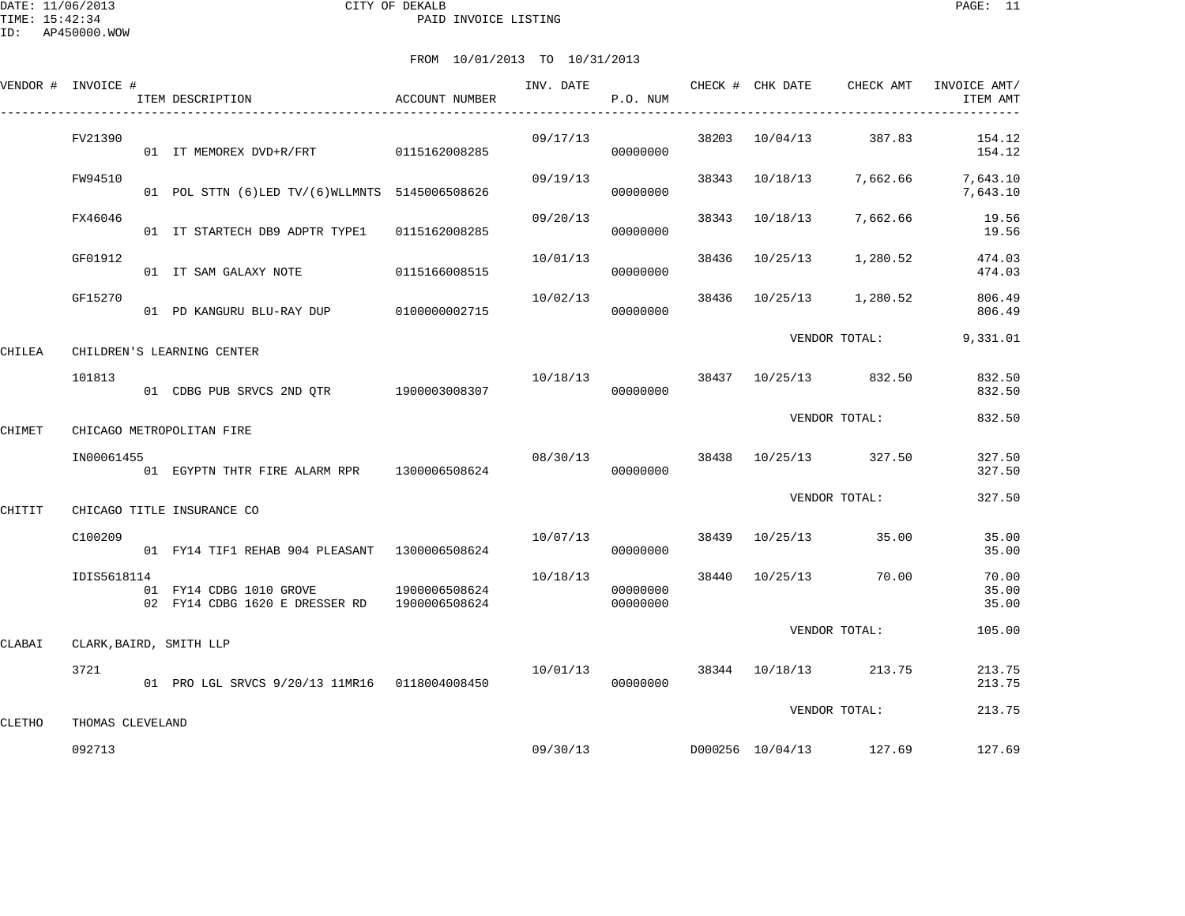|        | VENDOR # INVOICE # | ACCOUNT NUMBER<br>ITEM DESCRIPTION<br>---------------------------------               |                                    | P.O. NUM             |       |                |                                   | INVOICE AMT/<br>ITEM AMT               |
|--------|--------------------|---------------------------------------------------------------------------------------|------------------------------------|----------------------|-------|----------------|-----------------------------------|----------------------------------------|
|        | FV21390            | 01 IT MEMOREX DVD+R/FRT 0115162008285                                                 | 09/17/13                           | 00000000             |       |                | 38203 10/04/13 387.83             | 154.12<br>154.12                       |
|        | FW94510            | 01 POL STTN (6) LED TV/(6) WLLMNTS 5145006508626                                      | 09/19/13                           | 00000000             | 38343 |                |                                   | 10/18/13 7,662.66 7,643.10<br>7,643.10 |
|        | FX46046            | 01 IT STARTECH DB9 ADPTR TYPE1 0115162008285                                          | 09/20/13                           | 00000000             |       | 38343 10/18/13 | 7,662.66                          | 19.56<br>19.56                         |
|        | GF01912            | 01 IT SAM GALAXY NOTE 0115166008515                                                   | 10/01/13                           | 00000000             |       | 38436 10/25/13 | 1,280.52                          | 474.03<br>474.03                       |
|        | GF15270            | 01 PD KANGURU BLU-RAY DUP 0100000002715                                               | 10/02/13                           | 00000000             | 38436 |                | 10/25/13 1,280.52                 | 806.49<br>806.49                       |
| CHILEA |                    | CHILDREN'S LEARNING CENTER                                                            |                                    |                      |       |                | VENDOR TOTAL:                     | 9,331.01                               |
|        | 101813             | 01 CDBG PUB SRVCS 2ND QTR 1900003008307                                               | 10/18/13                           | 00000000             |       |                | 38437 10/25/13 832.50             | 832.50<br>832.50                       |
| CHIMET |                    | CHICAGO METROPOLITAN FIRE                                                             |                                    |                      |       |                | VENDOR TOTAL:                     | 832.50                                 |
|        | IN00061455         | 01 EGYPTN THTR FIRE ALARM RPR 1300006508624                                           |                                    | 00000000             |       |                | 08/30/13 38438 10/25/13 327.50    | 327.50<br>327.50                       |
| CHITIT |                    | CHICAGO TITLE INSURANCE CO                                                            |                                    |                      |       |                | VENDOR TOTAL:                     | 327.50                                 |
|        | C100209            | 01 FY14 TIF1 REHAB 904 PLEASANT 1300006508624                                         |                                    | 00000000             |       |                | $10/07/13$ 38439 $10/25/13$ 35.00 | 35.00<br>35.00                         |
|        | IDIS5618114        | 01 FY14 CDBG 1010 GROVE 1900006508624<br>02 FY14 CDBG 1620 E DRESSER RD 1900006508624 | 10/18/13                           | 00000000<br>00000000 |       |                | 38440 10/25/13 70.00              | 70.00<br>35.00<br>35.00                |
| CLABAI |                    | CLARK, BAIRD, SMITH LLP                                                               |                                    |                      |       |                | VENDOR TOTAL:                     | 105.00                                 |
|        | 3721               | 01 PRO LGL SRVCS 9/20/13 11MR16  0118004008450                                        | $10/01/13$ 38344 $10/18/13$ 213.75 | 00000000             |       |                |                                   | 213.75<br>213.75                       |
| CLETHO | THOMAS CLEVELAND   |                                                                                       |                                    |                      |       |                | VENDOR TOTAL:                     | 213.75                                 |
|        | 092713             |                                                                                       | 09/30/13                           |                      |       |                | D000256 10/04/13 127.69           | 127.69                                 |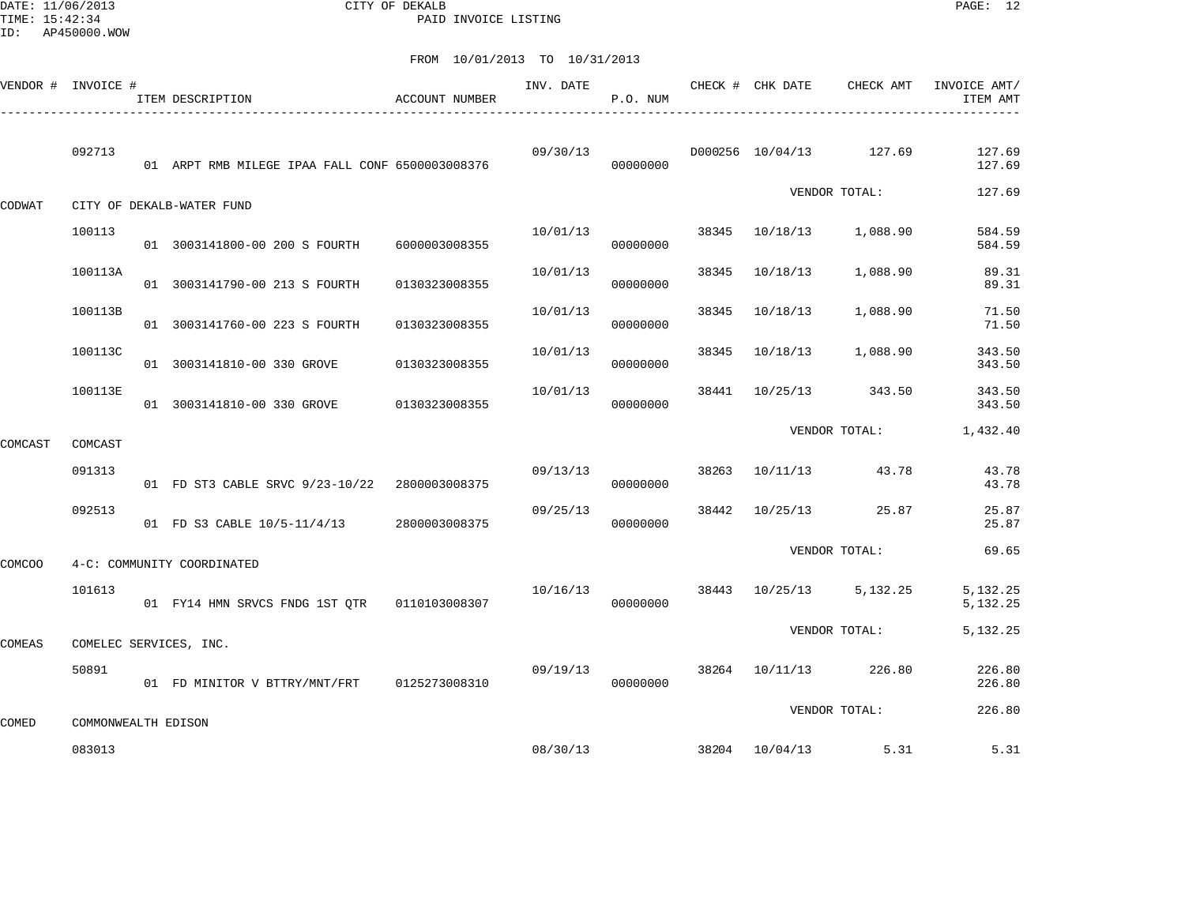DATE: 11/06/2013 CITY OF DEKALB PAGE: 12 PAID INVOICE LISTING

| VENDOR # INVOICE # |                     | ITEM DESCRIPTION                                | <b>ACCOUNT NUMBER</b> | INV. DATE | P.O. NUM |       | CHECK # CHK DATE | CHECK AMT               | INVOICE AMT/<br>ITEM AMT |
|--------------------|---------------------|-------------------------------------------------|-----------------------|-----------|----------|-------|------------------|-------------------------|--------------------------|
|                    | 092713              | 01 ARPT RMB MILEGE IPAA FALL CONF 6500003008376 |                       | 09/30/13  | 00000000 |       |                  | D000256 10/04/13 127.69 | 127.69<br>127.69         |
| CODWAT             |                     | CITY OF DEKALB-WATER FUND                       |                       |           |          |       |                  | VENDOR TOTAL:           | 127.69                   |
|                    | 100113              | 01 3003141800-00 200 S FOURTH                   | 6000003008355         | 10/01/13  | 00000000 | 38345 | 10/18/13         | 1,088.90                | 584.59<br>584.59         |
|                    | 100113A             | 01 3003141790-00 213 S FOURTH                   | 0130323008355         | 10/01/13  | 00000000 | 38345 | 10/18/13         | 1,088.90                | 89.31<br>89.31           |
|                    | 100113B             | 01 3003141760-00 223 S FOURTH                   | 0130323008355         | 10/01/13  | 00000000 | 38345 | 10/18/13         | 1,088.90                | 71.50<br>71.50           |
|                    | 100113C             | 01 3003141810-00 330 GROVE                      | 0130323008355         | 10/01/13  | 00000000 | 38345 | 10/18/13         | 1,088.90                | 343.50<br>343.50         |
|                    | 100113E             | 01 3003141810-00 330 GROVE                      | 0130323008355         | 10/01/13  | 00000000 | 38441 | 10/25/13         | 343.50                  | 343.50<br>343.50         |
| COMCAST            | COMCAST             |                                                 |                       |           |          |       |                  | VENDOR TOTAL:           | 1,432.40                 |
|                    | 091313              | 01 FD ST3 CABLE SRVC 9/23-10/22 2800003008375   |                       | 09/13/13  | 00000000 |       |                  | 38263 10/11/13 43.78    | 43.78<br>43.78           |
|                    | 092513              | 01 FD S3 CABLE 10/5-11/4/13                     | 2800003008375         | 09/25/13  | 00000000 | 38442 |                  | 10/25/13 25.87          | 25.87<br>25.87           |
| <b>COMCOO</b>      |                     | 4-C: COMMUNITY COORDINATED                      |                       |           |          |       |                  | VENDOR TOTAL:           | 69.65                    |
|                    | 101613              |                                                 |                       | 10/16/13  | 00000000 |       | 38443 10/25/13   | 5,132.25                | 5,132.25<br>5,132.25     |
| COMEAS             |                     | COMELEC SERVICES, INC.                          |                       |           |          |       |                  | VENDOR TOTAL:           | 5,132.25                 |
|                    | 50891               | 01 FD MINITOR V BTTRY/MNT/FRT 0125273008310     |                       | 09/19/13  | 00000000 |       | 38264 10/11/13   | 226.80                  | 226.80<br>226.80         |
| COMED              | COMMONWEALTH EDISON |                                                 |                       |           |          |       |                  | VENDOR TOTAL:           | 226.80                   |
|                    | 083013              |                                                 |                       | 08/30/13  |          |       | 38204 10/04/13   | 5.31                    | 5.31                     |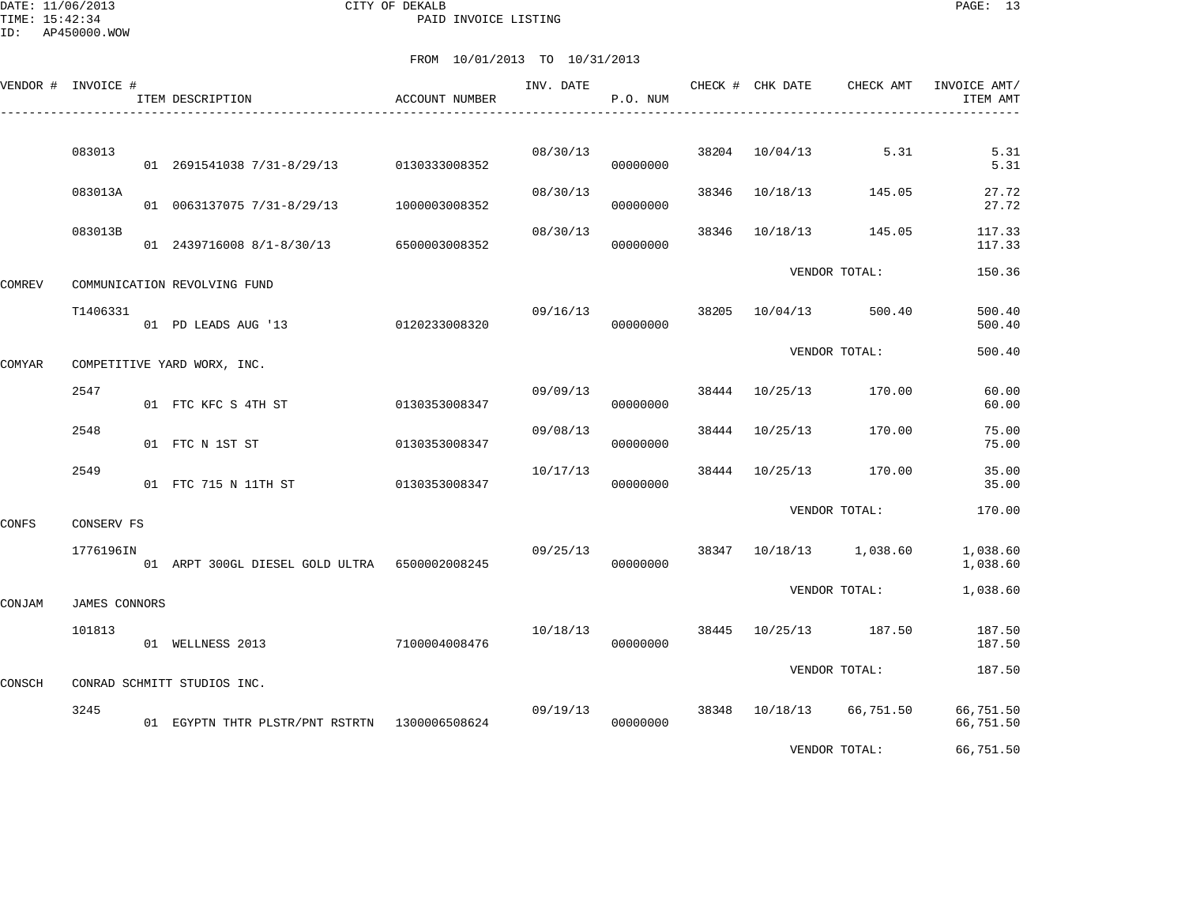DATE: 11/06/2013 CITY OF DEKALB PAGE: 13 PAID INVOICE LISTING

ID: AP450000.WOW

|        | VENDOR # INVOICE # | ITEM DESCRIPTION                              | <b>ACCOUNT NUMBER</b> | INV. DATE | P.O. NUM |       | CHECK # CHK DATE | CHECK AMT                | INVOICE AMT/<br>ITEM AMT |
|--------|--------------------|-----------------------------------------------|-----------------------|-----------|----------|-------|------------------|--------------------------|--------------------------|
|        | 083013             | 01 2691541038 7/31-8/29/13                    | 0130333008352         | 08/30/13  | 00000000 | 38204 | 10/04/13         | 5.31                     | 5.31<br>5.31             |
|        | 083013A            | 01 0063137075 7/31-8/29/13                    | 1000003008352         | 08/30/13  | 00000000 | 38346 | 10/18/13         | 145.05                   | 27.72<br>27.72           |
|        | 083013B            | 01 2439716008 8/1-8/30/13                     | 6500003008352         | 08/30/13  | 00000000 | 38346 | 10/18/13         | 145.05                   | 117.33<br>117.33         |
| COMREV |                    | COMMUNICATION REVOLVING FUND                  |                       |           |          |       |                  | VENDOR TOTAL:            | 150.36                   |
|        | T1406331           | 01 PD LEADS AUG '13                           | 0120233008320         | 09/16/13  | 00000000 | 38205 | 10/04/13         | 500.40                   | 500.40<br>500.40         |
| COMYAR |                    | COMPETITIVE YARD WORX, INC.                   |                       |           |          |       |                  | VENDOR TOTAL:            | 500.40                   |
|        | 2547               | 01 FTC KFC S 4TH ST                           | 0130353008347         | 09/09/13  | 00000000 | 38444 | 10/25/13         | 170.00                   | 60.00<br>60.00           |
|        | 2548               | 01 FTC N 1ST ST                               | 0130353008347         | 09/08/13  | 00000000 |       | 38444 10/25/13   | 170.00                   | 75.00<br>75.00           |
|        | 2549               | 01 FTC 715 N 11TH ST                          | 0130353008347         | 10/17/13  | 00000000 |       | 38444 10/25/13   | 170.00                   | 35.00<br>35.00           |
| CONFS  | CONSERV FS         |                                               |                       |           |          |       |                  | VENDOR TOTAL:            | 170.00                   |
|        | 1776196IN          | 01 ARPT 300GL DIESEL GOLD ULTRA 6500002008245 |                       | 09/25/13  | 00000000 |       |                  | 38347 10/18/13 1,038.60  | 1,038.60<br>1,038.60     |
| CONJAM | JAMES CONNORS      |                                               |                       |           |          |       |                  | VENDOR TOTAL:            | 1,038.60                 |
|        | 101813             | 01 WELLNESS 2013                              | 7100004008476         | 10/18/13  | 00000000 | 38445 | 10/25/13         | 187.50                   | 187.50<br>187.50         |
| CONSCH |                    | CONRAD SCHMITT STUDIOS INC.                   |                       |           |          |       |                  | VENDOR TOTAL:            | 187.50                   |
|        | 3245               | 01 EGYPTN THTR PLSTR/PNT RSTRTN 1300006508624 |                       | 09/19/13  | 00000000 |       |                  | 38348 10/18/13 66,751.50 | 66,751.50<br>66,751.50   |
|        |                    |                                               |                       |           |          |       |                  | VENDOR TOTAL:            | 66,751.50                |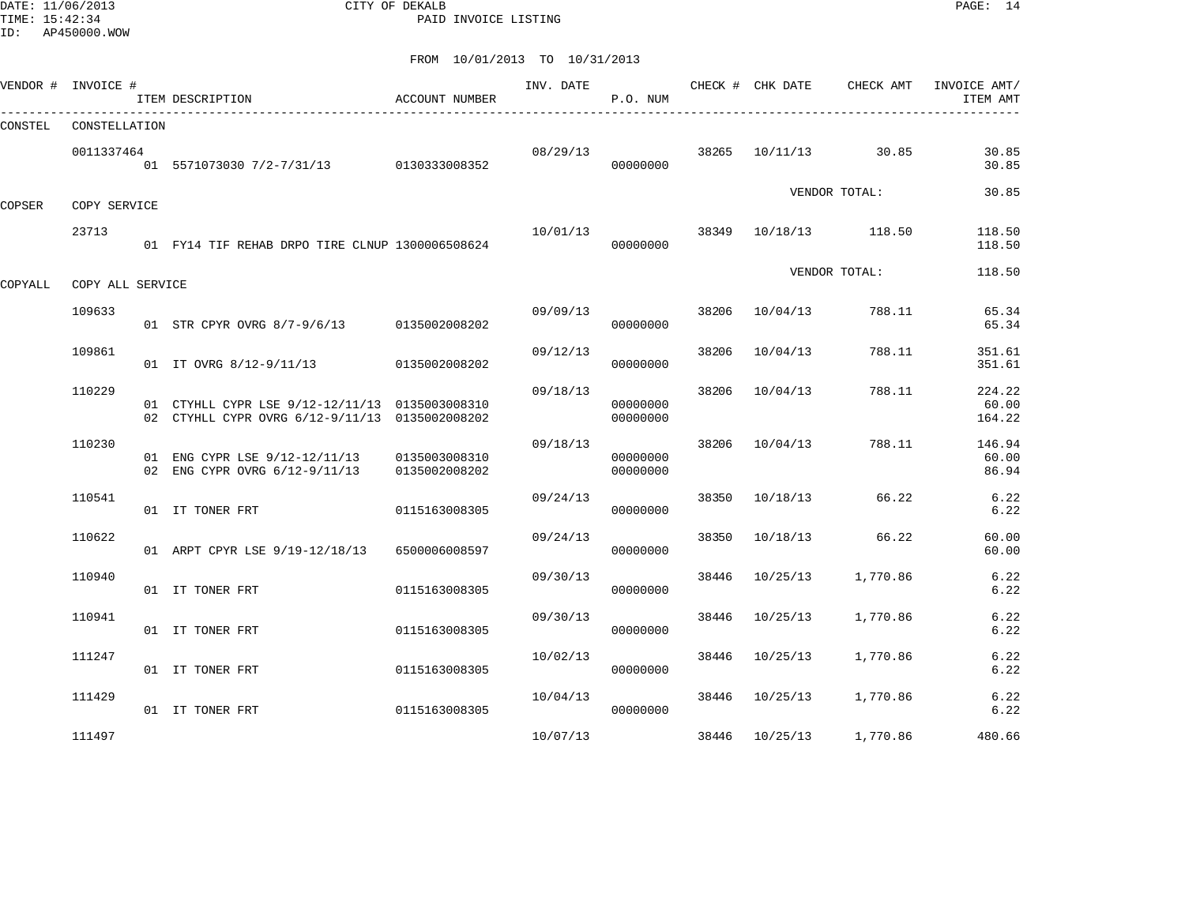DATE: 11/06/2013 CITY OF DEKALB PAGE: 14 PAID INVOICE LISTING

ID: AP450000.WOW

|         | VENDOR # INVOICE # | ITEM DESCRIPTION                                                                                 | ACCOUNT NUMBER                 | INV. DATE | P.O. NUM             |       |                | CHECK # CHK DATE CHECK AMT | INVOICE AMT/<br>ITEM AMT  |
|---------|--------------------|--------------------------------------------------------------------------------------------------|--------------------------------|-----------|----------------------|-------|----------------|----------------------------|---------------------------|
| CONSTEL | CONSTELLATION      |                                                                                                  |                                |           |                      |       |                |                            |                           |
|         | 0011337464         | 01 5571073030 7/2-7/31/13 0130333008352                                                          |                                |           | 08/29/13<br>00000000 |       | 38265 10/11/13 | 30.85                      | 30.85<br>30.85            |
| COPSER  | COPY SERVICE       |                                                                                                  |                                |           |                      |       |                | VENDOR TOTAL:              | 30.85                     |
|         | 23713              | 01 FY14 TIF REHAB DRPO TIRE CLNUP 1300006508624                                                  |                                | 10/01/13  | 00000000             | 38349 |                | 10/18/13 118.50            | 118.50<br>118.50          |
| COPYALL | COPY ALL SERVICE   |                                                                                                  |                                |           |                      |       |                | VENDOR TOTAL:              | 118.50                    |
|         | 109633             | 01 STR CPYR OVRG 8/7-9/6/13 0135002008202                                                        |                                | 09/09/13  | 00000000             | 38206 | 10/04/13       | 788.11                     | 65.34<br>65.34            |
|         | 109861             | 01 IT OVRG 8/12-9/11/13                                                                          | 0135002008202                  | 09/12/13  | 00000000             | 38206 | 10/04/13       | 788.11                     | 351.61<br>351.61          |
|         | 110229             | 01 CTYHLL CYPR LSE 9/12-12/11/13 0135003008310<br>02 CTYHLL CYPR OVRG 6/12-9/11/13 0135002008202 |                                | 09/18/13  | 00000000<br>00000000 | 38206 | 10/04/13       | 788.11                     | 224.22<br>60.00<br>164.22 |
|         | 110230             | 01 ENG CYPR LSE 9/12-12/11/13<br>02 ENG CYPR OVRG 6/12-9/11/13                                   | 0135003008310<br>0135002008202 | 09/18/13  | 00000000<br>00000000 | 38206 | 10/04/13       | 788.11                     | 146.94<br>60.00<br>86.94  |
|         | 110541             | 01 IT TONER FRT                                                                                  | 0115163008305                  | 09/24/13  | 00000000             | 38350 | 10/18/13       | 66.22                      | 6.22<br>6.22              |
|         | 110622             | 01 ARPT CPYR LSE 9/19-12/18/13                                                                   | 6500006008597                  | 09/24/13  | 00000000             | 38350 | 10/18/13       | 66.22                      | 60.00<br>60.00            |
|         | 110940             | 01 IT TONER FRT                                                                                  | 0115163008305                  | 09/30/13  | 00000000             | 38446 | 10/25/13       | 1,770.86                   | 6.22<br>6.22              |
|         | 110941             | 01 IT TONER FRT                                                                                  | 0115163008305                  | 09/30/13  | 00000000             | 38446 | 10/25/13       | 1,770.86                   | 6.22<br>6.22              |
|         | 111247             | 01 IT TONER FRT                                                                                  | 0115163008305                  | 10/02/13  | 00000000             | 38446 | 10/25/13       | 1,770.86                   | 6.22<br>6.22              |
|         | 111429             | 01 IT TONER FRT                                                                                  | 0115163008305                  | 10/04/13  | 00000000             | 38446 | 10/25/13       | 1,770.86                   | 6.22<br>6.22              |
|         | 111497             |                                                                                                  |                                | 10/07/13  |                      |       | 38446 10/25/13 | 1,770.86                   | 480.66                    |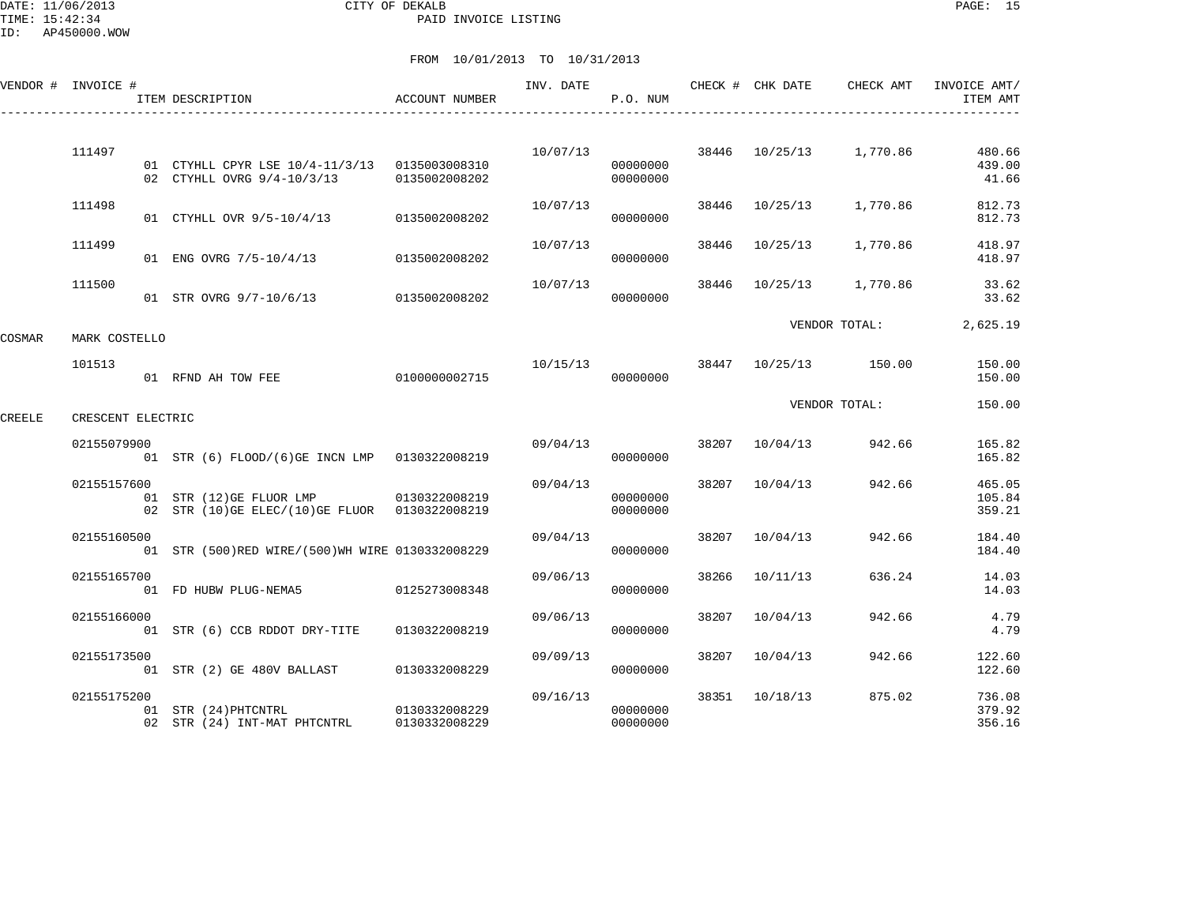DATE: 11/06/2013 CITY OF DEKALB PAGE: 15 PAID INVOICE LISTING

|        | VENDOR # INVOICE # | ITEM DESCRIPTION                                                                          | <b>ACCOUNT NUMBER</b>          | INV. DATE | P.O. NUM             |       | CHECK # CHK DATE | CHECK AMT               | INVOICE AMT/<br>ITEM AMT   |
|--------|--------------------|-------------------------------------------------------------------------------------------|--------------------------------|-----------|----------------------|-------|------------------|-------------------------|----------------------------|
|        | 111497             | 01 CTYHLL CPYR LSE 10/4-11/3/13 0135003008310<br>02 CTYHLL OVRG 9/4-10/3/13               | 0135002008202                  | 10/07/13  | 00000000<br>00000000 |       |                  | 38446 10/25/13 1,770.86 | 480.66<br>439.00<br>41.66  |
|        | 111498             | 01 CTYHLL OVR 9/5-10/4/13                                                                 | 0135002008202                  | 10/07/13  | 00000000             | 38446 | 10/25/13         | 1,770.86                | 812.73<br>812.73           |
|        | 111499             | 01 ENG OVRG 7/5-10/4/13                                                                   | 0135002008202                  | 10/07/13  | 00000000             | 38446 | 10/25/13         | 1,770.86                | 418.97<br>418.97           |
|        | 111500             | 01 STR OVRG 9/7-10/6/13                                                                   | 0135002008202                  | 10/07/13  | 00000000             | 38446 | 10/25/13         | 1,770.86                | 33.62<br>33.62             |
| COSMAR | MARK COSTELLO      |                                                                                           |                                |           |                      |       |                  | VENDOR TOTAL:           | 2,625.19                   |
|        | 101513             | 01 RFND AH TOW FEE                                                                        | 0100000002715                  | 10/15/13  | 00000000             |       |                  | 38447 10/25/13 150.00   | 150.00<br>150.00           |
| CREELE | CRESCENT ELECTRIC  |                                                                                           |                                |           |                      |       |                  | VENDOR TOTAL:           | 150.00                     |
|        | 02155079900        | 01 STR (6) FLOOD/(6)GE INCN LMP 0130322008219                                             |                                | 09/04/13  | 00000000             |       | 38207 10/04/13   | 942.66                  | 165.82<br>165.82           |
|        | 02155157600        | 01 STR (12) GE FLUOR LMP 0130322008219<br>02 STR (10) GE ELEC/(10) GE FLUOR 0130322008219 |                                | 09/04/13  | 00000000<br>00000000 | 38207 | 10/04/13         | 942.66                  | 465.05<br>105.84<br>359.21 |
|        | 02155160500        | 01 STR (500)RED WIRE/(500)WH WIRE 0130332008229                                           |                                | 09/04/13  | 00000000             | 38207 | 10/04/13         | 942.66                  | 184.40<br>184.40           |
|        | 02155165700        | 01 FD HUBW PLUG-NEMA5                                                                     | 0125273008348                  | 09/06/13  | 00000000             | 38266 | 10/11/13         | 636.24                  | 14.03<br>14.03             |
|        | 02155166000        | 01 STR (6) CCB RDDOT DRY-TITE                                                             | 0130322008219                  | 09/06/13  | 00000000             | 38207 | 10/04/13         | 942.66                  | 4.79<br>4.79               |
|        | 02155173500        | 01 STR (2) GE 480V BALLAST                                                                | 0130332008229                  | 09/09/13  | 00000000             | 38207 | 10/04/13         | 942.66                  | 122.60<br>122.60           |
|        | 02155175200        | 01 STR (24) PHTCNTRL<br>02 STR (24) INT-MAT PHTCNTRL                                      | 0130332008229<br>0130332008229 | 09/16/13  | 00000000<br>00000000 |       | 38351 10/18/13   | 875.02                  | 736.08<br>379.92<br>356.16 |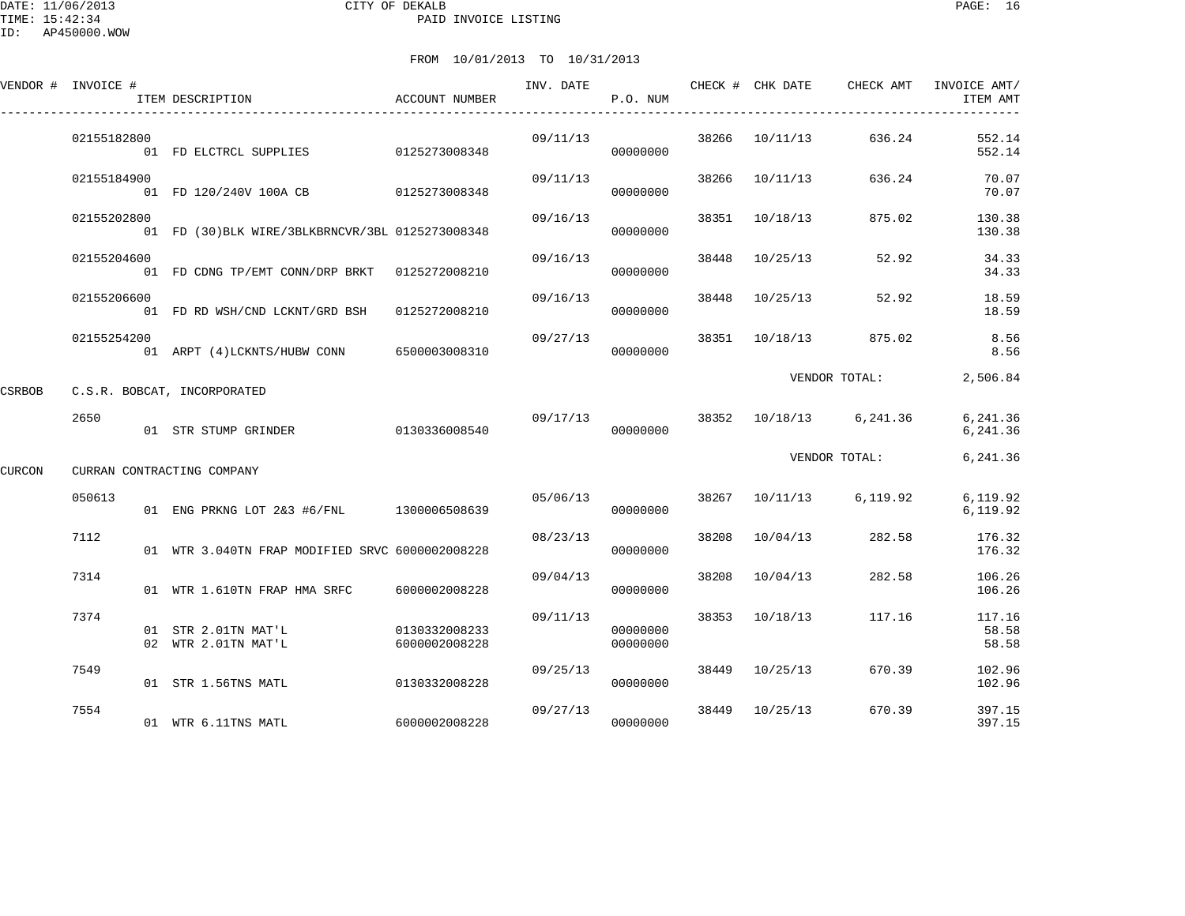DATE: 11/06/2013 CITY OF DEKALB PAGE: 16 PAID INVOICE LISTING

ID: AP450000.WOW

|        | VENDOR # INVOICE # | ITEM DESCRIPTION                                 | ACCOUNT NUMBER                 | INV. DATE | P.O. NUM             |       |                | CHECK # CHK DATE CHECK AMT | INVOICE AMT/<br>ITEM AMT |
|--------|--------------------|--------------------------------------------------|--------------------------------|-----------|----------------------|-------|----------------|----------------------------|--------------------------|
|        | 02155182800        | 01 FD ELCTRCL SUPPLIES                           | 0125273008348                  | 09/11/13  | 00000000             | 38266 | 10/11/13       | 636.24                     | 552.14<br>552.14         |
|        | 02155184900        | 01 FD 120/240V 100A CB 0125273008348             |                                | 09/11/13  | 00000000             | 38266 | 10/11/13       | 636.24                     | 70.07<br>70.07           |
|        | 02155202800        | 01 FD (30) BLK WIRE/3BLKBRNCVR/3BL 0125273008348 |                                | 09/16/13  | 00000000             | 38351 | 10/18/13       | 875.02                     | 130.38<br>130.38         |
|        | 02155204600        | 01 FD CDNG TP/EMT CONN/DRP BRKT 0125272008210    |                                | 09/16/13  | 00000000             | 38448 | 10/25/13       | 52.92                      | 34.33<br>34.33           |
|        | 02155206600        | 01 FD RD WSH/CND LCKNT/GRD BSH                   | 0125272008210                  | 09/16/13  | 00000000             |       | 38448 10/25/13 | 52.92                      | 18.59<br>18.59           |
|        | 02155254200        | 01 ARPT (4) LCKNTS/HUBW CONN 6500003008310       |                                | 09/27/13  | 00000000             |       | 38351 10/18/13 | 875.02                     | 8.56<br>8.56             |
| CSRBOB |                    | C.S.R. BOBCAT, INCORPORATED                      |                                |           |                      |       |                | VENDOR TOTAL:              | 2,506.84                 |
|        | 2650               | 01 STR STUMP GRINDER                             | 0130336008540                  | 09/17/13  | 00000000             |       |                | 38352 10/18/13 6,241.36    | 6,241.36<br>6,241.36     |
| CURCON |                    | CURRAN CONTRACTING COMPANY                       |                                |           |                      |       |                | VENDOR TOTAL:              | 6,241.36                 |
|        | 050613             | 01 ENG PRKNG LOT 2&3 #6/FNL 1300006508639        |                                |           | 05/06/13<br>00000000 |       |                | 38267 10/11/13 6,119.92    | 6,119.92<br>6,119.92     |
|        | 7112               | 01 WTR 3.040TN FRAP MODIFIED SRVC 6000002008228  |                                | 08/23/13  | 00000000             | 38208 | 10/04/13       | 282.58                     | 176.32<br>176.32         |
|        | 7314               | 01 WTR 1.610TN FRAP HMA SRFC                     | 6000002008228                  | 09/04/13  | 00000000             | 38208 | 10/04/13       | 282.58                     | 106.26<br>106.26         |
|        | 7374               | 01 STR 2.01TN MAT'L<br>02 WTR 2.01TN MAT'L       | 0130332008233<br>6000002008228 | 09/11/13  | 00000000<br>00000000 |       | 38353 10/18/13 | 117.16                     | 117.16<br>58.58<br>58.58 |
|        | 7549               | 01 STR 1.56TNS MATL                              | 0130332008228                  | 09/25/13  | 00000000             | 38449 | 10/25/13       | 670.39                     | 102.96<br>102.96         |
|        | 7554               | 01 WTR 6.11TNS MATL                              | 6000002008228                  | 09/27/13  | 00000000             | 38449 | 10/25/13       | 670.39                     | 397.15<br>397.15         |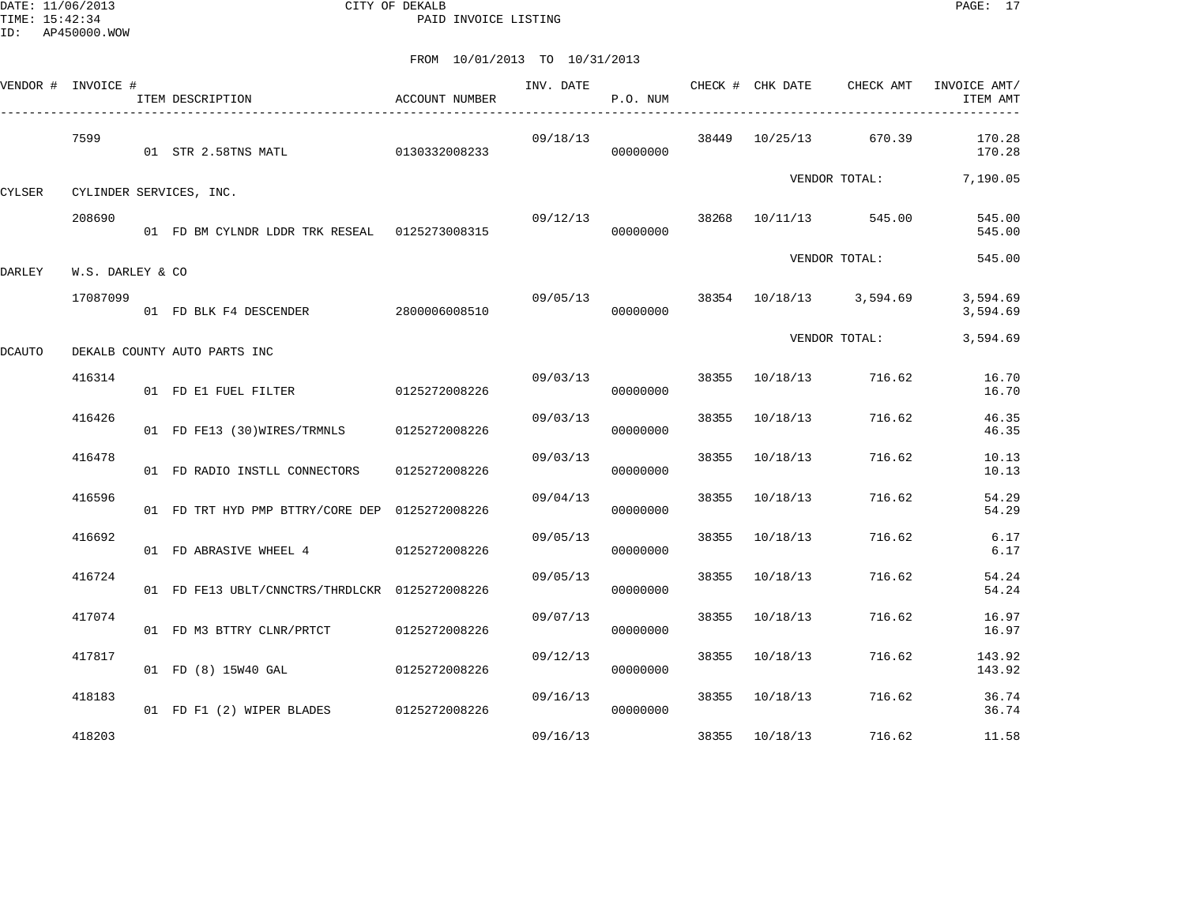DATE: 11/06/2013 CITY OF DEKALB PAGE: 17 PAID INVOICE LISTING

|        | VENDOR # INVOICE # | ITEM DESCRIPTION                               | <b>ACCOUNT NUMBER</b> | INV. DATE | P.O. NUM |       | CHECK # CHK DATE | CHECK AMT               | INVOICE AMT/<br>ITEM AMT |
|--------|--------------------|------------------------------------------------|-----------------------|-----------|----------|-------|------------------|-------------------------|--------------------------|
|        | 7599               | 01 STR 2.58TNS MATL                            | 0130332008233         | 09/18/13  | 00000000 |       |                  | 38449 10/25/13 670.39   | 170.28<br>170.28         |
| CYLSER |                    | CYLINDER SERVICES, INC.                        |                       |           |          |       |                  | VENDOR TOTAL:           | 7,190.05                 |
|        | 208690             | 01 FD BM CYLNDR LDDR TRK RESEAL 0125273008315  |                       | 09/12/13  | 00000000 |       |                  | 38268 10/11/13 545.00   | 545.00<br>545.00         |
| DARLEY | W.S. DARLEY & CO   |                                                |                       |           |          |       |                  | VENDOR TOTAL:           | 545.00                   |
|        | 17087099           | 01 FD BLK F4 DESCENDER                         | 2800006008510         | 09/05/13  | 00000000 |       |                  | 38354 10/18/13 3,594.69 | 3,594.69<br>3,594.69     |
| DCAUTO |                    | DEKALB COUNTY AUTO PARTS INC                   |                       |           |          |       |                  | VENDOR TOTAL:           | 3,594.69                 |
|        | 416314             | 01 FD E1 FUEL FILTER                           | 0125272008226         | 09/03/13  | 00000000 |       | 38355 10/18/13   | 716.62                  | 16.70<br>16.70           |
|        | 416426             | 01 FD FE13 (30)WIRES/TRMNLS 0125272008226      |                       | 09/03/13  | 00000000 | 38355 | 10/18/13         | 716.62                  | 46.35<br>46.35           |
|        | 416478             | 01 FD RADIO INSTLL CONNECTORS                  | 0125272008226         | 09/03/13  | 00000000 | 38355 | 10/18/13         | 716.62                  | 10.13<br>10.13           |
|        | 416596             | 01 FD TRT HYD PMP BTTRY/CORE DEP 0125272008226 |                       | 09/04/13  | 00000000 |       | 38355 10/18/13   | 716.62                  | 54.29<br>54.29           |
|        | 416692             | 01 FD ABRASIVE WHEEL 4 0125272008226           |                       | 09/05/13  | 00000000 | 38355 | 10/18/13         | 716.62                  | 6.17<br>6.17             |
|        | 416724             | 01 FD FE13 UBLT/CNNCTRS/THRDLCKR 0125272008226 |                       | 09/05/13  | 00000000 | 38355 | 10/18/13         | 716.62                  | 54.24<br>54.24           |
|        | 417074             | 01 FD M3 BTTRY CLNR/PRTCT 0125272008226        |                       | 09/07/13  | 00000000 | 38355 | 10/18/13         | 716.62                  | 16.97<br>16.97           |
|        | 417817             | 01 FD (8) 15W40 GAL                            | 0125272008226         | 09/12/13  | 00000000 |       | 38355 10/18/13   | 716.62                  | 143.92<br>143.92         |
|        | 418183             | 01 FD F1 (2) WIPER BLADES 0125272008226        |                       | 09/16/13  | 00000000 |       | 38355 10/18/13   | 716.62                  | 36.74<br>36.74           |
|        | 418203             |                                                |                       | 09/16/13  |          |       | 38355 10/18/13   | 716.62                  | 11.58                    |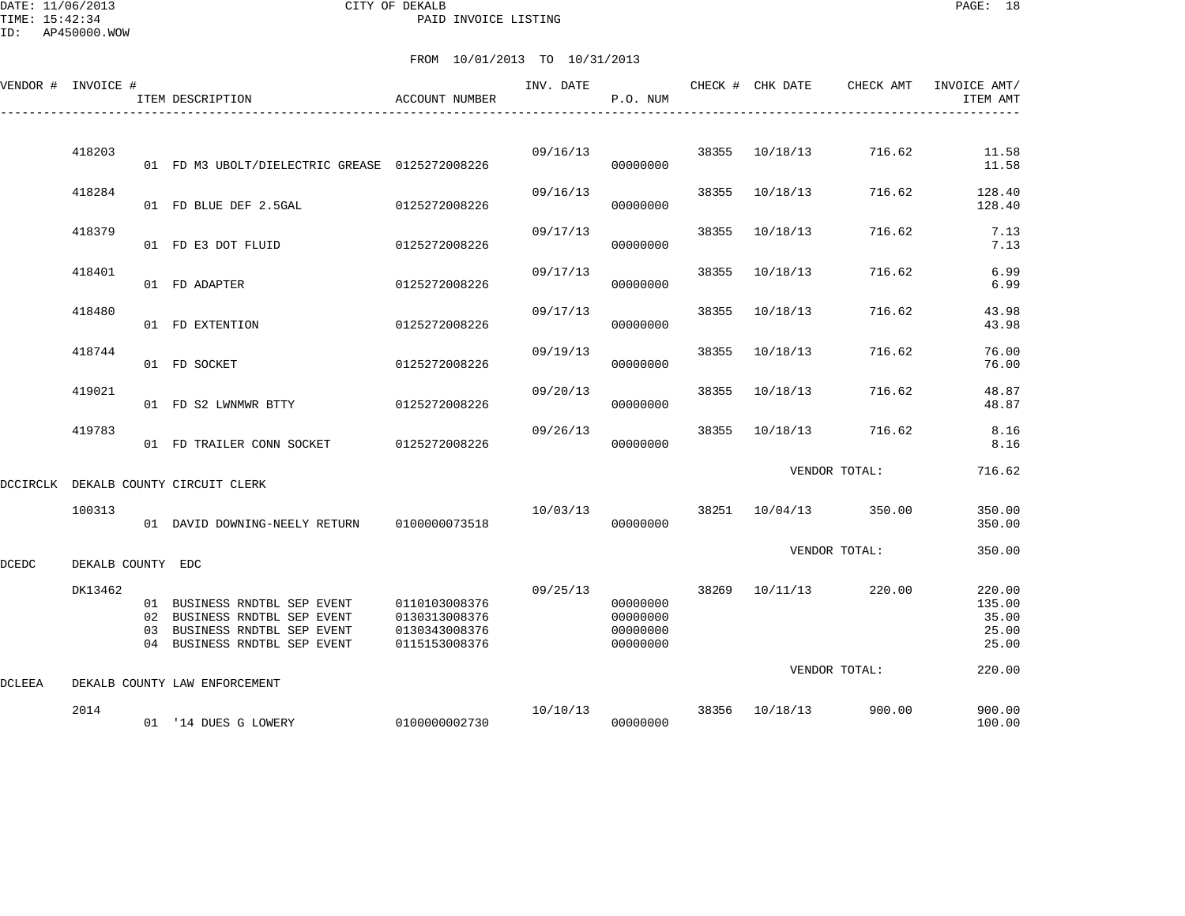DATE: 11/06/2013 CITY OF DEKALB PAGE: 18 PAID INVOICE LISTING

ID: AP450000.WOW

| VENDOR # INVOICE # |                   |    | ITEM DESCRIPTION                                                                                                          | ACCOUNT NUMBER                                                   | INV. DATE | P.O. NUM                                     |       | CHECK # CHK DATE | CHECK AMT     | INVOICE AMT/<br>ITEM AMT                    |
|--------------------|-------------------|----|---------------------------------------------------------------------------------------------------------------------------|------------------------------------------------------------------|-----------|----------------------------------------------|-------|------------------|---------------|---------------------------------------------|
|                    |                   |    |                                                                                                                           |                                                                  |           |                                              |       |                  |               |                                             |
|                    | 418203            |    | 01 FD M3 UBOLT/DIELECTRIC GREASE 0125272008226                                                                            |                                                                  | 09/16/13  | 00000000                                     | 38355 | 10/18/13         | 716.62        | 11.58<br>11.58                              |
|                    | 418284            |    | 01 FD BLUE DEF 2.5GAL                                                                                                     | 0125272008226                                                    | 09/16/13  | 00000000                                     | 38355 | 10/18/13         | 716.62        | 128.40<br>128.40                            |
|                    | 418379            |    | 01 FD E3 DOT FLUID                                                                                                        | 0125272008226                                                    | 09/17/13  | 00000000                                     | 38355 | 10/18/13         | 716.62        | 7.13<br>7.13                                |
|                    | 418401            |    | 01 FD ADAPTER                                                                                                             | 0125272008226                                                    | 09/17/13  | 00000000                                     | 38355 | 10/18/13         | 716.62        | 6.99<br>6.99                                |
|                    | 418480            |    | 01 FD EXTENTION                                                                                                           | 0125272008226                                                    | 09/17/13  | 00000000                                     | 38355 | 10/18/13         | 716.62        | 43.98<br>43.98                              |
|                    | 418744            |    | 01 FD SOCKET                                                                                                              | 0125272008226                                                    | 09/19/13  | 00000000                                     | 38355 | 10/18/13         | 716.62        | 76.00<br>76.00                              |
|                    | 419021            |    | 01 FD S2 LWNMWR BTTY                                                                                                      | 0125272008226                                                    | 09/20/13  | 00000000                                     | 38355 | 10/18/13         | 716.62        | 48.87<br>48.87                              |
|                    | 419783            |    | 01 FD TRAILER CONN SOCKET                                                                                                 | 0125272008226                                                    | 09/26/13  | 00000000                                     | 38355 | 10/18/13         | 716.62        | 8.16<br>8.16                                |
| DCCIRCLK           |                   |    | DEKALB COUNTY CIRCUIT CLERK                                                                                               |                                                                  |           |                                              |       |                  | VENDOR TOTAL: | 716.62                                      |
|                    | 100313            |    | 01 DAVID DOWNING-NEELY RETURN                                                                                             | 0100000073518                                                    | 10/03/13  | 00000000                                     | 38251 | 10/04/13         | 350.00        | 350.00<br>350.00                            |
| DCEDC              | DEKALB COUNTY EDC |    |                                                                                                                           |                                                                  |           |                                              |       |                  | VENDOR TOTAL: | 350.00                                      |
|                    | DK13462           | 03 | 01 BUSINESS RNDTBL SEP EVENT<br>02 BUSINESS RNDTBL SEP EVENT<br>BUSINESS RNDTBL SEP EVENT<br>04 BUSINESS RNDTBL SEP EVENT | 0110103008376<br>0130313008376<br>0130343008376<br>0115153008376 | 09/25/13  | 00000000<br>00000000<br>00000000<br>00000000 | 38269 | 10/11/13         | 220.00        | 220.00<br>135.00<br>35.00<br>25.00<br>25.00 |
| <b>DCLEEA</b>      |                   |    | DEKALB COUNTY LAW ENFORCEMENT                                                                                             |                                                                  |           |                                              |       |                  | VENDOR TOTAL: | 220.00                                      |
|                    | 2014              |    | 01 '14 DUES G LOWERY                                                                                                      | 0100000002730                                                    | 10/10/13  | 00000000                                     | 38356 | 10/18/13         | 900.00        | 900.00<br>100.00                            |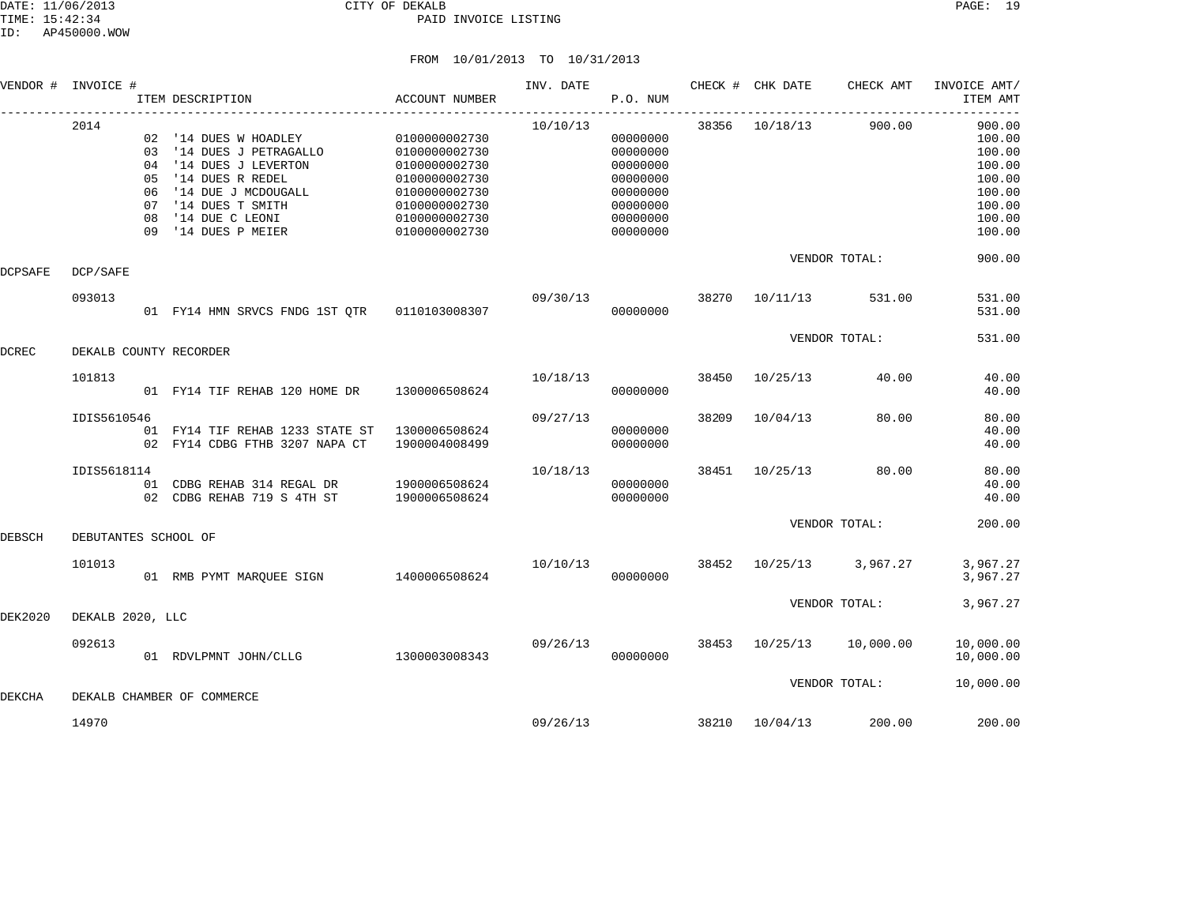|         | VENDOR # INVOICE #     |          | ITEM DESCRIPTION                                                                                                                                                                           | ACCOUNT NUMBER                                                                                                                       | INV. DATE | P.O. NUM                                                                                     |       | CHECK # CHK DATE | CHECK AMT         | INVOICE AMT/<br>ITEM AMT                                                               |
|---------|------------------------|----------|--------------------------------------------------------------------------------------------------------------------------------------------------------------------------------------------|--------------------------------------------------------------------------------------------------------------------------------------|-----------|----------------------------------------------------------------------------------------------|-------|------------------|-------------------|----------------------------------------------------------------------------------------|
|         | 2014                   | 05<br>08 | 02 '14 DUES W HOADLEY<br>03 '14 DUES J PETRAGALLO<br>04 '14 DUES J LEVERTON<br>'14 DUES R REDEL<br>06 '14 DUE J MCDOUGALL<br>07 '14 DUES T SMITH<br>'14 DUE C LEONI<br>09 '14 DUES P MEIER | 0100000002730<br>0100000002730<br>0100000002730<br>0100000002730<br>0100000002730<br>0100000002730<br>0100000002730<br>0100000002730 | 10/10/13  | 00000000<br>00000000<br>00000000<br>00000000<br>00000000<br>00000000<br>00000000<br>00000000 |       | 38356 10/18/13   | 900.00            | 900.00<br>100.00<br>100.00<br>100.00<br>100.00<br>100.00<br>100.00<br>100.00<br>100.00 |
| DCPSAFE | DCP/SAFE               |          |                                                                                                                                                                                            |                                                                                                                                      |           |                                                                                              |       |                  | VENDOR TOTAL:     | 900.00                                                                                 |
|         | 093013                 |          | 01 FY14 HMN SRVCS FNDG 1ST OTR 0110103008307                                                                                                                                               |                                                                                                                                      | 09/30/13  | 00000000                                                                                     | 38270 | 10/11/13         | 531.00            | 531.00<br>531.00                                                                       |
| DCREC   | DEKALB COUNTY RECORDER |          |                                                                                                                                                                                            |                                                                                                                                      |           |                                                                                              |       |                  | VENDOR TOTAL:     | 531.00                                                                                 |
|         | 101813                 |          | 01 FY14 TIF REHAB 120 HOME DR                                                                                                                                                              | 1300006508624                                                                                                                        | 10/18/13  | 00000000                                                                                     | 38450 | 10/25/13         | 40.00             | 40.00<br>40.00                                                                         |
|         | IDIS5610546            |          | 01 FY14 TIF REHAB 1233 STATE ST<br>02 FY14 CDBG FTHB 3207 NAPA CT                                                                                                                          | 1300006508624<br>1900004008499                                                                                                       | 09/27/13  | 00000000<br>00000000                                                                         | 38209 | 10/04/13         | 80.00             | 80.00<br>40.00<br>40.00                                                                |
|         | IDIS5618114            |          | 01 CDBG REHAB 314 REGAL DR<br>02 CDBG REHAB 719 S 4TH ST                                                                                                                                   | 1900006508624<br>1900006508624                                                                                                       | 10/18/13  | 00000000<br>00000000                                                                         | 38451 | 10/25/13         | 80.00             | 80.00<br>40.00<br>40.00                                                                |
| DEBSCH  | DEBUTANTES SCHOOL OF   |          |                                                                                                                                                                                            |                                                                                                                                      |           |                                                                                              |       |                  | VENDOR TOTAL:     | 200.00                                                                                 |
|         | 101013                 |          | 01 RMB PYMT MARQUEE SIGN 1400006508624                                                                                                                                                     |                                                                                                                                      | 10/10/13  | 00000000                                                                                     | 38452 |                  | 10/25/13 3,967.27 | 3,967.27<br>3,967.27                                                                   |
| DEK2020 | DEKALB 2020, LLC       |          |                                                                                                                                                                                            |                                                                                                                                      |           |                                                                                              |       |                  | VENDOR TOTAL:     | 3,967.27                                                                               |
|         | 092613                 |          | 01 RDVLPMNT JOHN/CLLG                                                                                                                                                                      | 1300003008343                                                                                                                        | 09/26/13  | 00000000                                                                                     | 38453 | 10/25/13         | 10,000.00         | 10,000.00<br>10,000.00                                                                 |
| DEKCHA  |                        |          | DEKALB CHAMBER OF COMMERCE                                                                                                                                                                 |                                                                                                                                      |           |                                                                                              |       |                  | VENDOR TOTAL:     | 10,000.00                                                                              |
|         | 14970                  |          |                                                                                                                                                                                            |                                                                                                                                      | 09/26/13  |                                                                                              | 38210 | 10/04/13         | 200.00            | 200.00                                                                                 |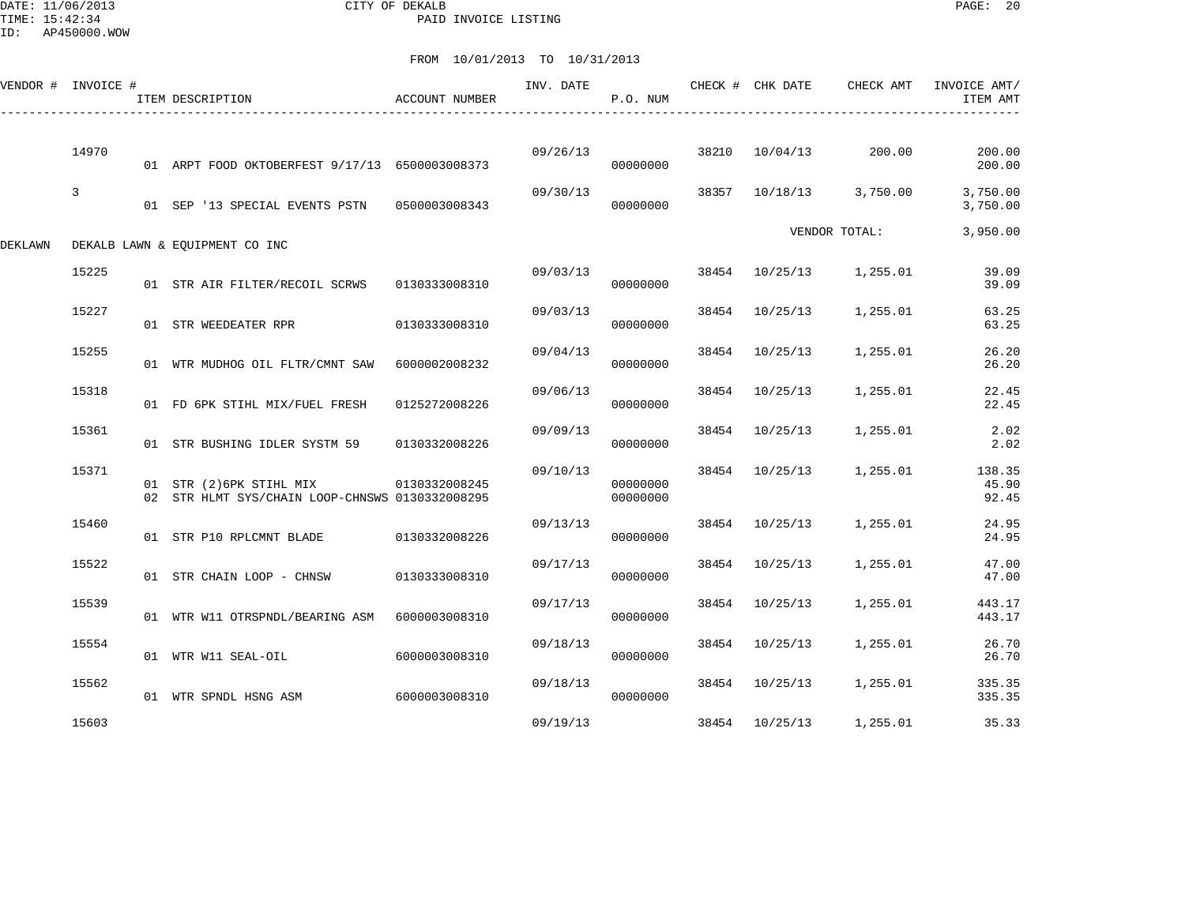DATE: 11/06/2013 CITY OF DEKALB PAGE: 20 PAID INVOICE LISTING

|         | VENDOR # INVOICE # | ITEM DESCRIPTION                                                            | <b>ACCOUNT NUMBER</b> | INV. DATE | P.O. NUM             |       | CHECK # CHK DATE | CHECK AMT               | INVOICE AMT/<br>ITEM AMT                         |
|---------|--------------------|-----------------------------------------------------------------------------|-----------------------|-----------|----------------------|-------|------------------|-------------------------|--------------------------------------------------|
|         | 14970              | 01 ARPT FOOD OKTOBERFEST 9/17/13 6500003008373                              |                       | 09/26/13  | 38210<br>00000000    |       | 10/04/13         | 200.00                  | 200.00<br>200.00                                 |
|         | 3                  | 01 SEP '13 SPECIAL EVENTS PSTN 0500003008343                                |                       | 09/30/13  | 00000000             |       |                  | 38357 10/18/13 3,750.00 | 3,750.00<br>3,750.00                             |
| DEKLAWN |                    | DEKALB LAWN & EOUIPMENT CO INC                                              |                       |           |                      |       |                  | VENDOR TOTAL:           | 3,950.00                                         |
|         | 15225              | 01 STR AIR FILTER/RECOIL SCRWS                                              | 0130333008310         | 09/03/13  | 00000000             |       |                  | 38454 10/25/13 1,255.01 | 39.09<br>39.09                                   |
|         | 15227              | 01 STR WEEDEATER RPR                                                        | 0130333008310         | 09/03/13  | 00000000             | 38454 | 10/25/13         | 1,255.01                | 63.25<br>63.25                                   |
|         | 15255              | 01 WTR MUDHOG OIL FLTR/CMNT SAW                                             | 6000002008232         | 09/04/13  | 00000000             |       | 38454 10/25/13   | 1,255.01                | 26.20<br>26.20                                   |
|         | 15318              | 01 FD 6PK STIHL MIX/FUEL FRESH                                              | 0125272008226         | 09/06/13  | 00000000             | 38454 | 10/25/13         | 1,255.01                | 22.45<br>22.45                                   |
|         | 15361              | 01 STR BUSHING IDLER SYSTM 59                                               | 0130332008226         | 09/09/13  | 00000000             | 38454 | 10/25/13         | 1,255.01                | 2.02<br>2.02                                     |
|         | 15371              | 01 STR (2) 6PK STIHL MIX<br>02 STR HLMT SYS/CHAIN LOOP-CHNSWS 0130332008295 | 0130332008245         | 09/10/13  | 00000000<br>00000000 |       |                  |                         | 38454 10/25/13 1,255.01 138.35<br>45.90<br>92.45 |
|         | 15460              | 01 STR P10 RPLCMNT BLADE                                                    | 0130332008226         | 09/13/13  | 00000000             |       | 38454 10/25/13   | 1,255.01                | 24.95<br>24.95                                   |
|         | 15522              | 01 STR CHAIN LOOP - CHNSW                                                   | 0130333008310         | 09/17/13  | 00000000             |       | 38454 10/25/13   | 1,255.01                | 47.00<br>47.00                                   |
|         | 15539              | 01 WTR W11 OTRSPNDL/BEARING ASM 6000003008310                               |                       | 09/17/13  | 00000000             | 38454 | 10/25/13         | 1,255.01                | 443.17<br>443.17                                 |
|         | 15554              | 01 WTR W11 SEAL-OIL                                                         | 6000003008310         | 09/18/13  | 00000000             |       | 38454 10/25/13   | 1,255.01                | 26.70<br>26.70                                   |
|         | 15562              | 01 WTR SPNDL HSNG ASM                                                       | 6000003008310         | 09/18/13  | 00000000             |       |                  | 38454 10/25/13 1,255.01 | 335.35<br>335.35                                 |
|         | 15603              |                                                                             |                       | 09/19/13  |                      |       | 38454 10/25/13   | 1,255.01                | 35.33                                            |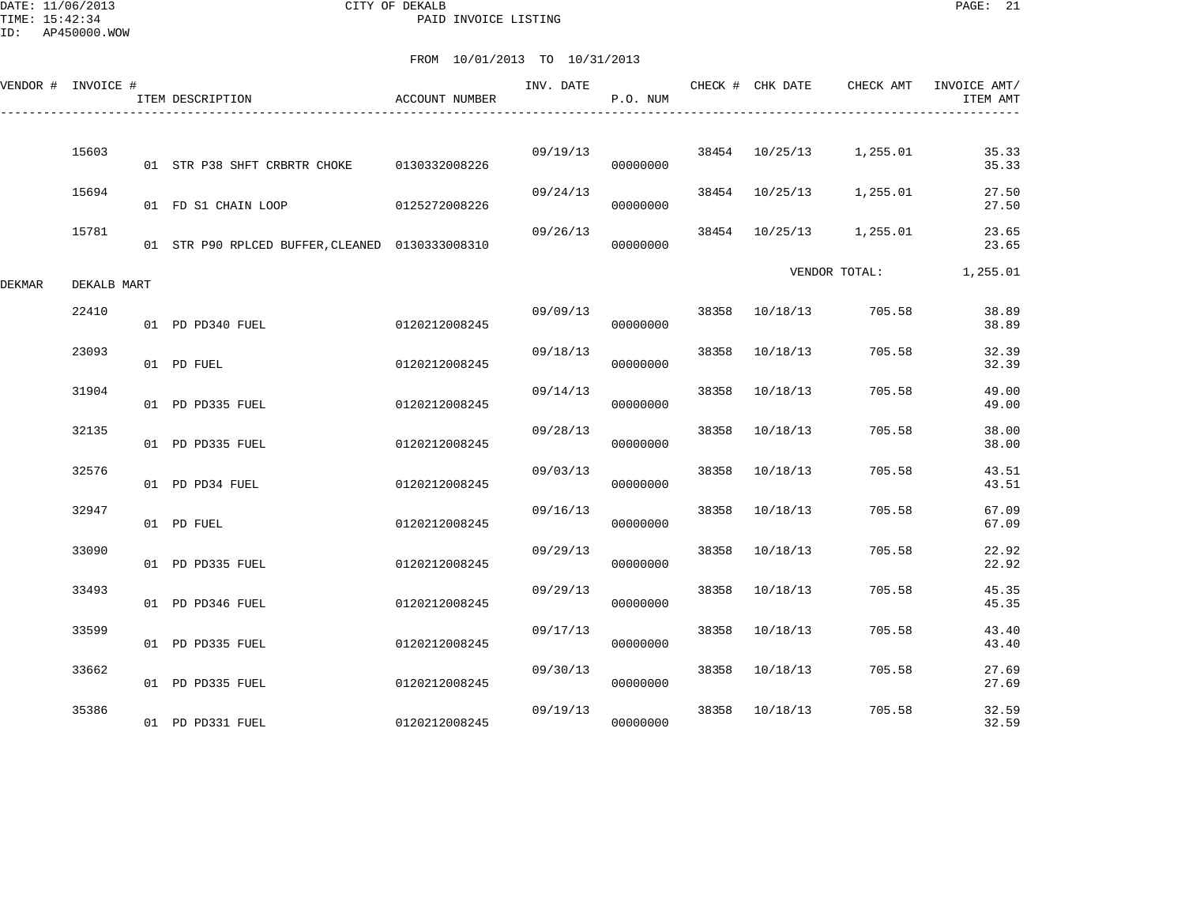DATE: 11/06/2013 CITY OF DEKALB PAGE: 21 PAID INVOICE LISTING

ID: AP450000.WOW

|        | VENDOR # INVOICE # | ITEM DESCRIPTION                                | ACCOUNT NUMBER | INV. DATE | P.O. NUM |       | CHECK # CHK DATE | CHECK AMT     | INVOICE AMT/<br>ITEM AMT |
|--------|--------------------|-------------------------------------------------|----------------|-----------|----------|-------|------------------|---------------|--------------------------|
|        | 15603              | 01 STR P38 SHFT CRBRTR CHOKE                    | 0130332008226  | 09/19/13  | 00000000 | 38454 | 10/25/13         | 1,255.01      | 35.33<br>35.33           |
|        | 15694              | 01 FD S1 CHAIN LOOP                             | 0125272008226  | 09/24/13  | 00000000 | 38454 | 10/25/13         | 1,255.01      | 27.50<br>27.50           |
|        | 15781              | 01 STR P90 RPLCED BUFFER, CLEANED 0130333008310 |                | 09/26/13  | 00000000 |       | 38454 10/25/13   | 1,255.01      | 23.65<br>23.65           |
| DEKMAR | DEKALB MART        |                                                 |                |           |          |       |                  | VENDOR TOTAL: | 1,255.01                 |
|        | 22410              | 01 PD PD340 FUEL                                | 0120212008245  | 09/09/13  | 00000000 | 38358 | 10/18/13         | 705.58        | 38.89<br>38.89           |
|        | 23093              | 01 PD FUEL                                      | 0120212008245  | 09/18/13  | 00000000 | 38358 | 10/18/13         | 705.58        | 32.39<br>32.39           |
|        | 31904              | 01 PD PD335 FUEL                                | 0120212008245  | 09/14/13  | 00000000 | 38358 | 10/18/13         | 705.58        | 49.00<br>49.00           |
|        | 32135              | 01 PD PD335 FUEL                                | 0120212008245  | 09/28/13  | 00000000 | 38358 | 10/18/13         | 705.58        | 38.00<br>38.00           |
|        | 32576              | 01 PD PD34 FUEL                                 | 0120212008245  | 09/03/13  | 00000000 | 38358 | 10/18/13         | 705.58        | 43.51<br>43.51           |
|        | 32947              | 01 PD FUEL                                      | 0120212008245  | 09/16/13  | 00000000 | 38358 | 10/18/13         | 705.58        | 67.09<br>67.09           |
|        | 33090              | 01 PD PD335 FUEL                                | 0120212008245  | 09/29/13  | 00000000 | 38358 | 10/18/13         | 705.58        | 22.92<br>22.92           |
|        | 33493              | 01 PD PD346 FUEL                                | 0120212008245  | 09/29/13  | 00000000 | 38358 | 10/18/13         | 705.58        | 45.35<br>45.35           |
|        | 33599              | 01 PD PD335 FUEL                                | 0120212008245  | 09/17/13  | 00000000 | 38358 | 10/18/13         | 705.58        | 43.40<br>43.40           |
|        | 33662              | 01 PD PD335 FUEL                                | 0120212008245  | 09/30/13  | 00000000 | 38358 | 10/18/13         | 705.58        | 27.69<br>27.69           |
|        | 35386              | 01 PD PD331 FUEL                                | 0120212008245  | 09/19/13  | 00000000 | 38358 | 10/18/13         | 705.58        | 32.59<br>32.59           |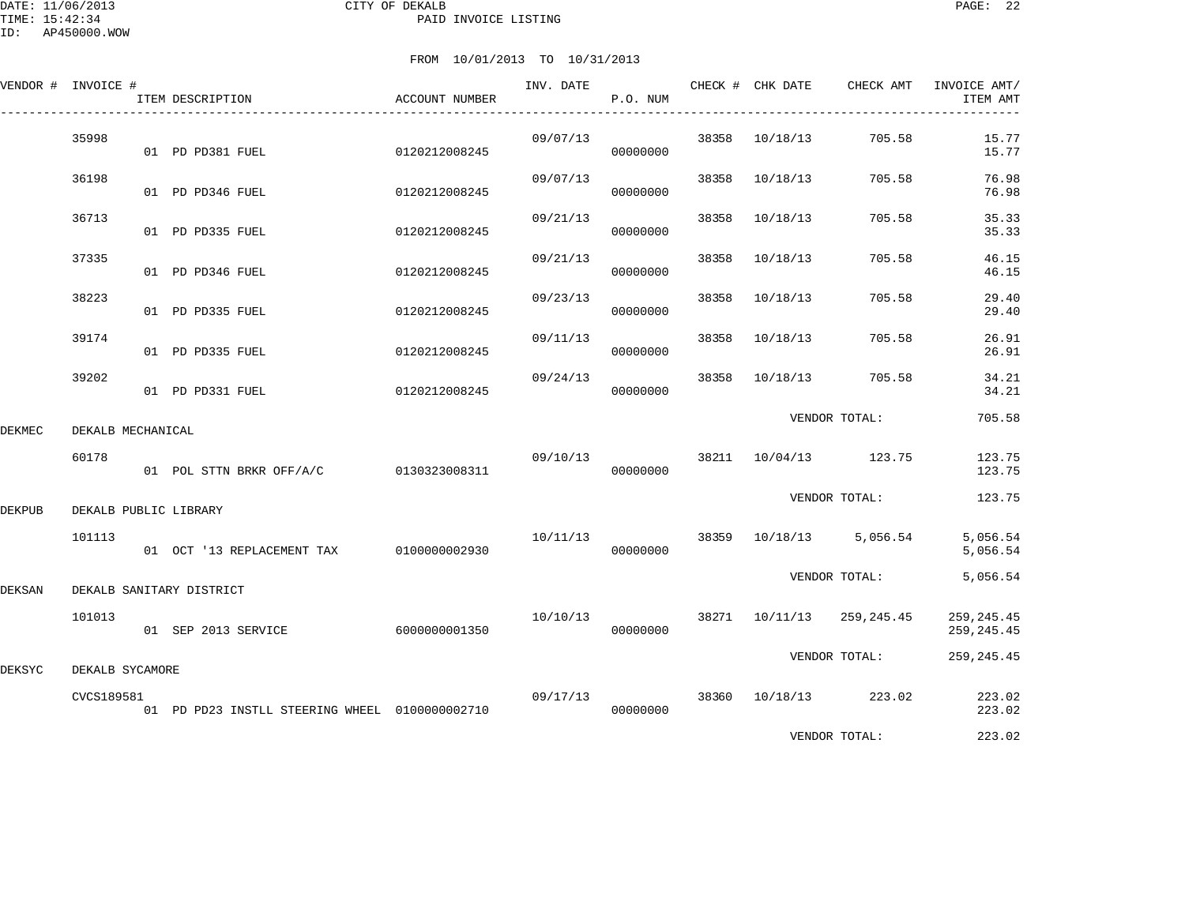|        | VENDOR # INVOICE # | ITEM DESCRIPTION                               | ACCOUNT NUMBER |          | P.O. NUM |       |                | INV. DATE CHECK # CHK DATE CHECK AMT | INVOICE AMT/<br>ITEM AMT   |
|--------|--------------------|------------------------------------------------|----------------|----------|----------|-------|----------------|--------------------------------------|----------------------------|
|        | 35998              | 01 PD PD381 FUEL                               | 0120212008245  | 09/07/13 | 00000000 | 38358 | 10/18/13       | 705.58                               | 15.77<br>15.77             |
|        | 36198              | 01 PD PD346 FUEL                               | 0120212008245  | 09/07/13 | 00000000 | 38358 | 10/18/13       | 705.58                               | 76.98<br>76.98             |
|        | 36713              | 01 PD PD335 FUEL                               | 0120212008245  | 09/21/13 | 00000000 | 38358 | 10/18/13       | 705.58                               | 35.33<br>35.33             |
|        | 37335              | 01 PD PD346 FUEL                               | 0120212008245  | 09/21/13 | 00000000 | 38358 | 10/18/13       | 705.58                               | 46.15<br>46.15             |
|        | 38223              | 01 PD PD335 FUEL                               | 0120212008245  | 09/23/13 | 00000000 | 38358 | 10/18/13       | 705.58                               | 29.40<br>29.40             |
|        | 39174              | 01 PD PD335 FUEL                               | 0120212008245  | 09/11/13 | 00000000 | 38358 | 10/18/13       | 705.58                               | 26.91<br>26.91             |
|        | 39202              | 01 PD PD331 FUEL                               | 0120212008245  | 09/24/13 | 00000000 | 38358 | 10/18/13       | 705.58                               | 34.21<br>34.21             |
| DEKMEC | DEKALB MECHANICAL  |                                                |                |          |          |       |                | VENDOR TOTAL:                        | 705.58                     |
|        | 60178              | 01 POL STTN BRKR OFF/A/C 0130323008311         |                | 09/10/13 | 00000000 |       |                | 38211 10/04/13 123.75                | 123.75<br>123.75           |
| DEKPUB |                    | DEKALB PUBLIC LIBRARY                          |                |          |          |       |                | VENDOR TOTAL:                        | 123.75                     |
|        | 101113             | 01 OCT '13 REPLACEMENT TAX 0100000002930       |                | 10/11/13 | 00000000 |       |                | 38359 10/18/13 5,056.54              | 5,056.54<br>5,056.54       |
| DEKSAN |                    | DEKALB SANITARY DISTRICT                       |                |          |          |       |                | VENDOR TOTAL:                        | 5,056.54                   |
|        | 101013             | 01 SEP 2013 SERVICE                            | 6000000001350  | 10/10/13 | 00000000 |       | 38271 10/11/13 | 259,245.45                           | 259, 245.45<br>259, 245.45 |
| DEKSYC | DEKALB SYCAMORE    |                                                |                |          |          |       |                | VENDOR TOTAL:                        | 259, 245.45                |
|        | CVCS189581         | 01 PD PD23 INSTLL STEERING WHEEL 0100000002710 |                | 09/17/13 | 00000000 |       |                | 38360 10/18/13 223.02                | 223.02<br>223.02           |
|        |                    |                                                |                |          |          |       |                | VENDOR TOTAL:                        | 223.02                     |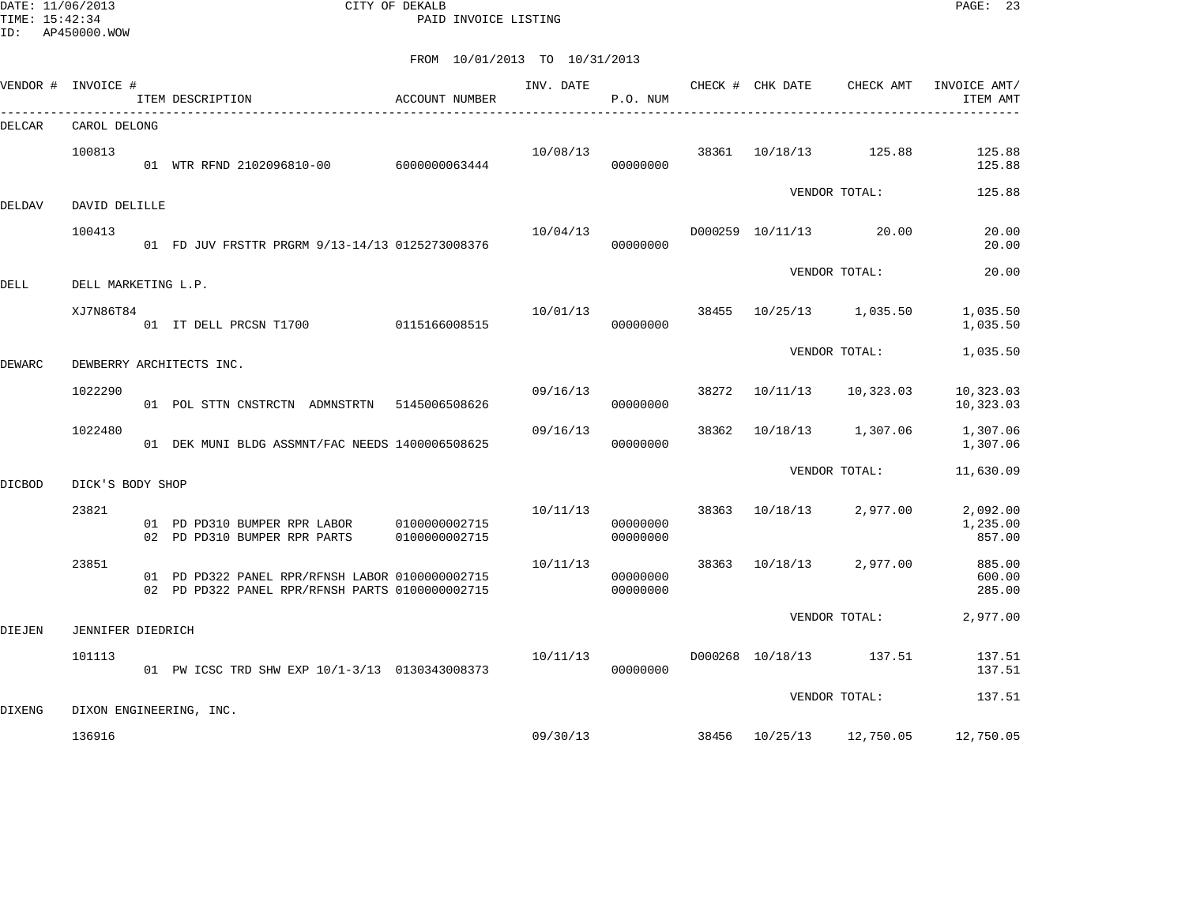DATE: 11/06/2013 CITY OF DEKALB PAGE: 23 PAID INVOICE LISTING

|               | VENDOR # INVOICE #  | ITEM DESCRIPTION                                                                                   | ACCOUNT NUMBER                 | INV. DATE | P.O. NUM             |       | CHECK # CHK DATE | CHECK AMT     | INVOICE AMT/<br>ITEM AMT       |
|---------------|---------------------|----------------------------------------------------------------------------------------------------|--------------------------------|-----------|----------------------|-------|------------------|---------------|--------------------------------|
| DELCAR        | CAROL DELONG        |                                                                                                    |                                |           |                      |       |                  |               |                                |
|               | 100813              | 01 WTR RFND 2102096810-00 6000000063444                                                            |                                | 10/08/13  | 00000000             | 38361 | 10/18/13         | 125.88        | 125.88<br>125.88               |
| DELDAV        | DAVID DELILLE       |                                                                                                    |                                |           |                      |       |                  | VENDOR TOTAL: | 125.88                         |
|               | 100413              | 01 FD JUV FRSTTR PRGRM 9/13-14/13 0125273008376                                                    |                                | 10/04/13  | 00000000             |       | D000259 10/11/13 | 20.00         | 20.00<br>20.00                 |
| DELL          | DELL MARKETING L.P. |                                                                                                    |                                |           |                      |       |                  | VENDOR TOTAL: | 20.00                          |
|               | XJ7N86T84           | 01 IT DELL PRCSN T1700                                                                             | 0115166008515                  | 10/01/13  | 00000000             | 38455 | 10/25/13         | 1,035.50      | 1,035.50<br>1,035.50           |
| <b>DEWARC</b> |                     | DEWBERRY ARCHITECTS INC.                                                                           |                                |           |                      |       |                  | VENDOR TOTAL: | 1,035.50                       |
|               | 1022290             | 01 POL STTN CNSTRCTN ADMNSTRTN 5145006508626                                                       |                                | 09/16/13  | 00000000             | 38272 | 10/11/13         | 10,323.03     | 10,323.03<br>10,323.03         |
|               | 1022480             | 01 DEK MUNI BLDG ASSMNT/FAC NEEDS 1400006508625                                                    |                                | 09/16/13  | 00000000             | 38362 | 10/18/13         | 1,307.06      | 1,307.06<br>1,307.06           |
| <b>DICBOD</b> | DICK'S BODY SHOP    |                                                                                                    |                                |           |                      |       |                  | VENDOR TOTAL: | 11,630.09                      |
|               | 23821               | 01 PD PD310 BUMPER RPR LABOR<br>02 PD PD310 BUMPER RPR PARTS                                       | 0100000002715<br>0100000002715 | 10/11/13  | 00000000<br>00000000 | 38363 | 10/18/13         | 2,977.00      | 2,092.00<br>1,235.00<br>857.00 |
|               | 23851               | 01 PD PD322 PANEL RPR/RFNSH LABOR 0100000002715<br>02 PD PD322 PANEL RPR/RFNSH PARTS 0100000002715 |                                | 10/11/13  | 00000000<br>00000000 | 38363 | 10/18/13         | 2,977.00      | 885.00<br>600.00<br>285.00     |
| DIEJEN        | JENNIFER DIEDRICH   |                                                                                                    |                                |           |                      |       |                  | VENDOR TOTAL: | 2,977.00                       |
|               | 101113              | 01 PW ICSC TRD SHW EXP 10/1-3/13 0130343008373                                                     |                                | 10/11/13  | 00000000             |       | D000268 10/18/13 | 137.51        | 137.51<br>137.51               |
| <b>DIXENG</b> |                     | DIXON ENGINEERING, INC.                                                                            |                                |           |                      |       |                  | VENDOR TOTAL: | 137.51                         |
|               | 136916              |                                                                                                    |                                | 09/30/13  |                      | 38456 | 10/25/13         | 12,750.05     | 12,750.05                      |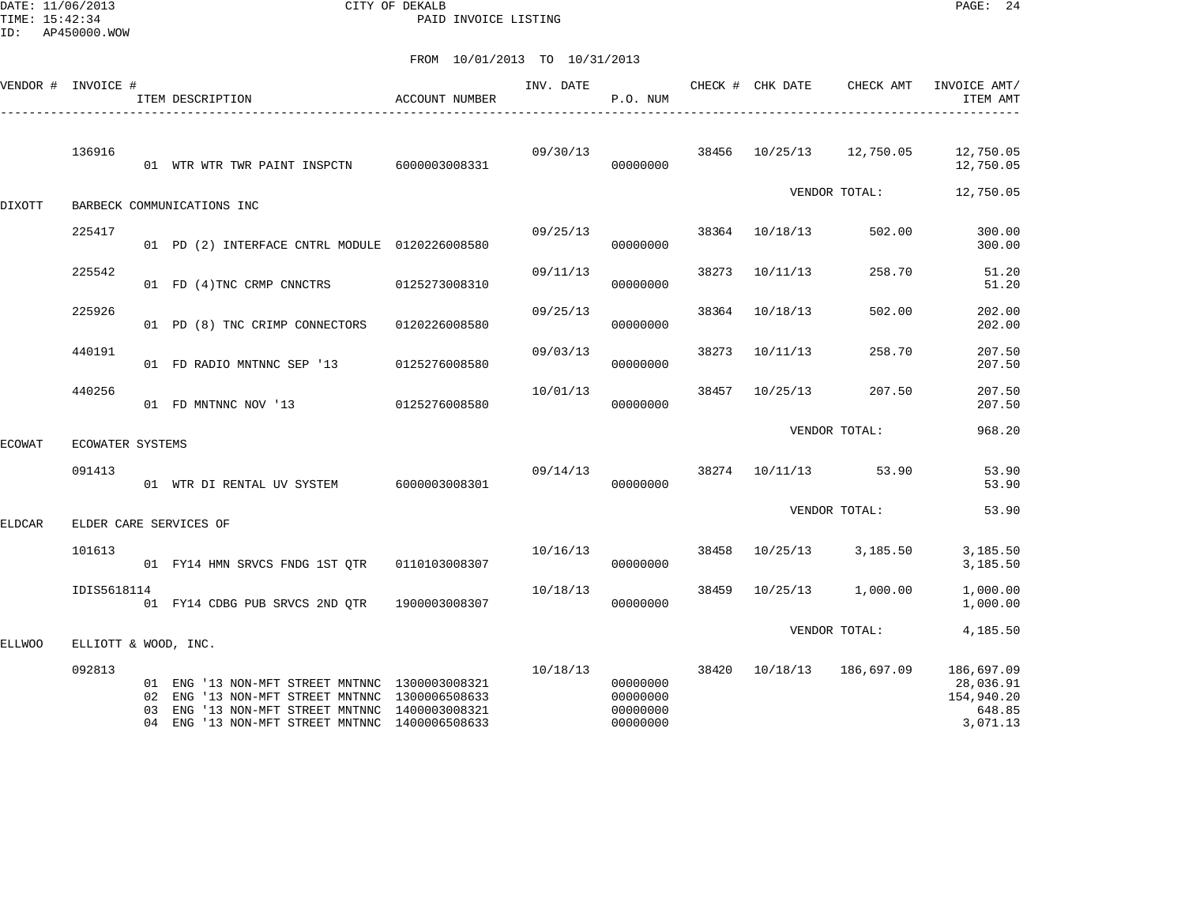DATE: 11/06/2013 CITY OF DEKALB PAGE: 24 PAID INVOICE LISTING

|        | VENDOR # INVOICE #   |                | ITEM DESCRIPTION                                                                                                                                                                            | ACCOUNT NUMBER | INV. DATE | P.O. NUM                                     |       | CHECK # CHK DATE | CHECK AMT     | INVOICE AMT/<br>ITEM AMT                                    |
|--------|----------------------|----------------|---------------------------------------------------------------------------------------------------------------------------------------------------------------------------------------------|----------------|-----------|----------------------------------------------|-------|------------------|---------------|-------------------------------------------------------------|
|        | 136916               |                | 01 WTR WTR TWR PAINT INSPCTN                                                                                                                                                                | 6000003008331  | 09/30/13  | 00000000                                     |       | 38456 10/25/13   | 12,750.05     | 12,750.05<br>12,750.05                                      |
| DIXOTT |                      |                | BARBECK COMMUNICATIONS INC                                                                                                                                                                  |                |           |                                              |       |                  | VENDOR TOTAL: | 12,750.05                                                   |
|        | 225417               |                | 01 PD (2) INTERFACE CNTRL MODULE 0120226008580                                                                                                                                              |                | 09/25/13  | 00000000                                     |       | 38364 10/18/13   | 502.00        | 300.00<br>300.00                                            |
|        | 225542               |                | 01 FD (4) TNC CRMP CNNCTRS                                                                                                                                                                  | 0125273008310  | 09/11/13  | 00000000                                     | 38273 | 10/11/13         | 258.70        | 51.20<br>51.20                                              |
|        | 225926               |                | 01 PD (8) TNC CRIMP CONNECTORS                                                                                                                                                              | 0120226008580  | 09/25/13  | 00000000                                     | 38364 | 10/18/13         | 502.00        | 202.00<br>202.00                                            |
|        | 440191               |                | 01 FD RADIO MNTNNC SEP '13                                                                                                                                                                  | 0125276008580  | 09/03/13  | 00000000                                     | 38273 | 10/11/13         | 258.70        | 207.50<br>207.50                                            |
|        | 440256               |                | 01 FD MNTNNC NOV '13                                                                                                                                                                        | 0125276008580  | 10/01/13  | 00000000                                     | 38457 | 10/25/13         | 207.50        | 207.50<br>207.50                                            |
| ECOWAT | ECOWATER SYSTEMS     |                |                                                                                                                                                                                             |                |           |                                              |       |                  | VENDOR TOTAL: | 968.20                                                      |
|        | 091413               |                | 01 WTR DI RENTAL UV SYSTEM 6000003008301                                                                                                                                                    |                | 09/14/13  | 00000000                                     |       | 38274 10/11/13   | 53.90         | 53.90<br>53.90                                              |
| ELDCAR |                      |                | ELDER CARE SERVICES OF                                                                                                                                                                      |                |           |                                              |       |                  | VENDOR TOTAL: | 53.90                                                       |
|        | 101613               |                | 01 FY14 HMN SRVCS FNDG 1ST QTR                                                                                                                                                              | 0110103008307  | 10/16/13  | 00000000                                     | 38458 | 10/25/13         | 3,185.50      | 3,185.50<br>3,185.50                                        |
|        | IDIS5618114          |                | 01 FY14 CDBG PUB SRVCS 2ND QTR                                                                                                                                                              | 1900003008307  | 10/18/13  | 00000000                                     | 38459 | 10/25/13         | 1,000.00      | 1,000.00<br>1,000.00                                        |
| ELLWOO | ELLIOTT & WOOD, INC. |                |                                                                                                                                                                                             |                |           |                                              |       |                  | VENDOR TOTAL: | 4,185.50                                                    |
|        | 092813               | 02<br>03<br>04 | 01 ENG '13 NON-MFT STREET MNTNNC 1300003008321<br>ENG '13 NON-MFT STREET MNTNNC 1300006508633<br>ENG '13 NON-MFT STREET MNTNNC 1400003008321<br>ENG '13 NON-MFT STREET MNTNNC 1400006508633 |                | 10/18/13  | 00000000<br>00000000<br>00000000<br>00000000 | 38420 | 10/18/13         | 186,697.09    | 186,697.09<br>28,036.91<br>154,940.20<br>648.85<br>3,071.13 |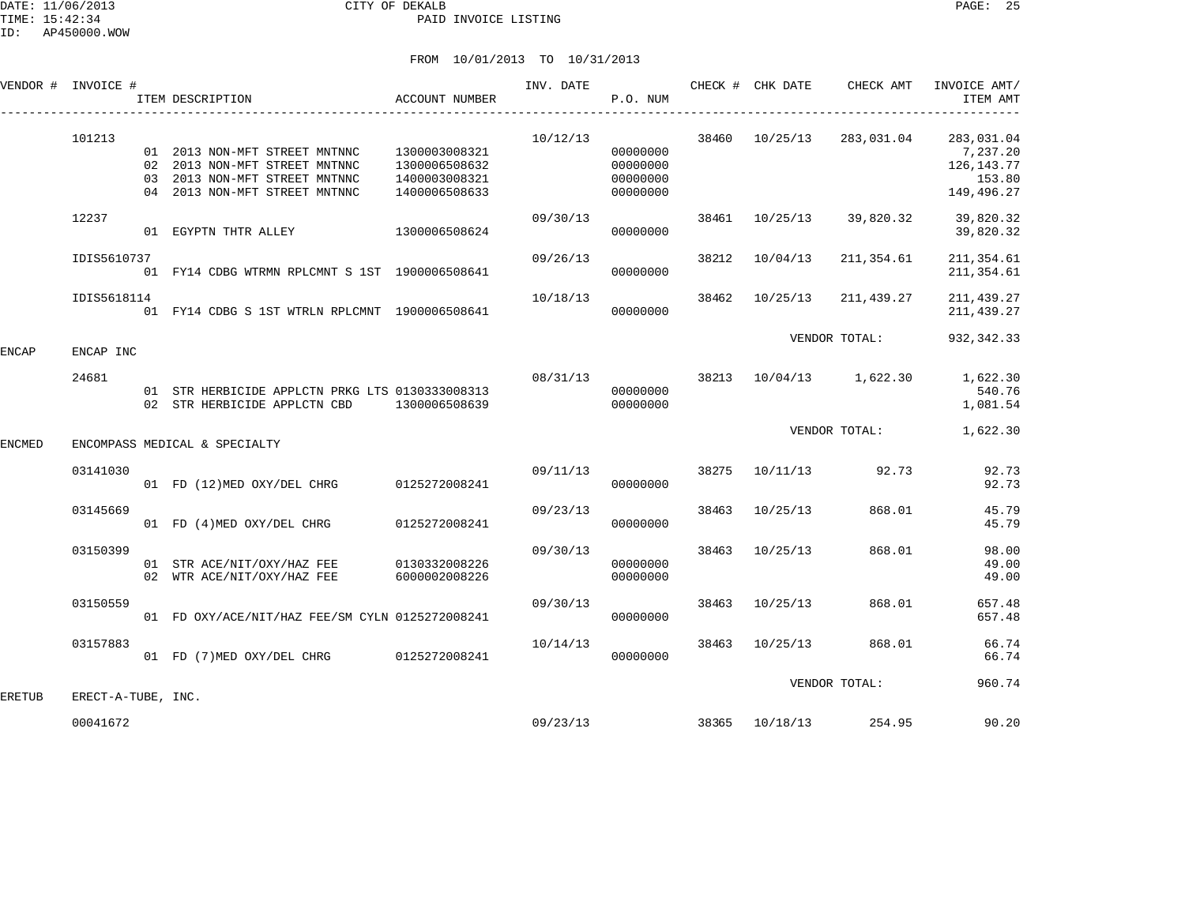| VENDOR # INVOICE # |                    | ITEM DESCRIPTION                                                                                                                 | ACCOUNT NUMBER                                                   | INV. DATE | P.O. NUM                                     |       |                | CHECK # CHK DATE CHECK AMT       | INVOICE AMT/<br>ITEM AMT                                       |
|--------------------|--------------------|----------------------------------------------------------------------------------------------------------------------------------|------------------------------------------------------------------|-----------|----------------------------------------------|-------|----------------|----------------------------------|----------------------------------------------------------------|
|                    | 101213             | 01 2013 NON-MFT STREET MNTNNC<br>02 2013 NON-MFT STREET MNTNNC<br>03 2013 NON-MFT STREET MNTNNC<br>04 2013 NON-MFT STREET MNTNNC | 1300003008321<br>1300006508632<br>1400003008321<br>1400006508633 | 10/12/13  | 00000000<br>00000000<br>00000000<br>00000000 |       | 38460 10/25/13 | 283,031.04                       | 283,031.04<br>7,237.20<br>126, 143. 77<br>153.80<br>149,496.27 |
|                    | 12237              | 01 EGYPTN THTR ALLEY                                                                                                             | 1300006508624                                                    | 09/30/13  | 00000000                                     |       | 38461 10/25/13 | 39,820.32                        | 39,820.32<br>39,820.32                                         |
|                    | IDIS5610737        | 01 FY14 CDBG WTRMN RPLCMNT S 1ST 1900006508641                                                                                   |                                                                  | 09/26/13  | 00000000                                     | 38212 | 10/04/13       | 211,354.61                       | 211, 354.61<br>211, 354.61                                     |
|                    | IDIS5618114        | 01 FY14 CDBG S 1ST WTRLN RPLCMNT 1900006508641                                                                                   |                                                                  | 10/18/13  | 00000000                                     |       | 38462 10/25/13 | 211,439.27                       | 211, 439.27<br>211, 439.27                                     |
| ENCAP              | ENCAP INC          |                                                                                                                                  |                                                                  |           |                                              |       |                | VENDOR TOTAL:                    | 932, 342.33                                                    |
|                    | 24681              | 01 STR HERBICIDE APPLCTN PRKG LTS 0130333008313<br>02 STR HERBICIDE APPLCTN CBD 1300006508639                                    |                                                                  |           | 00000000<br>00000000                         |       |                | 08/31/13 38213 10/04/13 1,622.30 | 1,622.30<br>540.76<br>1,081.54                                 |
| ENCMED             |                    | ENCOMPASS MEDICAL & SPECIALTY                                                                                                    |                                                                  |           |                                              |       |                | VENDOR TOTAL:                    | 1,622.30                                                       |
|                    | 03141030           | 01 FD (12) MED OXY/DEL CHRG 0125272008241                                                                                        |                                                                  | 09/11/13  | 00000000                                     |       |                | 38275 10/11/13 92.73             | 92.73<br>92.73                                                 |
|                    | 03145669           | 01 FD (4) MED OXY/DEL CHRG 0125272008241                                                                                         |                                                                  | 09/23/13  | 00000000                                     |       | 38463 10/25/13 | 868.01                           | 45.79<br>45.79                                                 |
|                    | 03150399           | 01 STR ACE/NIT/OXY/HAZ FEE 0130332008226<br>02 WTR ACE/NIT/OXY/HAZ FEE                                                           | 6000002008226                                                    | 09/30/13  | 00000000<br>00000000                         |       | 38463 10/25/13 | 868.01                           | 98.00<br>49.00<br>49.00                                        |
|                    | 03150559           | 01 FD OXY/ACE/NIT/HAZ FEE/SM CYLN 0125272008241                                                                                  |                                                                  | 09/30/13  | 00000000                                     | 38463 | 10/25/13       | 868.01                           | 657.48<br>657.48                                               |
|                    | 03157883           | 01 FD (7) MED OXY/DEL CHRG 0125272008241                                                                                         |                                                                  | 10/14/13  | 00000000                                     |       | 38463 10/25/13 | 868.01                           | 66.74<br>66.74                                                 |
| ERETUB             | ERECT-A-TUBE, INC. |                                                                                                                                  |                                                                  |           |                                              |       |                | VENDOR TOTAL:                    | 960.74                                                         |
|                    | 00041672           |                                                                                                                                  |                                                                  | 09/23/13  |                                              |       |                | 38365 10/18/13 254.95            | 90.20                                                          |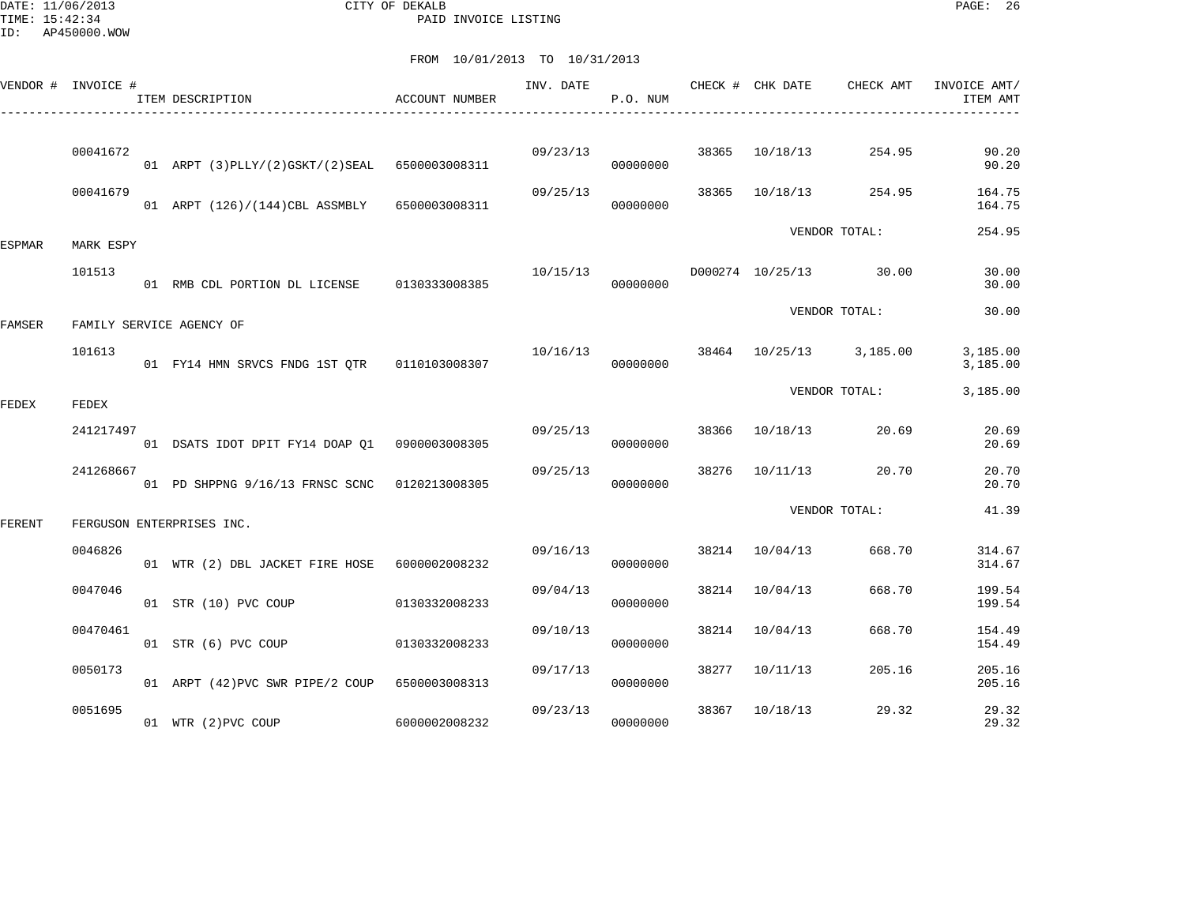DATE: 11/06/2013 CITY OF DEKALB PAGE: 26 PAID INVOICE LISTING

|               | VENDOR # INVOICE # | ITEM DESCRIPTION                                 | ACCOUNT NUMBER | INV. DATE | P.O. NUM |       | CHECK # CHK DATE | CHECK AMT               | INVOICE AMT/<br>ITEM AMT |
|---------------|--------------------|--------------------------------------------------|----------------|-----------|----------|-------|------------------|-------------------------|--------------------------|
|               |                    |                                                  |                |           |          |       |                  |                         |                          |
|               | 00041672           | 01 ARPT (3) PLLY/(2) GSKT/(2) SEAL 6500003008311 |                | 09/23/13  | 00000000 | 38365 | 10/18/13         | 254.95                  | 90.20<br>90.20           |
|               | 00041679           | 01 ARPT (126)/(144)CBL ASSMBLY                   | 6500003008311  | 09/25/13  | 00000000 | 38365 | 10/18/13         | 254.95                  | 164.75<br>164.75         |
| <b>ESPMAR</b> | MARK ESPY          |                                                  |                |           |          |       |                  | VENDOR TOTAL:           | 254.95                   |
|               | 101513             | 01 RMB CDL PORTION DL LICENSE 0130333008385      |                | 10/15/13  | 00000000 |       | D000274 10/25/13 | 30.00                   | 30.00<br>30.00           |
| FAMSER        |                    | FAMILY SERVICE AGENCY OF                         |                |           |          |       |                  | VENDOR TOTAL:           | 30.00                    |
|               | 101613             | 01 FY14 HMN SRVCS FNDG 1ST OTR   0110103008307   |                | 10/16/13  | 00000000 |       |                  | 38464 10/25/13 3,185.00 | 3,185.00<br>3,185.00     |
| FEDEX         | FEDEX              |                                                  |                |           |          |       |                  | VENDOR TOTAL:           | 3,185.00                 |
|               | 241217497          | 01 DSATS IDOT DPIT FY14 DOAP Q1 0900003008305    |                | 09/25/13  | 00000000 | 38366 | 10/18/13         | 20.69                   | 20.69<br>20.69           |
|               | 241268667          | 01 PD SHPPNG 9/16/13 FRNSC SCNC                  | 0120213008305  | 09/25/13  | 00000000 | 38276 | 10/11/13         | 20.70                   | 20.70<br>20.70           |
| FERENT        |                    | FERGUSON ENTERPRISES INC.                        |                |           |          |       |                  | VENDOR TOTAL:           | 41.39                    |
|               | 0046826            | 01 WTR (2) DBL JACKET FIRE HOSE 6000002008232    |                | 09/16/13  | 00000000 | 38214 | 10/04/13         | 668.70                  | 314.67<br>314.67         |
|               | 0047046            | 01 STR (10) PVC COUP                             | 0130332008233  | 09/04/13  | 00000000 | 38214 | 10/04/13         | 668.70                  | 199.54<br>199.54         |
|               | 00470461           | 01 STR (6) PVC COUP                              | 0130332008233  | 09/10/13  | 00000000 | 38214 | 10/04/13         | 668.70                  | 154.49<br>154.49         |
|               | 0050173            | 01 ARPT (42) PVC SWR PIPE/2 COUP                 | 6500003008313  | 09/17/13  | 00000000 | 38277 | 10/11/13         | 205.16                  | 205.16<br>205.16         |
|               | 0051695            | 01 WTR (2) PVC COUP                              | 6000002008232  | 09/23/13  | 00000000 | 38367 | 10/18/13         | 29.32                   | 29.32<br>29.32           |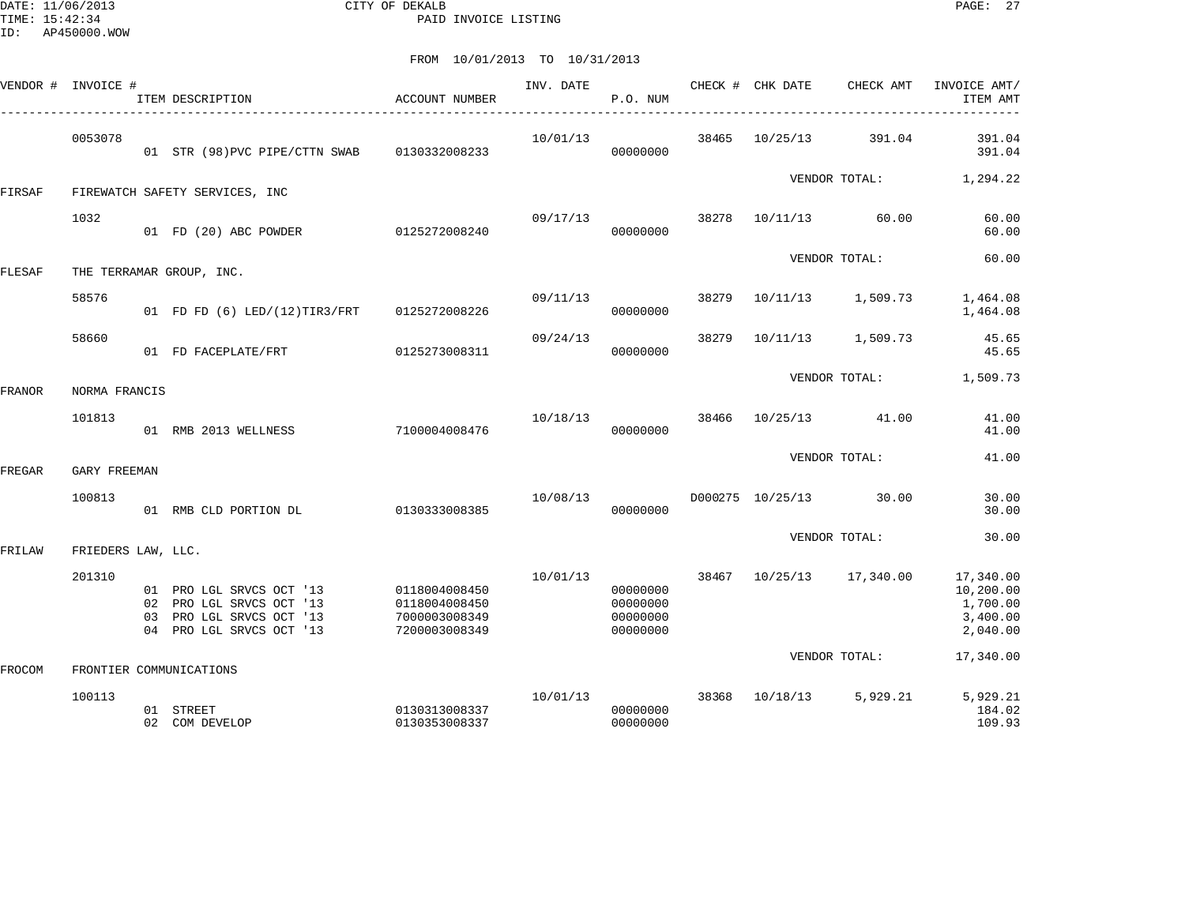DATE: 11/06/2013 CITY OF DEKALB PAGE: 27 PAID INVOICE LISTING

|        | VENDOR # INVOICE # | ITEM DESCRIPTION                                                                                             | <b>ACCOUNT NUMBER</b>                                            | INV. DATE | P.O. NUM                                     |       | CHECK # CHK DATE | CHECK AMT               | INVOICE AMT/<br>ITEM AMT                                   |
|--------|--------------------|--------------------------------------------------------------------------------------------------------------|------------------------------------------------------------------|-----------|----------------------------------------------|-------|------------------|-------------------------|------------------------------------------------------------|
|        | 0053078            | 01 STR (98) PVC PIPE/CTTN SWAB 0130332008233                                                                 |                                                                  | 10/01/13  | 00000000                                     | 38465 | 10/25/13         | 391.04                  | 391.04<br>391.04                                           |
| FIRSAF |                    | FIREWATCH SAFETY SERVICES, INC                                                                               |                                                                  |           |                                              |       |                  | VENDOR TOTAL:           | 1,294.22                                                   |
|        | 1032               | 01 FD (20) ABC POWDER                                                                                        | 0125272008240                                                    | 09/17/13  | 00000000                                     | 38278 |                  | 10/11/13 60.00          | 60.00<br>60.00                                             |
| FLESAF |                    | THE TERRAMAR GROUP, INC.                                                                                     |                                                                  |           |                                              |       |                  | VENDOR TOTAL:           | 60.00                                                      |
|        | 58576              | 01 FD FD (6) LED/(12)TIR3/FRT 0125272008226                                                                  |                                                                  | 09/11/13  | 00000000                                     | 38279 |                  | 10/11/13 1,509.73       | 1,464.08<br>1,464.08                                       |
|        | 58660              | 01 FD FACEPLATE/FRT                                                                                          | 0125273008311                                                    | 09/24/13  | 00000000                                     | 38279 |                  | 10/11/13 1,509.73       | 45.65<br>45.65                                             |
| FRANOR | NORMA FRANCIS      |                                                                                                              |                                                                  |           |                                              |       |                  | VENDOR TOTAL:           | 1,509.73                                                   |
|        | 101813             | 01 RMB 2013 WELLNESS                                                                                         | 7100004008476                                                    | 10/18/13  | 00000000                                     |       |                  | 38466 10/25/13 41.00    | 41.00<br>41.00                                             |
| FREGAR | GARY FREEMAN       |                                                                                                              |                                                                  |           |                                              |       |                  | VENDOR TOTAL:           | 41.00                                                      |
|        | 100813             | 01 RMB CLD PORTION DL                                                                                        | 0130333008385                                                    | 10/08/13  | 00000000                                     |       |                  | D000275 10/25/13 30.00  | 30.00<br>30.00                                             |
| FRILAW | FRIEDERS LAW, LLC. |                                                                                                              |                                                                  |           |                                              |       |                  | VENDOR TOTAL:           | 30.00                                                      |
|        | 201310             | 01 PRO LGL SRVCS OCT '13<br>02 PRO LGL SRVCS OCT '13<br>03 PRO LGL SRVCS OCT '13<br>04 PRO LGL SRVCS OCT '13 | 0118004008450<br>0118004008450<br>7000003008349<br>7200003008349 | 10/01/13  | 00000000<br>00000000<br>00000000<br>00000000 | 38467 |                  | 10/25/13 17,340.00      | 17,340.00<br>10,200.00<br>1,700.00<br>3,400.00<br>2,040.00 |
| FROCOM |                    | FRONTIER COMMUNICATIONS                                                                                      |                                                                  |           |                                              |       |                  | VENDOR TOTAL:           | 17,340.00                                                  |
|        | 100113             | 01 STREET<br>02 COM DEVELOP                                                                                  | 0130313008337<br>0130353008337                                   | 10/01/13  | 00000000<br>00000000                         |       |                  | 38368 10/18/13 5,929.21 | 5,929.21<br>184.02<br>109.93                               |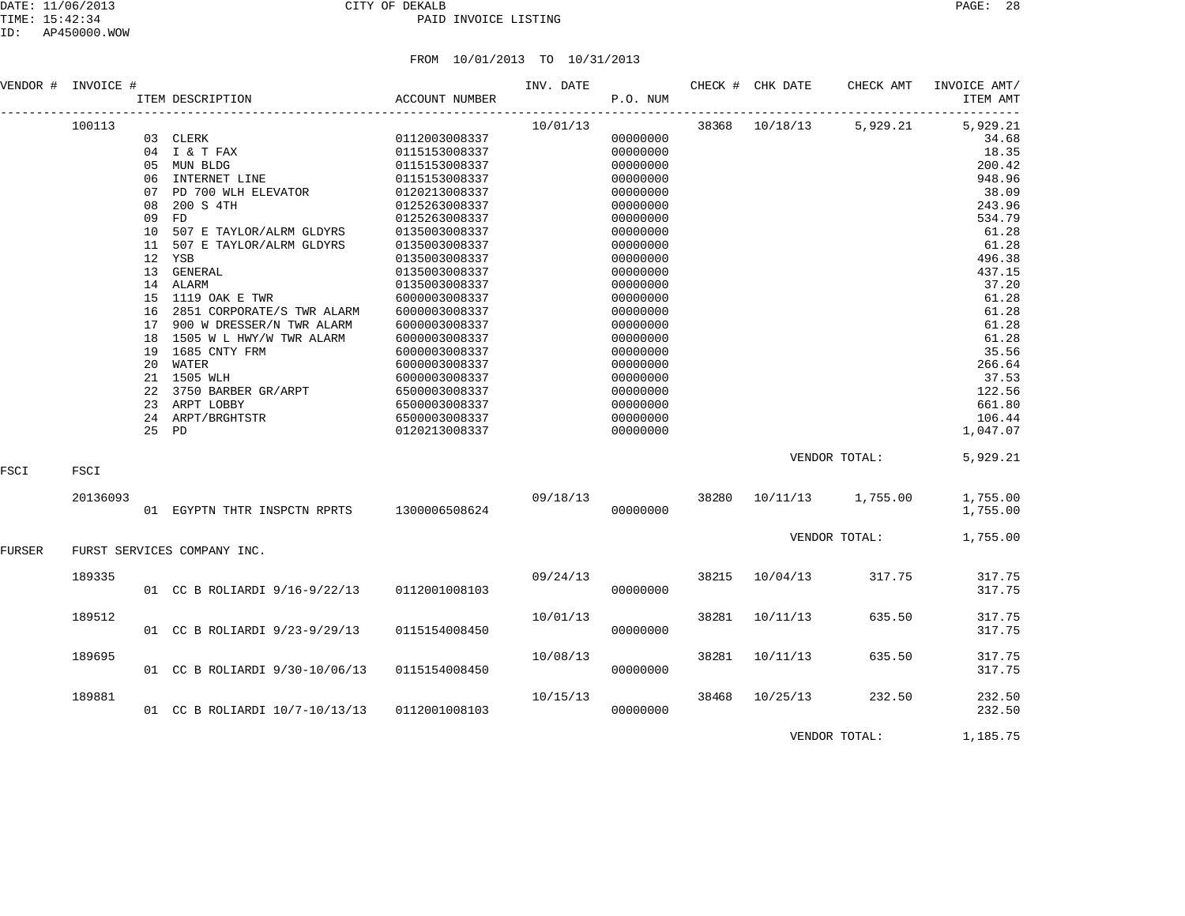|        | VENDOR # INVOICE # |          | ITEM DESCRIPTION                                                                               | ACCOUNT NUMBER                                                   | INV. DATE | P.O. NUM                                     |       | CHECK # CHK DATE | CHECK AMT               | INVOICE AMT/<br>ITEM AMT                    |
|--------|--------------------|----------|------------------------------------------------------------------------------------------------|------------------------------------------------------------------|-----------|----------------------------------------------|-------|------------------|-------------------------|---------------------------------------------|
|        | 100113             |          | 03 CLERK<br>04 I & T FAX                                                                       | 0112003008337<br>0115153008337                                   | 10/01/13  | 00000000<br>00000000                         |       | 38368 10/18/13   | 5,929.21                | -------------<br>5,929.21<br>34.68<br>18.35 |
|        |                    |          | 05 MUN BLDG<br>06 INTERNET LINE<br>07 PD 700 WLH ELEVATOR 0120213008337                        | 0115153008337<br>0115153008337                                   |           | 00000000<br>00000000<br>00000000             |       |                  |                         | 200.42<br>948.96<br>38.09                   |
|        |                    | 09<br>10 | 08 200 S 4TH<br>FD<br>507 E TAYLOR/ALRM GLDYRS                                                 | 0125263008337<br>0125263008337<br>0135003008337                  |           | 00000000<br>00000000<br>00000000             |       |                  |                         | 243.96<br>534.79<br>61.28                   |
|        |                    |          | 11 507 E TAYLOR/ALRM GLDYRS<br>12 YSB<br>13 GENERAL                                            | 0135003008337<br>0135003008337<br>0135003008337                  |           | 00000000<br>00000000<br>00000000             |       |                  |                         | 61.28<br>496.38<br>437.15                   |
|        |                    |          | 14 ALARM<br>15 1119 OAK E TWR<br>16 2851 CORPORATE/S TWR ALARM<br>17 900 W DRESSER/N TWR ALARM | 0135003008337<br>6000003008337<br>6000003008337<br>6000003008337 |           | 00000000<br>00000000<br>00000000<br>00000000 |       |                  |                         | 37.20<br>61.28<br>61.28<br>61.28            |
|        |                    |          | 18 1505 W L HWY/W TWR ALARM<br>19 1685 CNTY FRM<br>20 WATER<br>21 1505 WLH                     | 6000003008337<br>6000003008337<br>6000003008337<br>6000003008337 |           | 00000000<br>00000000<br>00000000<br>00000000 |       |                  |                         | 61.28<br>35.56<br>266.64<br>37.53           |
|        |                    | 25 PD    | 22 3750 BARBER GR/ARPT<br>23 ARPT LOBBY<br>24 ARPT/BRGHTSTR                                    | 6500003008337<br>6500003008337<br>6500003008337<br>0120213008337 |           | 00000000<br>00000000<br>00000000<br>00000000 |       |                  |                         | 122.56<br>661.80<br>106.44<br>1,047.07      |
| FSCI   | FSCI               |          |                                                                                                |                                                                  |           |                                              |       |                  | VENDOR TOTAL:           | 5,929.21                                    |
|        | 20136093           |          | 01 EGYPTN THTR INSPCTN RPRTS 1300006508624                                                     |                                                                  | 09/18/13  | 00000000                                     |       |                  | 38280 10/11/13 1,755.00 | 1,755.00<br>1,755.00                        |
| FURSER |                    |          | FURST SERVICES COMPANY INC.                                                                    |                                                                  |           |                                              |       |                  | VENDOR TOTAL:           | 1,755.00                                    |
|        | 189335             |          | 01 CC B ROLIARDI 9/16-9/22/13 0112001008103                                                    |                                                                  |           | 09/24/13<br>00000000                         |       | 38215 10/04/13   | 317.75                  | 317.75<br>317.75                            |
|        | 189512             |          | 01 CC B ROLIARDI 9/23-9/29/13                                                                  | 0115154008450                                                    | 10/01/13  | 00000000                                     | 38281 | 10/11/13         | 635.50                  | 317.75<br>317.75                            |
|        | 189695             |          | 01 CC B ROLIARDI 9/30-10/06/13                                                                 | 0115154008450                                                    | 10/08/13  | 00000000                                     |       | 38281 10/11/13   | 635.50                  | 317.75<br>317.75                            |
|        | 189881             |          | 01 CC B ROLIARDI 10/7-10/13/13 0112001008103                                                   |                                                                  | 10/15/13  | 00000000                                     |       | 38468 10/25/13   | 232.50                  | 232.50<br>232.50                            |
|        |                    |          |                                                                                                |                                                                  |           |                                              |       |                  | VENDOR TOTAL:           | 1,185.75                                    |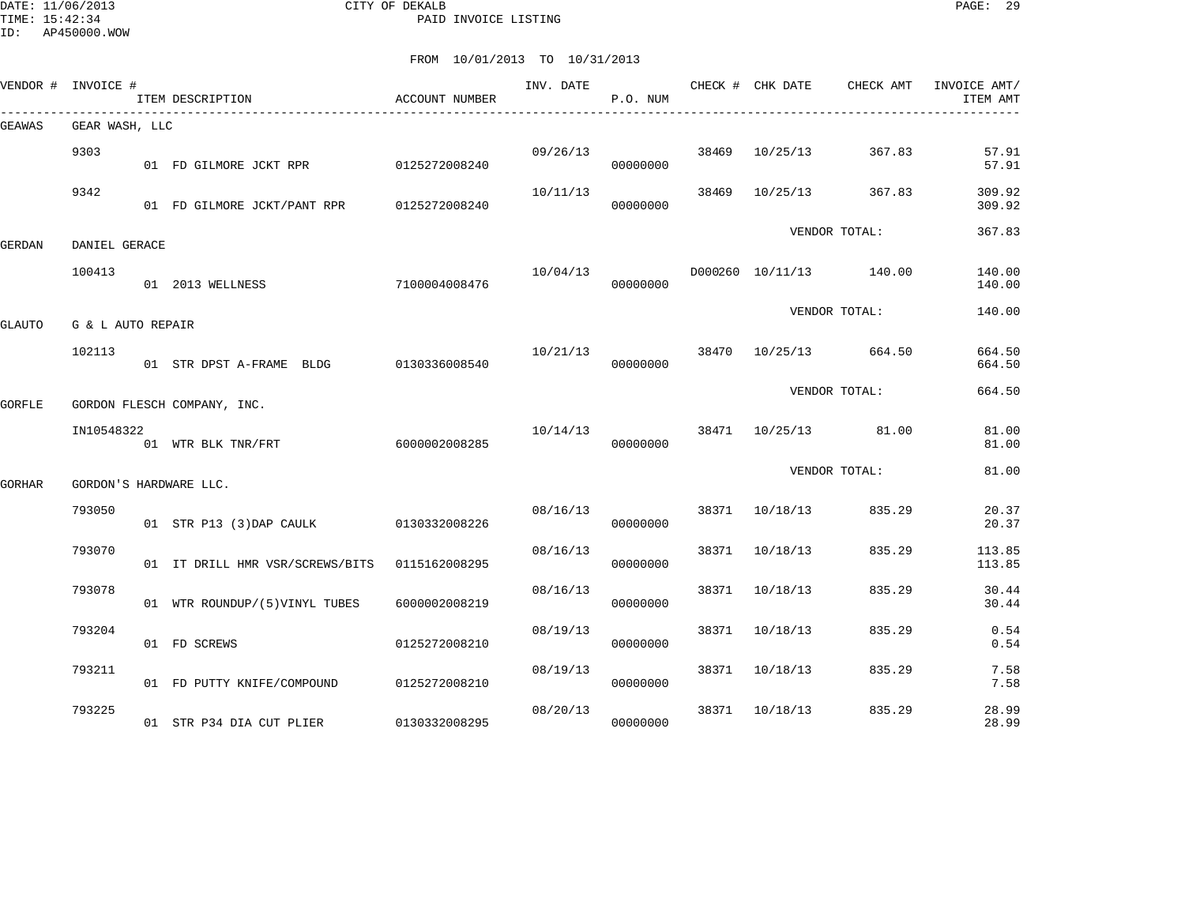DATE: 11/06/2013 CITY OF DEKALB PAGE: 29 PAID INVOICE LISTING

|        | VENDOR # INVOICE # | ITEM DESCRIPTION                              | ACCOUNT NUMBER | INV. DATE | P.O. NUM |       |                | CHECK # CHK DATE CHECK AMT | INVOICE AMT/<br>ITEM AMT |
|--------|--------------------|-----------------------------------------------|----------------|-----------|----------|-------|----------------|----------------------------|--------------------------|
| GEAWAS | GEAR WASH, LLC     |                                               |                |           |          |       |                |                            |                          |
|        | 9303               | 01 FD GILMORE JCKT RPR 0125272008240          |                | 09/26/13  | 00000000 |       | 38469 10/25/13 | 367.83                     | 57.91<br>57.91           |
|        | 9342               | 01 FD GILMORE JCKT/PANT RPR 0125272008240     |                | 10/11/13  | 00000000 | 38469 | 10/25/13       | 367.83                     | 309.92<br>309.92         |
| GERDAN | DANIEL GERACE      |                                               |                |           |          |       |                | VENDOR TOTAL:              | 367.83                   |
|        | 100413             | 01 2013 WELLNESS                              | 7100004008476  | 10/04/13  | 00000000 |       |                | D000260 10/11/13 140.00    | 140.00<br>140.00         |
| GLAUTO | G & L AUTO REPAIR  |                                               |                |           |          |       |                | VENDOR TOTAL:              | 140.00                   |
|        | 102113             | 01 STR DPST A-FRAME BLDG                      | 0130336008540  | 10/21/13  | 00000000 |       |                | 38470 10/25/13 664.50      | 664.50<br>664.50         |
| GORFLE |                    | GORDON FLESCH COMPANY, INC.                   |                |           |          |       |                | VENDOR TOTAL:              | 664.50                   |
|        | IN10548322         | 01 WTR BLK TNR/FRT                            | 6000002008285  | 10/14/13  | 00000000 |       | 38471 10/25/13 | 81.00                      | 81.00<br>81.00           |
| GORHAR |                    | GORDON'S HARDWARE LLC.                        |                |           |          |       |                | VENDOR TOTAL:              | 81.00                    |
|        | 793050             | 01 STR P13 (3) DAP CAULK                      | 0130332008226  | 08/16/13  | 00000000 |       | 38371 10/18/13 | 835.29                     | 20.37<br>20.37           |
|        | 793070             | 01 IT DRILL HMR VSR/SCREWS/BITS 0115162008295 |                | 08/16/13  | 00000000 | 38371 | 10/18/13       | 835.29                     | 113.85<br>113.85         |
|        | 793078             | 01 WTR ROUNDUP/(5)VINYL TUBES                 | 6000002008219  | 08/16/13  | 00000000 | 38371 | 10/18/13       | 835.29                     | 30.44<br>30.44           |
|        | 793204             | 01 FD SCREWS                                  | 0125272008210  | 08/19/13  | 00000000 | 38371 | 10/18/13       | 835.29                     | 0.54<br>0.54             |
|        | 793211             | 01 FD PUTTY KNIFE/COMPOUND                    | 0125272008210  | 08/19/13  | 00000000 | 38371 | 10/18/13       | 835.29                     | 7.58<br>7.58             |
|        | 793225             | 01 STR P34 DIA CUT PLIER                      | 0130332008295  | 08/20/13  | 00000000 | 38371 | 10/18/13       | 835.29                     | 28.99<br>28.99           |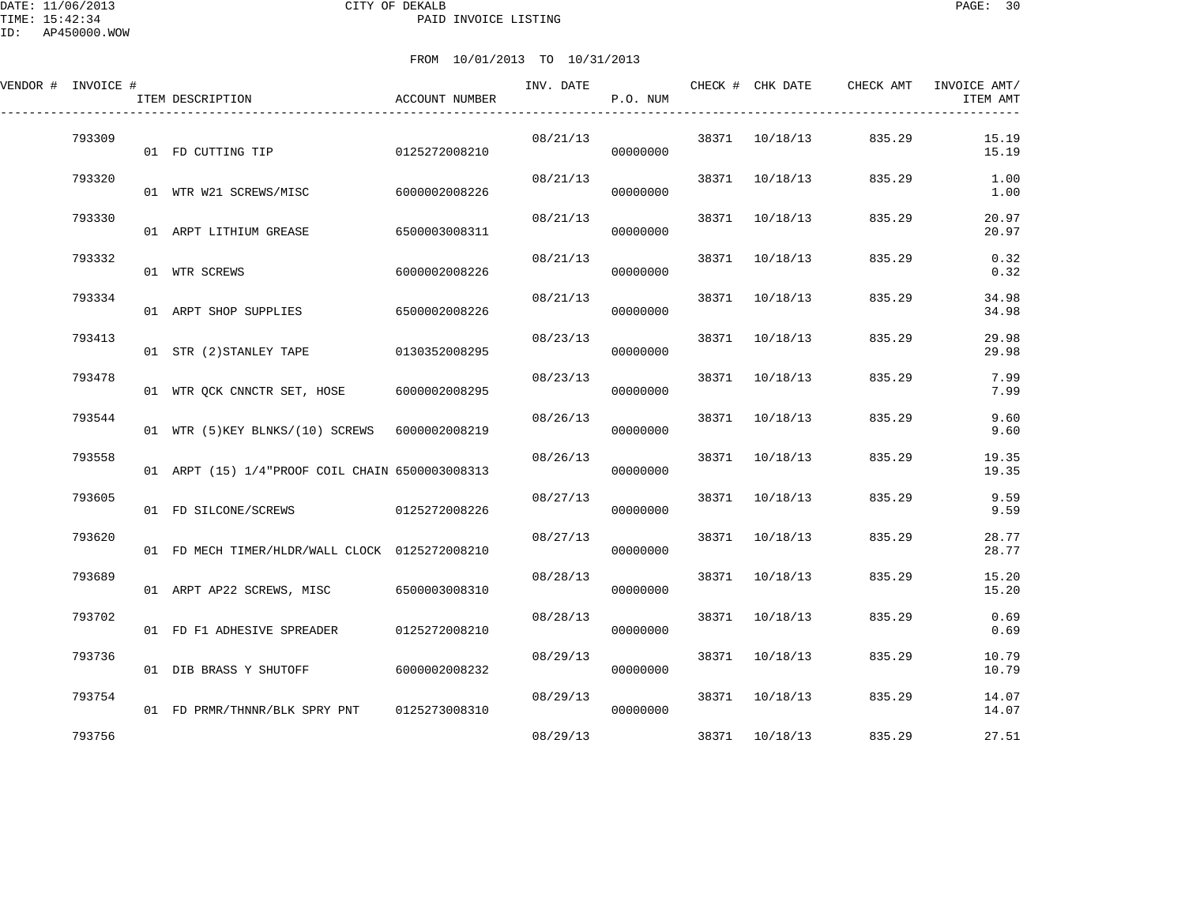DATE: 11/06/2013 CITY OF DEKALB PAGE: 30 PAID INVOICE LISTING

| VENDOR # INVOICE # |        | ITEM DESCRIPTION                                | ACCOUNT NUMBER | INV. DATE | P.O. NUM |       | CHECK # CHK DATE | CHECK AMT | INVOICE AMT/<br>ITEM AMT |
|--------------------|--------|-------------------------------------------------|----------------|-----------|----------|-------|------------------|-----------|--------------------------|
|                    | 793309 | 01 FD CUTTING TIP                               | 0125272008210  | 08/21/13  | 00000000 | 38371 | 10/18/13         | 835.29    | 15.19<br>15.19           |
|                    | 793320 | 01 WTR W21 SCREWS/MISC                          | 6000002008226  | 08/21/13  | 00000000 |       | 38371 10/18/13   | 835.29    | 1.00<br>1.00             |
|                    | 793330 | 01 ARPT LITHIUM GREASE                          | 6500003008311  | 08/21/13  | 00000000 | 38371 | 10/18/13         | 835.29    | 20.97<br>20.97           |
|                    | 793332 | 01 WTR SCREWS                                   | 6000002008226  | 08/21/13  | 00000000 | 38371 | 10/18/13         | 835.29    | 0.32<br>0.32             |
|                    | 793334 | 01 ARPT SHOP SUPPLIES                           | 6500002008226  | 08/21/13  | 00000000 | 38371 | 10/18/13         | 835.29    | 34.98<br>34.98           |
|                    | 793413 | 01 STR (2) STANLEY TAPE                         | 0130352008295  | 08/23/13  | 00000000 |       | 38371 10/18/13   | 835.29    | 29.98<br>29.98           |
|                    | 793478 | 01 WTR QCK CNNCTR SET, HOSE                     | 6000002008295  | 08/23/13  | 00000000 |       | 38371 10/18/13   | 835.29    | 7.99<br>7.99             |
|                    | 793544 | 01 WTR (5) KEY BLNKS/(10) SCREWS 6000002008219  |                | 08/26/13  | 00000000 |       | 38371 10/18/13   | 835.29    | 9.60<br>9.60             |
|                    | 793558 | 01 ARPT (15) 1/4"PROOF COIL CHAIN 6500003008313 |                | 08/26/13  | 00000000 | 38371 | 10/18/13         | 835.29    | 19.35<br>19.35           |
|                    | 793605 | 01 FD SILCONE/SCREWS                            | 0125272008226  | 08/27/13  | 00000000 |       | 38371 10/18/13   | 835.29    | 9.59<br>9.59             |
|                    | 793620 | 01 FD MECH TIMER/HLDR/WALL CLOCK 0125272008210  |                | 08/27/13  | 00000000 |       | 38371 10/18/13   | 835.29    | 28.77<br>28.77           |
|                    | 793689 | 01 ARPT AP22 SCREWS, MISC                       | 6500003008310  | 08/28/13  | 00000000 | 38371 | 10/18/13         | 835.29    | 15.20<br>15.20           |
|                    | 793702 | 01 FD F1 ADHESIVE SPREADER                      | 0125272008210  | 08/28/13  | 00000000 | 38371 | 10/18/13         | 835.29    | 0.69<br>0.69             |
|                    | 793736 | 01 DIB BRASS Y SHUTOFF                          | 6000002008232  | 08/29/13  | 00000000 |       | 38371 10/18/13   | 835.29    | 10.79<br>10.79           |
|                    | 793754 | 01 FD PRMR/THNNR/BLK SPRY PNT                   | 0125273008310  | 08/29/13  | 00000000 |       | 38371 10/18/13   | 835.29    | 14.07<br>14.07           |
|                    | 793756 |                                                 |                | 08/29/13  |          |       | 38371 10/18/13   | 835.29    | 27.51                    |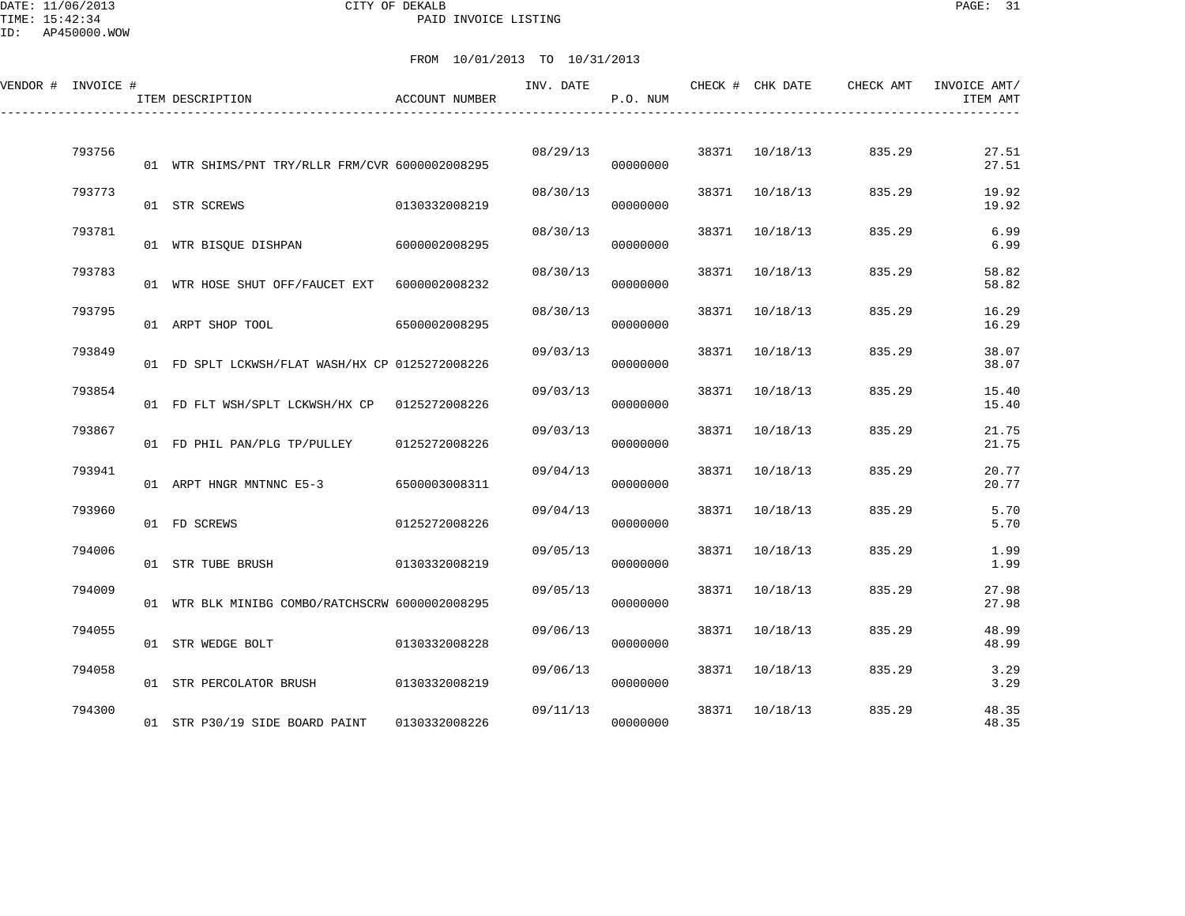DATE: 11/06/2013 CITY OF DEKALB PAGE: 31 PAID INVOICE LISTING

ID: AP450000.WOW

| VENDOR # INVOICE # |        | ITEM DESCRIPTION                                | ACCOUNT NUMBER | INV. DATE | P.O. NUM |       | CHECK # CHK DATE | CHECK AMT | INVOICE AMT/<br>ITEM AMT |
|--------------------|--------|-------------------------------------------------|----------------|-----------|----------|-------|------------------|-----------|--------------------------|
|                    | 793756 | 01 WTR SHIMS/PNT TRY/RLLR FRM/CVR 6000002008295 |                | 08/29/13  | 00000000 | 38371 | 10/18/13         | 835.29    | 27.51<br>27.51           |
|                    | 793773 | 01 STR SCREWS                                   | 0130332008219  | 08/30/13  | 00000000 | 38371 | 10/18/13         | 835.29    | 19.92<br>19.92           |
|                    | 793781 | 01 WTR BISQUE DISHPAN                           | 6000002008295  | 08/30/13  | 00000000 | 38371 | 10/18/13         | 835.29    | 6.99<br>6.99             |
|                    | 793783 | 01 WTR HOSE SHUT OFF/FAUCET EXT                 | 6000002008232  | 08/30/13  | 00000000 | 38371 | 10/18/13         | 835.29    | 58.82<br>58.82           |
|                    | 793795 | 01 ARPT SHOP TOOL                               | 6500002008295  | 08/30/13  | 00000000 | 38371 | 10/18/13         | 835.29    | 16.29<br>16.29           |
|                    | 793849 | 01 FD SPLT LCKWSH/FLAT WASH/HX CP 0125272008226 |                | 09/03/13  | 00000000 | 38371 | 10/18/13         | 835.29    | 38.07<br>38.07           |
|                    | 793854 | 01 FD FLT WSH/SPLT LCKWSH/HX CP 0125272008226   |                | 09/03/13  | 00000000 | 38371 | 10/18/13         | 835.29    | 15.40<br>15.40           |
|                    | 793867 | 01 FD PHIL PAN/PLG TP/PULLEY                    | 0125272008226  | 09/03/13  | 00000000 | 38371 | 10/18/13         | 835.29    | 21.75<br>21.75           |
|                    | 793941 | 01 ARPT HNGR MNTNNC E5-3                        | 6500003008311  | 09/04/13  | 00000000 | 38371 | 10/18/13         | 835.29    | 20.77<br>20.77           |
|                    | 793960 | 01 FD SCREWS                                    | 0125272008226  | 09/04/13  | 00000000 | 38371 | 10/18/13         | 835.29    | 5.70<br>5.70             |
|                    | 794006 | 01 STR TUBE BRUSH                               | 0130332008219  | 09/05/13  | 00000000 | 38371 | 10/18/13         | 835.29    | 1.99<br>1.99             |
|                    | 794009 | 01 WTR BLK MINIBG COMBO/RATCHSCRW 6000002008295 |                | 09/05/13  | 00000000 | 38371 | 10/18/13         | 835.29    | 27.98<br>27.98           |
|                    | 794055 | 01 STR WEDGE BOLT                               | 0130332008228  | 09/06/13  | 00000000 | 38371 | 10/18/13         | 835.29    | 48.99<br>48.99           |
|                    | 794058 | 01 STR PERCOLATOR BRUSH                         | 0130332008219  | 09/06/13  | 00000000 |       | 38371 10/18/13   | 835.29    | 3.29<br>3.29             |
|                    | 794300 | 01 STR P30/19 SIDE BOARD PAINT                  | 0130332008226  | 09/11/13  | 00000000 | 38371 | 10/18/13         | 835.29    | 48.35<br>48.35           |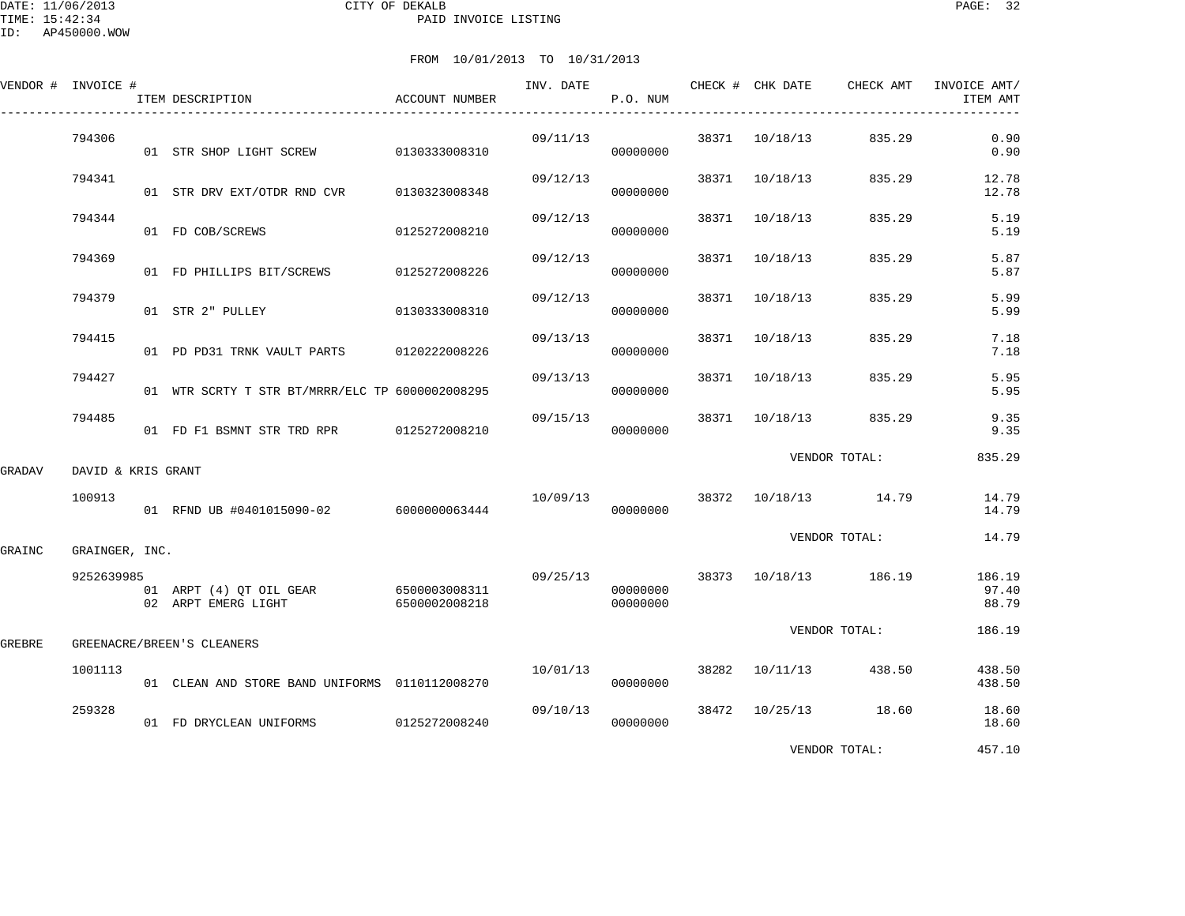|        | VENDOR # INVOICE # | ITEM DESCRIPTION                                             | ACCOUNT NUMBER | INV. DATE | P.O. NUM             |       | CHECK # CHK DATE | CHECK AMT             | INVOICE AMT/<br>ITEM AMT |
|--------|--------------------|--------------------------------------------------------------|----------------|-----------|----------------------|-------|------------------|-----------------------|--------------------------|
|        | 794306             | 01 STR SHOP LIGHT SCREW 0130333008310                        |                | 09/11/13  | 00000000             |       | 38371 10/18/13   | 835.29                | 0.90<br>0.90             |
|        | 794341             | 01 STR DRV EXT/OTDR RND CVR                                  | 0130323008348  | 09/12/13  | 00000000             |       | 38371 10/18/13   | 835.29                | 12.78<br>12.78           |
|        | 794344             | 01 FD COB/SCREWS                                             | 0125272008210  | 09/12/13  | 00000000             |       | 38371 10/18/13   | 835.29                | 5.19<br>5.19             |
|        | 794369             | 01 FD PHILLIPS BIT/SCREWS                                    | 0125272008226  | 09/12/13  | 00000000             | 38371 | 10/18/13         | 835.29                | 5.87<br>5.87             |
|        | 794379             | 01 STR 2" PULLEY                                             | 0130333008310  | 09/12/13  | 00000000             | 38371 | 10/18/13         | 835.29                | 5.99<br>5.99             |
|        | 794415             | 01 PD PD31 TRNK VAULT PARTS 0120222008226                    |                | 09/13/13  | 00000000             |       | 38371 10/18/13   | 835.29                | 7.18<br>7.18             |
|        | 794427             | 01 WTR SCRTY T STR BT/MRRR/ELC TP 6000002008295              |                | 09/13/13  | 00000000             |       | 38371 10/18/13   | 835.29                | 5.95<br>5.95             |
|        | 794485             | 01 FD F1 BSMNT STR TRD RPR 0125272008210                     |                | 09/15/13  | 00000000             |       | 38371 10/18/13   | 835.29                | 9.35<br>9.35             |
| GRADAV | DAVID & KRIS GRANT |                                                              |                |           |                      |       |                  | VENDOR TOTAL:         | 835.29                   |
|        | 100913             | 01 RFND UB #0401015090-02 6000000063444                      |                | 10/09/13  | 00000000             |       |                  | 38372 10/18/13 14.79  | 14.79<br>14.79           |
| GRAINC | GRAINGER, INC.     |                                                              |                |           |                      |       |                  | VENDOR TOTAL:         | 14.79                    |
|        | 9252639985         | 01 ARPT (4) QT OIL GEAR 6500003008311<br>02 ARPT EMERG LIGHT | 6500002008218  | 09/25/13  | 00000000<br>00000000 |       |                  | 38373 10/18/13 186.19 | 186.19<br>97.40<br>88.79 |
| GREBRE |                    | GREENACRE/BREEN'S CLEANERS                                   |                |           |                      |       |                  | VENDOR TOTAL:         | 186.19                   |
|        | 1001113            | 01 CLEAN AND STORE BAND UNIFORMS 0110112008270               |                | 10/01/13  | 00000000             |       | 38282 10/11/13   | 438.50                | 438.50<br>438.50         |
|        | 259328             | 01 FD DRYCLEAN UNIFORMS                                      | 0125272008240  | 09/10/13  | 00000000             |       |                  | 38472 10/25/13 18.60  | 18.60<br>18.60           |
|        |                    |                                                              |                |           |                      |       |                  | VENDOR TOTAL:         | 457.10                   |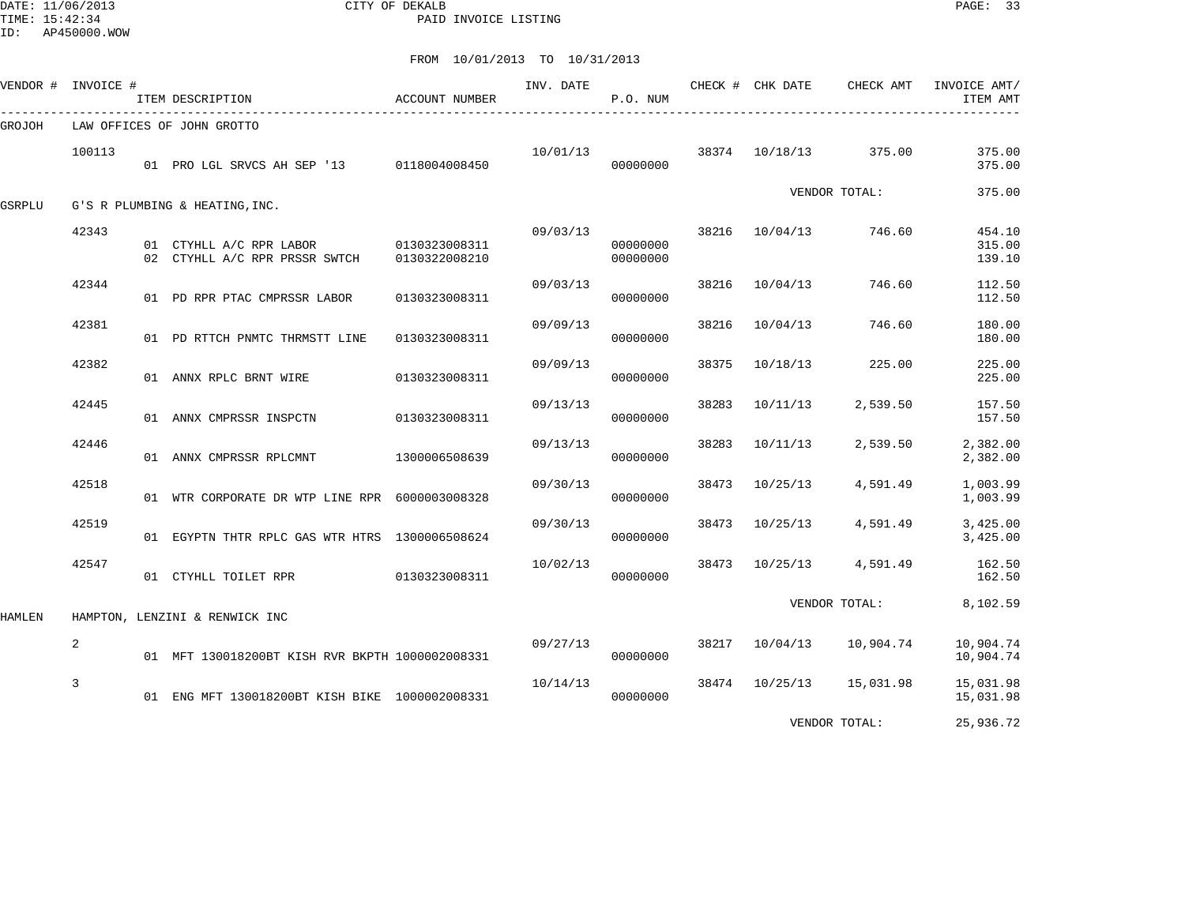DATE: 11/06/2013 CITY OF DEKALB PAGE: 33 PAID INVOICE LISTING

ID: AP450000.WOW

|        | VENDOR # INVOICE # | ITEM DESCRIPTION                                                       | ACCOUNT NUMBER | INV. DATE                   | P.O. NUM             |       | CHECK # CHK DATE | CHECK AMT               | INVOICE AMT/<br>ITEM AMT   |
|--------|--------------------|------------------------------------------------------------------------|----------------|-----------------------------|----------------------|-------|------------------|-------------------------|----------------------------|
| GROJOH |                    | LAW OFFICES OF JOHN GROTTO                                             |                |                             |                      |       |                  |                         |                            |
|        | 100113             | 01 PRO LGL SRVCS AH SEP '13 0118004008450                              |                | $10/01/13$ 38374 $10/18/13$ | 00000000             |       |                  | 375.00                  | 375.00<br>375.00           |
| GSRPLU |                    | G'S R PLUMBING & HEATING, INC.                                         |                |                             |                      |       |                  | VENDOR TOTAL:           | 375.00                     |
|        | 42343              | 01 CTYHLL A/C RPR LABOR 0130323008311<br>02 CTYHLL A/C RPR PRSSR SWTCH | 0130322008210  | 09/03/13                    | 00000000<br>00000000 |       | 38216 10/04/13   | 746.60                  | 454.10<br>315.00<br>139.10 |
|        | 42344              | 01 PD RPR PTAC CMPRSSR LABOR                                           | 0130323008311  | 09/03/13                    | 00000000             | 38216 | 10/04/13         | 746.60                  | 112.50<br>112.50           |
|        | 42381              | 01 PD RTTCH PNMTC THRMSTT LINE                                         | 0130323008311  | 09/09/13                    | 00000000             | 38216 | 10/04/13         | 746.60                  | 180.00<br>180.00           |
|        | 42382              | 01 ANNX RPLC BRNT WIRE                                                 | 0130323008311  | 09/09/13                    | 00000000             | 38375 | 10/18/13         | 225.00                  | 225.00<br>225.00           |
|        | 42445              | 01 ANNX CMPRSSR INSPCTN                                                | 0130323008311  | 09/13/13                    | 00000000             | 38283 | 10/11/13         | 2,539.50                | 157.50<br>157.50           |
|        | 42446              | 01 ANNX CMPRSSR RPLCMNT                                                | 1300006508639  | 09/13/13                    | 00000000             | 38283 | 10/11/13         | 2,539.50                | 2,382.00<br>2,382.00       |
|        | 42518              | 01 WTR CORPORATE DR WTP LINE RPR 6000003008328                         |                | 09/30/13                    | 00000000             | 38473 | 10/25/13         | 4,591.49                | 1,003.99<br>1,003.99       |
|        | 42519              | 01 EGYPTN THTR RPLC GAS WTR HTRS 1300006508624                         |                | 09/30/13                    | 00000000             |       | 38473 10/25/13   | 4,591.49                | 3,425.00<br>3,425.00       |
|        | 42547              | 01 CTYHLL TOILET RPR                                                   | 0130323008311  | 10/02/13                    | 00000000             |       |                  | 38473 10/25/13 4,591.49 | 162.50<br>162.50           |
| HAMLEN |                    | HAMPTON, LENZINI & RENWICK INC                                         |                |                             |                      |       |                  | VENDOR TOTAL:           | 8,102.59                   |
|        | $\overline{a}$     | 01 MFT 130018200BT KISH RVR BKPTH 1000002008331                        |                | 09/27/13                    | 00000000             |       | 38217 10/04/13   | 10,904.74               | 10,904.74<br>10,904.74     |
|        | 3                  | 01 ENG MFT 130018200BT KISH BIKE 1000002008331                         |                | 10/14/13                    | 00000000             |       | 38474 10/25/13   | 15,031.98               | 15,031.98<br>15,031.98     |
|        |                    |                                                                        |                |                             |                      |       |                  | VENDOR TOTAL:           | 25,936.72                  |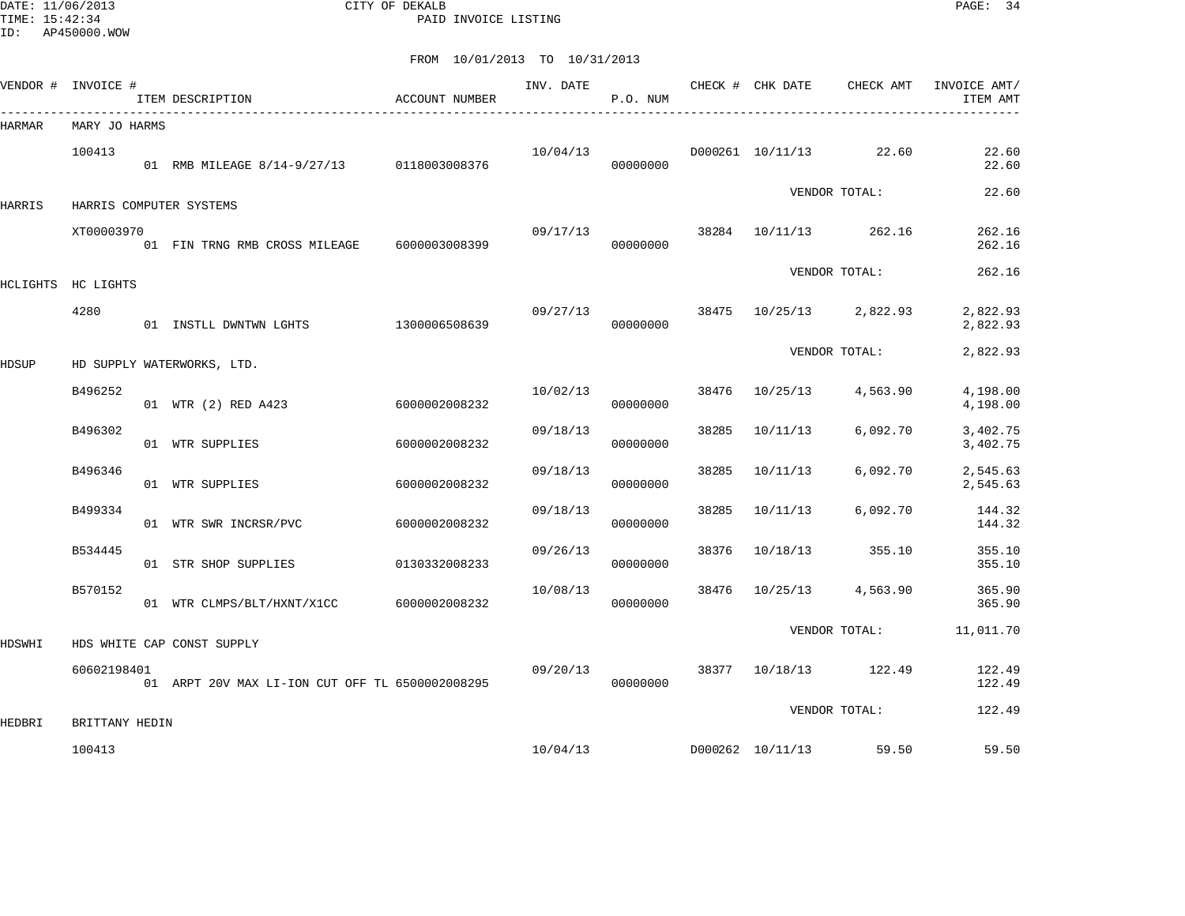DATE: 11/06/2013 CITY OF DEKALB PAGE: 34 PAID INVOICE LISTING

ID: AP450000.WOW

|               | VENDOR # INVOICE # | ITEM DESCRIPTION                                | ACCOUNT NUMBER | INV. DATE | P.O. NUM |       | CHECK # CHK DATE | CHECK AMT         | INVOICE AMT/<br>ITEM AMT |
|---------------|--------------------|-------------------------------------------------|----------------|-----------|----------|-------|------------------|-------------------|--------------------------|
| <b>HARMAR</b> | MARY JO HARMS      |                                                 |                |           |          |       |                  |                   |                          |
|               | 100413             | 01 RMB MILEAGE 8/14-9/27/13 0118003008376       |                | 10/04/13  | 00000000 |       | D000261 10/11/13 | 22.60             | 22.60<br>22.60           |
| HARRIS        |                    | HARRIS COMPUTER SYSTEMS                         |                |           |          |       |                  | VENDOR TOTAL:     | 22.60                    |
|               | XT00003970         | 01 FIN TRNG RMB CROSS MILEAGE                   | 6000003008399  | 09/17/13  | 00000000 | 38284 | 10/11/13         | 262.16            | 262.16<br>262.16         |
|               | HCLIGHTS HC LIGHTS |                                                 |                |           |          |       |                  | VENDOR TOTAL:     | 262.16                   |
|               | 4280               | 01 INSTLL DWNTWN LGHTS                          | 1300006508639  | 09/27/13  | 00000000 | 38475 |                  | 10/25/13 2,822.93 | 2,822.93<br>2,822.93     |
| <b>HDSUP</b>  |                    | HD SUPPLY WATERWORKS, LTD.                      |                |           |          |       |                  | VENDOR TOTAL:     | 2,822.93                 |
|               | B496252            | 01 WTR (2) RED A423                             | 6000002008232  | 10/02/13  | 00000000 | 38476 | 10/25/13         | 4,563.90          | 4,198.00<br>4,198.00     |
|               | B496302            | 01 WTR SUPPLIES                                 | 6000002008232  | 09/18/13  | 00000000 | 38285 | 10/11/13         | 6,092.70          | 3,402.75<br>3,402.75     |
|               | B496346            | 01 WTR SUPPLIES                                 | 6000002008232  | 09/18/13  | 00000000 | 38285 | 10/11/13         | 6,092.70          | 2,545.63<br>2,545.63     |
|               | B499334            | 01 WTR SWR INCRSR/PVC                           | 6000002008232  | 09/18/13  | 00000000 | 38285 | 10/11/13         | 6,092.70          | 144.32<br>144.32         |
|               | B534445            | 01 STR SHOP SUPPLIES                            | 0130332008233  | 09/26/13  | 00000000 | 38376 | 10/18/13         | 355.10            | 355.10<br>355.10         |
|               | B570152            | 01 WTR CLMPS/BLT/HXNT/X1CC                      | 6000002008232  | 10/08/13  | 00000000 | 38476 | 10/25/13         | 4,563.90          | 365.90<br>365.90         |
| HDSWHI        |                    | HDS WHITE CAP CONST SUPPLY                      |                |           |          |       |                  | VENDOR TOTAL:     | 11,011.70                |
|               | 60602198401        | 01 ARPT 20V MAX LI-ION CUT OFF TL 6500002008295 |                | 09/20/13  | 00000000 |       | 38377 10/18/13   | 122.49            | 122.49<br>122.49         |
| HEDBRI        | BRITTANY HEDIN     |                                                 |                |           |          |       |                  | VENDOR TOTAL:     | 122.49                   |
|               | 100413             |                                                 |                | 10/04/13  |          |       | D000262 10/11/13 | 59.50             | 59.50                    |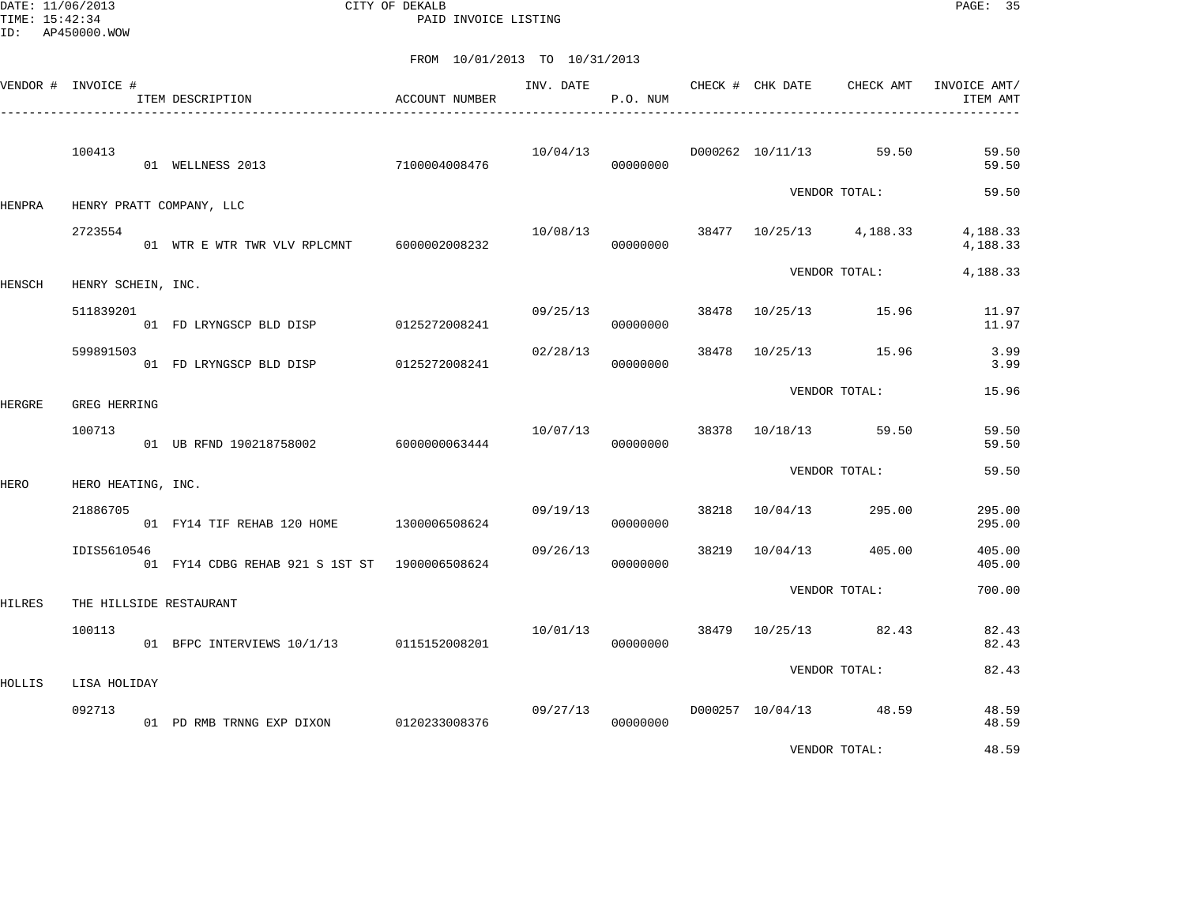DATE: 11/06/2013 CITY OF DEKALB PAGE: 35 PAID INVOICE LISTING

|        | VENDOR # INVOICE # | ITEM DESCRIPTION                              | <b>ACCOUNT NUMBER</b> | INV. DATE | P.O. NUM |       | CHECK # CHK DATE | CHECK AMT                                | INVOICE AMT/<br>ITEM AMT |
|--------|--------------------|-----------------------------------------------|-----------------------|-----------|----------|-------|------------------|------------------------------------------|--------------------------|
|        | 100413             | 01 WELLNESS 2013                              | 7100004008476         | 10/04/13  | 00000000 |       |                  | D000262 10/11/13 59.50                   | 59.50<br>59.50           |
| HENPRA |                    | HENRY PRATT COMPANY, LLC                      |                       |           |          |       |                  | VENDOR TOTAL:                            | 59.50                    |
|        | 2723554            | 01 WTR E WTR TWR VLV RPLCMNT 6000002008232    |                       |           | 00000000 |       |                  | $10/08/13$ $38477$ $10/25/13$ $4,188.33$ | 4,188.33<br>4,188.33     |
| HENSCH | HENRY SCHEIN, INC. |                                               |                       |           |          |       |                  | VENDOR TOTAL:                            | 4,188.33                 |
|        | 511839201          | 01 FD LRYNGSCP BLD DISP 0125272008241         |                       | 09/25/13  | 00000000 |       |                  | 38478 10/25/13 15.96                     | 11.97<br>11.97           |
|        | 599891503          | 01 FD LRYNGSCP BLD DISP                       | 0125272008241         | 02/28/13  | 00000000 | 38478 |                  | 10/25/13 15.96                           | 3.99<br>3.99             |
| HERGRE | GREG HERRING       |                                               |                       |           |          |       |                  | VENDOR TOTAL:                            | 15.96                    |
|        | 100713             | 01 UB RFND 190218758002                       | 6000000063444         | 10/07/13  | 00000000 |       |                  | 38378 10/18/13 59.50                     | 59.50<br>59.50           |
| HERO   | HERO HEATING, INC. |                                               |                       |           |          |       |                  | VENDOR TOTAL:                            | 59.50                    |
|        | 21886705           | 01 FY14 TIF REHAB 120 HOME 1300006508624      |                       | 09/19/13  | 00000000 |       | 38218 10/04/13   | 295.00                                   | 295.00<br>295.00         |
|        | IDIS5610546        | 01 FY14 CDBG REHAB 921 S 1ST ST 1900006508624 |                       | 09/26/13  | 00000000 | 38219 |                  | 10/04/13 405.00                          | 405.00<br>405.00         |
| HILRES |                    | THE HILLSIDE RESTAURANT                       |                       |           |          |       |                  | VENDOR TOTAL:                            | 700.00                   |
|        | 100113             | 01 BFPC INTERVIEWS 10/1/13 0115152008201      |                       | 10/01/13  | 00000000 |       |                  | 38479 10/25/13 82.43                     | 82.43<br>82.43           |
| HOLLIS | LISA HOLIDAY       |                                               |                       |           |          |       |                  | VENDOR TOTAL:                            | 82.43                    |
|        | 092713             | 01 PD RMB TRNNG EXP DIXON 0120233008376       |                       | 09/27/13  | 00000000 |       |                  | D000257 10/04/13 48.59                   | 48.59<br>48.59           |
|        |                    |                                               |                       |           |          |       |                  | VENDOR TOTAL:                            | 48.59                    |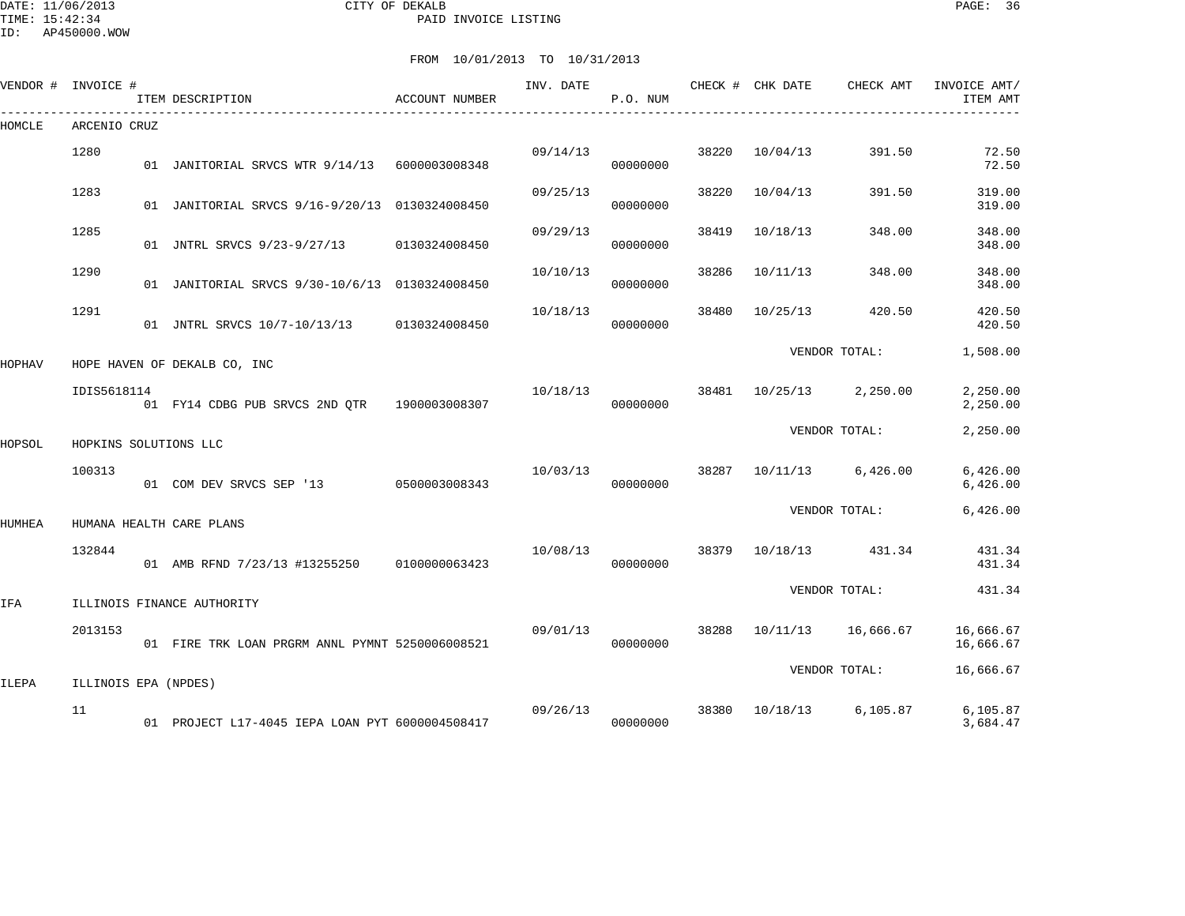|        | VENDOR # INVOICE #    | ITEM DESCRIPTION                                | ACCOUNT NUMBER | INV. DATE | P.O. NUM |       |          | CHECK # CHK DATE CHECK AMT | INVOICE AMT/<br>ITEM AMT |
|--------|-----------------------|-------------------------------------------------|----------------|-----------|----------|-------|----------|----------------------------|--------------------------|
| HOMCLE | ARCENIO CRUZ          |                                                 |                |           |          |       |          |                            |                          |
|        | 1280                  | 01 JANITORIAL SRVCS WTR 9/14/13 6000003008348   |                | 09/14/13  | 00000000 | 38220 | 10/04/13 | 391.50                     | 72.50<br>72.50           |
|        | 1283                  | 01 JANITORIAL SRVCS 9/16-9/20/13 0130324008450  |                | 09/25/13  | 00000000 | 38220 | 10/04/13 | 391.50                     | 319.00<br>319.00         |
|        | 1285                  | 01 JNTRL SRVCS 9/23-9/27/13 0130324008450       |                | 09/29/13  | 00000000 | 38419 | 10/18/13 | 348.00                     | 348.00<br>348.00         |
|        | 1290                  | 01 JANITORIAL SRVCS 9/30-10/6/13 0130324008450  |                | 10/10/13  | 00000000 | 38286 | 10/11/13 | 348.00                     | 348.00<br>348.00         |
|        | 1291                  | 01 JNTRL SRVCS 10/7-10/13/13 0130324008450      |                | 10/18/13  | 00000000 | 38480 | 10/25/13 | 420.50                     | 420.50<br>420.50         |
| HOPHAV |                       | HOPE HAVEN OF DEKALB CO, INC                    |                |           |          |       |          | VENDOR TOTAL:              | 1,508.00                 |
|        | IDIS5618114           | 01 FY14 CDBG PUB SRVCS 2ND QTR 1900003008307    |                | 10/18/13  | 00000000 | 38481 | 10/25/13 | 2,250.00                   | 2,250.00<br>2,250.00     |
| HOPSOL | HOPKINS SOLUTIONS LLC |                                                 |                |           |          |       |          | VENDOR TOTAL:              | 2,250.00                 |
|        | 100313                | 01 COM DEV SRVCS SEP '13 0500003008343          |                | 10/03/13  | 00000000 | 38287 | 10/11/13 | 6,426.00                   | 6,426.00<br>6,426.00     |
| HUMHEA |                       | HUMANA HEALTH CARE PLANS                        |                |           |          |       |          | VENDOR TOTAL:              | 6,426.00                 |
|        | 132844                | 01 AMB RFND 7/23/13 #13255250 0100000063423     |                | 10/08/13  | 00000000 | 38379 | 10/18/13 | 431.34                     | 431.34<br>431.34         |
|        |                       |                                                 |                |           |          |       |          | VENDOR TOTAL:              | 431.34                   |
| IFA    | 2013153               | ILLINOIS FINANCE AUTHORITY                      |                | 09/01/13  |          |       |          | 38288 10/11/13 16,666.67   | 16,666.67                |
|        |                       | 01 FIRE TRK LOAN PRGRM ANNL PYMNT 5250006008521 |                |           | 00000000 |       |          | VENDOR TOTAL:              | 16,666.67<br>16,666.67   |
| ILEPA  | ILLINOIS EPA (NPDES)  |                                                 |                |           |          |       |          |                            |                          |
|        | 11                    | 01 PROJECT L17-4045 IEPA LOAN PYT 6000004508417 |                | 09/26/13  | 00000000 | 38380 | 10/18/13 | 6,105.87                   | 6,105.87<br>3,684.47     |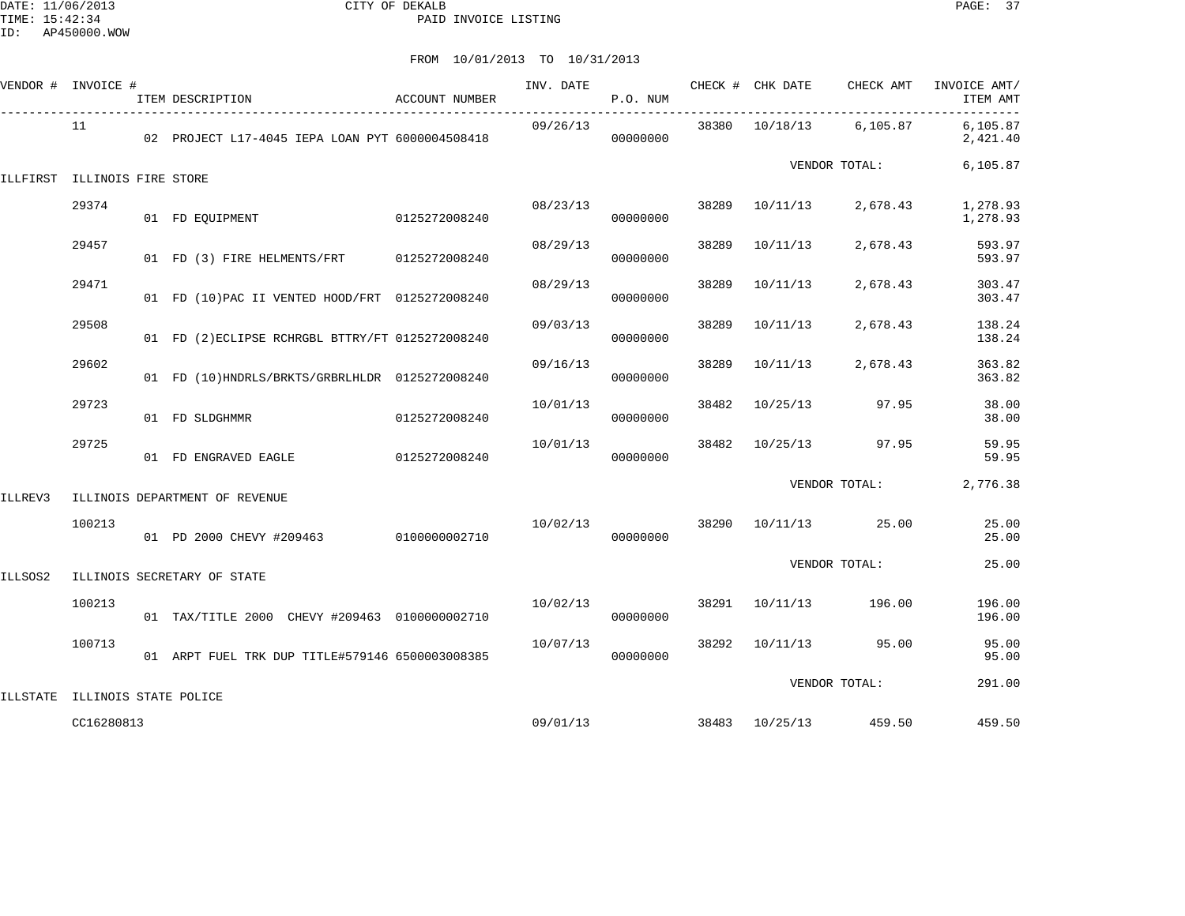|         | VENDOR # INVOICE #             | ITEM DESCRIPTION                                 | <b>ACCOUNT NUMBER</b> | INV. DATE | P.O. NUM |       | CHECK # CHK DATE | CHECK AMT     | INVOICE AMT/<br>ITEM AMT |
|---------|--------------------------------|--------------------------------------------------|-----------------------|-----------|----------|-------|------------------|---------------|--------------------------|
|         | 11                             | 02 PROJECT L17-4045 IEPA LOAN PYT 6000004508418  |                       | 09/26/13  | 00000000 |       | 38380 10/18/13   | 6,105.87      | 6,105.87<br>2,421.40     |
|         | ILLFIRST ILLINOIS FIRE STORE   |                                                  |                       |           |          |       |                  | VENDOR TOTAL: | 6,105.87                 |
|         | 29374                          | 01 FD EQUIPMENT                                  | 0125272008240         | 08/23/13  | 00000000 | 38289 | 10/11/13         | 2,678.43      | 1,278.93<br>1,278.93     |
|         | 29457                          | 01 FD (3) FIRE HELMENTS/FRT 0125272008240        |                       | 08/29/13  | 00000000 | 38289 | 10/11/13         | 2,678.43      | 593.97<br>593.97         |
|         | 29471                          | 01 FD (10) PAC II VENTED HOOD/FRT 0125272008240  |                       | 08/29/13  | 00000000 | 38289 | 10/11/13         | 2,678.43      | 303.47<br>303.47         |
|         | 29508                          | 01 FD (2) ECLIPSE RCHRGBL BTTRY/FT 0125272008240 |                       | 09/03/13  | 00000000 | 38289 | 10/11/13         | 2,678.43      | 138.24<br>138.24         |
|         | 29602                          | 01 FD (10)HNDRLS/BRKTS/GRBRLHLDR 0125272008240   |                       | 09/16/13  | 00000000 | 38289 | 10/11/13         | 2,678.43      | 363.82<br>363.82         |
|         | 29723                          | 01 FD SLDGHMMR                                   | 0125272008240         | 10/01/13  | 00000000 | 38482 | 10/25/13         | 97.95         | 38.00<br>38.00           |
|         | 29725                          | 01 FD ENGRAVED EAGLE                             | 0125272008240         | 10/01/13  | 00000000 | 38482 | 10/25/13         | 97.95         | 59.95<br>59.95           |
| ILLREV3 |                                | ILLINOIS DEPARTMENT OF REVENUE                   |                       |           |          |       |                  | VENDOR TOTAL: | 2,776.38                 |
|         | 100213                         | 01 PD 2000 CHEVY #209463 0100000002710           |                       | 10/02/13  | 00000000 |       | 38290 10/11/13   | 25.00         | 25.00<br>25.00           |
| ILLSOS2 |                                | ILLINOIS SECRETARY OF STATE                      |                       |           |          |       |                  | VENDOR TOTAL: | 25.00                    |
|         | 100213                         | 01 TAX/TITLE 2000 CHEVY #209463 0100000002710    |                       | 10/02/13  | 00000000 | 38291 | 10/11/13         | 196.00        | 196.00<br>196.00         |
|         | 100713                         | 01 ARPT FUEL TRK DUP TITLE#579146 6500003008385  |                       | 10/07/13  | 00000000 | 38292 | 10/11/13         | 95.00         | 95.00<br>95.00           |
|         | ILLSTATE ILLINOIS STATE POLICE |                                                  |                       |           |          |       |                  | VENDOR TOTAL: | 291.00                   |
|         | CC16280813                     |                                                  |                       | 09/01/13  |          |       | 38483 10/25/13   | 459.50        | 459.50                   |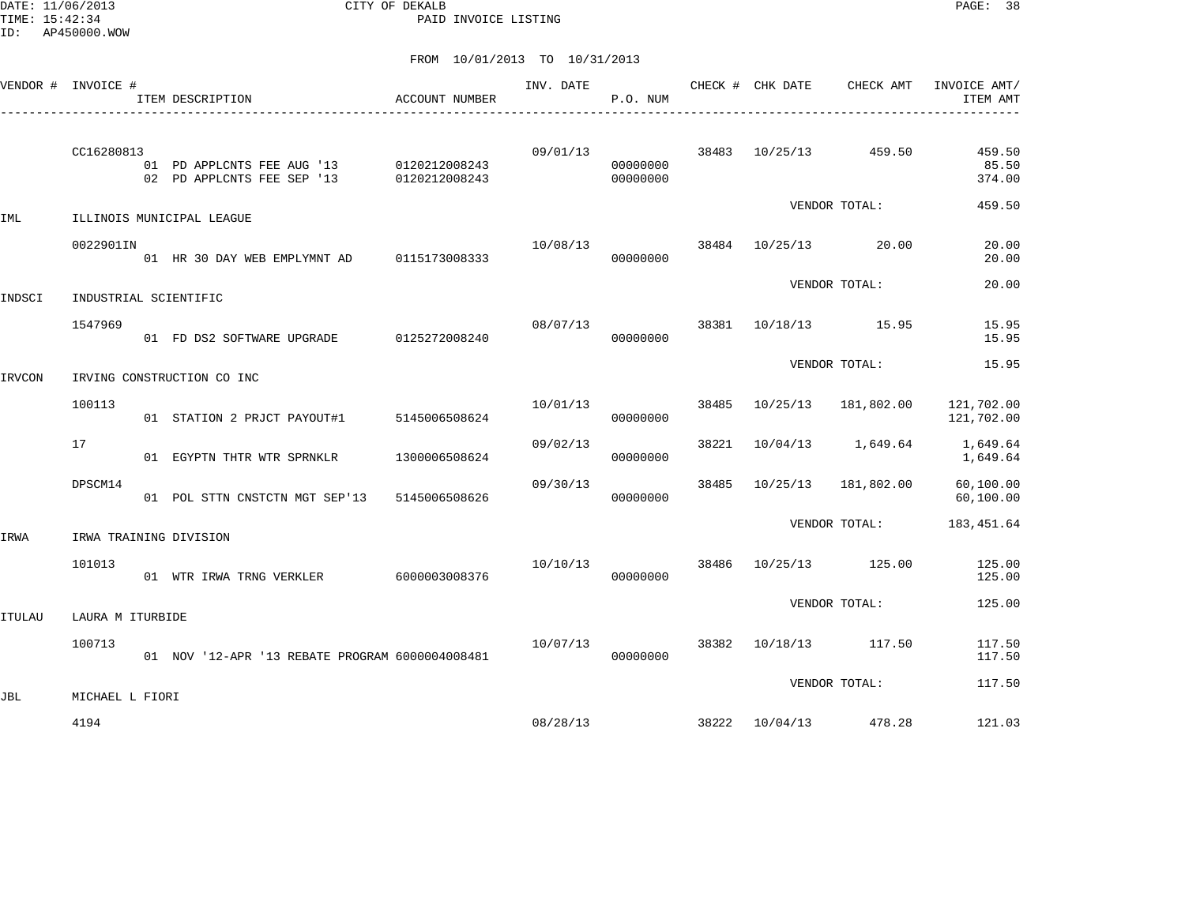DATE: 11/06/2013 CITY OF DEKALB PAGE: 38 PAID INVOICE LISTING

|        | VENDOR # INVOICE #    | ITEM DESCRIPTION                                                       | ACCOUNT NUMBER | INV. DATE | P.O. NUM             |       | CHECK # CHK DATE CHECK AMT INVOICE AMT/ | ITEM AMT                  |
|--------|-----------------------|------------------------------------------------------------------------|----------------|-----------|----------------------|-------|-----------------------------------------|---------------------------|
|        | CC16280813            | 01 PD APPLCNTS FEE AUG '13 0120212008243<br>02 PD APPLCNTS FEE SEP '13 | 0120212008243  |           | 00000000<br>00000000 |       | 09/01/13 38483 10/25/13 459.50          | 459.50<br>85.50<br>374.00 |
| IML    |                       | ILLINOIS MUNICIPAL LEAGUE                                              |                |           |                      |       | VENDOR TOTAL:                           | 459.50                    |
|        | 0022901IN             | 01 HR 30 DAY WEB EMPLYMNT AD 0115173008333                             |                | 10/08/13  | 00000000             |       | 38484 10/25/13 20.00                    | 20.00<br>20.00            |
| INDSCI | INDUSTRIAL SCIENTIFIC |                                                                        |                |           |                      |       | VENDOR TOTAL:                           | 20.00                     |
|        | 1547969               | 01 FD DS2 SOFTWARE UPGRADE 0125272008240                               |                | 08/07/13  | 00000000             | 38381 | 10/18/13 15.95                          | 15.95<br>15.95            |
| IRVCON |                       | IRVING CONSTRUCTION CO INC                                             |                |           |                      |       | VENDOR TOTAL:                           | 15.95                     |
|        | 100113                | 01 STATION 2 PRJCT PAYOUT#1 5145006508624                              |                | 10/01/13  | 00000000             | 38485 | 10/25/13  181,802.00                    | 121,702.00<br>121,702.00  |
|        | 17                    | 01 EGYPTN THTR WTR SPRNKLR                                             | 1300006508624  | 09/02/13  | 00000000             | 38221 | 10/04/13 1,649.64                       | 1,649.64<br>1,649.64      |
|        | DPSCM14               | 01 POL STTN CNSTCTN MGT SEP'13                                         | 5145006508626  | 09/30/13  | 00000000             | 38485 | 10/25/13  181,802.00                    | 60,100.00<br>60,100.00    |
| IRWA   |                       | IRWA TRAINING DIVISION                                                 |                |           |                      |       | VENDOR TOTAL:                           | 183, 451.64               |
|        | 101013                | 01 WTR IRWA TRNG VERKLER 6000003008376                                 |                | 10/10/13  | 00000000             |       | 38486 10/25/13 125.00                   | 125.00<br>125.00          |
| ITULAU | LAURA M ITURBIDE      |                                                                        |                |           |                      |       | VENDOR TOTAL:                           | 125.00                    |
|        | 100713                | 01 NOV '12-APR '13 REBATE PROGRAM 6000004008481                        |                | 10/07/13  | 00000000             |       | 38382 10/18/13 117.50                   | 117.50<br>117.50          |
| JBL    | MICHAEL L FIORI       |                                                                        |                |           |                      |       | VENDOR TOTAL:                           | 117.50                    |
|        | 4194                  |                                                                        |                | 08/28/13  |                      |       | 38222 10/04/13 478.28                   | 121.03                    |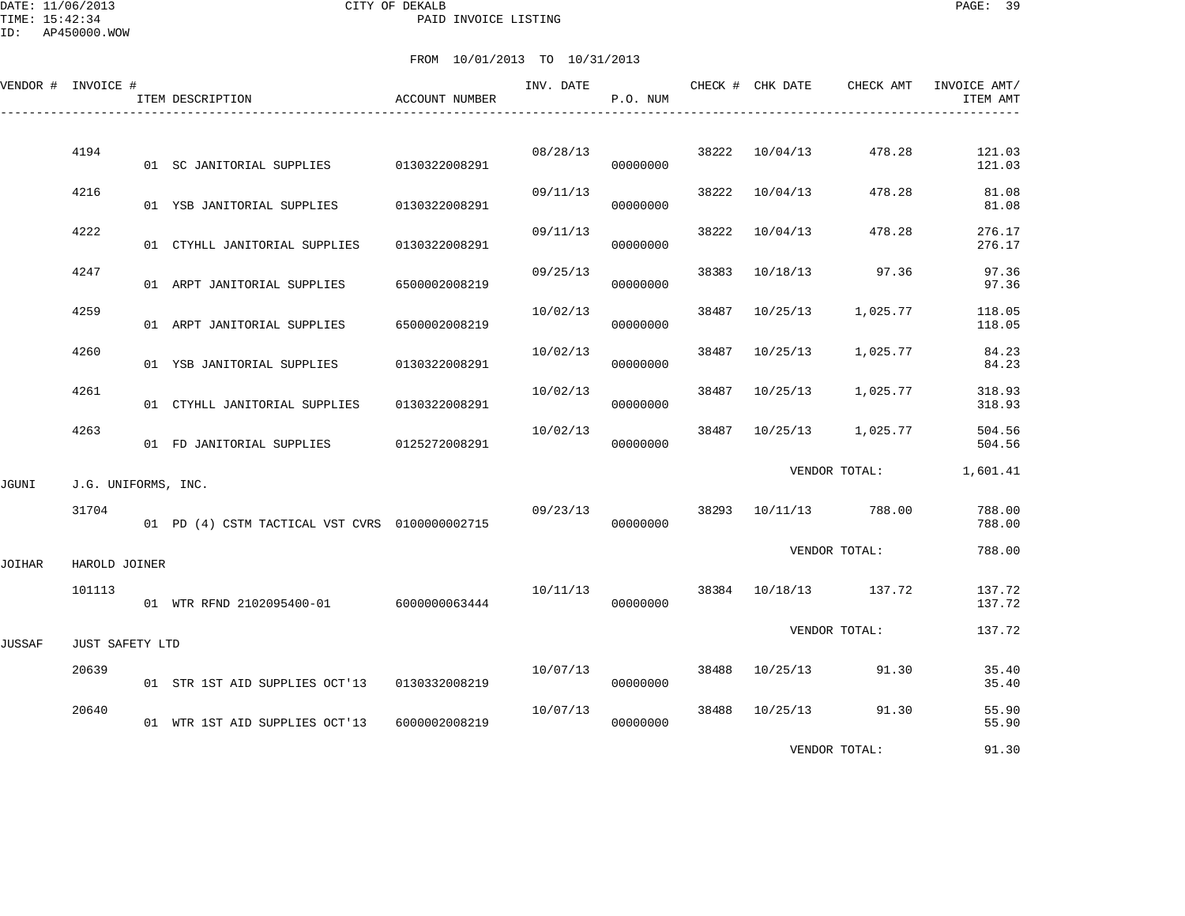|        | VENDOR # INVOICE #  | ITEM DESCRIPTION                               | ACCOUNT NUMBER | INV. DATE | P.O. NUM |       | CHECK # CHK DATE | CHECK AMT             | INVOICE AMT/<br>ITEM AMT |
|--------|---------------------|------------------------------------------------|----------------|-----------|----------|-------|------------------|-----------------------|--------------------------|
|        | 4194                |                                                |                | 08/28/13  |          |       | 38222 10/04/13   | 478.28                | 121.03                   |
|        | 4216                | 01 SC JANITORIAL SUPPLIES 0130322008291        |                | 09/11/13  | 00000000 | 38222 | 10/04/13         | 478.28                | 121.03<br>81.08          |
|        |                     | 01 YSB JANITORIAL SUPPLIES                     | 0130322008291  |           | 00000000 |       |                  |                       | 81.08                    |
|        | 4222                | 01 CTYHLL JANITORIAL SUPPLIES                  | 0130322008291  | 09/11/13  | 00000000 | 38222 | 10/04/13         | 478.28                | 276.17<br>276.17         |
|        | 4247                | 01 ARPT JANITORIAL SUPPLIES                    | 6500002008219  | 09/25/13  | 00000000 | 38383 | 10/18/13         | 97.36                 | 97.36<br>97.36           |
|        | 4259                | 01 ARPT JANITORIAL SUPPLIES                    | 6500002008219  | 10/02/13  | 00000000 | 38487 | 10/25/13         | 1,025.77              | 118.05<br>118.05         |
|        | 4260                | 01 YSB JANITORIAL SUPPLIES                     | 0130322008291  | 10/02/13  | 00000000 | 38487 | 10/25/13         | 1,025.77              | 84.23<br>84.23           |
|        | 4261                | 01 CTYHLL JANITORIAL SUPPLIES                  | 0130322008291  | 10/02/13  | 00000000 | 38487 | 10/25/13         | 1,025.77              | 318.93<br>318.93         |
|        | 4263                | 01 FD JANITORIAL SUPPLIES 0125272008291        |                | 10/02/13  | 00000000 |       | 38487 10/25/13   | 1,025.77              | 504.56<br>504.56         |
| JGUNI  | J.G. UNIFORMS, INC. |                                                |                |           |          |       |                  |                       | VENDOR TOTAL: 1,601.41   |
|        | 31704               | 01 PD (4) CSTM TACTICAL VST CVRS 0100000002715 |                | 09/23/13  | 00000000 |       |                  | 38293 10/11/13 788.00 | 788.00<br>788.00         |
| JOIHAR | HAROLD JOINER       |                                                |                |           |          |       |                  | VENDOR TOTAL:         | 788.00                   |
|        | 101113              | 01 WTR RFND 2102095400-01 6000000063444        |                | 10/11/13  | 00000000 |       |                  | 38384 10/18/13 137.72 | 137.72<br>137.72         |
| JUSSAF | JUST SAFETY LTD     |                                                |                |           |          |       |                  | VENDOR TOTAL:         | 137.72                   |
|        | 20639               | 01 STR 1ST AID SUPPLIES OCT'13 0130332008219   |                | 10/07/13  | 00000000 |       | 38488 10/25/13   | 91.30                 | 35.40<br>35.40           |
|        | 20640               | 01 WTR 1ST AID SUPPLIES OCT'13                 | 6000002008219  | 10/07/13  | 00000000 |       | 38488 10/25/13   | 91.30                 | 55.90<br>55.90           |
|        |                     |                                                |                |           |          |       |                  | VENDOR TOTAL:         | 91.30                    |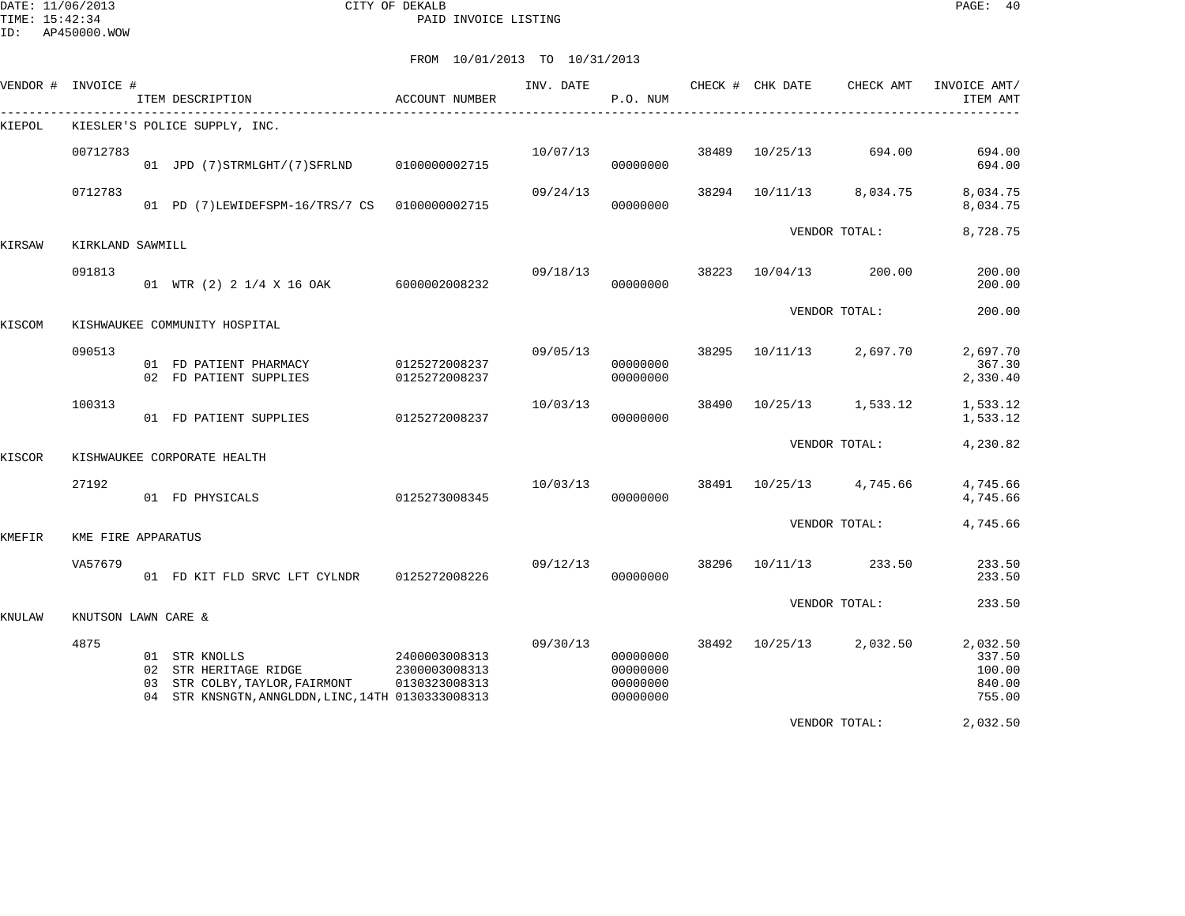DATE: 11/06/2013 CITY OF DEKALB PAGE: 40 PAID INVOICE LISTING

ID: AP450000.WOW

| VENDOR # | INVOICE #           |          | ITEM DESCRIPTION                                                                                                         | ACCOUNT NUMBER                                  | INV. DATE | P.O. NUM                                     |       | CHECK # CHK DATE<br>____________________________ | CHECK AMT     | INVOICE AMT/<br>ITEM AMT                         |
|----------|---------------------|----------|--------------------------------------------------------------------------------------------------------------------------|-------------------------------------------------|-----------|----------------------------------------------|-------|--------------------------------------------------|---------------|--------------------------------------------------|
| KIEPOL   |                     |          | KIESLER'S POLICE SUPPLY, INC.                                                                                            |                                                 |           |                                              |       |                                                  |               |                                                  |
|          | 00712783            |          | 01 JPD (7) STRMLGHT/(7) SFRLND                                                                                           | 0100000002715                                   | 10/07/13  | 00000000                                     | 38489 | 10/25/13                                         | 694.00        | 694.00<br>694.00                                 |
|          | 0712783             |          | 01 PD (7)LEWIDEFSPM-16/TRS/7 CS                                                                                          | 0100000002715                                   | 09/24/13  | 00000000                                     | 38294 | 10/11/13                                         | 8,034.75      | 8,034.75<br>8,034.75                             |
| KIRSAW   | KIRKLAND SAWMILL    |          |                                                                                                                          |                                                 |           |                                              |       |                                                  | VENDOR TOTAL: | 8,728.75                                         |
|          | 091813              |          | 01 WTR (2) 2 1/4 X 16 OAK                                                                                                | 6000002008232                                   | 09/18/13  | 00000000                                     | 38223 | 10/04/13                                         | 200.00        | 200.00<br>200.00                                 |
| KISCOM   |                     |          | KISHWAUKEE COMMUNITY HOSPITAL                                                                                            |                                                 |           |                                              |       |                                                  | VENDOR TOTAL: | 200.00                                           |
|          | 090513              |          | 01 FD PATIENT PHARMACY<br>02 FD PATIENT SUPPLIES                                                                         | 0125272008237<br>0125272008237                  | 09/05/13  | 00000000<br>00000000                         | 38295 | 10/11/13                                         | 2,697.70      | 2,697.70<br>367.30<br>2,330.40                   |
|          | 100313              |          | 01 FD PATIENT SUPPLIES                                                                                                   | 0125272008237                                   | 10/03/13  | 00000000                                     | 38490 | 10/25/13                                         | 1,533.12      | 1,533.12<br>1,533.12                             |
| KISCOR   |                     |          | KISHWAUKEE CORPORATE HEALTH                                                                                              |                                                 |           |                                              |       |                                                  | VENDOR TOTAL: | 4,230.82                                         |
|          | 27192               |          | 01 FD PHYSICALS                                                                                                          | 0125273008345                                   | 10/03/13  | 00000000                                     | 38491 | 10/25/13                                         | 4,745.66      | 4,745.66<br>4,745.66                             |
| KMEFIR   | KME FIRE APPARATUS  |          |                                                                                                                          |                                                 |           |                                              |       |                                                  | VENDOR TOTAL: | 4,745.66                                         |
|          | VA57679             |          | 01 FD KIT FLD SRVC LFT CYLNDR                                                                                            | 0125272008226                                   | 09/12/13  | 00000000                                     | 38296 | 10/11/13                                         | 233.50        | 233.50<br>233.50                                 |
| KNULAW   | KNUTSON LAWN CARE & |          |                                                                                                                          |                                                 |           |                                              |       |                                                  | VENDOR TOTAL: | 233.50                                           |
|          | 4875                | 02<br>03 | 01 STR KNOLLS<br>STR HERITAGE RIDGE<br>STR COLBY, TAYLOR, FAIRMONT<br>04 STR KNSNGTN, ANNGLDDN, LINC, 14TH 0130333008313 | 2400003008313<br>2300003008313<br>0130323008313 | 09/30/13  | 00000000<br>00000000<br>00000000<br>00000000 | 38492 | 10/25/13                                         | 2,032.50      | 2,032.50<br>337.50<br>100.00<br>840.00<br>755.00 |
|          |                     |          |                                                                                                                          |                                                 |           |                                              |       |                                                  | VENDOR TOTAL: | 2,032.50                                         |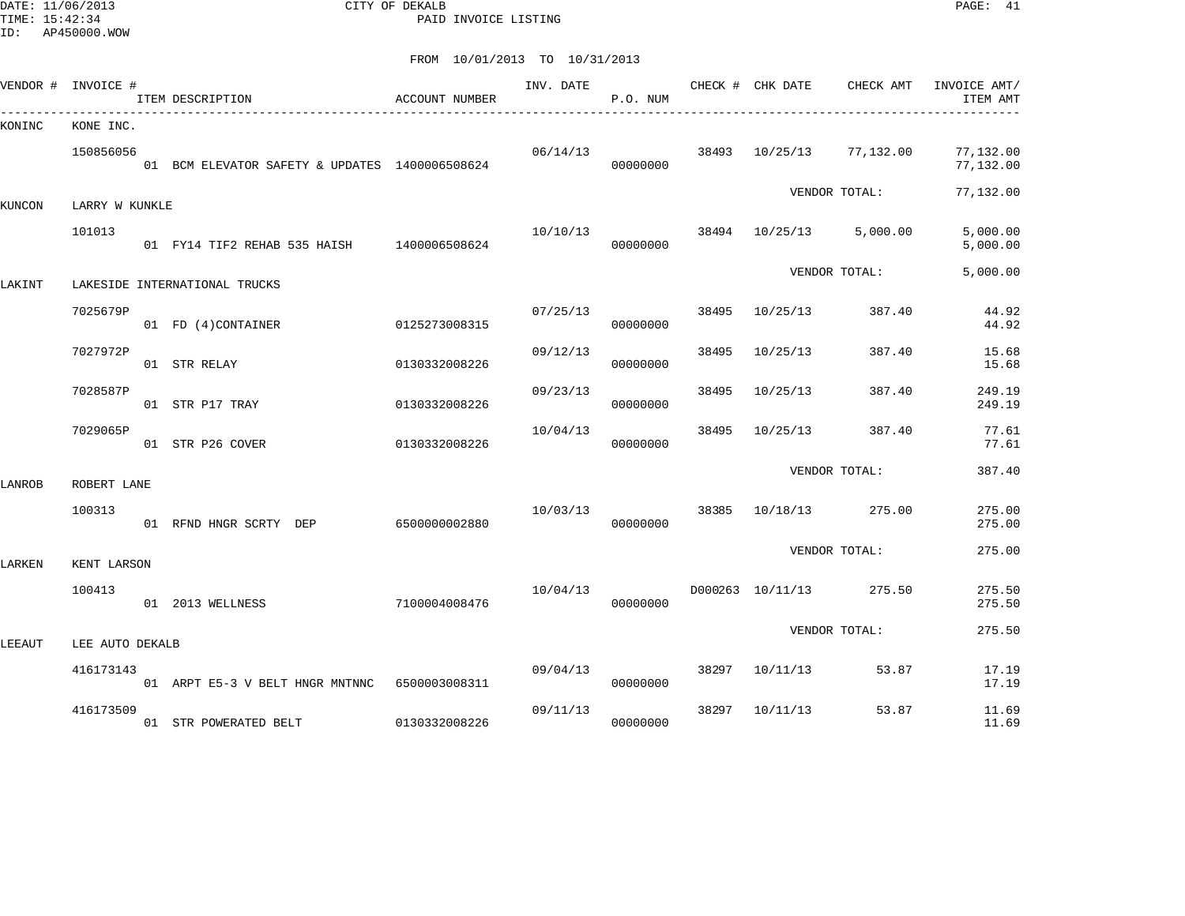DATE: 11/06/2013 CITY OF DEKALB PAGE: 41 PAID INVOICE LISTING

ID: AP450000.WOW

|        | VENDOR # INVOICE # | ITEM DESCRIPTION                               | ACCOUNT NUMBER | INV. DATE | P.O. NUM |       |                  | CHECK # CHK DATE CHECK AMT INVOICE AMT/ | ITEM AMT               |
|--------|--------------------|------------------------------------------------|----------------|-----------|----------|-------|------------------|-----------------------------------------|------------------------|
| KONINC | KONE INC.          |                                                |                |           |          |       |                  |                                         |                        |
|        | 150856056          | 01 BCM ELEVATOR SAFETY & UPDATES 1400006508624 |                | 06/14/13  | 00000000 | 38493 |                  | 10/25/13 77,132.00                      | 77,132.00<br>77,132.00 |
| KUNCON | LARRY W KUNKLE     |                                                |                |           |          |       |                  | VENDOR TOTAL:                           | 77,132.00              |
|        | 101013             | 01 FY14 TIF2 REHAB 535 HAISH 1400006508624     |                | 10/10/13  | 00000000 |       |                  | 38494 10/25/13 5,000.00                 | 5,000.00<br>5,000.00   |
| LAKINT |                    | LAKESIDE INTERNATIONAL TRUCKS                  |                |           |          |       |                  | VENDOR TOTAL:                           | 5,000.00               |
|        | 7025679P           | 01 FD (4)CONTAINER                             | 0125273008315  | 07/25/13  | 00000000 | 38495 | 10/25/13         | 387.40                                  | 44.92<br>44.92         |
|        | 7027972P           | 01 STR RELAY                                   | 0130332008226  | 09/12/13  | 00000000 | 38495 | 10/25/13         | 387.40                                  | 15.68<br>15.68         |
|        | 7028587P           | 01 STR P17 TRAY                                | 0130332008226  | 09/23/13  | 00000000 | 38495 | 10/25/13         | 387.40                                  | 249.19<br>249.19       |
|        | 7029065P           | 01 STR P26 COVER                               | 0130332008226  | 10/04/13  | 00000000 | 38495 | 10/25/13         | 387.40                                  | 77.61<br>77.61         |
| LANROB | ROBERT LANE        |                                                |                |           |          |       |                  | VENDOR TOTAL:                           | 387.40                 |
|        | 100313             | 01 RFND HNGR SCRTY DEP 6500000002880           |                | 10/03/13  | 00000000 | 38385 |                  | 10/18/13 275.00                         | 275.00<br>275.00       |
| LARKEN | KENT LARSON        |                                                |                |           |          |       |                  | VENDOR TOTAL:                           | 275.00                 |
|        | 100413             | 01 2013 WELLNESS                               | 7100004008476  | 10/04/13  | 00000000 |       | D000263 10/11/13 | 275.50                                  | 275.50<br>275.50       |
| LEEAUT | LEE AUTO DEKALB    |                                                |                |           |          |       |                  | VENDOR TOTAL:                           | 275.50                 |
|        | 416173143          | 01 ARPT E5-3 V BELT HNGR MNTNNC 6500003008311  |                | 09/04/13  | 00000000 | 38297 | 10/11/13         | 53.87                                   | 17.19<br>17.19         |
|        | 416173509          | 01 STR POWERATED BELT                          | 0130332008226  | 09/11/13  | 00000000 | 38297 | 10/11/13         | 53.87                                   | 11.69<br>11.69         |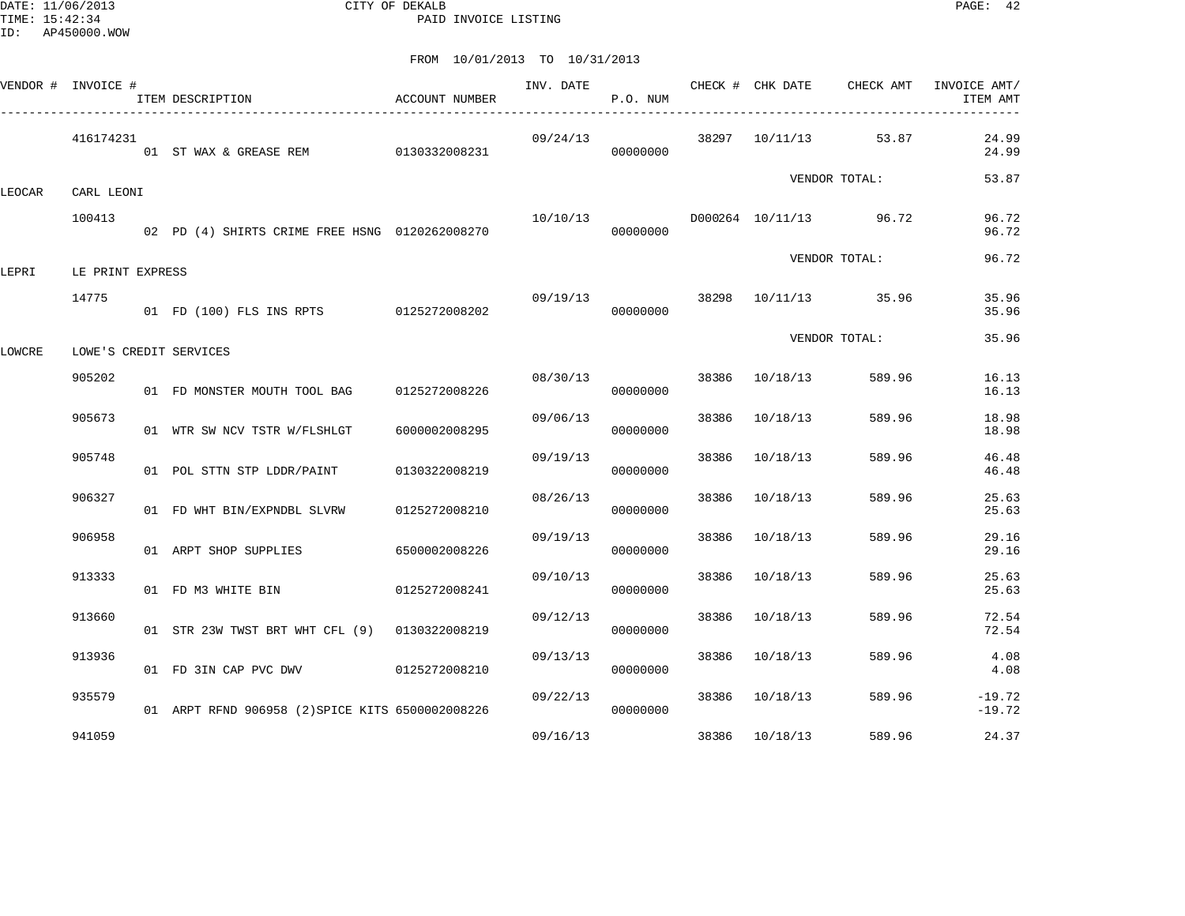DATE: 11/06/2013 CITY OF DEKALB PAGE: 42 PAID INVOICE LISTING

|        | VENDOR # INVOICE # | ITEM DESCRIPTION                                 | <b>ACCOUNT NUMBER</b> | INV. DATE | P.O. NUM |       | CHECK # CHK DATE | CHECK AMT              | INVOICE AMT/<br>ITEM AMT |
|--------|--------------------|--------------------------------------------------|-----------------------|-----------|----------|-------|------------------|------------------------|--------------------------|
|        | 416174231          | 01 ST WAX & GREASE REM 0130332008231             |                       | 09/24/13  | 00000000 |       | 38297 10/11/13   | 53.87                  | 24.99<br>24.99           |
| LEOCAR | CARL LEONI         |                                                  |                       |           |          |       |                  | VENDOR TOTAL:          | 53.87                    |
|        | 100413             | 02 PD (4) SHIRTS CRIME FREE HSNG 0120262008270   |                       | 10/10/13  | 00000000 |       |                  | D000264 10/11/13 96.72 | 96.72<br>96.72           |
| LEPRI  | LE PRINT EXPRESS   |                                                  |                       |           |          |       |                  | VENDOR TOTAL:          | 96.72                    |
|        | 14775              | 01 FD (100) FLS INS RPTS 0125272008202           |                       | 09/19/13  | 00000000 |       |                  | 38298 10/11/13 35.96   | 35.96<br>35.96           |
| LOWCRE |                    | LOWE'S CREDIT SERVICES                           |                       |           |          |       |                  | VENDOR TOTAL:          | 35.96                    |
|        | 905202             | 01 FD MONSTER MOUTH TOOL BAG 0125272008226       |                       | 08/30/13  | 00000000 | 38386 | 10/18/13         | 589.96                 | 16.13<br>16.13           |
|        | 905673             | 01 WTR SW NCV TSTR W/FLSHLGT                     | 6000002008295         | 09/06/13  | 00000000 | 38386 | 10/18/13         | 589.96                 | 18.98<br>18.98           |
|        | 905748             | 01 POL STTN STP LDDR/PAINT                       | 0130322008219         | 09/19/13  | 00000000 | 38386 | 10/18/13         | 589.96                 | 46.48<br>46.48           |
|        | 906327             | 01 FD WHT BIN/EXPNDBL SLVRW                      | 0125272008210         | 08/26/13  | 00000000 | 38386 | 10/18/13         | 589.96                 | 25.63<br>25.63           |
|        | 906958             | 01 ARPT SHOP SUPPLIES                            | 6500002008226         | 09/19/13  | 00000000 | 38386 | 10/18/13         | 589.96                 | 29.16<br>29.16           |
|        | 913333             | 01 FD M3 WHITE BIN                               | 0125272008241         | 09/10/13  | 00000000 | 38386 | 10/18/13         | 589.96                 | 25.63<br>25.63           |
|        | 913660             | 01 STR 23W TWST BRT WHT CFL (9) 0130322008219    |                       | 09/12/13  | 00000000 | 38386 | 10/18/13         | 589.96                 | 72.54<br>72.54           |
|        | 913936             | 01 FD 3IN CAP PVC DWV 0125272008210              |                       | 09/13/13  | 00000000 | 38386 | 10/18/13         | 589.96                 | 4.08<br>4.08             |
|        | 935579             | 01 ARPT RFND 906958 (2) SPICE KITS 6500002008226 |                       | 09/22/13  | 00000000 | 38386 | 10/18/13         | 589.96                 | $-19.72$<br>$-19.72$     |
|        | 941059             |                                                  |                       | 09/16/13  |          |       | 38386 10/18/13   | 589.96                 | 24.37                    |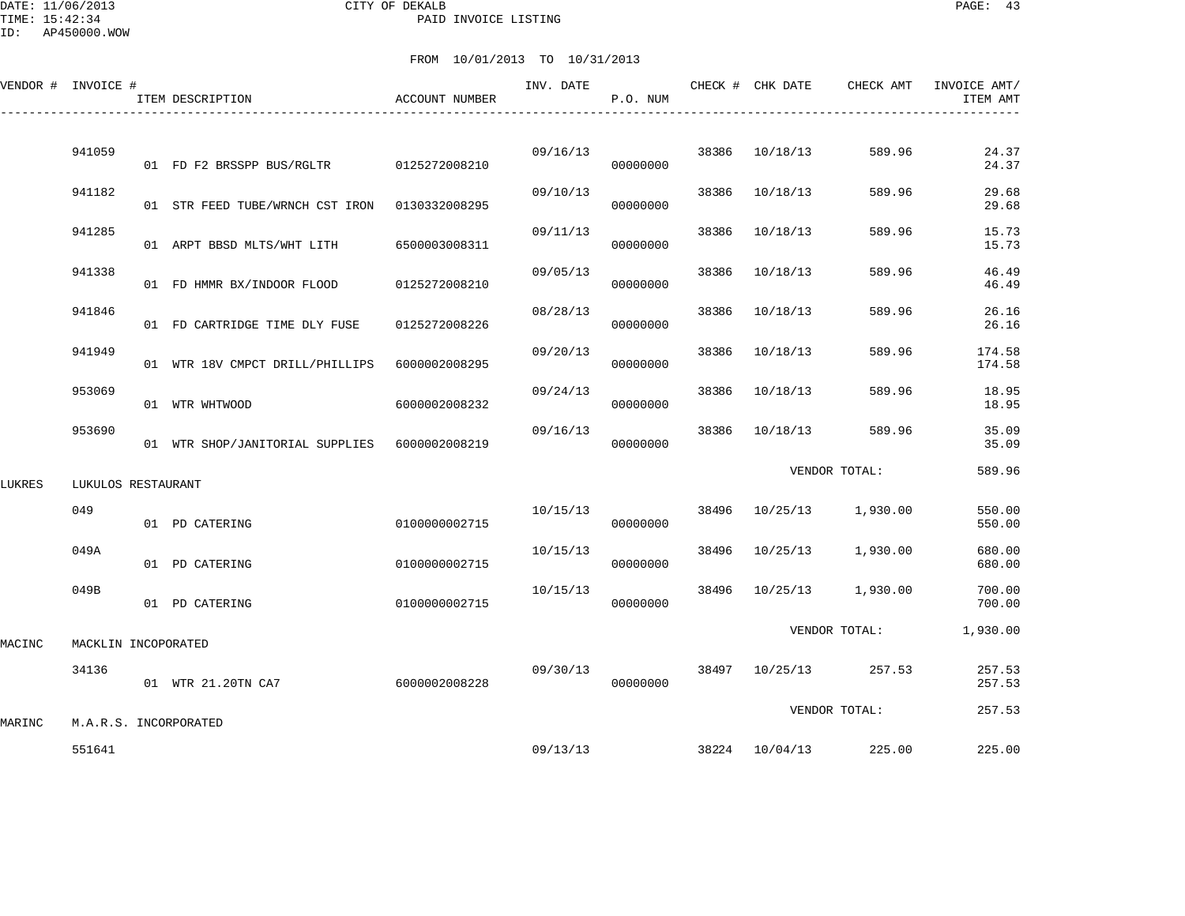#### DATE: 11/06/2013 CITY OF DEKALB PAGE: 43 PAID INVOICE LISTING

|        | VENDOR # INVOICE #    | ITEM DESCRIPTION                        | ACCOUNT NUMBER | INV. DATE | P.O. NUM |       | CHECK # CHK DATE | CHECK AMT     | INVOICE AMT/<br>ITEM AMT |
|--------|-----------------------|-----------------------------------------|----------------|-----------|----------|-------|------------------|---------------|--------------------------|
|        | 941059                | 01 FD F2 BRSSPP BUS/RGLTR 0125272008210 |                | 09/16/13  | 00000000 | 38386 | 10/18/13         | 589.96        | 24.37<br>24.37           |
|        | 941182                | 01 STR FEED TUBE/WRNCH CST IRON         | 0130332008295  | 09/10/13  | 00000000 | 38386 | 10/18/13         | 589.96        | 29.68<br>29.68           |
|        | 941285                | 01 ARPT BBSD MLTS/WHT LITH              | 6500003008311  | 09/11/13  | 00000000 | 38386 | 10/18/13         | 589.96        | 15.73<br>15.73           |
|        | 941338                | 01 FD HMMR BX/INDOOR FLOOD              | 0125272008210  | 09/05/13  | 00000000 | 38386 | 10/18/13         | 589.96        | 46.49<br>46.49           |
|        | 941846                | 01 FD CARTRIDGE TIME DLY FUSE           | 0125272008226  | 08/28/13  | 00000000 | 38386 | 10/18/13         | 589.96        | 26.16<br>26.16           |
|        | 941949                | 01 WTR 18V CMPCT DRILL/PHILLIPS         | 6000002008295  | 09/20/13  | 00000000 | 38386 | 10/18/13         | 589.96        | 174.58<br>174.58         |
|        | 953069                | 01 WTR WHTWOOD                          | 6000002008232  | 09/24/13  | 00000000 | 38386 | 10/18/13         | 589.96        | 18.95<br>18.95           |
|        | 953690                | 01 WTR SHOP/JANITORIAL SUPPLIES         | 6000002008219  | 09/16/13  | 00000000 | 38386 | 10/18/13         | 589.96        | 35.09<br>35.09           |
| LUKRES | LUKULOS RESTAURANT    |                                         |                |           |          |       |                  | VENDOR TOTAL: | 589.96                   |
|        | 049                   | 01 PD CATERING                          | 0100000002715  | 10/15/13  | 00000000 | 38496 | 10/25/13         | 1,930.00      | 550.00<br>550.00         |
|        | 049A                  | 01 PD CATERING                          | 0100000002715  | 10/15/13  | 00000000 | 38496 | 10/25/13         | 1,930.00      | 680.00<br>680.00         |
|        | 049B                  | 01 PD CATERING                          | 0100000002715  | 10/15/13  | 00000000 | 38496 | 10/25/13         | 1,930.00      | 700.00<br>700.00         |
| MACINC | MACKLIN INCOPORATED   |                                         |                |           |          |       |                  | VENDOR TOTAL: | 1,930.00                 |
|        | 34136                 | 01 WTR 21.20TN CA7                      | 6000002008228  | 09/30/13  | 00000000 | 38497 | 10/25/13         | 257.53        | 257.53<br>257.53         |
| MARINC | M.A.R.S. INCORPORATED |                                         |                |           |          |       |                  | VENDOR TOTAL: | 257.53                   |
|        | 551641                |                                         |                | 09/13/13  |          |       | 38224 10/04/13   | 225.00        | 225.00                   |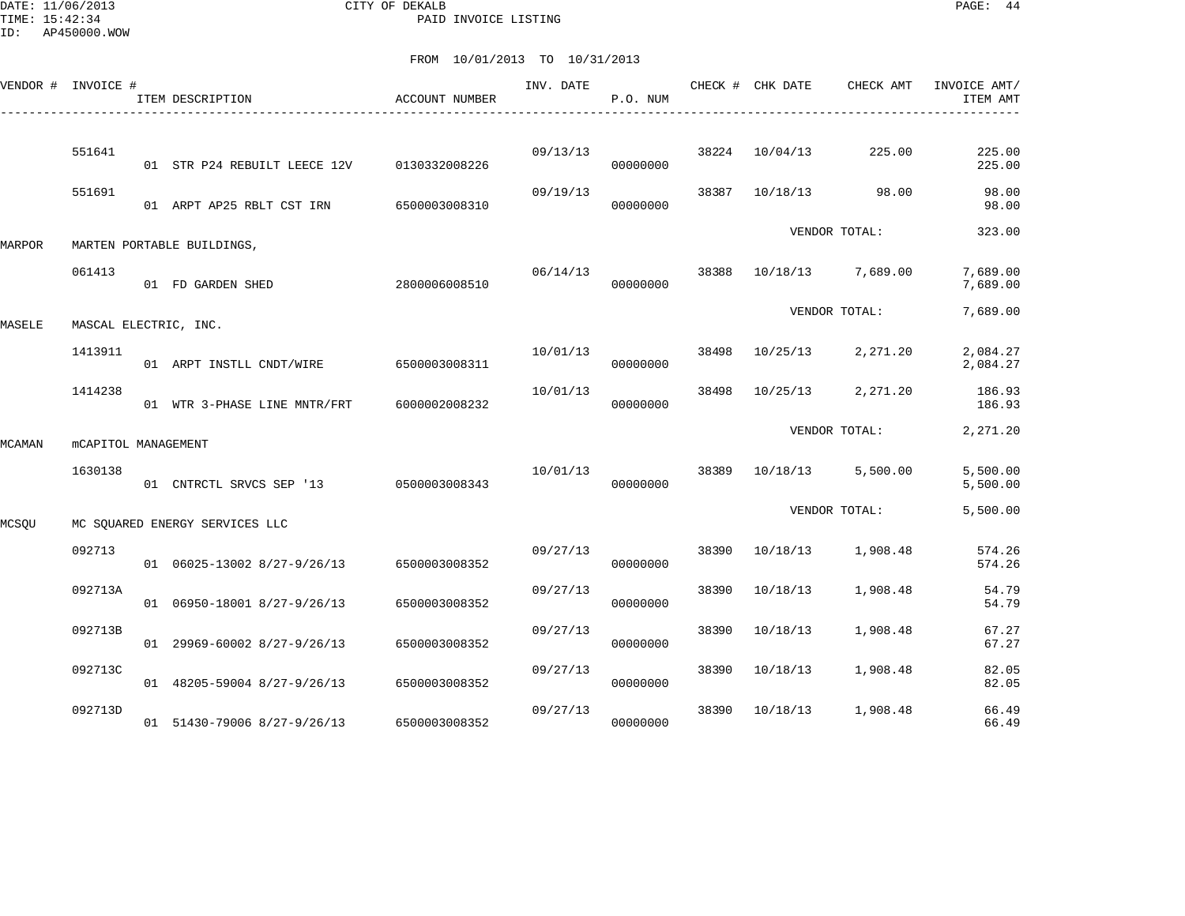DATE: 11/06/2013 CITY OF DEKALB PAGE: 44 PAID INVOICE LISTING

ID: AP450000.WOW

| VENDOR # | INVOICE #             | ITEM DESCRIPTION               | <b>ACCOUNT NUMBER</b> | INV. DATE | P.O. NUM |       | CHECK # CHK DATE | CHECK AMT     | INVOICE AMT/<br>ITEM AMT |
|----------|-----------------------|--------------------------------|-----------------------|-----------|----------|-------|------------------|---------------|--------------------------|
|          | 551641                |                                |                       | 09/13/13  |          | 38224 | 10/04/13         | 225.00        | 225.00                   |
|          | 551691                | 01 STR P24 REBUILT LEECE 12V   | 0130332008226         | 09/19/13  | 00000000 | 38387 | 10/18/13         | 98.00         | 225.00<br>98.00          |
|          |                       | 01 ARPT AP25 RBLT CST IRN      | 6500003008310         |           | 00000000 |       |                  | VENDOR TOTAL: | 98.00<br>323.00          |
| MARPOR   |                       | MARTEN PORTABLE BUILDINGS,     |                       |           |          |       |                  |               |                          |
|          | 061413                | 01 FD GARDEN SHED              | 2800006008510         | 06/14/13  | 00000000 | 38388 | 10/18/13         | 7,689.00      | 7,689.00<br>7,689.00     |
| MASELE   | MASCAL ELECTRIC, INC. |                                |                       |           |          |       |                  | VENDOR TOTAL: | 7,689.00                 |
|          | 1413911               | 01 ARPT INSTLL CNDT/WIRE       | 6500003008311         | 10/01/13  | 00000000 | 38498 | 10/25/13         | 2,271.20      | 2,084.27<br>2,084.27     |
|          | 1414238               | 01 WTR 3-PHASE LINE MNTR/FRT   | 6000002008232         | 10/01/13  | 00000000 | 38498 | 10/25/13         | 2,271.20      | 186.93<br>186.93         |
| MCAMAN   | mCAPITOL MANAGEMENT   |                                |                       |           |          |       |                  | VENDOR TOTAL: | 2,271.20                 |
|          | 1630138               | 01 CNTRCTL SRVCS SEP '13       | 0500003008343         | 10/01/13  | 00000000 | 38389 | 10/18/13         | 5,500.00      | 5,500.00<br>5,500.00     |
| MCSOU    |                       | MC SOUARED ENERGY SERVICES LLC |                       |           |          |       |                  | VENDOR TOTAL: | 5,500.00                 |
|          | 092713                | 01 06025-13002 8/27-9/26/13    | 6500003008352         | 09/27/13  | 00000000 | 38390 | 10/18/13         | 1,908.48      | 574.26<br>574.26         |
|          | 092713A               | 01 06950-18001 8/27-9/26/13    | 6500003008352         | 09/27/13  | 00000000 | 38390 | 10/18/13         | 1,908.48      | 54.79<br>54.79           |
|          | 092713B               | $01$ 29969-60002 8/27-9/26/13  | 6500003008352         | 09/27/13  | 00000000 | 38390 | 10/18/13         | 1,908.48      | 67.27<br>67.27           |
|          | 092713C               | 01 48205-59004 8/27-9/26/13    | 6500003008352         | 09/27/13  | 00000000 | 38390 | 10/18/13         | 1,908.48      | 82.05<br>82.05           |
|          | 092713D               | 01 51430-79006 8/27-9/26/13    | 6500003008352         | 09/27/13  | 00000000 | 38390 | 10/18/13         | 1,908.48      | 66.49<br>66.49           |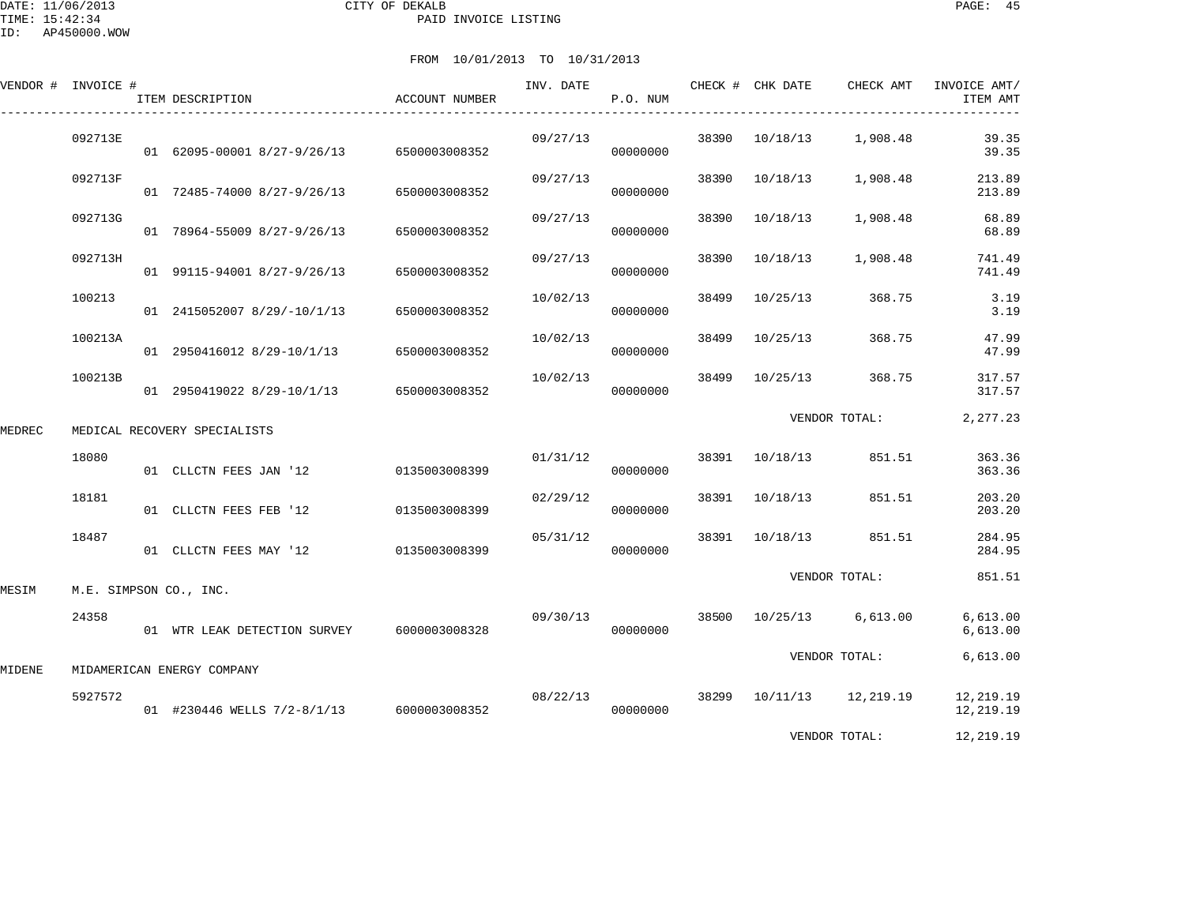DATE: 11/06/2013 CITY OF DEKALB PAGE: 45 PAID INVOICE LISTING

|        | VENDOR # INVOICE # | ITEM DESCRIPTION                          | ACCOUNT NUMBER | INV. DATE | P.O. NUM |       | CHECK # CHK DATE | CHECK AMT          | INVOICE AMT/<br>ITEM AMT |
|--------|--------------------|-------------------------------------------|----------------|-----------|----------|-------|------------------|--------------------|--------------------------|
|        | 092713E            | 01 62095-00001 8/27-9/26/13 6500003008352 |                | 09/27/13  | 00000000 | 38390 | 10/18/13         | 1,908.48           | 39.35<br>39.35           |
|        | 092713F            | 01 72485-74000 8/27-9/26/13               | 6500003008352  | 09/27/13  | 00000000 | 38390 | 10/18/13         | 1,908.48           | 213.89<br>213.89         |
|        | 092713G            | 01 78964-55009 8/27-9/26/13               | 6500003008352  | 09/27/13  | 00000000 | 38390 | 10/18/13         | 1,908.48           | 68.89<br>68.89           |
|        | 092713H            | 01 99115-94001 8/27-9/26/13               | 6500003008352  | 09/27/13  | 00000000 | 38390 | 10/18/13         | 1,908.48           | 741.49<br>741.49         |
|        | 100213             | 01 2415052007 8/29/-10/1/13               | 6500003008352  | 10/02/13  | 00000000 | 38499 | 10/25/13         | 368.75             | 3.19<br>3.19             |
|        | 100213A            | 01 2950416012 8/29-10/1/13 6500003008352  |                | 10/02/13  | 00000000 | 38499 | 10/25/13         | 368.75             | 47.99<br>47.99           |
|        | 100213B            | 01 2950419022 8/29-10/1/13 6500003008352  |                | 10/02/13  | 00000000 | 38499 | 10/25/13         | 368.75             | 317.57<br>317.57         |
| MEDREC |                    | MEDICAL RECOVERY SPECIALISTS              |                |           |          |       |                  | VENDOR TOTAL:      | 2,277.23                 |
|        | 18080              | 01 CLLCTN FEES JAN '12                    | 0135003008399  | 01/31/12  | 00000000 | 38391 | 10/18/13         | 851.51             | 363.36<br>363.36         |
|        | 18181              | 01 CLLCTN FEES FEB '12                    | 0135003008399  | 02/29/12  | 00000000 |       | 38391 10/18/13   | 851.51             | 203.20<br>203.20         |
|        | 18487              | 01 CLLCTN FEES MAY '12                    | 0135003008399  | 05/31/12  | 00000000 |       | 38391 10/18/13   | 851.51             | 284.95<br>284.95         |
| MESIM  |                    | M.E. SIMPSON CO., INC.                    |                |           |          |       |                  | VENDOR TOTAL:      | 851.51                   |
|        | 24358              | 01 WTR LEAK DETECTION SURVEY              | 6000003008328  | 09/30/13  | 00000000 | 38500 | 10/25/13         | 6,613.00           | 6,613.00<br>6,613.00     |
| MIDENE |                    | MIDAMERICAN ENERGY COMPANY                |                |           |          |       |                  | VENDOR TOTAL:      | 6,613.00                 |
|        | 5927572            | 01 #230446 WELLS 7/2-8/1/13 6000003008352 |                | 08/22/13  | 00000000 | 38299 |                  | 10/11/13 12,219.19 | 12,219.19<br>12,219.19   |
|        |                    |                                           |                |           |          |       |                  | VENDOR TOTAL:      | 12,219.19                |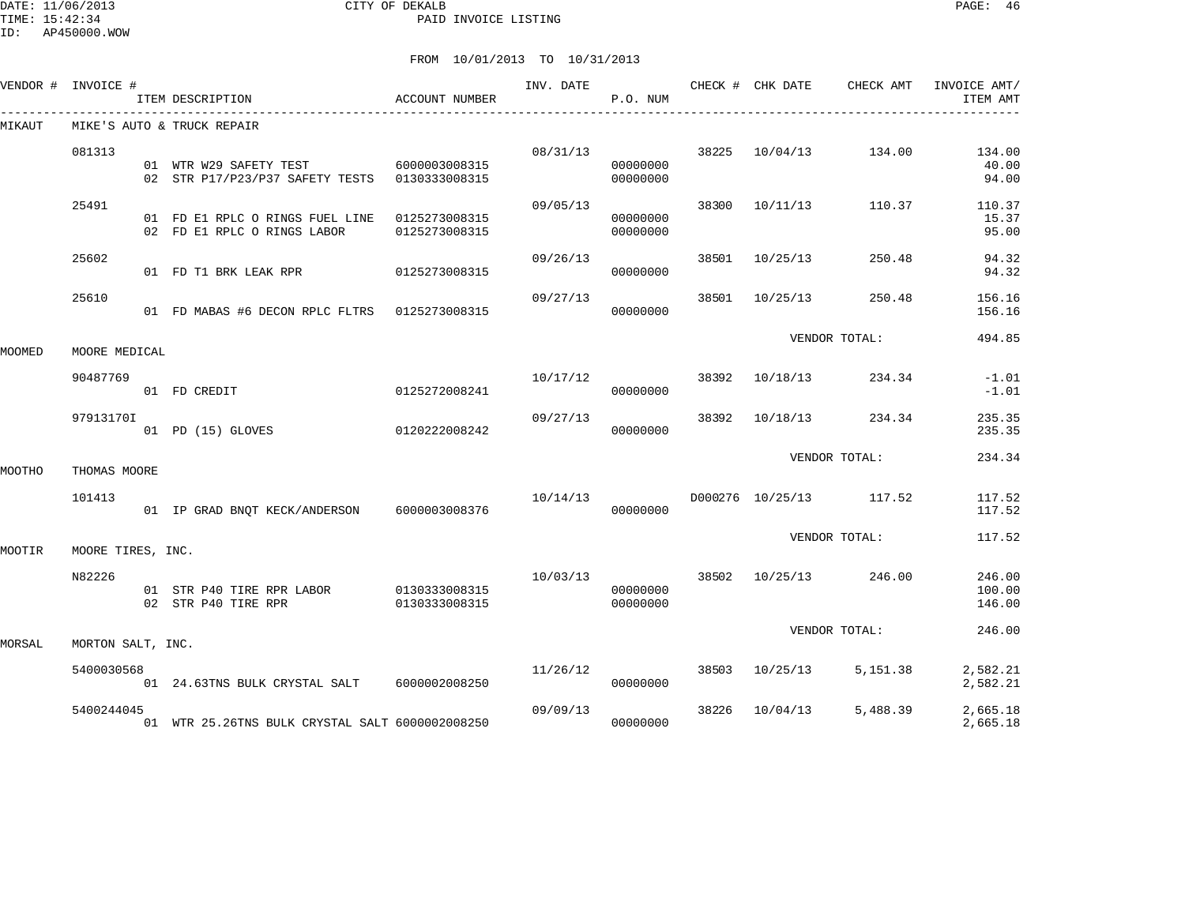|        | VENDOR # INVOICE # | ITEM DESCRIPTION                                                             | ACCOUNT NUMBER | INV. DATE | P.O. NUM             |       |                | CHECK # CHK DATE CHECK AMT | INVOICE AMT/<br>ITEM AMT   |
|--------|--------------------|------------------------------------------------------------------------------|----------------|-----------|----------------------|-------|----------------|----------------------------|----------------------------|
| MIKAUT |                    | MIKE'S AUTO & TRUCK REPAIR                                                   |                |           |                      |       |                |                            |                            |
|        | 081313             | 01 WTR W29 SAFETY TEST<br>02 STR P17/P23/P37 SAFETY TESTS 0130333008315      | 6000003008315  | 08/31/13  | 00000000<br>00000000 |       | 38225 10/04/13 | 134.00                     | 134.00<br>40.00<br>94.00   |
|        | 25491              | 01 FD E1 RPLC O RINGS FUEL LINE 0125273008315<br>02 FD E1 RPLC O RINGS LABOR | 0125273008315  | 09/05/13  | 00000000<br>00000000 | 38300 | 10/11/13       | 110.37                     | 110.37<br>15.37<br>95.00   |
|        | 25602              | 01 FD T1 BRK LEAK RPR                                                        | 0125273008315  | 09/26/13  | 00000000             | 38501 | 10/25/13       | 250.48                     | 94.32<br>94.32             |
|        | 25610              | 01 FD MABAS #6 DECON RPLC FLTRS 0125273008315                                |                | 09/27/13  | 00000000             | 38501 | 10/25/13       | 250.48                     | 156.16<br>156.16           |
| MOOMED | MOORE MEDICAL      |                                                                              |                |           |                      |       |                | VENDOR TOTAL:              | 494.85                     |
|        | 90487769           | 01 FD CREDIT                                                                 | 0125272008241  |           | 10/17/12<br>00000000 | 38392 | 10/18/13       | 234.34                     | $-1.01$<br>$-1.01$         |
|        | 97913170I          | 01 PD (15) GLOVES                                                            | 0120222008242  | 09/27/13  | 00000000             | 38392 | 10/18/13       | 234.34                     | 235.35<br>235.35           |
| MOOTHO | THOMAS MOORE       |                                                                              |                |           |                      |       |                | VENDOR TOTAL:              | 234.34                     |
|        | 101413             | 01 IP GRAD BNOT KECK/ANDERSON 6000003008376                                  |                |           | 10/14/13<br>00000000 |       |                | D000276 10/25/13 117.52    | 117.52<br>117.52           |
| MOOTIR | MOORE TIRES, INC.  |                                                                              |                |           |                      |       |                | VENDOR TOTAL:              | 117.52                     |
|        | N82226             | 02 STR P40 TIRE RPR                                                          | 0130333008315  | 10/03/13  | 00000000<br>00000000 |       |                | 38502 10/25/13 246.00      | 246.00<br>100.00<br>146.00 |
| MORSAL | MORTON SALT, INC.  |                                                                              |                |           |                      |       |                | VENDOR TOTAL:              | 246.00                     |
|        | 5400030568         | 01 24.63TNS BULK CRYSTAL SALT                                                | 6000002008250  | 11/26/12  | 00000000             | 38503 | 10/25/13       | 5,151.38                   | 2,582.21<br>2,582.21       |
|        | 5400244045         | 01 WTR 25.26TNS BULK CRYSTAL SALT 6000002008250                              |                | 09/09/13  | 00000000             | 38226 | 10/04/13       | 5,488.39                   | 2,665.18<br>2,665.18       |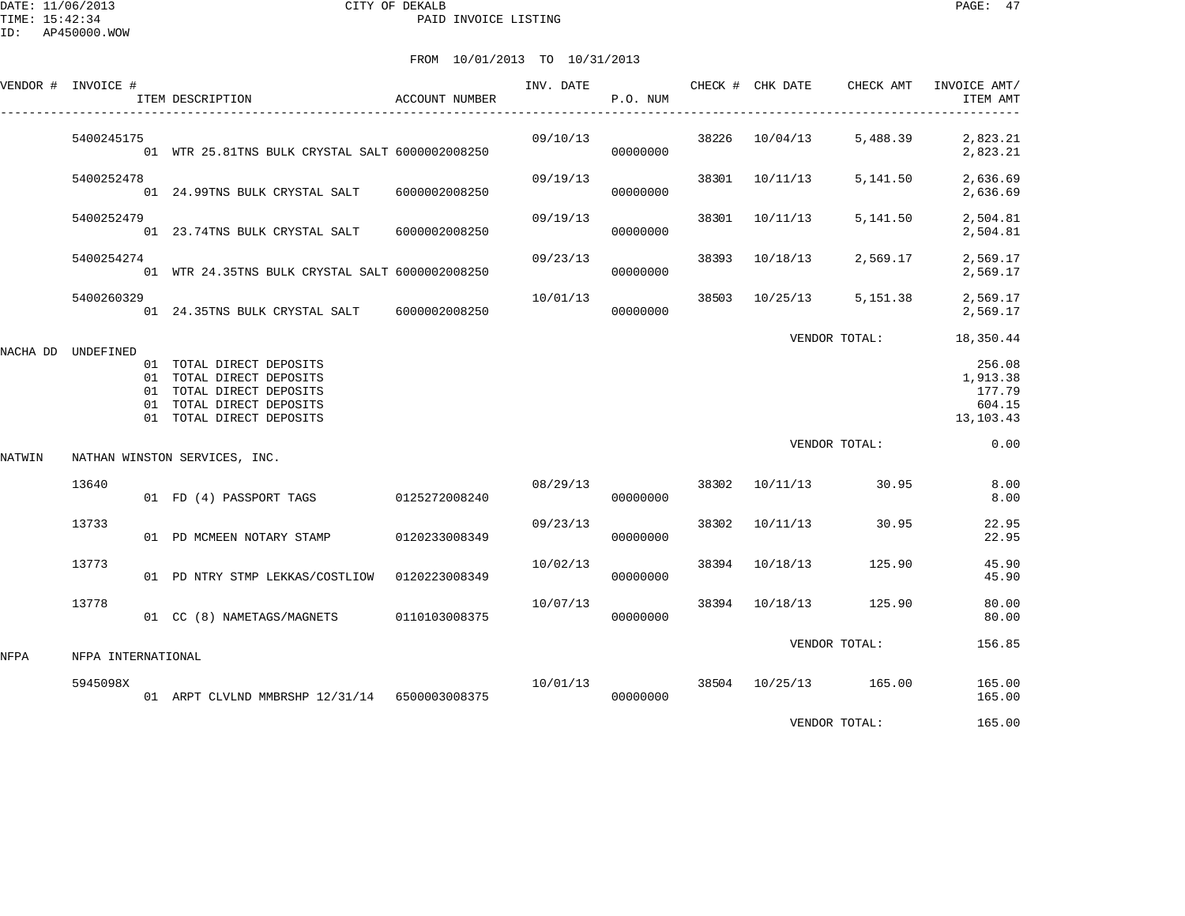# FROM 10/01/2013 TO 10/31/2013

|        | VENDOR # INVOICE # | ITEM DESCRIPTION                                                                                                                         | ACCOUNT NUMBER |                                    | P.O. NUM |       | INV. DATE <b>CHECK # CHK DATE</b> CHECK AMT |               | INVOICE AMT/<br>ITEM AMT<br>--------------          |
|--------|--------------------|------------------------------------------------------------------------------------------------------------------------------------------|----------------|------------------------------------|----------|-------|---------------------------------------------|---------------|-----------------------------------------------------|
|        | 5400245175         | 01 WTR 25.81TNS BULK CRYSTAL SALT 6000002008250                                                                                          |                | 09/10/13                           | 00000000 |       | 38226 10/04/13                              | 5,488.39      | 2,823.21<br>2,823.21                                |
|        | 5400252478         | 01 24.99TNS BULK CRYSTAL SALT 6000002008250                                                                                              |                | 09/19/13                           | 00000000 |       | 38301 10/11/13                              | 5,141.50      | 2,636.69<br>2,636.69                                |
|        | 5400252479         | 01 23.74TNS BULK CRYSTAL SALT 6000002008250                                                                                              |                | 09/19/13                           | 00000000 |       | 38301 10/11/13                              | 5,141.50      | 2,504.81<br>2,504.81                                |
|        | 5400254274         | 01 WTR 24.35TNS BULK CRYSTAL SALT 6000002008250                                                                                          |                | 09/23/13                           | 00000000 |       | 38393 10/18/13                              | 2,569.17      | 2,569.17<br>2,569.17                                |
|        | 5400260329         | 01  24.35TNS  BULK  CRYSTAL SALT  6000002008250                                                                                          |                | 10/01/13                           | 00000000 |       | 38503 10/25/13                              | 5,151.38      | 2,569.17<br>2,569.17                                |
|        |                    |                                                                                                                                          |                |                                    |          |       |                                             | VENDOR TOTAL: | 18,350.44                                           |
|        | NACHA DD UNDEFINED | 01 TOTAL DIRECT DEPOSITS<br>01 TOTAL DIRECT DEPOSITS<br>01 TOTAL DIRECT DEPOSITS<br>01 TOTAL DIRECT DEPOSITS<br>01 TOTAL DIRECT DEPOSITS |                |                                    |          |       |                                             |               | 256.08<br>1,913.38<br>177.79<br>604.15<br>13,103.43 |
| NATWIN |                    | NATHAN WINSTON SERVICES, INC.                                                                                                            |                |                                    |          |       |                                             | VENDOR TOTAL: | 0.00                                                |
|        | 13640              | 01 FD (4) PASSPORT TAGS 0125272008240                                                                                                    |                | 08/29/13                           | 00000000 |       | 38302 10/11/13 30.95                        |               | 8.00<br>8.00                                        |
|        | 13733              | 01 PD MCMEEN NOTARY STAMP 0120233008349                                                                                                  |                | 09/23/13                           | 00000000 | 38302 | 10/11/13 30.95                              |               | 22.95<br>22.95                                      |
|        | 13773              | 01 PD NTRY STMP LEKKAS/COSTLIOW 0120223008349                                                                                            |                | 10/02/13                           | 00000000 |       | 38394 10/18/13                              | 125.90        | 45.90<br>45.90                                      |
|        | 13778              | 01 CC (8) NAMETAGS/MAGNETS 0110103008375                                                                                                 |                | 10/07/13                           | 00000000 |       | 38394 10/18/13 125.90                       |               | 80.00<br>80.00                                      |
| NFPA   | NFPA INTERNATIONAL |                                                                                                                                          |                |                                    |          |       |                                             | VENDOR TOTAL: | 156.85                                              |
|        | 5945098X           |                                                                                                                                          |                | $10/01/13$ 38504 $10/25/13$ 165.00 |          |       |                                             |               | 165.00                                              |
|        |                    | 01 ARPT CLVLND MMBRSHP 12/31/14 6500003008375                                                                                            |                |                                    | 00000000 |       |                                             |               | 165.00                                              |

VENDOR TOTAL: 165.00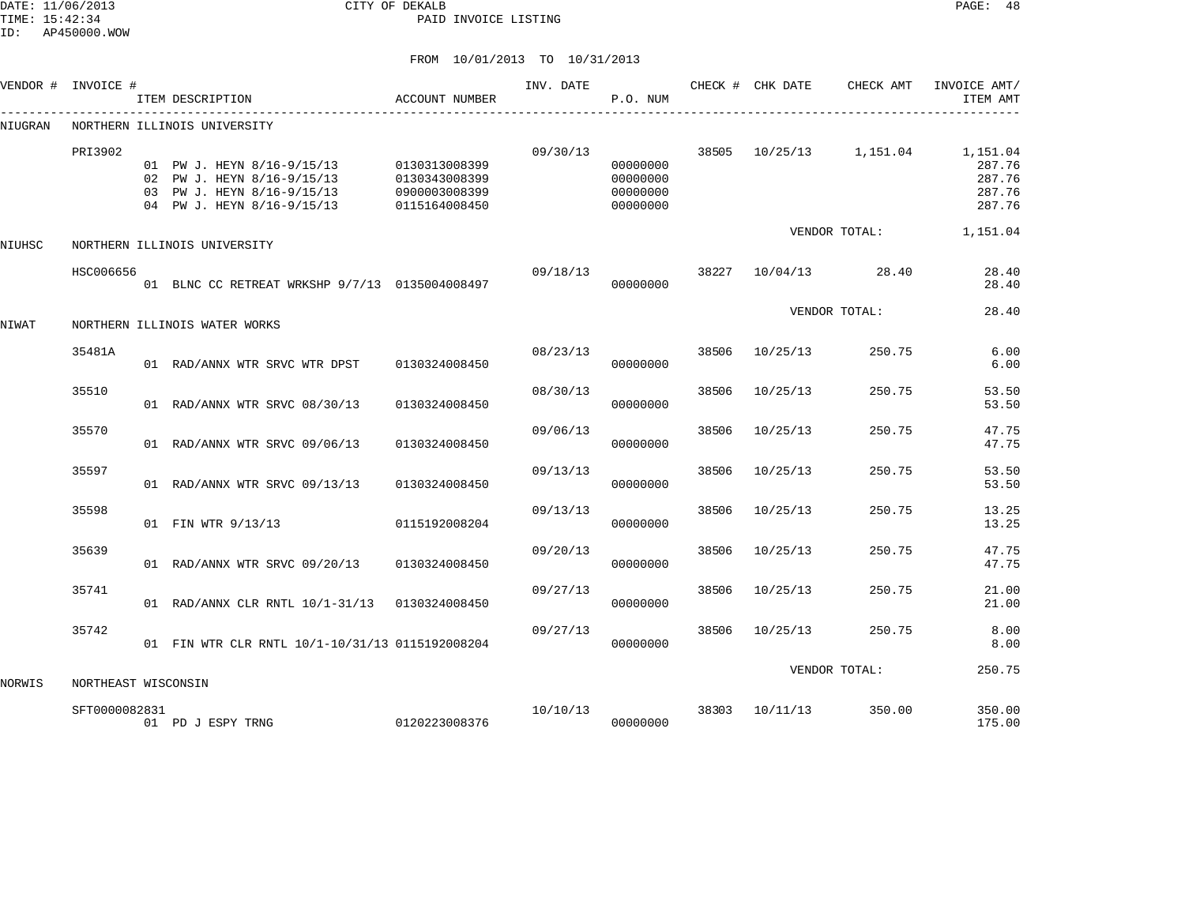DATE: 11/06/2013 CITY OF DEKALB PAGE: 48 PAID INVOICE LISTING

|         | VENDOR # INVOICE #  | ITEM DESCRIPTION                                                                                                     | <b>ACCOUNT NUMBER</b>                                            | INV. DATE | P.O. NUM                                     |       | CHECK # CHK DATE | CHECK AMT     | INVOICE AMT/<br>ITEM AMT                         |
|---------|---------------------|----------------------------------------------------------------------------------------------------------------------|------------------------------------------------------------------|-----------|----------------------------------------------|-------|------------------|---------------|--------------------------------------------------|
| NIUGRAN |                     | NORTHERN ILLINOIS UNIVERSITY                                                                                         |                                                                  |           |                                              |       |                  |               |                                                  |
|         | PRI3902             | 01 PW J. HEYN 8/16-9/15/13<br>02 PW J. HEYN 8/16-9/15/13<br>03 PW J. HEYN 8/16-9/15/13<br>04 PW J. HEYN 8/16-9/15/13 | 0130313008399<br>0130343008399<br>0900003008399<br>0115164008450 | 09/30/13  | 00000000<br>00000000<br>00000000<br>00000000 | 38505 | 10/25/13         | 1,151.04      | 1,151.04<br>287.76<br>287.76<br>287.76<br>287.76 |
| NIUHSC  |                     | NORTHERN ILLINOIS UNIVERSITY                                                                                         |                                                                  |           |                                              |       |                  | VENDOR TOTAL: | 1,151.04                                         |
|         | HSC006656           | 01 BLNC CC RETREAT WRKSHP 9/7/13 0135004008497                                                                       |                                                                  | 09/18/13  | 00000000                                     | 38227 | 10/04/13         | 28.40         | 28.40<br>28.40                                   |
| NIWAT   |                     | NORTHERN ILLINOIS WATER WORKS                                                                                        |                                                                  |           |                                              |       |                  | VENDOR TOTAL: | 28.40                                            |
|         | 35481A              | 01 RAD/ANNX WTR SRVC WTR DPST                                                                                        | 0130324008450                                                    | 08/23/13  | 00000000                                     | 38506 | 10/25/13         | 250.75        | 6.00<br>6.00                                     |
|         | 35510               | 01 RAD/ANNX WTR SRVC 08/30/13                                                                                        | 0130324008450                                                    | 08/30/13  | 00000000                                     | 38506 | 10/25/13         | 250.75        | 53.50<br>53.50                                   |
|         | 35570               | 01 RAD/ANNX WTR SRVC 09/06/13                                                                                        | 0130324008450                                                    | 09/06/13  | 00000000                                     | 38506 | 10/25/13         | 250.75        | 47.75<br>47.75                                   |
|         | 35597               | 01 RAD/ANNX WTR SRVC 09/13/13                                                                                        | 0130324008450                                                    | 09/13/13  | 00000000                                     | 38506 | 10/25/13         | 250.75        | 53.50<br>53.50                                   |
|         | 35598               | 01 FIN WTR 9/13/13                                                                                                   | 0115192008204                                                    | 09/13/13  | 00000000                                     | 38506 | 10/25/13         | 250.75        | 13.25<br>13.25                                   |
|         | 35639               | 01 RAD/ANNX WTR SRVC 09/20/13                                                                                        | 0130324008450                                                    | 09/20/13  | 00000000                                     | 38506 | 10/25/13         | 250.75        | 47.75<br>47.75                                   |
|         | 35741               | 01 RAD/ANNX CLR RNTL 10/1-31/13 0130324008450                                                                        |                                                                  | 09/27/13  | 00000000                                     | 38506 | 10/25/13         | 250.75        | 21.00<br>21.00                                   |
|         | 35742               | 01 FIN WTR CLR RNTL 10/1-10/31/13 0115192008204                                                                      |                                                                  | 09/27/13  | 00000000                                     | 38506 | 10/25/13         | 250.75        | 8.00<br>8.00                                     |
| NORWIS  | NORTHEAST WISCONSIN |                                                                                                                      |                                                                  |           |                                              |       |                  | VENDOR TOTAL: | 250.75                                           |
|         | SFT0000082831       | 01 PD J ESPY TRNG                                                                                                    | 0120223008376                                                    | 10/10/13  | 00000000                                     | 38303 | 10/11/13         | 350.00        | 350.00<br>175.00                                 |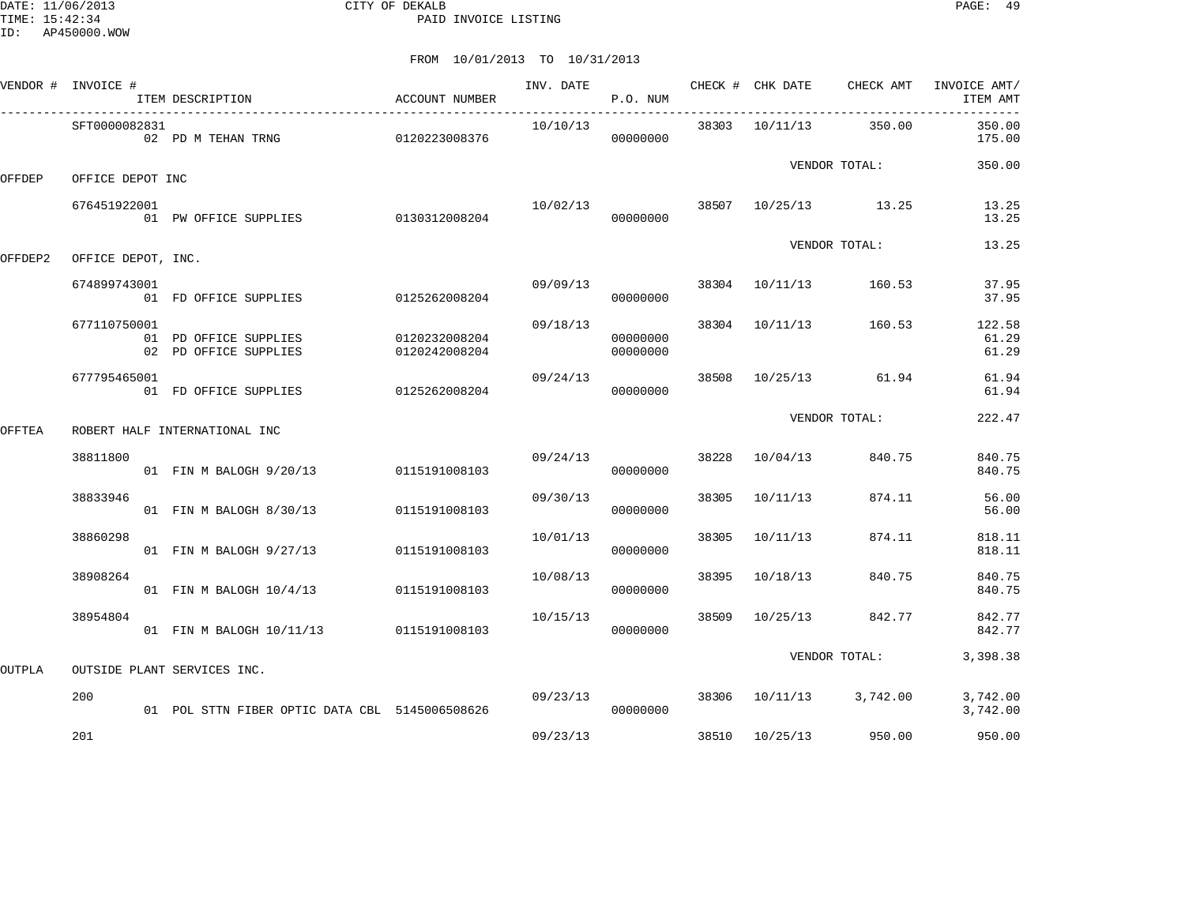DATE: 11/06/2013 CITY OF DEKALB PAGE: 49 PAID INVOICE LISTING

|         | VENDOR # INVOICE # | ITEM DESCRIPTION                               | ACCOUNT NUMBER                 | INV. DATE | P.O. NUM             |       | CHECK # CHK DATE | CHECK AMT               | INVOICE AMT/<br>ITEM AMT |
|---------|--------------------|------------------------------------------------|--------------------------------|-----------|----------------------|-------|------------------|-------------------------|--------------------------|
|         | SFT0000082831      | 02 PD M TEHAN TRNG 0120223008376               |                                | 10/10/13  | 00000000             |       | 38303 10/11/13   | 350.00                  | 350.00<br>175.00         |
| OFFDEP  | OFFICE DEPOT INC   |                                                |                                |           |                      |       |                  | VENDOR TOTAL:           | 350.00                   |
|         | 676451922001       | 01 PW OFFICE SUPPLIES 0130312008204            |                                | 10/02/13  | 00000000             |       |                  | 38507 10/25/13 13.25    | 13.25<br>13.25           |
| OFFDEP2 | OFFICE DEPOT, INC. |                                                |                                |           |                      |       |                  | VENDOR TOTAL:           | 13.25                    |
|         | 674899743001       | 01 FD OFFICE SUPPLIES                          | 0125262008204                  | 09/09/13  | 00000000             |       | 38304 10/11/13   | 160.53                  | 37.95<br>37.95           |
|         | 677110750001       | 01 PD OFFICE SUPPLIES<br>02 PD OFFICE SUPPLIES | 0120232008204<br>0120242008204 | 09/18/13  | 00000000<br>00000000 |       | 38304 10/11/13   | 160.53                  | 122.58<br>61.29<br>61.29 |
|         | 677795465001       | 01 FD OFFICE SUPPLIES                          | 0125262008204                  | 09/24/13  | 00000000             |       |                  | 38508 10/25/13 61.94    | 61.94<br>61.94           |
| OFFTEA  |                    | ROBERT HALF INTERNATIONAL INC                  |                                |           |                      |       |                  | VENDOR TOTAL:           | 222.47                   |
|         | 38811800           | 01 FIN M BALOGH 9/20/13                        | 0115191008103                  | 09/24/13  | 00000000             | 38228 | 10/04/13         | 840.75                  | 840.75<br>840.75         |
|         | 38833946           | 01 FIN M BALOGH 8/30/13                        | 0115191008103                  | 09/30/13  | 00000000             | 38305 | 10/11/13         | 874.11                  | 56.00<br>56.00           |
|         | 38860298           | 01 FIN M BALOGH 9/27/13                        | 0115191008103                  | 10/01/13  | 00000000             | 38305 | 10/11/13         | 874.11                  | 818.11<br>818.11         |
|         | 38908264           | 01 FIN M BALOGH 10/4/13                        | 0115191008103                  | 10/08/13  | 00000000             | 38395 | 10/18/13         | 840.75                  | 840.75<br>840.75         |
|         | 38954804           | 01 FIN M BALOGH 10/11/13 0115191008103         |                                | 10/15/13  | 00000000             | 38509 | 10/25/13         | 842.77                  | 842.77<br>842.77         |
| OUTPLA  |                    | OUTSIDE PLANT SERVICES INC.                    |                                |           |                      |       |                  | VENDOR TOTAL:           | 3,398.38                 |
|         | 200                | 01 POL STTN FIBER OPTIC DATA CBL 5145006508626 |                                | 09/23/13  | 00000000             |       |                  | 38306 10/11/13 3,742.00 | 3,742.00<br>3,742.00     |
|         | 201                |                                                |                                | 09/23/13  |                      |       | 38510 10/25/13   | 950.00                  | 950.00                   |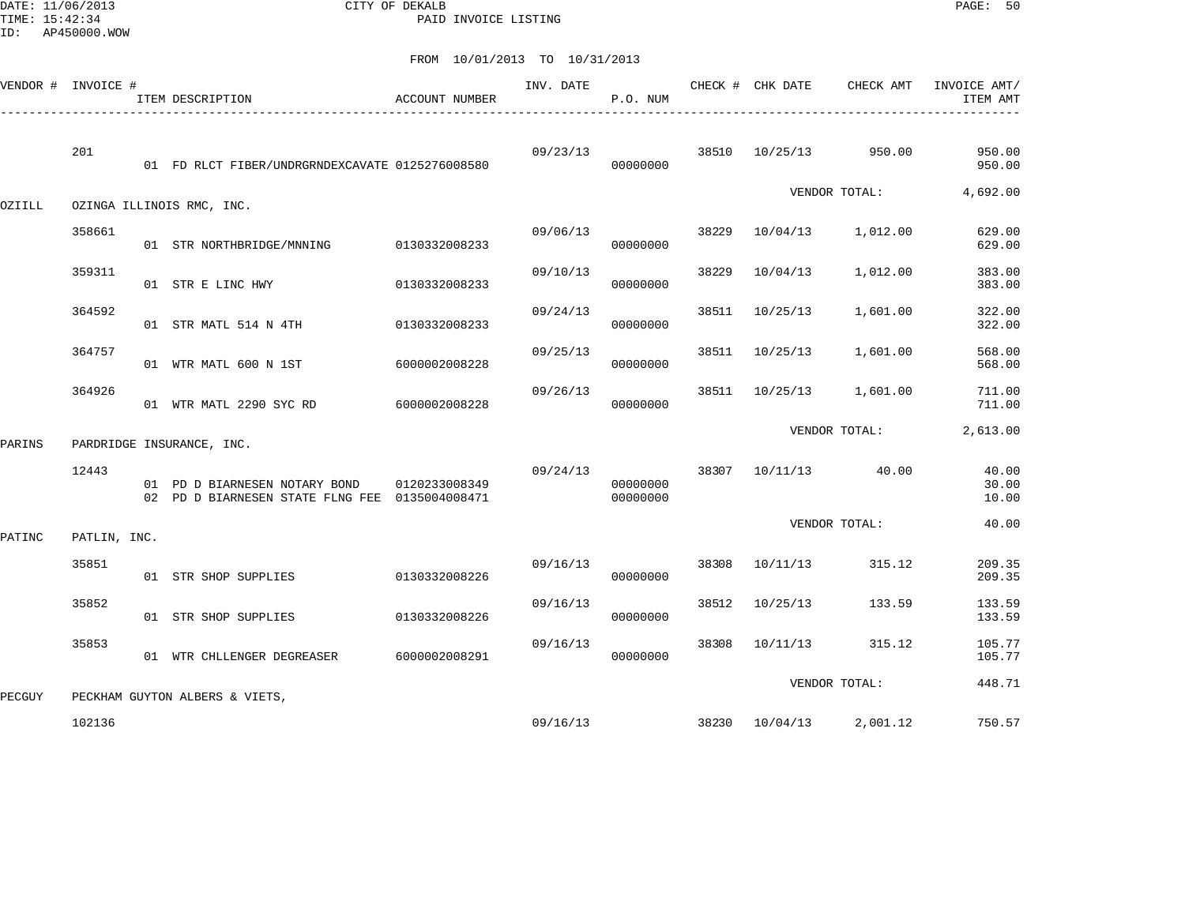DATE: 11/06/2013 CITY OF DEKALB PAGE: 50 PAID INVOICE LISTING

| VENDOR # INVOICE # |              | ITEM DESCRIPTION                                                                | <b>ACCOUNT NUMBER</b> | INV. DATE | P.O. NUM             |       | CHECK # CHK DATE | CHECK AMT            | INVOICE AMT/<br>ITEM AMT |
|--------------------|--------------|---------------------------------------------------------------------------------|-----------------------|-----------|----------------------|-------|------------------|----------------------|--------------------------|
|                    | 201          | 01 FD RLCT FIBER/UNDRGRNDEXCAVATE 0125276008580                                 |                       | 09/23/13  | 00000000             |       | 38510 10/25/13   | 950.00               | 950.00<br>950.00         |
| OZIILL             |              | OZINGA ILLINOIS RMC, INC.                                                       |                       |           |                      |       |                  | VENDOR TOTAL:        | 4,692.00                 |
|                    | 358661       | 01 STR NORTHBRIDGE/MNNING                                                       | 0130332008233         | 09/06/13  | 00000000             | 38229 | 10/04/13         | 1,012.00             | 629.00<br>629.00         |
|                    | 359311       | 01 STR E LINC HWY                                                               | 0130332008233         | 09/10/13  | 00000000             | 38229 | 10/04/13         | 1,012.00             | 383.00<br>383.00         |
|                    | 364592       | 01 STR MATL 514 N 4TH                                                           | 0130332008233         | 09/24/13  | 00000000             | 38511 | 10/25/13         | 1,601.00             | 322.00<br>322.00         |
|                    | 364757       | 01 WTR MATL 600 N 1ST                                                           | 6000002008228         | 09/25/13  | 00000000             | 38511 | 10/25/13         | 1,601.00             | 568.00<br>568.00         |
|                    | 364926       | 01 WTR MATL 2290 SYC RD                                                         | 6000002008228         | 09/26/13  | 00000000             | 38511 |                  | 10/25/13 1,601.00    | 711.00<br>711.00         |
| PARINS             |              | PARDRIDGE INSURANCE, INC.                                                       |                       |           |                      |       |                  | VENDOR TOTAL:        | 2,613.00                 |
|                    | 12443        | 01 PD D BIARNESEN NOTARY BOND<br>02 PD D BIARNESEN STATE FLNG FEE 0135004008471 | 0120233008349         | 09/24/13  | 00000000<br>00000000 |       |                  | 38307 10/11/13 40.00 | 40.00<br>30.00<br>10.00  |
| PATINC             | PATLIN, INC. |                                                                                 |                       |           |                      |       |                  | VENDOR TOTAL:        | 40.00                    |
|                    | 35851        | 01 STR SHOP SUPPLIES                                                            | 0130332008226         | 09/16/13  | 00000000             | 38308 | 10/11/13         | 315.12               | 209.35<br>209.35         |
|                    | 35852        | 01 STR SHOP SUPPLIES                                                            | 0130332008226         | 09/16/13  | 00000000             | 38512 | 10/25/13         | 133.59               | 133.59<br>133.59         |
|                    | 35853        | 01 WTR CHLLENGER DEGREASER                                                      | 6000002008291         | 09/16/13  | 00000000             | 38308 | 10/11/13         | 315.12               | 105.77<br>105.77         |
| PECGUY             |              | PECKHAM GUYTON ALBERS & VIETS,                                                  |                       |           |                      |       |                  | VENDOR TOTAL:        | 448.71                   |
|                    | 102136       |                                                                                 |                       |           | 09/16/13             |       | 38230 10/04/13   | 2,001.12             | 750.57                   |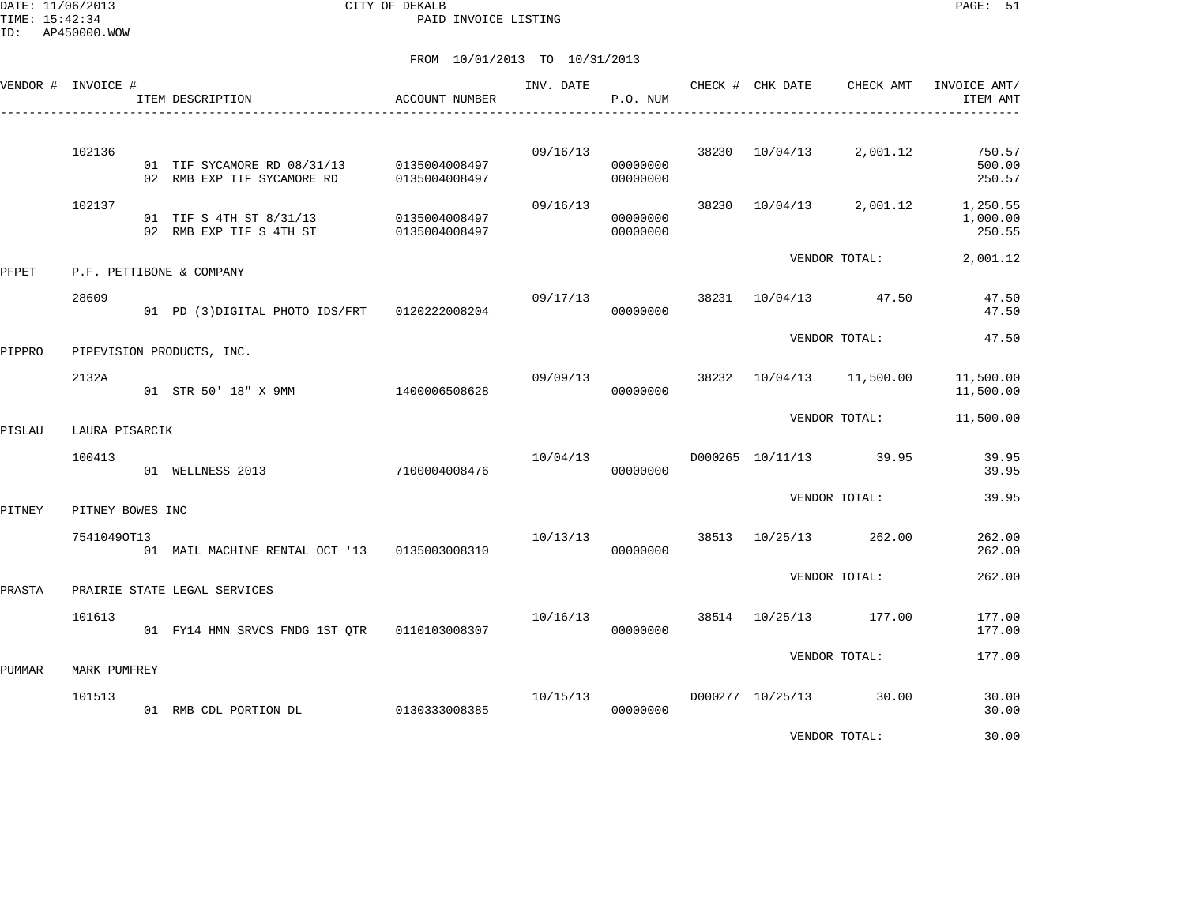DATE: 11/06/2013 CITY OF DEKALB PAGE: 51 PAID INVOICE LISTING

|        | VENDOR # INVOICE # | ITEM DESCRIPTION                                                        | ACCOUNT NUMBER                 | INV. DATE | P.O. NUM             |       | CHECK # CHK DATE | CHECK AMT              | INVOICE AMT/<br>ITEM AMT       |
|--------|--------------------|-------------------------------------------------------------------------|--------------------------------|-----------|----------------------|-------|------------------|------------------------|--------------------------------|
|        | 102136             | 01 TIF SYCAMORE RD 08/31/13 0135004008497<br>02 RMB EXP TIF SYCAMORE RD | 0135004008497                  | 09/16/13  | 00000000<br>00000000 | 38230 | 10/04/13         | 2,001.12               | 750.57<br>500.00<br>250.57     |
|        | 102137             | 01 TIF S 4TH ST 8/31/13<br>02 RMB EXP TIF S 4TH ST                      | 0135004008497<br>0135004008497 | 09/16/13  | 00000000<br>00000000 | 38230 | 10/04/13         | 2,001.12               | 1,250.55<br>1,000.00<br>250.55 |
| PFPET  |                    | P.F. PETTIBONE & COMPANY                                                |                                |           |                      |       |                  | VENDOR TOTAL:          | 2,001.12                       |
|        | 28609              | 01 PD (3)DIGITAL PHOTO IDS/FRT                                          | 0120222008204                  | 09/17/13  | 00000000             |       |                  | 38231 10/04/13 47.50   | 47.50<br>47.50                 |
| PIPPRO |                    | PIPEVISION PRODUCTS, INC.                                               |                                |           |                      |       |                  | VENDOR TOTAL:          | 47.50                          |
|        | 2132A              | 01 STR 50' 18" X 9MM                                                    | 1400006508628                  | 09/09/13  | 00000000             | 38232 | 10/04/13         | 11,500.00              | 11,500.00<br>11,500.00         |
| PISLAU | LAURA PISARCIK     |                                                                         |                                |           |                      |       |                  | VENDOR TOTAL:          | 11,500.00                      |
|        | 100413             | 01 WELLNESS 2013                                                        | 7100004008476                  | 10/04/13  | 00000000             |       |                  | D000265 10/11/13 39.95 | 39.95<br>39.95                 |
| PITNEY | PITNEY BOWES INC   |                                                                         |                                |           |                      |       |                  | VENDOR TOTAL:          | 39.95                          |
|        | 75410490T13        | 01 MAIL MACHINE RENTAL OCT '13 0135003008310                            |                                | 10/13/13  | 00000000             |       | 38513 10/25/13   | 262.00                 | 262.00<br>262.00               |
| PRASTA |                    | PRAIRIE STATE LEGAL SERVICES                                            |                                |           |                      |       |                  | VENDOR TOTAL:          | 262.00                         |
|        | 101613             | 01 FY14 HMN SRVCS FNDG 1ST QTR                                          | 0110103008307                  | 10/16/13  | 00000000             |       | 38514 10/25/13   | 177.00                 | 177.00<br>177.00               |
| PUMMAR | MARK PUMFREY       |                                                                         |                                |           |                      |       |                  | VENDOR TOTAL:          | 177.00                         |
|        | 101513             | 01 RMB CDL PORTION DL                                                   | 0130333008385                  | 10/15/13  | 00000000             |       |                  | D000277 10/25/13 30.00 | 30.00<br>30.00                 |
|        |                    |                                                                         |                                |           |                      |       |                  | VENDOR TOTAL:          | 30.00                          |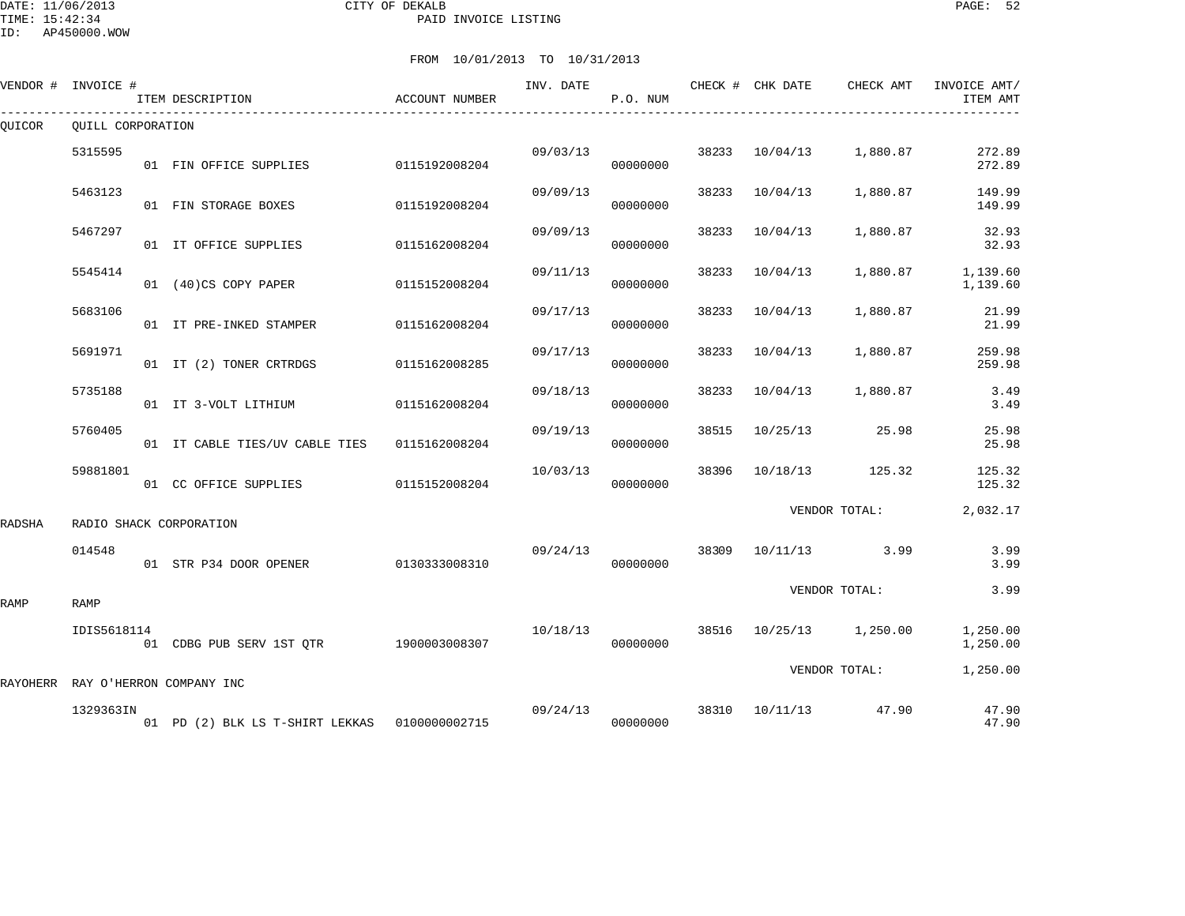#### DATE: 11/06/2013 CITY OF DEKALB PAGE: 52 PAID INVOICE LISTING

ID: AP450000.WOW

|        | VENDOR # INVOICE # | ITEM DESCRIPTION                              | ACCOUNT NUMBER | INV. DATE | P.O. NUM |       | CHECK # CHK DATE | CHECK AMT         | INVOICE AMT/<br>ITEM AMT |
|--------|--------------------|-----------------------------------------------|----------------|-----------|----------|-------|------------------|-------------------|--------------------------|
| QUICOR | OUILL CORPORATION  |                                               |                |           |          |       |                  |                   |                          |
|        | 5315595            | 01 FIN OFFICE SUPPLIES                        | 0115192008204  | 09/03/13  | 00000000 | 38233 | 10/04/13         | 1,880.87          | 272.89<br>272.89         |
|        | 5463123            | 01 FIN STORAGE BOXES                          | 0115192008204  | 09/09/13  | 00000000 | 38233 | 10/04/13         | 1,880.87          | 149.99<br>149.99         |
|        | 5467297            | 01 IT OFFICE SUPPLIES                         | 0115162008204  | 09/09/13  | 00000000 | 38233 | 10/04/13         | 1,880.87          | 32.93<br>32.93           |
|        | 5545414            | 01 (40)CS COPY PAPER                          | 0115152008204  | 09/11/13  | 00000000 | 38233 | 10/04/13         | 1,880.87          | 1,139.60<br>1,139.60     |
|        | 5683106            | 01 IT PRE-INKED STAMPER                       | 0115162008204  | 09/17/13  | 00000000 | 38233 | 10/04/13         | 1,880.87          | 21.99<br>21.99           |
|        | 5691971            | 01 IT (2) TONER CRTRDGS                       | 0115162008285  | 09/17/13  | 00000000 | 38233 | 10/04/13         | 1,880.87          | 259.98<br>259.98         |
|        | 5735188            | 01 IT 3-VOLT LITHIUM                          | 0115162008204  | 09/18/13  | 00000000 | 38233 | 10/04/13         | 1,880.87          | 3.49<br>3.49             |
|        | 5760405            | 01 IT CABLE TIES/UV CABLE TIES                | 0115162008204  | 09/19/13  | 00000000 | 38515 | 10/25/13         | 25.98             | 25.98<br>25.98           |
|        | 59881801           | 01 CC OFFICE SUPPLIES                         | 0115152008204  | 10/03/13  | 00000000 | 38396 | 10/18/13         | 125.32            | 125.32<br>125.32         |
| RADSHA |                    | RADIO SHACK CORPORATION                       |                |           |          |       |                  | VENDOR TOTAL:     | 2,032.17                 |
|        | 014548             | 01 STR P34 DOOR OPENER                        | 0130333008310  | 09/24/13  | 00000000 | 38309 | 10/11/13         | 3.99              | 3.99<br>3.99             |
| RAMP   | <b>RAMP</b>        |                                               |                |           |          |       |                  | VENDOR TOTAL:     | 3.99                     |
|        | IDIS5618114        | 01 CDBG PUB SERV 1ST OTR 1900003008307        |                | 10/18/13  | 00000000 | 38516 |                  | 10/25/13 1,250.00 | 1,250.00<br>1,250.00     |
|        |                    | RAYOHERR RAY O'HERRON COMPANY INC             |                |           |          |       |                  | VENDOR TOTAL:     | 1,250.00                 |
|        | 1329363IN          | 01 PD (2) BLK LS T-SHIRT LEKKAS 0100000002715 |                | 09/24/13  | 00000000 | 38310 | 10/11/13         | 47.90             | 47.90<br>47.90           |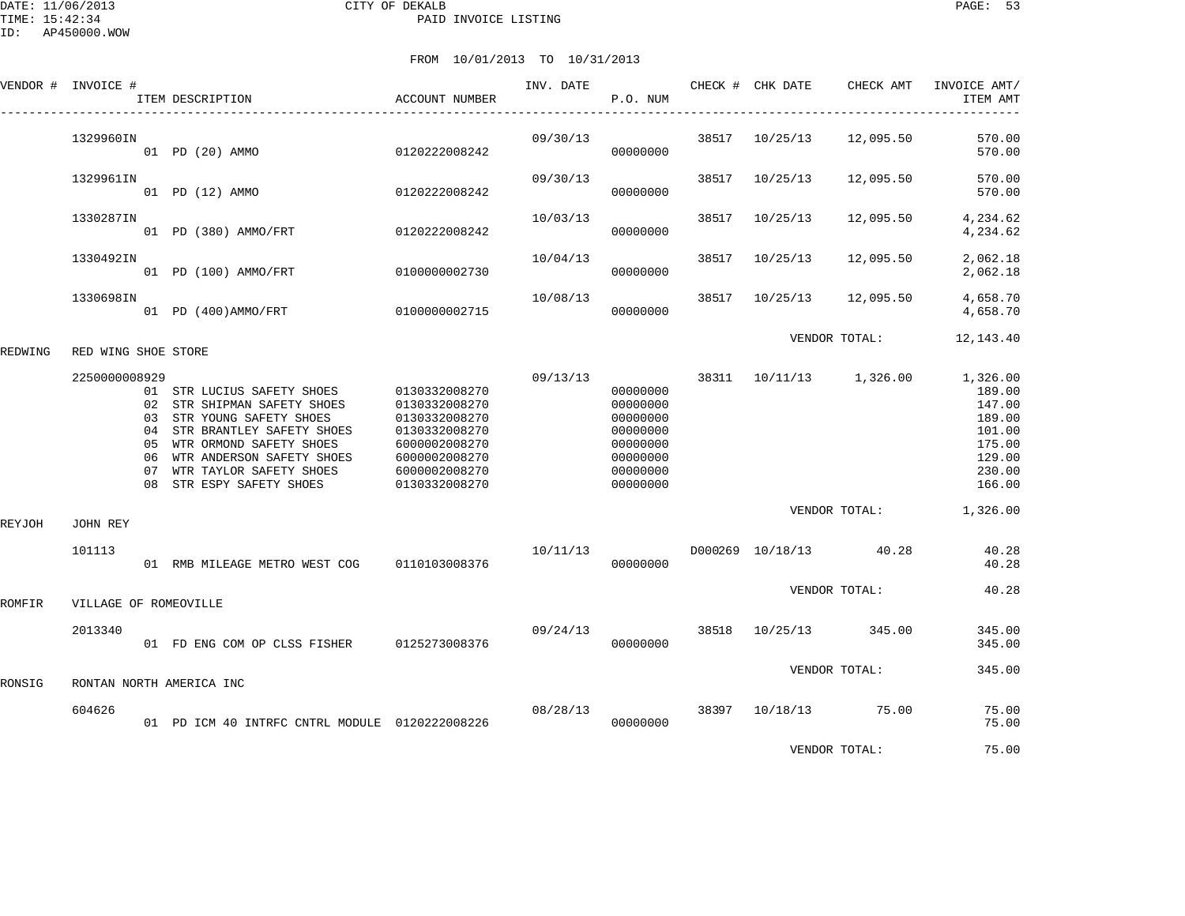|         | VENDOR # INVOICE #    | ITEM DESCRIPTION                                                                                                                                                                                                                               | ACCOUNT NUMBER                                                                                                                       | INV. DATE | P.O. NUM                                                                                     |       | CHECK # CHK DATE | CHECK AMT                          | INVOICE AMT/<br>ITEM AMT                                                                             |
|---------|-----------------------|------------------------------------------------------------------------------------------------------------------------------------------------------------------------------------------------------------------------------------------------|--------------------------------------------------------------------------------------------------------------------------------------|-----------|----------------------------------------------------------------------------------------------|-------|------------------|------------------------------------|------------------------------------------------------------------------------------------------------|
|         | 1329960IN             | 01 PD (20) AMMO                                                                                                                                                                                                                                | 0120222008242                                                                                                                        | 09/30/13  | 00000000                                                                                     | 38517 | 10/25/13         | 12,095.50                          | 570.00<br>570.00                                                                                     |
|         | 1329961IN             | 01 PD (12) AMMO                                                                                                                                                                                                                                | 0120222008242                                                                                                                        | 09/30/13  | 00000000                                                                                     | 38517 | 10/25/13         | 12,095.50                          | 570.00<br>570.00                                                                                     |
|         | 1330287IN             | 01 PD (380) AMMO/FRT                                                                                                                                                                                                                           | 0120222008242                                                                                                                        | 10/03/13  | 00000000                                                                                     | 38517 | 10/25/13         | 12,095.50                          | 4,234.62<br>4,234.62                                                                                 |
|         | 1330492IN             | 01 PD (100) AMMO/FRT                                                                                                                                                                                                                           | 0100000002730                                                                                                                        | 10/04/13  | 00000000                                                                                     | 38517 | 10/25/13         | 12,095.50                          | 2,062.18<br>2,062.18                                                                                 |
|         | 1330698IN             | 01 PD (400) AMMO/FRT                                                                                                                                                                                                                           | 0100000002715                                                                                                                        | 10/08/13  | 00000000                                                                                     | 38517 | 10/25/13         | 12,095.50                          | 4,658.70<br>4,658.70                                                                                 |
| REDWING | RED WING SHOE STORE   |                                                                                                                                                                                                                                                |                                                                                                                                      |           |                                                                                              |       |                  | VENDOR TOTAL:                      | 12, 143. 40                                                                                          |
|         | 2250000008929         | 01 STR LUCIUS SAFETY SHOES<br>02 STR SHIPMAN SAFETY SHOES<br>03 STR YOUNG SAFETY SHOES<br>04 STR BRANTLEY SAFETY SHOES<br>05 WTR ORMOND SAFETY SHOES<br>06 WTR ANDERSON SAFETY SHOES<br>07 WTR TAYLOR SAFETY SHOES<br>08 STR ESPY SAFETY SHOES | 0130332008270<br>0130332008270<br>0130332008270<br>0130332008270<br>6000002008270<br>6000002008270<br>6000002008270<br>0130332008270 | 09/13/13  | 00000000<br>00000000<br>00000000<br>00000000<br>00000000<br>00000000<br>00000000<br>00000000 | 38311 |                  | 10/11/13 1,326.00<br>VENDOR TOTAL: | 1,326.00<br>189.00<br>147.00<br>189.00<br>101.00<br>175.00<br>129.00<br>230.00<br>166.00<br>1,326.00 |
| REYJOH  | JOHN REY<br>101113    |                                                                                                                                                                                                                                                |                                                                                                                                      |           |                                                                                              |       | D000269 10/18/13 | 40.28                              | 40.28                                                                                                |
|         |                       | 01 RMB MILEAGE METRO WEST COG 0110103008376                                                                                                                                                                                                    |                                                                                                                                      | 10/11/13  | 00000000                                                                                     |       |                  |                                    | 40.28                                                                                                |
| ROMFIR  | VILLAGE OF ROMEOVILLE |                                                                                                                                                                                                                                                |                                                                                                                                      |           |                                                                                              |       |                  | VENDOR TOTAL:                      | 40.28                                                                                                |
|         | 2013340               | 01 FD ENG COM OP CLSS FISHER 0125273008376                                                                                                                                                                                                     |                                                                                                                                      | 09/24/13  | 00000000                                                                                     |       | 38518 10/25/13   | 345.00                             | 345.00<br>345.00                                                                                     |
| RONSIG  |                       | RONTAN NORTH AMERICA INC                                                                                                                                                                                                                       |                                                                                                                                      |           |                                                                                              |       |                  | VENDOR TOTAL:                      | 345.00                                                                                               |
|         | 604626                | 01 PD ICM 40 INTRFC CNTRL MODULE 0120222008226                                                                                                                                                                                                 |                                                                                                                                      | 08/28/13  | 00000000                                                                                     | 38397 |                  | 10/18/13 75.00                     | 75.00<br>75.00                                                                                       |
|         |                       |                                                                                                                                                                                                                                                |                                                                                                                                      |           |                                                                                              |       |                  | VENDOR TOTAL:                      | 75.00                                                                                                |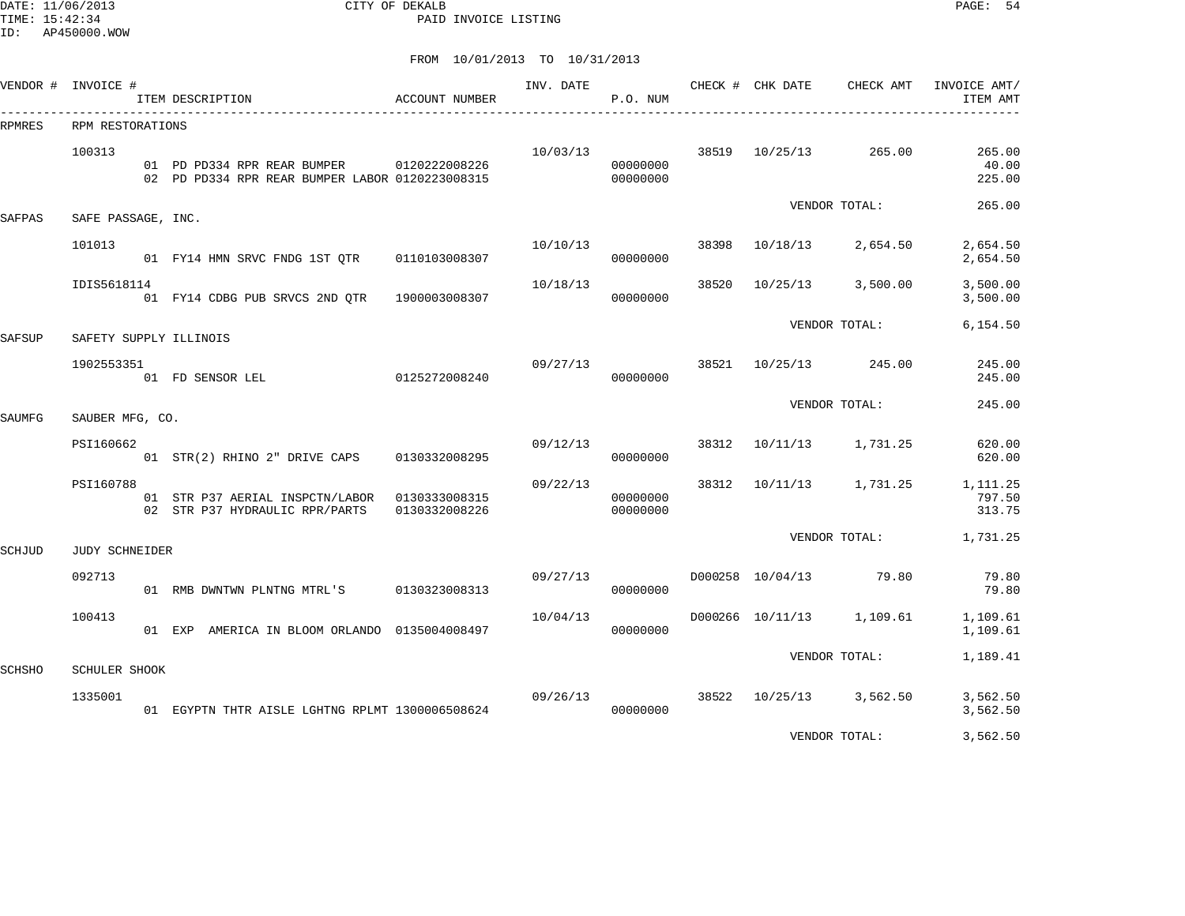DATE: 11/06/2013 CITY OF DEKALB PAGE: 54 PAID INVOICE LISTING

|        | VENDOR # INVOICE #     | ITEM DESCRIPTION                                                                             | ACCOUNT NUMBER | INV. DATE | P.O. NUM             |       |                | CHECK # CHK DATE CHECK AMT | INVOICE AMT/<br>ITEM AMT     |
|--------|------------------------|----------------------------------------------------------------------------------------------|----------------|-----------|----------------------|-------|----------------|----------------------------|------------------------------|
| RPMRES | RPM RESTORATIONS       |                                                                                              |                |           |                      |       |                |                            |                              |
|        | 100313                 | 01 PD PD334 RPR REAR BUMPER 0120222008226<br>02 PD PD334 RPR REAR BUMPER LABOR 0120223008315 |                | 10/03/13  | 00000000<br>00000000 |       | 38519 10/25/13 | 265.00                     | 265.00<br>40.00<br>225.00    |
| SAFPAS | SAFE PASSAGE, INC.     |                                                                                              |                |           |                      |       |                | VENDOR TOTAL:              | 265.00                       |
|        | 101013                 | 01 FY14 HMN SRVC FNDG 1ST OTR                                                                | 0110103008307  | 10/10/13  | 00000000             | 38398 | 10/18/13       | 2,654.50                   | 2,654.50<br>2,654.50         |
|        | IDIS5618114            | 01 FY14 CDBG PUB SRVCS 2ND QTR                                                               | 1900003008307  | 10/18/13  | 00000000             | 38520 | 10/25/13       | 3,500.00                   | 3,500.00<br>3,500.00         |
| SAFSUP | SAFETY SUPPLY ILLINOIS |                                                                                              |                |           |                      |       |                | VENDOR TOTAL:              | 6,154.50                     |
|        | 1902553351             | 01 FD SENSOR LEL                                                                             | 0125272008240  |           | 09/27/13<br>00000000 |       |                | 38521 10/25/13 245.00      | 245.00<br>245.00             |
| SAUMFG | SAUBER MFG, CO.        |                                                                                              |                |           |                      |       |                | VENDOR TOTAL:              | 245.00                       |
|        |                        |                                                                                              |                |           |                      |       |                |                            |                              |
|        | PSI160662              | 01 STR(2) RHINO 2" DRIVE CAPS                                                                | 0130332008295  | 09/12/13  | 00000000             |       |                | 38312 10/11/13 1,731.25    | 620.00<br>620.00             |
|        | PSI160788              | 01 STR P37 AERIAL INSPCTN/LABOR 0130333008315<br>02 STR P37 HYDRAULIC RPR/PARTS              | 0130332008226  | 09/22/13  | 00000000<br>00000000 |       |                | 38312 10/11/13 1,731.25    | 1,111.25<br>797.50<br>313.75 |
| SCHJUD | <b>JUDY SCHNEIDER</b>  |                                                                                              |                |           |                      |       |                | VENDOR TOTAL:              | 1,731.25                     |
|        | 092713                 | 01 RMB DWNTWN PLNTNG MTRL'S 0130323008313                                                    |                | 09/27/13  | 00000000             |       |                | D000258 10/04/13 79.80     | 79.80<br>79.80               |
|        | 100413                 | 01 EXP AMERICA IN BLOOM ORLANDO 0135004008497                                                |                | 10/04/13  | 00000000             |       |                | D000266 10/11/13 1,109.61  | 1,109.61<br>1,109.61         |
| SCHSHO | <b>SCHULER SHOOK</b>   |                                                                                              |                |           |                      |       |                | VENDOR TOTAL:              | 1,189.41                     |
|        | 1335001                | 01 EGYPTN THTR AISLE LGHTNG RPLMT 1300006508624                                              |                | 09/26/13  | 00000000             |       |                | 38522 10/25/13 3,562.50    | 3,562.50<br>3,562.50         |
|        |                        |                                                                                              |                |           |                      |       |                | VENDOR TOTAL:              | 3,562.50                     |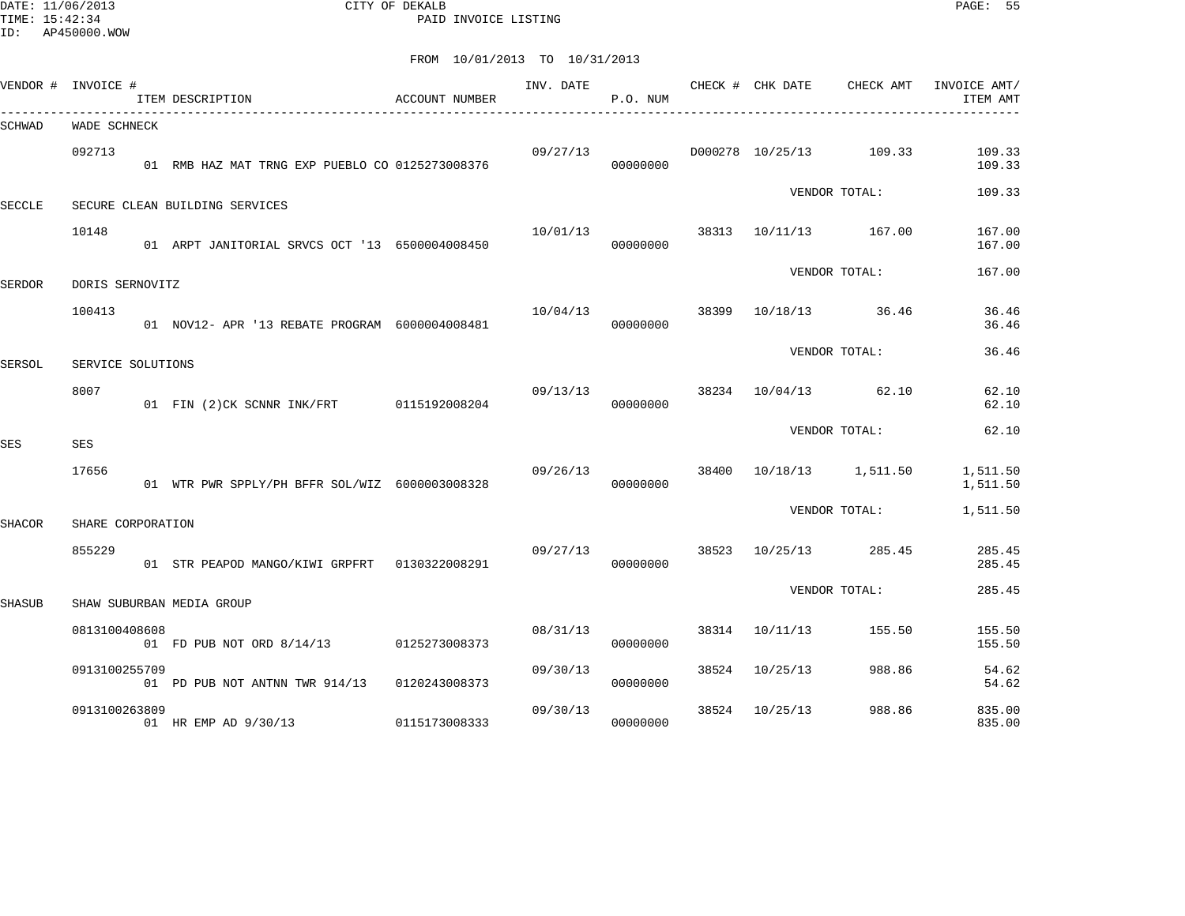DATE: 11/06/2013 CITY OF DEKALB PAGE: 55 PAID INVOICE LISTING

| VENDOR #      | INVOICE #         | ITEM DESCRIPTION                                | ACCOUNT NUMBER | INV. DATE | P.O. NUM |       | CHECK # CHK DATE | CHECK AMT               | INVOICE AMT/<br>ITEM AMT |
|---------------|-------------------|-------------------------------------------------|----------------|-----------|----------|-------|------------------|-------------------------|--------------------------|
| SCHWAD        | WADE SCHNECK      |                                                 |                |           |          |       |                  |                         |                          |
|               | 092713            | 01 RMB HAZ MAT TRNG EXP PUEBLO CO 0125273008376 |                | 09/27/13  | 00000000 |       |                  | D000278 10/25/13 109.33 | 109.33<br>109.33         |
| <b>SECCLE</b> |                   | SECURE CLEAN BUILDING SERVICES                  |                |           |          |       |                  | VENDOR TOTAL:           | 109.33                   |
|               | 10148             |                                                 |                | 10/01/13  |          |       |                  | 38313 10/11/13 167.00   | 167.00                   |
|               |                   | 01 ARPT JANITORIAL SRVCS OCT '13 6500004008450  |                |           | 00000000 |       |                  | VENDOR TOTAL:           | 167.00<br>167.00         |
| <b>SERDOR</b> | DORIS SERNOVITZ   |                                                 |                |           |          |       |                  |                         |                          |
|               | 100413            | 01 NOV12- APR '13 REBATE PROGRAM 6000004008481  |                | 10/04/13  | 00000000 | 38399 |                  | 10/18/13 36.46          | 36.46<br>36.46           |
| SERSOL        | SERVICE SOLUTIONS |                                                 |                |           |          |       |                  | VENDOR TOTAL:           | 36.46                    |
|               | 8007              |                                                 |                | 09/13/13  |          | 38234 |                  | 10/04/13 62.10          | 62.10                    |
|               |                   | 01 FIN (2)CK SCNNR INK/FRT 0115192008204        |                |           | 00000000 |       |                  |                         | 62.10                    |
| SES           | <b>SES</b>        |                                                 |                |           |          |       |                  | VENDOR TOTAL:           | 62.10                    |
|               | 17656             | 01 WTR PWR SPPLY/PH BFFR SOL/WIZ 6000003008328  |                | 09/26/13  | 00000000 |       |                  | 38400 10/18/13 1,511.50 | 1,511.50<br>1,511.50     |
| <b>SHACOR</b> | SHARE CORPORATION |                                                 |                |           |          |       |                  | VENDOR TOTAL:           | 1,511.50                 |
|               | 855229            | 01 STR PEAPOD MANGO/KIWI GRPFRT 0130322008291   |                | 09/27/13  | 00000000 | 38523 | 10/25/13         | 285.45                  | 285.45<br>285.45         |
| <b>SHASUB</b> |                   | SHAW SUBURBAN MEDIA GROUP                       |                |           |          |       |                  | VENDOR TOTAL:           | 285.45                   |
|               |                   |                                                 |                |           |          |       |                  |                         |                          |
|               | 0813100408608     | 01 FD PUB NOT ORD 8/14/13 0125273008373         |                | 08/31/13  | 00000000 |       | 38314 10/11/13   | 155.50                  | 155.50<br>155.50         |
|               | 0913100255709     | 01 PD PUB NOT ANTNN TWR 914/13 0120243008373    |                | 09/30/13  | 00000000 | 38524 | 10/25/13         | 988.86                  | 54.62<br>54.62           |
|               | 0913100263809     | 01 HR EMP AD 9/30/13                            | 0115173008333  | 09/30/13  | 00000000 | 38524 | 10/25/13         | 988.86                  | 835.00<br>835.00         |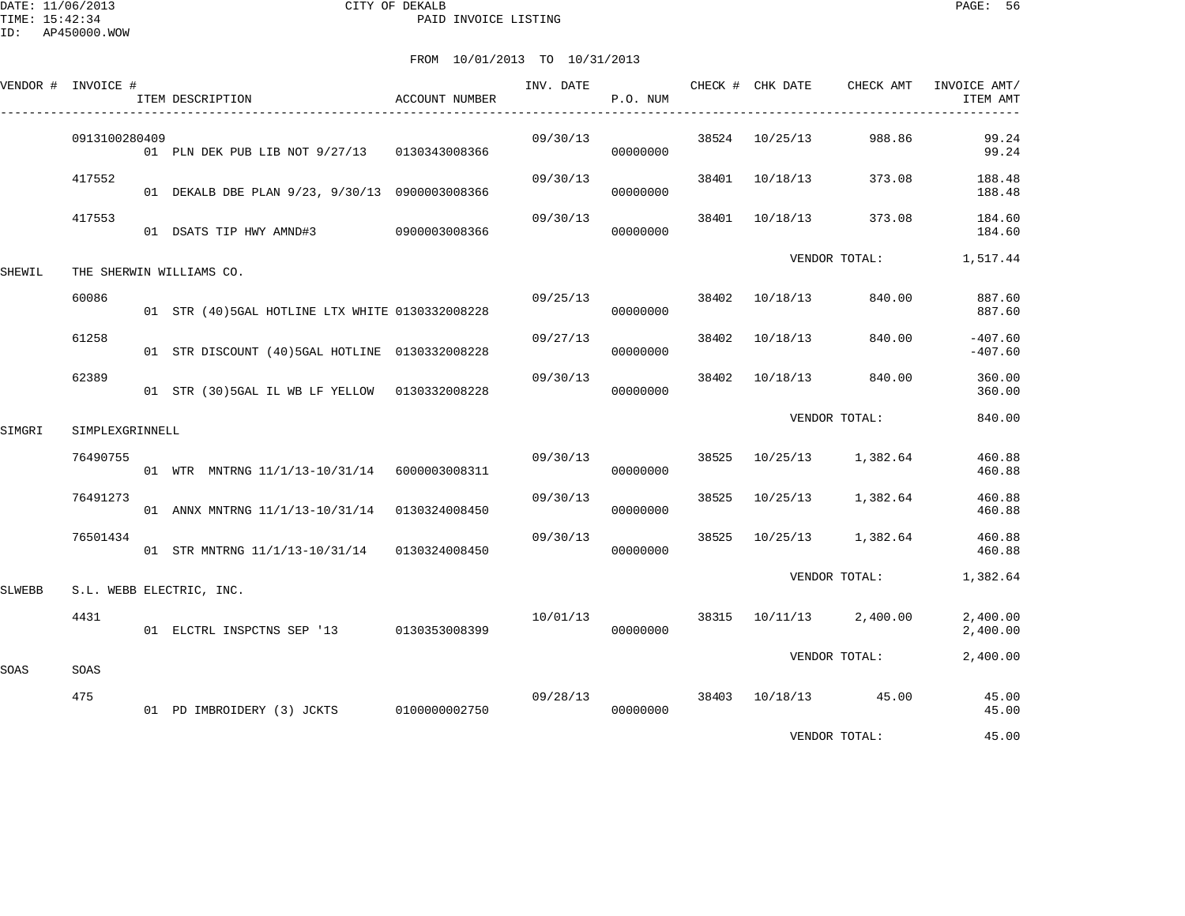DATE: 11/06/2013 CITY OF DEKALB PAGE: 56 PAID INVOICE LISTING

|        | VENDOR # INVOICE # | ITEM DESCRIPTION                                | ACCOUNT NUMBER | INV. DATE | P.O. NUM |       | CHECK # CHK DATE | CHECK AMT               | INVOICE AMT/<br>ITEM AMT |
|--------|--------------------|-------------------------------------------------|----------------|-----------|----------|-------|------------------|-------------------------|--------------------------|
|        | 0913100280409      | 01 PLN DEK PUB LIB NOT 9/27/13 0130343008366    |                | 09/30/13  | 00000000 |       | 38524 10/25/13   | 988.86                  | 99.24<br>99.24           |
|        | 417552             | 01 DEKALB DBE PLAN 9/23, 9/30/13 0900003008366  |                | 09/30/13  | 00000000 |       | 38401 10/18/13   | 373.08                  | 188.48<br>188.48         |
|        | 417553             | 01 DSATS TIP HWY AMND#3 0900003008366           |                | 09/30/13  | 00000000 |       | 38401 10/18/13   | 373.08                  | 184.60<br>184.60         |
| SHEWIL |                    | THE SHERWIN WILLIAMS CO.                        |                |           |          |       |                  | VENDOR TOTAL:           | 1,517.44                 |
|        | 60086              | 01 STR (40)5GAL HOTLINE LTX WHITE 0130332008228 |                | 09/25/13  | 00000000 |       | 38402 10/18/13   | 840.00                  | 887.60<br>887.60         |
|        | 61258              | 01 STR DISCOUNT (40) 5GAL HOTLINE 0130332008228 |                | 09/27/13  | 00000000 |       | 38402 10/18/13   | 840.00                  | $-407.60$<br>$-407.60$   |
|        | 62389              | 01 STR (30) 5GAL IL WB LF YELLOW 0130332008228  |                | 09/30/13  | 00000000 | 38402 |                  | 10/18/13 840.00         | 360.00<br>360.00         |
| SIMGRI | SIMPLEXGRINNELL    |                                                 |                |           |          |       |                  | VENDOR TOTAL:           | 840.00                   |
|        | 76490755           | 01 WTR MNTRNG 11/1/13-10/31/14 6000003008311    |                | 09/30/13  | 00000000 | 38525 |                  | 10/25/13 1,382.64       | 460.88<br>460.88         |
|        | 76491273           | 01 ANNX MNTRNG 11/1/13-10/31/14 0130324008450   |                | 09/30/13  | 00000000 |       |                  | 38525 10/25/13 1,382.64 | 460.88<br>460.88         |
|        | 76501434           | 01 STR MNTRNG 11/1/13-10/31/14 0130324008450    |                | 09/30/13  | 00000000 | 38525 |                  | 10/25/13 1,382.64       | 460.88<br>460.88         |
| SLWEBB |                    | S.L. WEBB ELECTRIC, INC.                        |                |           |          |       |                  | VENDOR TOTAL:           | 1,382.64                 |
|        | 4431               | 01 ELCTRL INSPCTNS SEP '13 0130353008399        |                | 10/01/13  | 00000000 |       |                  | 38315 10/11/13 2,400.00 | 2,400.00<br>2,400.00     |
| SOAS   | SOAS               |                                                 |                |           |          |       |                  | VENDOR TOTAL:           | 2,400.00                 |
|        | 475                | 01 PD IMBROIDERY (3) JCKTS 0100000002750        |                | 09/28/13  | 00000000 |       |                  | 38403 10/18/13 45.00    | 45.00<br>45.00           |
|        |                    |                                                 |                |           |          |       |                  | VENDOR TOTAL:           | 45.00                    |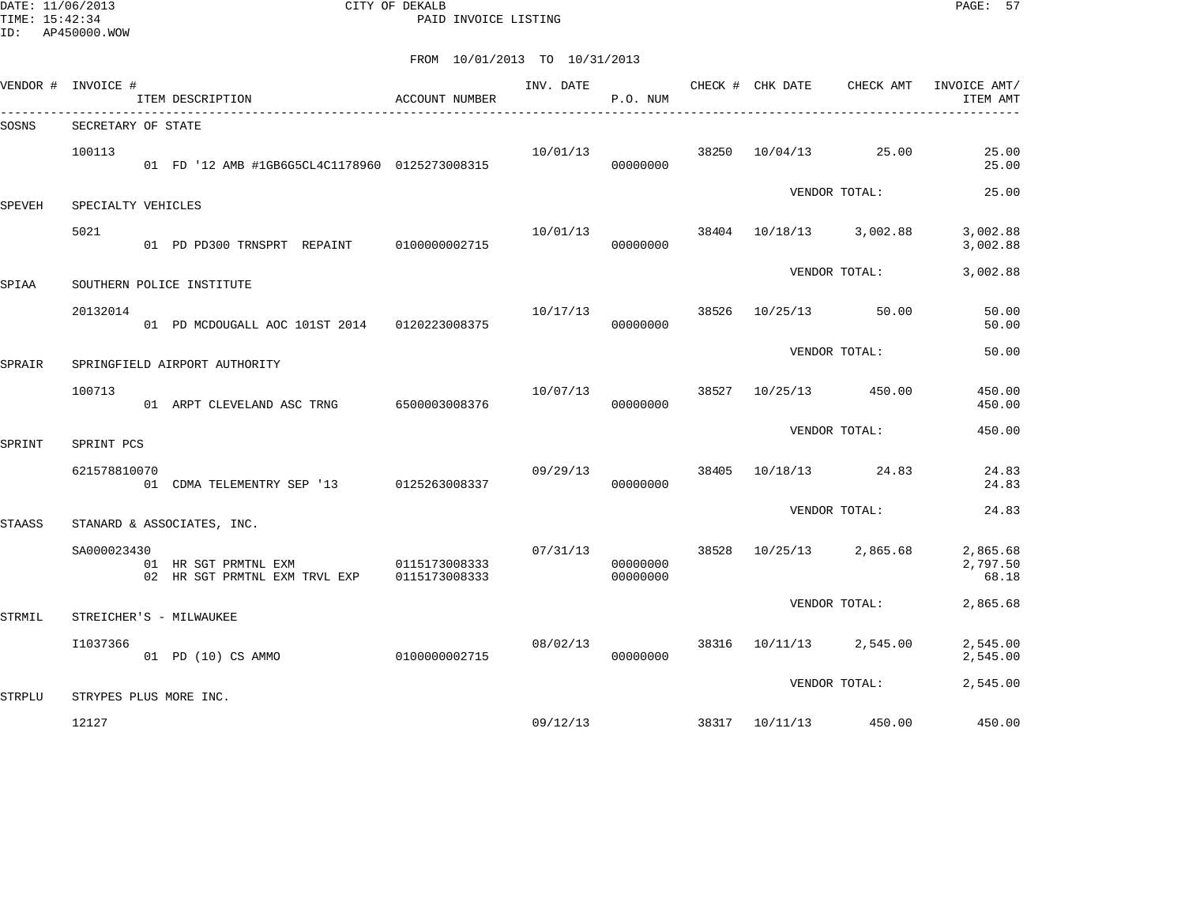DATE: 11/06/2013 CITY OF DEKALB PAGE: 57 PAID INVOICE LISTING

| VENDOR #      | INVOICE #              | ITEM DESCRIPTION                                      | ACCOUNT NUMBER                 | INV. DATE | P.O. NUM             |       | CHECK # CHK DATE | CHECK AMT         | INVOICE AMT/<br>ITEM AMT      |
|---------------|------------------------|-------------------------------------------------------|--------------------------------|-----------|----------------------|-------|------------------|-------------------|-------------------------------|
| SOSNS         | SECRETARY OF STATE     |                                                       |                                |           |                      |       |                  |                   |                               |
|               | 100113                 | 01 FD '12 AMB #1GB6G5CL4C1178960 0125273008315        |                                | 10/01/13  | 00000000             | 38250 | 10/04/13         | 25.00             | 25.00<br>25.00                |
| <b>SPEVEH</b> | SPECIALTY VEHICLES     |                                                       |                                |           |                      |       |                  | VENDOR TOTAL:     | 25.00                         |
|               | 5021                   | 01 PD PD300 TRNSPRT REPAINT 0100000002715             |                                | 10/01/13  | 00000000             | 38404 |                  | 10/18/13 3,002.88 | 3,002.88<br>3,002.88          |
| SPIAA         |                        | SOUTHERN POLICE INSTITUTE                             |                                |           |                      |       |                  | VENDOR TOTAL:     | 3,002.88                      |
|               | 20132014               | 01 PD MCDOUGALL AOC 101ST 2014                        | 0120223008375                  | 10/17/13  | 00000000             | 38526 | 10/25/13         | 50.00             | 50.00<br>50.00                |
| SPRAIR        |                        | SPRINGFIELD AIRPORT AUTHORITY                         |                                |           |                      |       |                  | VENDOR TOTAL:     | 50.00                         |
|               | 100713                 | 01 ARPT CLEVELAND ASC TRNG                            | 6500003008376                  | 10/07/13  | 00000000             | 38527 | 10/25/13         | 450.00            | 450.00<br>450.00              |
| SPRINT        | SPRINT PCS             |                                                       |                                |           |                      |       |                  | VENDOR TOTAL:     | 450.00                        |
|               | 621578810070           | 01 CDMA TELEMENTRY SEP '13 0125263008337              |                                | 09/29/13  | 00000000             | 38405 | 10/18/13         | 24.83             | 24.83<br>24.83                |
| <b>STAASS</b> |                        | STANARD & ASSOCIATES, INC.                            |                                |           |                      |       |                  | VENDOR TOTAL:     | 24.83                         |
|               | SA000023430            | 01 HR SGT PRMTNL EXM<br>02 HR SGT PRMTNL EXM TRVL EXP | 0115173008333<br>0115173008333 | 07/31/13  | 00000000<br>00000000 | 38528 | 10/25/13         | 2,865.68          | 2,865.68<br>2,797.50<br>68.18 |
| STRMIL        |                        | STREICHER'S - MILWAUKEE                               |                                |           |                      |       |                  | VENDOR TOTAL:     | 2,865.68                      |
|               | I1037366               | 01 PD (10) CS AMMO                                    | 0100000002715                  | 08/02/13  | 00000000             | 38316 | 10/11/13         | 2,545.00          | 2,545.00<br>2,545.00          |
| STRPLU        | STRYPES PLUS MORE INC. |                                                       |                                |           |                      |       |                  | VENDOR TOTAL:     | 2,545.00                      |
|               | 12127                  |                                                       |                                | 09/12/13  |                      |       | 38317 10/11/13   | 450.00            | 450.00                        |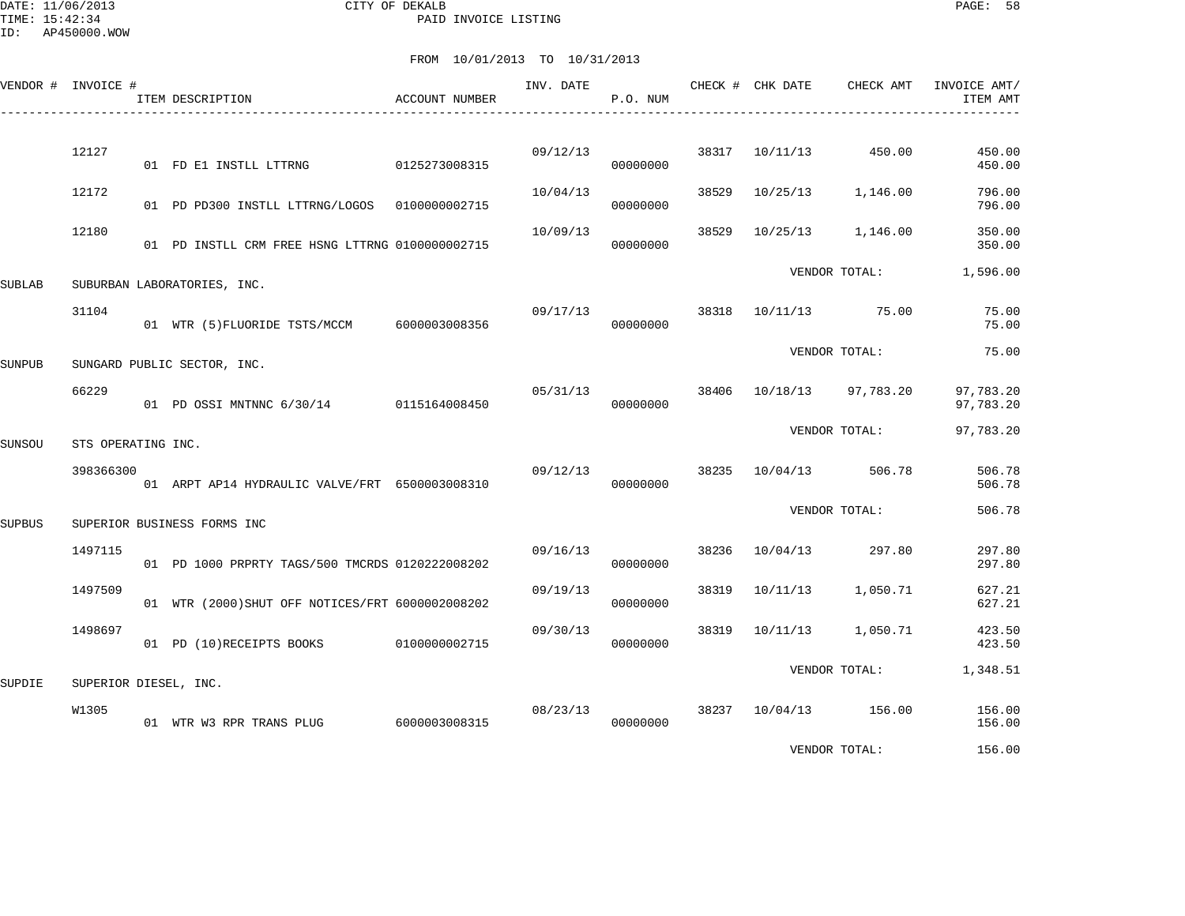DATE: 11/06/2013 CITY OF DEKALB PAGE: 58 PAID INVOICE LISTING

|        | VENDOR # INVOICE #    | ITEM DESCRIPTION                                 | ACCOUNT NUMBER | INV. DATE | P.O. NUM |       | CHECK # CHK DATE | CHECK AMT             | INVOICE AMT/<br>ITEM AMT |
|--------|-----------------------|--------------------------------------------------|----------------|-----------|----------|-------|------------------|-----------------------|--------------------------|
|        | 12127                 | 01 FD E1 INSTLL LTTRNG                           | 0125273008315  | 09/12/13  | 00000000 | 38317 | 10/11/13         | 450.00                | 450.00<br>450.00         |
|        | 12172                 | 01 PD PD300 INSTLL LTTRNG/LOGOS  0100000002715   |                | 10/04/13  | 00000000 | 38529 | 10/25/13         | 1,146.00              | 796.00<br>796.00         |
|        | 12180                 | 01 PD INSTLL CRM FREE HSNG LTTRNG 0100000002715  |                | 10/09/13  | 00000000 | 38529 | 10/25/13         | 1,146.00              | 350.00<br>350.00         |
| SUBLAB |                       | SUBURBAN LABORATORIES, INC.                      |                |           |          |       |                  | VENDOR TOTAL:         | 1,596.00                 |
|        | 31104                 | 01 WTR (5) FLUORIDE TSTS/MCCM 6000003008356      |                | 09/17/13  | 00000000 | 38318 |                  | 10/11/13 75.00        | 75.00<br>75.00           |
| SUNPUB |                       | SUNGARD PUBLIC SECTOR, INC.                      |                |           |          |       |                  | VENDOR TOTAL:         | 75.00                    |
|        | 66229                 | 01 PD OSSI MNTNNC 6/30/14 0115164008450          |                | 05/31/13  | 00000000 | 38406 | 10/18/13         | 97,783.20             | 97,783.20<br>97,783.20   |
| SUNSOU | STS OPERATING INC.    |                                                  |                |           |          |       |                  | VENDOR TOTAL:         | 97,783.20                |
|        | 398366300             | 01 ARPT AP14 HYDRAULIC VALVE/FRT 6500003008310   |                | 09/12/13  | 00000000 | 38235 |                  | 10/04/13 506.78       | 506.78<br>506.78         |
| SUPBUS |                       | SUPERIOR BUSINESS FORMS INC                      |                |           |          |       |                  | VENDOR TOTAL:         | 506.78                   |
|        | 1497115               | 01 PD 1000 PRPRTY TAGS/500 TMCRDS 0120222008202  |                | 09/16/13  | 00000000 | 38236 | 10/04/13         | 297.80                | 297.80<br>297.80         |
|        | 1497509               | 01 WTR (2000) SHUT OFF NOTICES/FRT 6000002008202 |                | 09/19/13  | 00000000 | 38319 | 10/11/13         | 1,050.71              | 627.21<br>627.21         |
|        | 1498697               | 01 PD (10) RECEIPTS BOOKS 0100000002715          |                | 09/30/13  | 00000000 | 38319 | 10/11/13         | 1,050.71              | 423.50<br>423.50         |
| SUPDIE | SUPERIOR DIESEL, INC. |                                                  |                |           |          |       |                  | VENDOR TOTAL:         | 1,348.51                 |
|        | W1305                 | 01 WTR W3 RPR TRANS PLUG 6000003008315           |                | 08/23/13  | 00000000 |       |                  | 38237 10/04/13 156.00 | 156.00<br>156.00         |
|        |                       |                                                  |                |           |          |       |                  | VENDOR TOTAL:         | 156.00                   |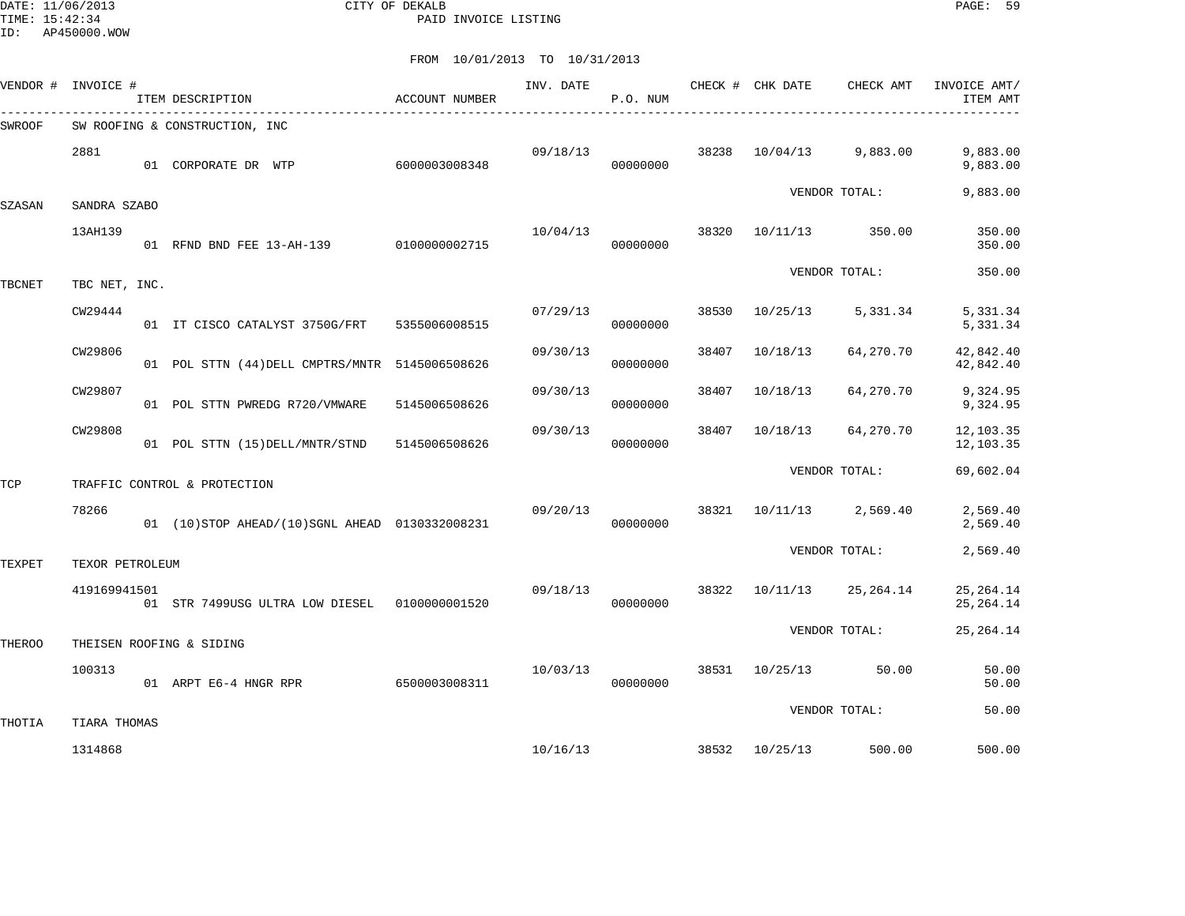DATE: 11/06/2013 CITY OF DEKALB PAGE: 59 PAID INVOICE LISTING

| VENDOR #      | INVOICE #       | ITEM DESCRIPTION                                 | ACCOUNT NUMBER | INV. DATE | P.O. NUM |       | CHECK # CHK DATE | CHECK AMT            | INVOICE AMT/<br>ITEM AMT  |
|---------------|-----------------|--------------------------------------------------|----------------|-----------|----------|-------|------------------|----------------------|---------------------------|
| <b>SWROOF</b> |                 | SW ROOFING & CONSTRUCTION, INC                   |                |           |          |       |                  |                      |                           |
|               | 2881            | 01 CORPORATE DR WTP                              | 6000003008348  | 09/18/13  | 00000000 | 38238 | 10/04/13         | 9,883.00             | 9,883.00<br>9,883.00      |
| SZASAN        | SANDRA SZABO    |                                                  |                |           |          |       |                  | VENDOR TOTAL:        | 9,883.00                  |
|               | 13AH139         | 01 RFND BND FEE 13-AH-139 0100000002715          |                | 10/04/13  | 00000000 | 38320 | 10/11/13         | 350.00               | 350.00<br>350.00          |
| <b>TBCNET</b> | TBC NET, INC.   |                                                  |                |           |          |       |                  | VENDOR TOTAL:        | 350.00                    |
|               | CW29444         | 01 IT CISCO CATALYST 3750G/FRT 5355006008515     |                | 07/29/13  | 00000000 | 38530 | 10/25/13         | 5,331.34             | 5,331.34<br>5,331.34      |
|               | CW29806         | 01 POL STTN (44) DELL CMPTRS/MNTR 5145006508626  |                | 09/30/13  | 00000000 | 38407 | 10/18/13         | 64,270.70            | 42,842.40<br>42,842.40    |
|               | CW29807         | 01 POL STTN PWREDG R720/VMWARE 5145006508626     |                | 09/30/13  | 00000000 | 38407 | 10/18/13         | 64,270.70            | 9,324.95<br>9,324.95      |
|               | CW29808         | 01 POL STTN (15) DELL/MNTR/STND 5145006508626    |                | 09/30/13  | 00000000 | 38407 | 10/18/13         | 64,270.70            | 12,103.35<br>12,103.35    |
| TCP           |                 | TRAFFIC CONTROL & PROTECTION                     |                |           |          |       |                  | VENDOR TOTAL:        | 69,602.04                 |
|               | 78266           | 01 (10) STOP AHEAD/(10) SGNL AHEAD 0130332008231 |                | 09/20/13  | 00000000 | 38321 |                  | 10/11/13 2,569.40    | 2,569.40<br>2,569.40      |
| TEXPET        | TEXOR PETROLEUM |                                                  |                |           |          |       |                  | VENDOR TOTAL:        | 2,569.40                  |
|               | 419169941501    | 01 STR 7499USG ULTRA LOW DIESEL  01000000001520  |                | 09/18/13  | 00000000 | 38322 | 10/11/13         | 25,264.14            | 25, 264. 14<br>25, 264.14 |
| THEROO        |                 | THEISEN ROOFING & SIDING                         |                |           |          |       |                  | VENDOR TOTAL:        | 25, 264. 14               |
|               | 100313          | 01 ARPT E6-4 HNGR RPR 6500003008311              |                | 10/03/13  | 00000000 |       |                  | 38531 10/25/13 50.00 | 50.00<br>50.00            |
| THOTIA        | TIARA THOMAS    |                                                  |                |           |          |       |                  | VENDOR TOTAL:        | 50.00                     |
|               | 1314868         |                                                  |                | 10/16/13  |          |       | 38532 10/25/13   | 500.00               | 500.00                    |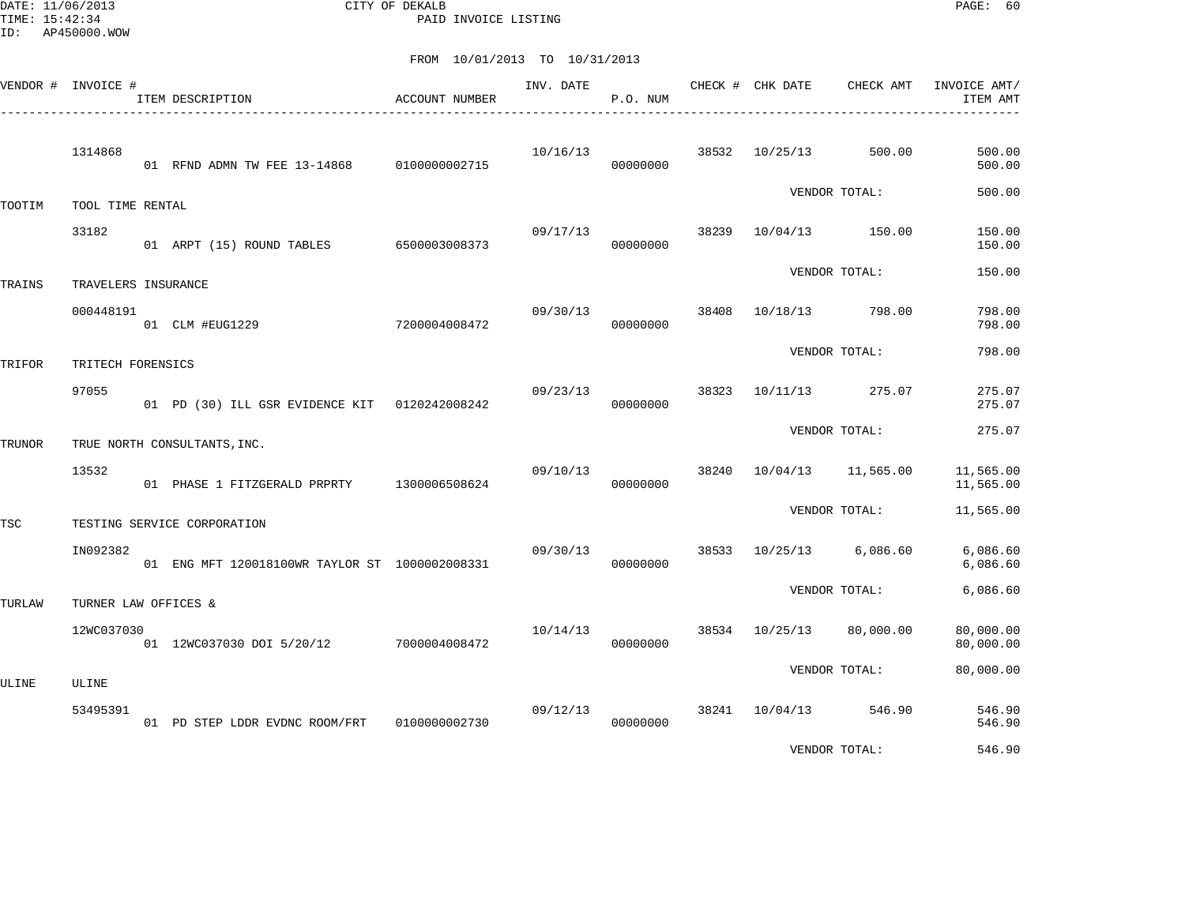DATE: 11/06/2013 CITY OF DEKALB PAGE: 60 PAID INVOICE LISTING

|            | VENDOR # INVOICE #   | ITEM DESCRIPTION                               | <b>ACCOUNT NUMBER</b> | INV. DATE | P.O. NUM |       | CHECK # CHK DATE<br>_________________________ | CHECK AMT                | INVOICE AMT/<br>ITEM AMT |
|------------|----------------------|------------------------------------------------|-----------------------|-----------|----------|-------|-----------------------------------------------|--------------------------|--------------------------|
|            | 1314868              | 01 RFND ADMN TW FEE 13-14868 0100000002715     |                       | 10/16/13  | 00000000 | 38532 | 10/25/13                                      | 500.00                   | 500.00<br>500.00         |
| TOOTIM     | TOOL TIME RENTAL     |                                                |                       |           |          |       |                                               | VENDOR TOTAL:            | 500.00                   |
|            | 33182                | 01 ARPT (15) ROUND TABLES                      | 6500003008373         | 09/17/13  | 00000000 | 38239 |                                               | 10/04/13 150.00          | 150.00<br>150.00         |
| TRAINS     | TRAVELERS INSURANCE  |                                                |                       |           |          |       |                                               | VENDOR TOTAL:            | 150.00                   |
|            | 000448191            | 7200004008472<br>01 CLM #EUG1229               |                       | 09/30/13  | 00000000 | 38408 | 10/18/13                                      | 798.00                   | 798.00<br>798.00         |
| TRIFOR     | TRITECH FORENSICS    |                                                |                       |           |          |       |                                               | VENDOR TOTAL:            | 798.00                   |
|            | 97055                | 01 PD (30) ILL GSR EVIDENCE KIT 0120242008242  |                       | 09/23/13  | 00000000 | 38323 | 10/11/13                                      | 275.07                   | 275.07<br>275.07         |
| TRUNOR     |                      | TRUE NORTH CONSULTANTS, INC.                   |                       |           |          |       |                                               | VENDOR TOTAL:            | 275.07                   |
|            | 13532                | 01 PHASE 1 FITZGERALD PRPRTY 1300006508624     |                       | 09/10/13  | 00000000 |       |                                               | 38240 10/04/13 11,565.00 | 11,565.00<br>11,565.00   |
| <b>TSC</b> |                      | TESTING SERVICE CORPORATION                    |                       |           |          |       |                                               | VENDOR TOTAL:            | 11,565.00                |
|            | IN092382             | 01 ENG MFT 120018100WR TAYLOR ST 1000002008331 |                       | 09/30/13  | 00000000 | 38533 | 10/25/13                                      | 6,086.60                 | 6,086.60<br>6,086.60     |
| TURLAW     | TURNER LAW OFFICES & |                                                |                       |           |          |       |                                               | VENDOR TOTAL:            | 6,086.60                 |
|            | 12WC037030           | 01 12WC037030 DOI 5/20/12                      | 7000004008472         | 10/14/13  | 00000000 |       | 38534 10/25/13                                | 80,000.00                | 80,000.00<br>80,000.00   |
| ULINE      | ULINE                |                                                |                       |           |          |       |                                               | VENDOR TOTAL:            | 80,000.00                |
|            | 53495391             | 01 PD STEP LDDR EVDNC ROOM/FRT                 | 0100000002730         | 09/12/13  | 00000000 |       | 38241 10/04/13                                | 546.90                   | 546.90<br>546.90         |
|            |                      |                                                |                       |           |          |       |                                               | VENDOR TOTAL:            | 546.90                   |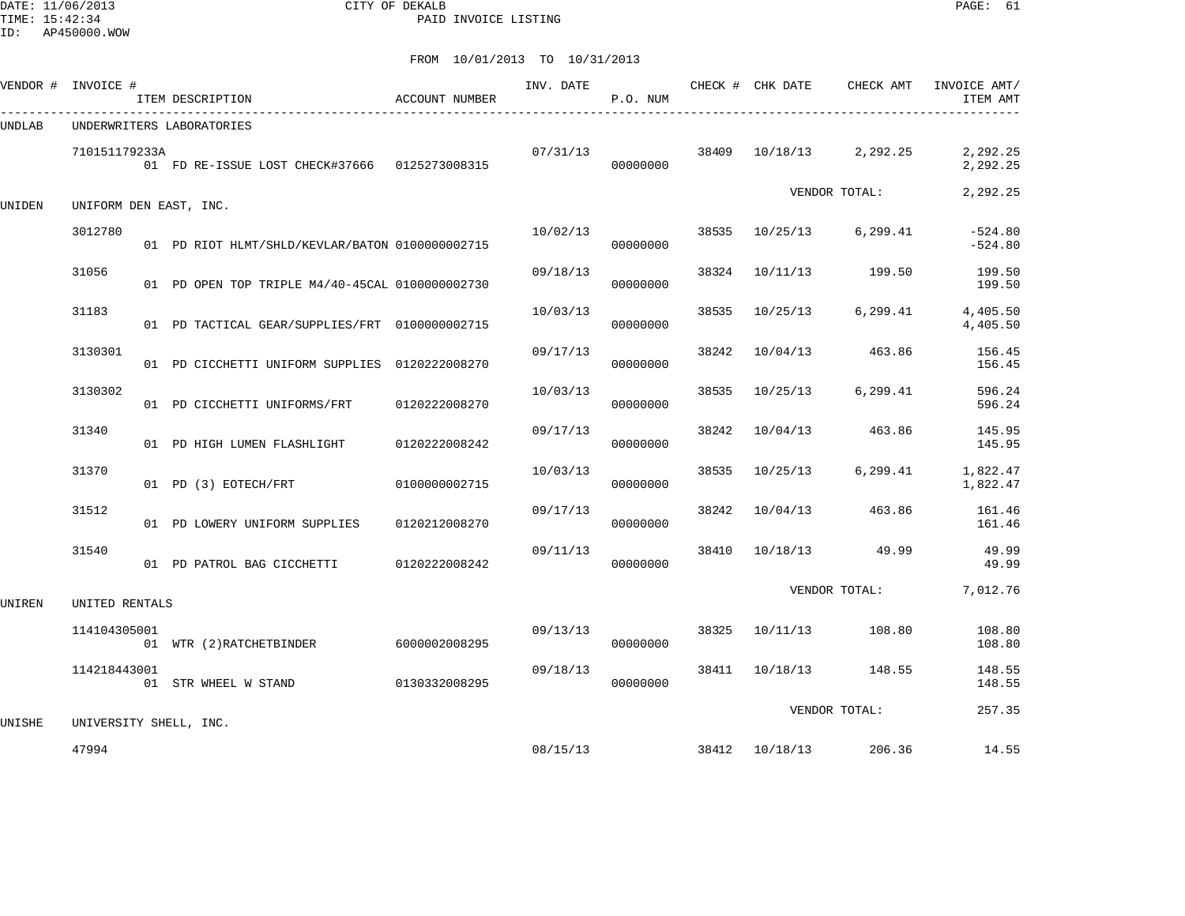DATE: 11/06/2013 CITY OF DEKALB PAGE: 61 PAID INVOICE LISTING

|        | VENDOR # INVOICE # | ITEM DESCRIPTION                                | ACCOUNT NUMBER | INV. DATE | P.O. NUM |       | CHECK # CHK DATE | CHECK AMT     | INVOICE AMT/<br>ITEM AMT |
|--------|--------------------|-------------------------------------------------|----------------|-----------|----------|-------|------------------|---------------|--------------------------|
| UNDLAB |                    | UNDERWRITERS LABORATORIES                       |                |           |          |       |                  |               |                          |
|        | 710151179233A      | 01 FD RE-ISSUE LOST CHECK#37666 0125273008315   |                | 07/31/13  | 00000000 | 38409 | 10/18/13         | 2,292.25      | 2,292.25<br>2,292.25     |
| UNIDEN |                    | UNIFORM DEN EAST, INC.                          |                |           |          |       |                  | VENDOR TOTAL: | 2,292.25                 |
|        | 3012780            | 01 PD RIOT HLMT/SHLD/KEVLAR/BATON 0100000002715 |                | 10/02/13  | 00000000 | 38535 | 10/25/13         | 6,299.41      | $-524.80$<br>$-524.80$   |
|        | 31056              | 01 PD OPEN TOP TRIPLE M4/40-45CAL 0100000002730 |                | 09/18/13  | 00000000 | 38324 | 10/11/13         | 199.50        | 199.50<br>199.50         |
|        | 31183              | 01 PD TACTICAL GEAR/SUPPLIES/FRT 0100000002715  |                | 10/03/13  | 00000000 | 38535 | 10/25/13         | 6, 299.41     | 4,405.50<br>4,405.50     |
|        | 3130301            | 01 PD CICCHETTI UNIFORM SUPPLIES 0120222008270  |                | 09/17/13  | 00000000 | 38242 | 10/04/13         | 463.86        | 156.45<br>156.45         |
|        | 3130302            | 01 PD CICCHETTI UNIFORMS/FRT                    | 0120222008270  | 10/03/13  | 00000000 | 38535 | 10/25/13         | 6, 299.41     | 596.24<br>596.24         |
|        | 31340              | 01 PD HIGH LUMEN FLASHLIGHT                     | 0120222008242  | 09/17/13  | 00000000 | 38242 | 10/04/13         | 463.86        | 145.95<br>145.95         |
|        | 31370              | 01 PD (3) EOTECH/FRT                            | 0100000002715  | 10/03/13  | 00000000 | 38535 | 10/25/13         | 6, 299.41     | 1,822.47<br>1,822.47     |
|        | 31512              | 01 PD LOWERY UNIFORM SUPPLIES                   | 0120212008270  | 09/17/13  | 00000000 | 38242 | 10/04/13         | 463.86        | 161.46<br>161.46         |
|        | 31540              | 01 PD PATROL BAG CICCHETTI                      | 0120222008242  | 09/11/13  | 00000000 | 38410 | 10/18/13         | 49.99         | 49.99<br>49.99           |
| UNIREN | UNITED RENTALS     |                                                 |                |           |          |       |                  | VENDOR TOTAL: | 7,012.76                 |
|        | 114104305001       | 01 WTR (2) RATCHETBINDER                        | 6000002008295  | 09/13/13  | 00000000 | 38325 | 10/11/13         | 108.80        | 108.80<br>108.80         |
|        | 114218443001       | 01 STR WHEEL W STAND                            | 0130332008295  | 09/18/13  | 00000000 |       | 38411 10/18/13   | 148.55        | 148.55<br>148.55         |
| UNISHE |                    | UNIVERSITY SHELL, INC.                          |                |           |          |       |                  | VENDOR TOTAL: | 257.35                   |
|        | 47994              |                                                 |                | 08/15/13  |          |       | 38412 10/18/13   | 206.36        | 14.55                    |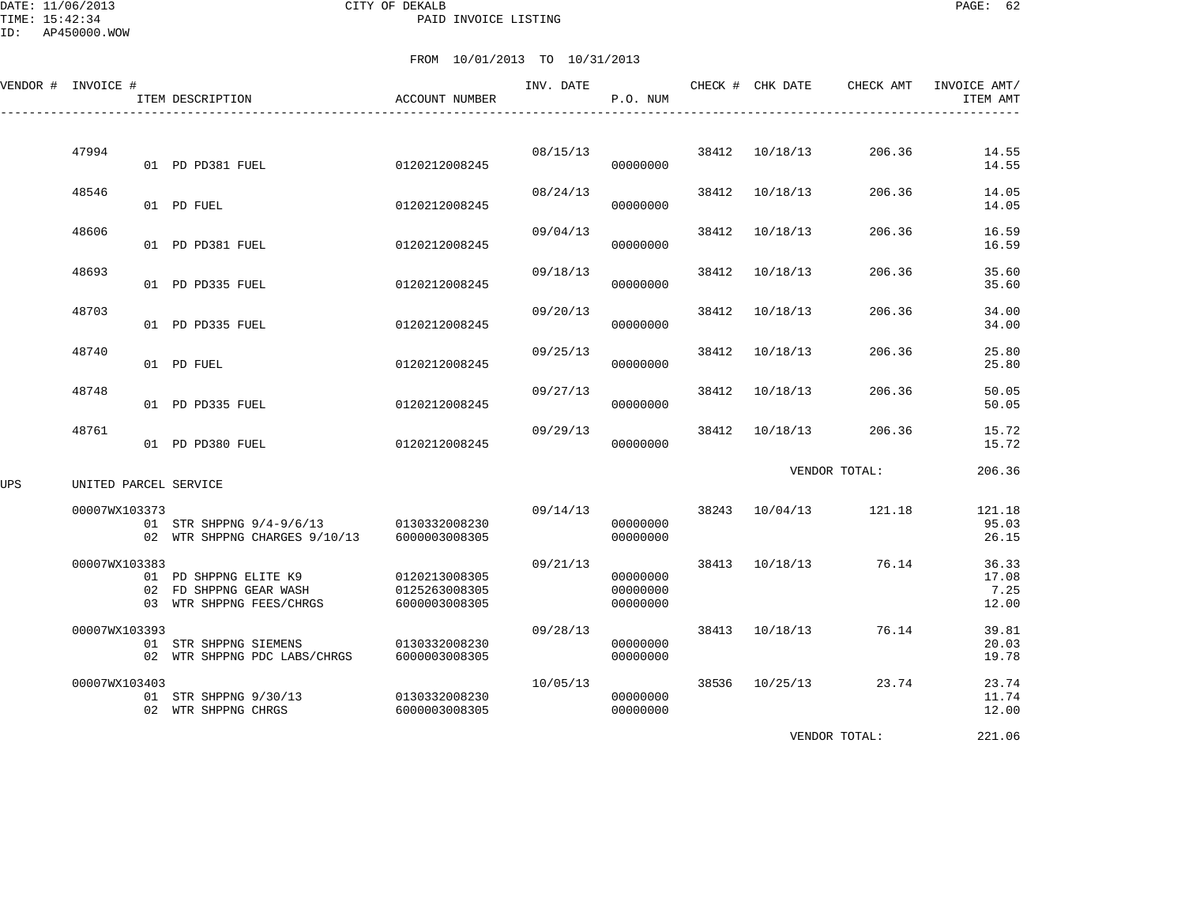DATE: 11/06/2013 CITY OF DEKALB PAGE: 62 PAID INVOICE LISTING

ID: AP450000.WOW

#### FROM 10/01/2013 TO 10/31/2013

|     | VENDOR # INVOICE #    |  | ITEM DESCRIPTION                                                            | ACCOUNT NUMBER                                  | INV. DATE | P.O. NUM                         |       | CHECK # CHK DATE | CHECK AMT             | INVOICE AMT/<br>ITEM AMT        |
|-----|-----------------------|--|-----------------------------------------------------------------------------|-------------------------------------------------|-----------|----------------------------------|-------|------------------|-----------------------|---------------------------------|
|     | 47994                 |  | 01 PD PD381 FUEL                                                            | 0120212008245                                   | 08/15/13  | 00000000                         |       | 38412 10/18/13   | 206.36                | 14.55<br>14.55                  |
|     | 48546                 |  | 01 PD FUEL                                                                  | 0120212008245                                   | 08/24/13  | 00000000                         |       | 38412 10/18/13   | 206.36                | 14.05<br>14.05                  |
|     | 48606                 |  | 01 PD PD381 FUEL                                                            | 0120212008245                                   | 09/04/13  | 00000000                         | 38412 | 10/18/13         | 206.36                | 16.59<br>16.59                  |
|     | 48693                 |  | 01 PD PD335 FUEL                                                            | 0120212008245                                   | 09/18/13  | 00000000                         | 38412 | 10/18/13         | 206.36                | 35.60<br>35.60                  |
|     | 48703                 |  | 01 PD PD335 FUEL                                                            | 0120212008245                                   | 09/20/13  | 00000000                         | 38412 | 10/18/13         | 206.36                | 34.00<br>34.00                  |
|     | 48740                 |  | 01 PD FUEL                                                                  | 0120212008245                                   | 09/25/13  | 00000000                         |       | 38412 10/18/13   | 206.36                | 25.80<br>25.80                  |
|     | 48748                 |  | 01 PD PD335 FUEL                                                            | 0120212008245                                   | 09/27/13  | 00000000                         | 38412 | 10/18/13         | 206.36                | 50.05<br>50.05                  |
|     | 48761                 |  | 01 PD PD380 FUEL                                                            | 0120212008245                                   | 09/29/13  | 00000000                         | 38412 | 10/18/13         | 206.36                | 15.72<br>15.72                  |
| UPS | UNITED PARCEL SERVICE |  |                                                                             |                                                 |           |                                  |       |                  | VENDOR TOTAL:         | 206.36                          |
|     | 00007WX103373         |  | 01 STR SHPPNG 9/4-9/6/13 0130332008230<br>02 WTR SHPPNG CHARGES 9/10/13     | 6000003008305                                   | 09/14/13  | 00000000<br>00000000             |       |                  | 38243 10/04/13 121.18 | 121.18<br>95.03<br>26.15        |
|     | 00007WX103383         |  | 01 PD SHPPNG ELITE K9<br>02 FD SHPPNG GEAR WASH<br>03 WTR SHPPNG FEES/CHRGS | 0120213008305<br>0125263008305<br>6000003008305 | 09/21/13  | 00000000<br>00000000<br>00000000 |       | 38413 10/18/13   | 76.14                 | 36.33<br>17.08<br>7.25<br>12.00 |
|     | 00007WX103393         |  | 01 STR SHPPNG SIEMENS<br>02 WTR SHPPNG PDC LABS/CHRGS                       | 0130332008230<br>6000003008305                  | 09/28/13  | 00000000<br>00000000             |       | 38413 10/18/13   | 76.14                 | 39.81<br>20.03<br>19.78         |
|     | 00007WX103403         |  | 01 STR SHPPNG 9/30/13<br>02 WTR SHPPNG CHRGS                                | 0130332008230<br>6000003008305                  | 10/05/13  | 00000000<br>00000000             |       | 38536 10/25/13   | 23.74                 | 23.74<br>11.74<br>12.00         |

VENDOR TOTAL: 221.06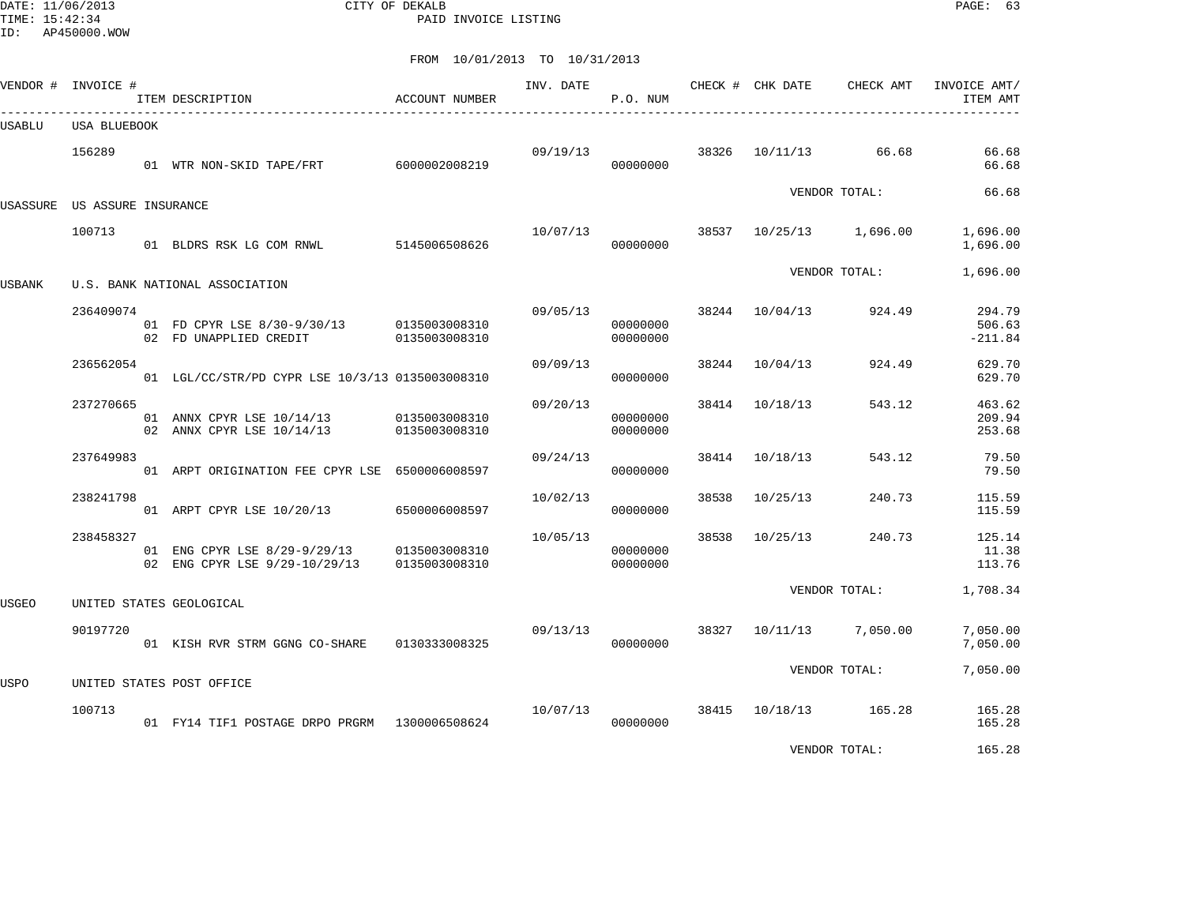DATE: 11/06/2013 CITY OF DEKALB PAGE: 63 PAID INVOICE LISTING

ID: AP450000.WOW

|        | VENDOR # INVOICE #           | ITEM DESCRIPTION                                                            | ACCOUNT NUMBER | INV. DATE | P.O. NUM             |       | CHECK # CHK DATE | CHECK AMT               | INVOICE AMT/<br>ITEM AMT      |
|--------|------------------------------|-----------------------------------------------------------------------------|----------------|-----------|----------------------|-------|------------------|-------------------------|-------------------------------|
| USABLU | USA BLUEBOOK                 |                                                                             |                |           |                      |       |                  |                         |                               |
|        | 156289                       | 01 WTR NON-SKID TAPE/FRT 6000002008219                                      |                | 09/19/13  | 00000000             | 38326 |                  | 10/11/13 66.68          | 66.68<br>66.68                |
|        | USASSURE US ASSURE INSURANCE |                                                                             |                |           |                      |       |                  | VENDOR TOTAL:           | 66.68                         |
|        | 100713                       | 01 BLDRS RSK LG COM RNWL 5145006508626                                      |                | 10/07/13  | 00000000             |       |                  | 38537 10/25/13 1,696.00 | 1,696.00<br>1,696.00          |
| USBANK |                              | U.S. BANK NATIONAL ASSOCIATION                                              |                |           |                      |       |                  | VENDOR TOTAL:           | 1,696.00                      |
|        | 236409074                    | 01 FD CPYR LSE 8/30-9/30/13 0135003008310<br>02 FD UNAPPLIED CREDIT         | 0135003008310  | 09/05/13  | 00000000<br>00000000 |       | 38244 10/04/13   | 924.49                  | 294.79<br>506.63<br>$-211.84$ |
|        | 236562054                    | 01 LGL/CC/STR/PD CYPR LSE 10/3/13 0135003008310                             |                | 09/09/13  | 00000000             | 38244 | 10/04/13         | 924.49                  | 629.70<br>629.70              |
|        | 237270665                    | 01 ANNX CPYR LSE 10/14/13 0135003008310<br>02 ANNX CPYR LSE 10/14/13        | 0135003008310  | 09/20/13  | 00000000<br>00000000 | 38414 | 10/18/13         | 543.12                  | 463.62<br>209.94<br>253.68    |
|        | 237649983                    | 01 ARPT ORIGINATION FEE CPYR LSE 6500006008597                              |                | 09/24/13  | 00000000             | 38414 | 10/18/13         | 543.12                  | 79.50<br>79.50                |
|        | 238241798                    | 01 ARPT CPYR LSE 10/20/13                                                   | 6500006008597  | 10/02/13  | 00000000             | 38538 | 10/25/13         | 240.73                  | 115.59<br>115.59              |
|        | 238458327                    | 01 ENG CPYR LSE 8/29-9/29/13 0135003008310<br>02 ENG CPYR LSE 9/29-10/29/13 | 0135003008310  | 10/05/13  | 00000000<br>00000000 | 38538 | 10/25/13         | 240.73                  | 125.14<br>11.38<br>113.76     |
| USGEO  |                              | UNITED STATES GEOLOGICAL                                                    |                |           |                      |       |                  | VENDOR TOTAL:           | 1,708.34                      |
|        | 90197720                     | 01 KISH RVR STRM GGNG CO-SHARE                                              | 0130333008325  | 09/13/13  | 00000000             | 38327 |                  | 10/11/13 7,050.00       | 7,050.00<br>7,050.00          |
| USPO   |                              | UNITED STATES POST OFFICE                                                   |                |           |                      |       |                  | VENDOR TOTAL:           | 7,050.00                      |
|        | 100713                       | 01 FY14 TIF1 POSTAGE DRPO PRGRM 1300006508624                               |                | 10/07/13  | 00000000             |       |                  | 38415 10/18/13 165.28   | 165.28<br>165.28              |
|        |                              |                                                                             |                |           |                      |       |                  | VENDOR TOTAL:           | 165.28                        |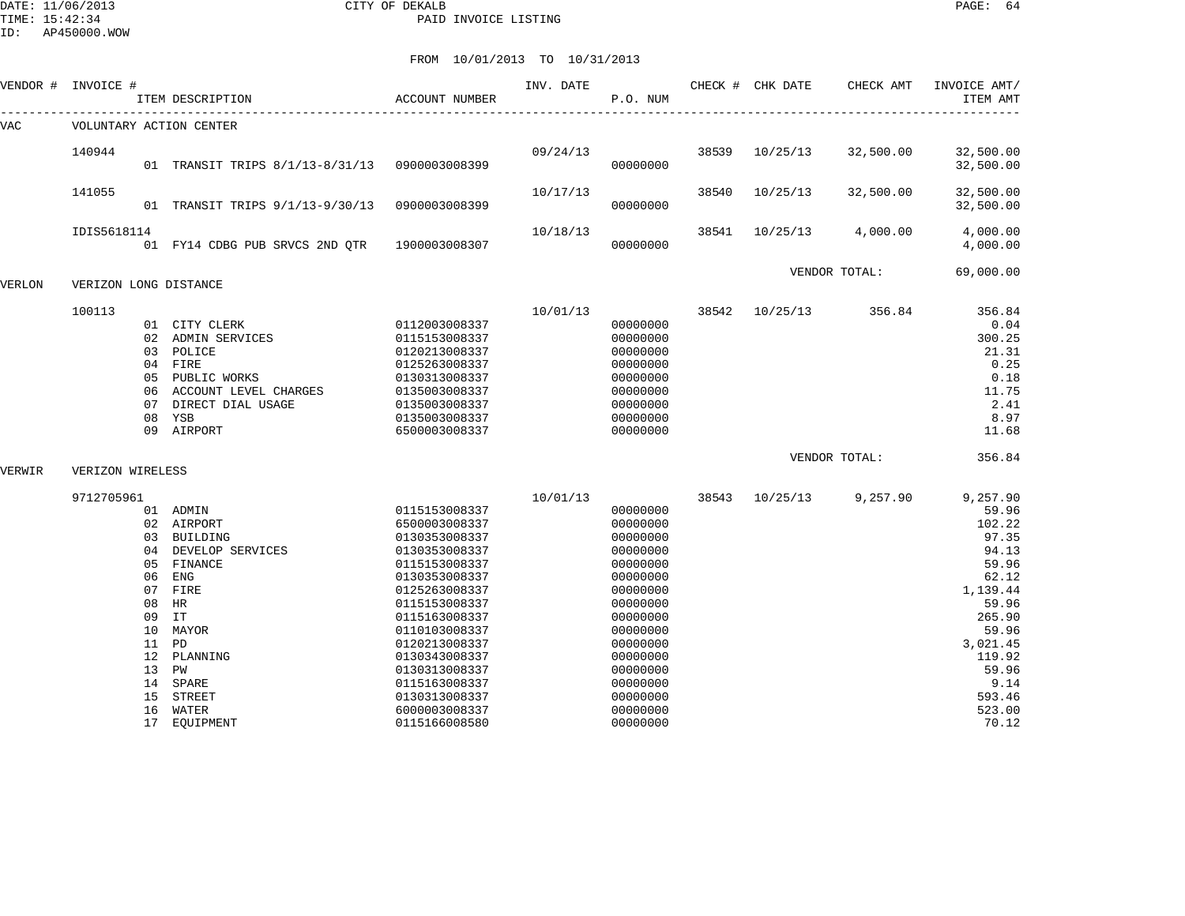DATE: 11/06/2013 CITY OF DEKALB PAGE: 64 PAID INVOICE LISTING

ID: AP450000.WOW

| VENDOR # | INVOICE #                                            | ITEM DESCRIPTION                                                                                                                                                                               | <b>ACCOUNT NUMBER</b>                                                                                                                                                                                                                                                                         | INV. DATE | P.O. NUM                                                                                                                                                                                                 |               | CHECK # CHK DATE | CHECK AMT     | INVOICE AMT/<br>ITEM AMT                                                                                                                                                    |
|----------|------------------------------------------------------|------------------------------------------------------------------------------------------------------------------------------------------------------------------------------------------------|-----------------------------------------------------------------------------------------------------------------------------------------------------------------------------------------------------------------------------------------------------------------------------------------------|-----------|----------------------------------------------------------------------------------------------------------------------------------------------------------------------------------------------------------|---------------|------------------|---------------|-----------------------------------------------------------------------------------------------------------------------------------------------------------------------------|
| VAC      | VOLUNTARY ACTION CENTER                              |                                                                                                                                                                                                |                                                                                                                                                                                                                                                                                               |           |                                                                                                                                                                                                          |               |                  |               |                                                                                                                                                                             |
|          | 140944                                               | 01 TRANSIT TRIPS 8/1/13-8/31/13 0900003008399                                                                                                                                                  |                                                                                                                                                                                                                                                                                               | 09/24/13  | 00000000                                                                                                                                                                                                 | 38539         | 10/25/13         | 32,500.00     | 32,500.00<br>32,500.00                                                                                                                                                      |
|          | 141055                                               | 01 TRANSIT TRIPS $9/1/13-9/30/13$                                                                                                                                                              | 0900003008399                                                                                                                                                                                                                                                                                 | 10/17/13  | 00000000                                                                                                                                                                                                 | 38540         | 10/25/13         | 32,500.00     | 32,500.00<br>32,500.00                                                                                                                                                      |
|          | IDIS5618114                                          | 01 FY14 CDBG PUB SRVCS 2ND OTR                                                                                                                                                                 | 1900003008307                                                                                                                                                                                                                                                                                 | 10/18/13  | 00000000                                                                                                                                                                                                 | 38541         | 10/25/13         | 4,000.00      | 4,000.00<br>4,000.00                                                                                                                                                        |
| VERLON   | VERIZON LONG DISTANCE                                |                                                                                                                                                                                                |                                                                                                                                                                                                                                                                                               |           |                                                                                                                                                                                                          |               |                  | VENDOR TOTAL: | 69,000.00                                                                                                                                                                   |
|          | 100113<br>07                                         | 01 CITY CLERK<br>02 ADMIN SERVICES<br>03 POLICE<br>04 FIRE<br>05 PUBLIC WORKS<br>06 ACCOUNT LEVEL CHARGES<br>DIRECT DIAL USAGE<br>08 YSB<br>09 AIRPORT                                         | 0112003008337<br>0115153008337<br>0120213008337<br>0125263008337<br>0130313008337<br>0135003008337<br>0135003008337<br>0135003008337<br>6500003008337                                                                                                                                         | 10/01/13  | 00000000<br>00000000<br>00000000<br>00000000<br>00000000<br>00000000<br>00000000<br>00000000<br>00000000                                                                                                 | 38542         | 10/25/13         | 356.84        | 356.84<br>0.04<br>300.25<br>21.31<br>0.25<br>0.18<br>11.75<br>2.41<br>8.97<br>11.68                                                                                         |
| VERWIR   | VERIZON WIRELESS                                     |                                                                                                                                                                                                |                                                                                                                                                                                                                                                                                               |           |                                                                                                                                                                                                          | VENDOR TOTAL: | 356.84           |               |                                                                                                                                                                             |
|          | 9712705961<br>06<br>07<br>08<br>09<br>15<br>16<br>17 | 01 ADMIN<br>02 AIRPORT<br>03 BUILDING<br>04 DEVELOP SERVICES<br>05 FINANCE<br>ENG<br>FIRE<br>HR<br>IT<br>10 MAYOR<br>11 PD<br>12 PLANNING<br>13 PW<br>14 SPARE<br>STREET<br>WATER<br>EQUIPMENT | 0115153008337<br>6500003008337<br>0130353008337<br>0130353008337<br>0115153008337<br>0130353008337<br>0125263008337<br>0115153008337<br>0115163008337<br>0110103008337<br>0120213008337<br>0130343008337<br>0130313008337<br>0115163008337<br>0130313008337<br>6000003008337<br>0115166008580 | 10/01/13  | 00000000<br>00000000<br>00000000<br>00000000<br>00000000<br>00000000<br>00000000<br>00000000<br>00000000<br>00000000<br>00000000<br>00000000<br>00000000<br>00000000<br>00000000<br>00000000<br>00000000 | 38543         | 10/25/13         | 9,257.90      | 9,257.90<br>59.96<br>102.22<br>97.35<br>94.13<br>59.96<br>62.12<br>1,139.44<br>59.96<br>265.90<br>59.96<br>3,021.45<br>119.92<br>59.96<br>9.14<br>593.46<br>523.00<br>70.12 |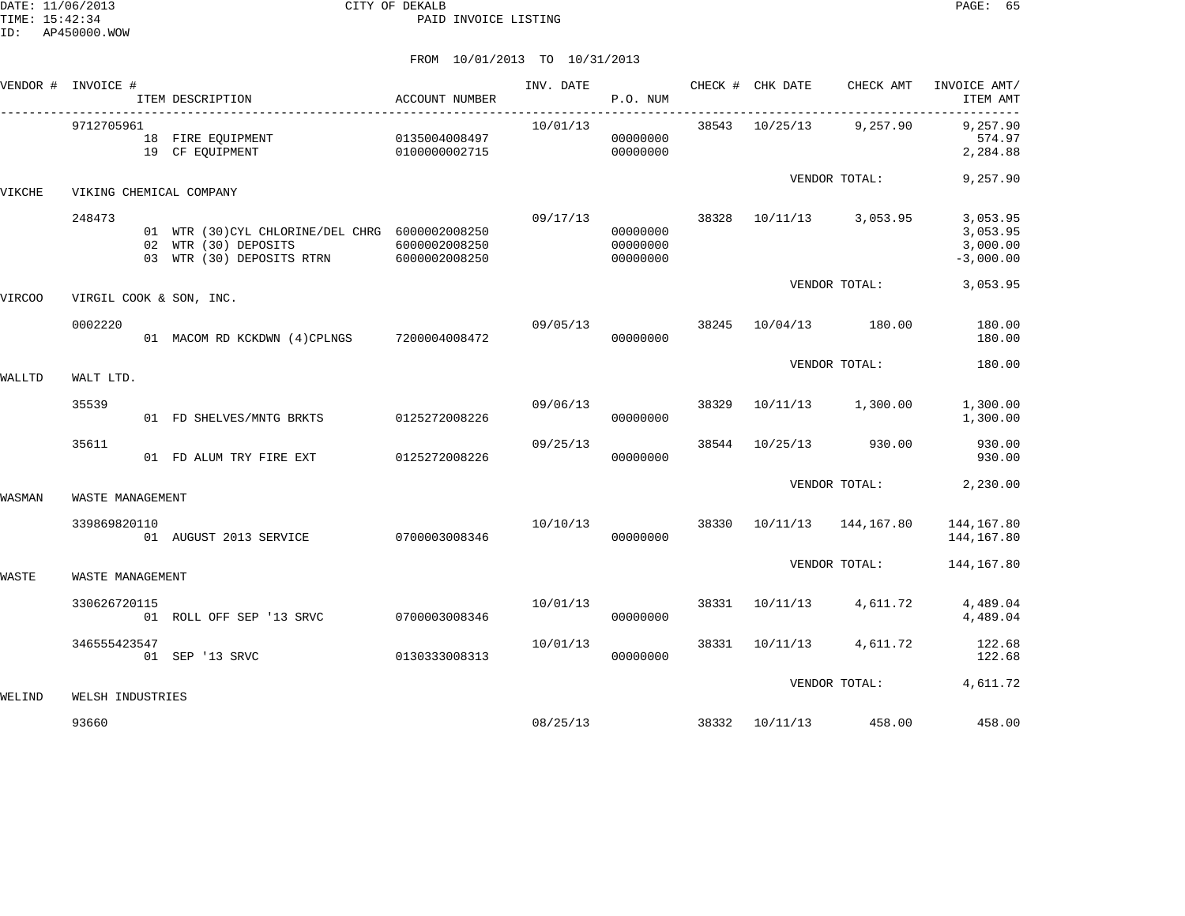|        | VENDOR # INVOICE # | ITEM DESCRIPTION                                                                                     | ACCOUNT NUMBER                 | INV. DATE | P.O. NUM                         |       |          | CHECK # CHK DATE CHECK AMT                                                                                                                                                                                                                                                                           | INVOICE AMT/<br>ITEM AMT                        |
|--------|--------------------|------------------------------------------------------------------------------------------------------|--------------------------------|-----------|----------------------------------|-------|----------|------------------------------------------------------------------------------------------------------------------------------------------------------------------------------------------------------------------------------------------------------------------------------------------------------|-------------------------------------------------|
|        | 9712705961         | 18 FIRE EQUIPMENT<br>19 CF EQUIPMENT<br>0100000002715                                                | 0135004008497                  | 10/01/13  | 00000000<br>00000000             |       |          |                                                                                                                                                                                                                                                                                                      | 9,257.90<br>574.97<br>2,284.88                  |
| VIKCHE |                    | VIKING CHEMICAL COMPANY                                                                              |                                |           |                                  |       |          |                                                                                                                                                                                                                                                                                                      | 9,257.90                                        |
|        | 248473             | 01 WTR (30) CYL CHLORINE/DEL CHRG 6000002008250<br>02 WTR (30) DEPOSITS<br>03 WTR (30) DEPOSITS RTRN | 6000002008250<br>6000002008250 | 09/17/13  | 00000000<br>00000000<br>00000000 | 38328 |          |                                                                                                                                                                                                                                                                                                      | 3,053.95<br>3,053.95<br>3,000.00<br>$-3,000.00$ |
| VIRCOO |                    | VIRGIL COOK & SON, INC.                                                                              |                                |           |                                  |       |          | 38543 10/25/13 9,257.90<br>VENDOR TOTAL:<br>10/11/13 3,053.95<br>VENDOR TOTAL:<br>10/04/13 180.00<br>VENDOR TOTAL:<br>10/11/13 1,300.00<br>10/25/13 930.00<br>VENDOR TOTAL:<br>38330 10/11/13 144,167.80<br>VENDOR TOTAL:<br>4,611.72<br>4,611.72<br>VENDOR TOTAL: 4,611.72<br>38332 10/11/13 458.00 | 3,053.95                                        |
|        | 0002220            | 01 MACOM RD KCKDWN (4)CPLNGS 7200004008472                                                           |                                | 09/05/13  | 00000000                         | 38245 |          |                                                                                                                                                                                                                                                                                                      | 180.00<br>180.00                                |
| WALLTD | WALT LTD.          |                                                                                                      |                                |           |                                  |       |          |                                                                                                                                                                                                                                                                                                      | 180.00                                          |
|        | 35539              | 01 FD SHELVES/MNTG BRKTS                                                                             | 0125272008226                  | 09/06/13  | 00000000                         | 38329 |          |                                                                                                                                                                                                                                                                                                      | 1,300.00<br>1,300.00                            |
|        | 35611              | 01 FD ALUM TRY FIRE EXT 0125272008226                                                                |                                | 09/25/13  | 00000000                         | 38544 |          |                                                                                                                                                                                                                                                                                                      | 930.00<br>930.00                                |
| WASMAN | WASTE MANAGEMENT   |                                                                                                      |                                |           |                                  |       |          |                                                                                                                                                                                                                                                                                                      | 2,230.00                                        |
|        | 339869820110       | 01 AUGUST 2013 SERVICE                                                                               | 0700003008346                  | 10/10/13  | 00000000                         |       |          |                                                                                                                                                                                                                                                                                                      | 144,167.80<br>144,167.80                        |
| WASTE  | WASTE MANAGEMENT   |                                                                                                      |                                |           |                                  |       |          |                                                                                                                                                                                                                                                                                                      | 144,167.80                                      |
|        | 330626720115       | 01 ROLL OFF SEP '13 SRVC                                                                             | 0700003008346                  | 10/01/13  | 00000000                         | 38331 | 10/11/13 |                                                                                                                                                                                                                                                                                                      | 4,489.04<br>4,489.04                            |
|        | 346555423547       | 01 SEP '13 SRVC                                                                                      | 0130333008313                  | 10/01/13  | 00000000                         | 38331 | 10/11/13 |                                                                                                                                                                                                                                                                                                      | 122.68<br>122.68                                |
| WELIND | WELSH INDUSTRIES   |                                                                                                      |                                |           |                                  |       |          |                                                                                                                                                                                                                                                                                                      |                                                 |
|        | 93660              |                                                                                                      |                                | 08/25/13  |                                  |       |          |                                                                                                                                                                                                                                                                                                      | 458.00                                          |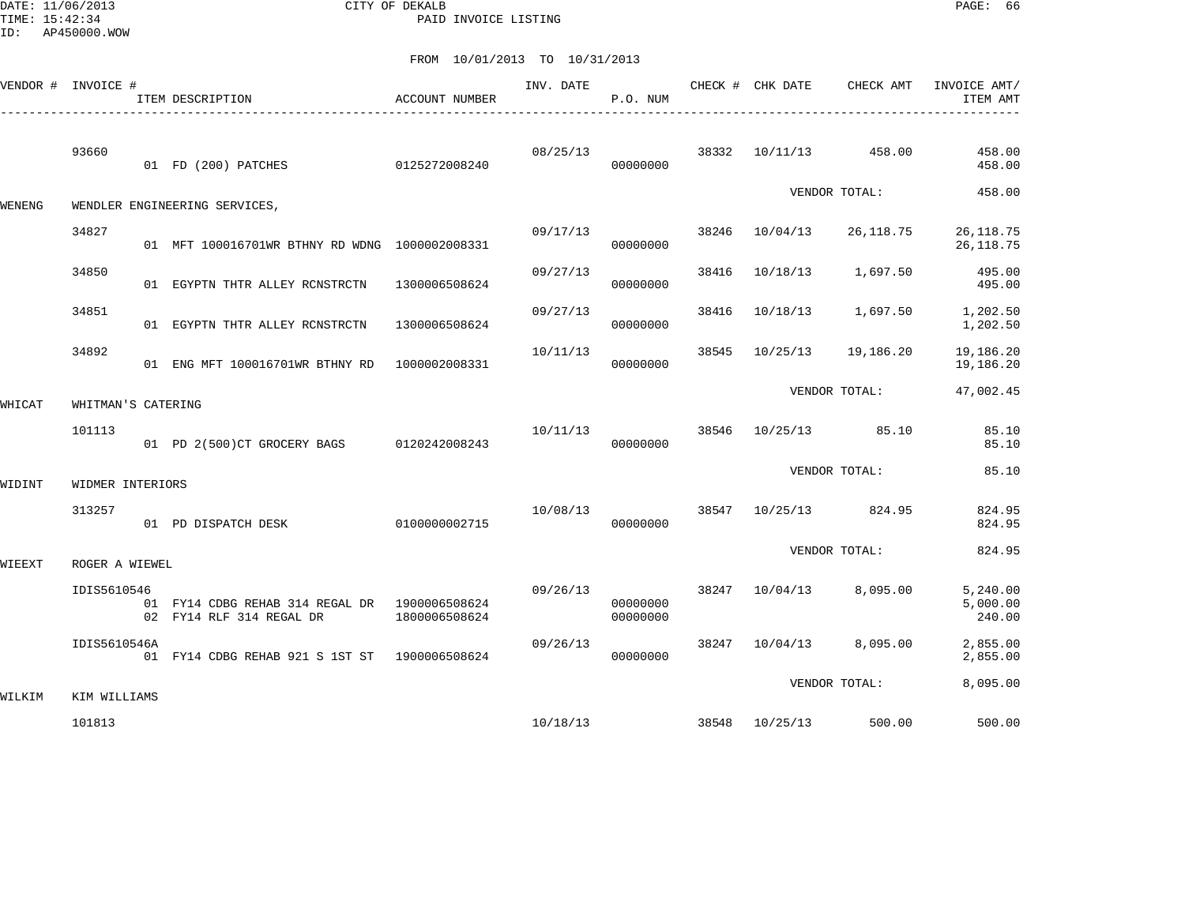DATE: 11/06/2013 CITY OF DEKALB PAGE: 66 PAID INVOICE LISTING

|        | VENDOR # INVOICE # | ITEM DESCRIPTION                                                          | ACCOUNT NUMBER | INV. DATE | P.O. NUM             |       | CHECK # CHK DATE | CHECK AMT       | INVOICE AMT/<br>ITEM AMT       |
|--------|--------------------|---------------------------------------------------------------------------|----------------|-----------|----------------------|-------|------------------|-----------------|--------------------------------|
|        | 93660              | 01 FD (200) PATCHES                                                       | 0125272008240  | 08/25/13  | 00000000             | 38332 | 10/11/13         | 458.00          | 458.00<br>458.00               |
| WENENG |                    | WENDLER ENGINEERING SERVICES,                                             |                |           |                      |       |                  | VENDOR TOTAL:   | 458.00                         |
|        | 34827              | 01 MFT 100016701WR BTHNY RD WDNG 1000002008331                            |                | 09/17/13  | 00000000             | 38246 | 10/04/13         | 26,118.75       | 26, 118.75<br>26, 118.75       |
|        | 34850              | 01 EGYPTN THTR ALLEY RCNSTRCTN                                            | 1300006508624  | 09/27/13  | 00000000             | 38416 | 10/18/13         | 1,697.50        | 495.00<br>495.00               |
|        | 34851              | 01 EGYPTN THTR ALLEY RCNSTRCTN                                            | 1300006508624  | 09/27/13  | 00000000             | 38416 | 10/18/13         | 1,697.50        | 1,202.50<br>1,202.50           |
|        | 34892              | 01 ENG MFT 100016701WR BTHNY RD 1000002008331                             |                | 10/11/13  | 00000000             | 38545 | 10/25/13         | 19,186.20       | 19,186.20<br>19,186.20         |
| WHICAT | WHITMAN'S CATERING |                                                                           |                |           |                      |       |                  | VENDOR TOTAL:   | 47,002.45                      |
|        | 101113             | 01 PD 2(500)CT GROCERY BAGS 0120242008243                                 |                | 10/11/13  | 00000000             | 38546 |                  | 10/25/13 85.10  | 85.10<br>85.10                 |
| WIDINT | WIDMER INTERIORS   |                                                                           |                |           |                      |       |                  | VENDOR TOTAL:   | 85.10                          |
|        | 313257             | 01 PD DISPATCH DESK                                                       | 0100000002715  | 10/08/13  | 00000000             | 38547 |                  | 10/25/13 824.95 | 824.95<br>824.95               |
| WIEEXT | ROGER A WIEWEL     |                                                                           |                |           |                      |       |                  | VENDOR TOTAL:   | 824.95                         |
|        | IDIS5610546        | 01 FY14 CDBG REHAB 314 REGAL DR 1900006508624<br>02 FY14 RLF 314 REGAL DR | 1800006508624  | 09/26/13  | 00000000<br>00000000 | 38247 | 10/04/13         | 8,095.00        | 5,240.00<br>5,000.00<br>240.00 |
|        | IDIS5610546A       | 01 FY14 CDBG REHAB 921 S 1ST ST 1900006508624                             |                | 09/26/13  | 00000000             | 38247 | 10/04/13         | 8,095.00        | 2,855.00<br>2,855.00           |
| WILKIM | KIM WILLIAMS       |                                                                           |                |           |                      |       |                  | VENDOR TOTAL:   | 8,095.00                       |
|        | 101813             |                                                                           |                | 10/18/13  |                      | 38548 | 10/25/13         | 500.00          | 500.00                         |